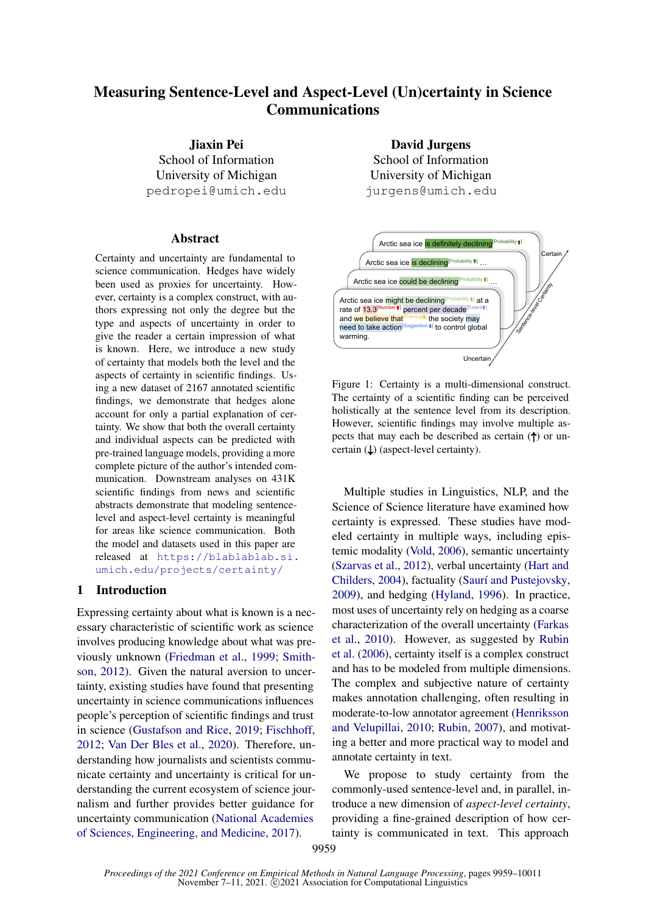# Measuring Sentence-Level and Aspect-Level (Un)certainty in Science **Communications**

Jiaxin Pei School of Information University of Michigan pedropei@umich.edu

#### Abstract

Certainty and uncertainty are fundamental to science communication. Hedges have widely been used as proxies for uncertainty. However, certainty is a complex construct, with authors expressing not only the degree but the type and aspects of uncertainty in order to give the reader a certain impression of what is known. Here, we introduce a new study of certainty that models both the level and the aspects of certainty in scientific findings. Using a new dataset of 2167 annotated scientific findings, we demonstrate that hedges alone account for only a partial explanation of certainty. We show that both the overall certainty and individual aspects can be predicted with pre-trained language models, providing a more complete picture of the author's intended communication. Downstream analyses on 431K scientific findings from news and scientific abstracts demonstrate that modeling sentencelevel and aspect-level certainty is meaningful for areas like science communication. Both the model and datasets used in this paper are released at [https://blablablab.si.](https://blablablab.si.umich.edu/projects/certainty/) [umich.edu/projects/certainty/](https://blablablab.si.umich.edu/projects/certainty/)

#### 1 Introduction

Expressing certainty about what is known is a necessary characteristic of scientific work as science involves producing knowledge about what was previously unknown [\(Friedman et al.,](#page-9-0) [1999;](#page-9-0) [Smith](#page-11-0)[son,](#page-11-0) [2012\)](#page-11-0). Given the natural aversion to uncertainty, existing studies have found that presenting uncertainty in science communications influences people's perception of scientific findings and trust in science [\(Gustafson and Rice,](#page-9-1) [2019;](#page-9-1) [Fischhoff,](#page-9-2) [2012;](#page-9-2) [Van Der Bles et al.,](#page-11-1) [2020\)](#page-11-1). Therefore, understanding how journalists and scientists communicate certainty and uncertainty is critical for understanding the current ecosystem of science journalism and further provides better guidance for uncertainty communication [\(National Academies](#page-10-0) [of Sciences, Engineering, and Medicine,](#page-10-0) [2017\)](#page-10-0).

David Jurgens School of Information University of Michigan jurgens@umich.edu



Figure 1: Certainty is a multi-dimensional construct. The certainty of a scientific finding can be perceived holistically at the sentence level from its description. However, scientific findings may involve multiple aspects that may each be described as certain (↑) or uncertain (↓) (aspect-level certainty).

Multiple studies in Linguistics, NLP, and the Science of Science literature have examined how certainty is expressed. These studies have modeled certainty in multiple ways, including epistemic modality [\(Vold,](#page-11-2) [2006\)](#page-11-2), semantic uncertainty [\(Szarvas et al.,](#page-11-3) [2012\)](#page-11-3), verbal uncertainty [\(Hart and](#page-10-1) [Childers,](#page-10-1) [2004\)](#page-10-1), factuality [\(Saurí and Pustejovsky,](#page-11-4) [2009\)](#page-11-4), and hedging [\(Hyland,](#page-10-2) [1996\)](#page-10-2). In practice, most uses of uncertainty rely on hedging as a coarse characterization of the overall uncertainty [\(Farkas](#page-9-3) [et al.,](#page-9-3) [2010\)](#page-9-3). However, as suggested by [Rubin](#page-11-5) [et al.](#page-11-5) [\(2006\)](#page-11-5), certainty itself is a complex construct and has to be modeled from multiple dimensions. The complex and subjective nature of certainty makes annotation challenging, often resulting in moderate-to-low annotator agreement [\(Henriksson](#page-10-3) [and Velupillai,](#page-10-3) [2010;](#page-10-3) [Rubin,](#page-10-4) [2007\)](#page-10-4), and motivating a better and more practical way to model and annotate certainty in text.

We propose to study certainty from the commonly-used sentence-level and, in parallel, introduce a new dimension of *aspect-level certainty*, providing a fine-grained description of how certainty is communicated in text. This approach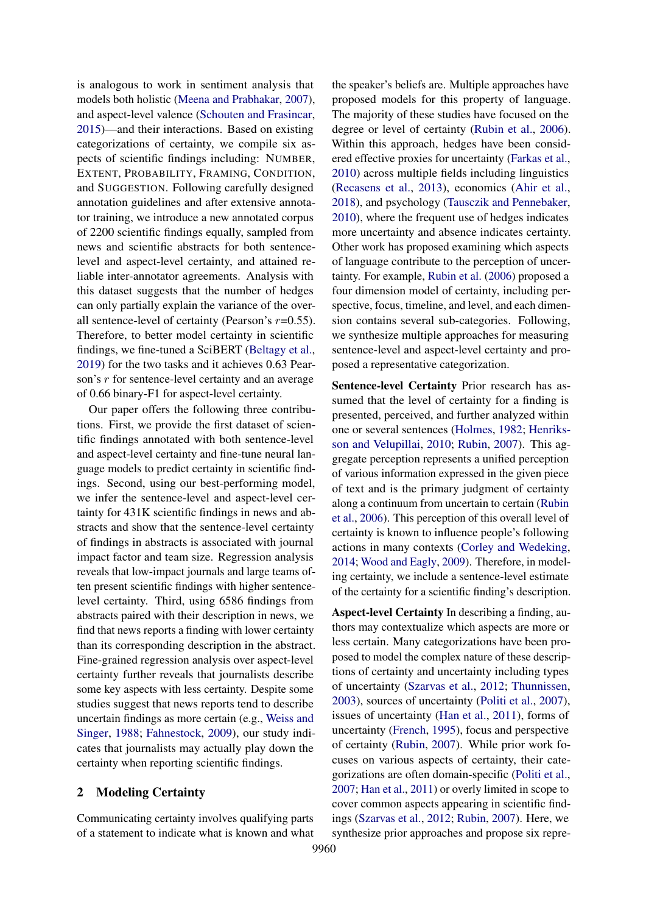is analogous to work in sentiment analysis that models both holistic [\(Meena and Prabhakar,](#page-10-5) [2007\)](#page-10-5), and aspect-level valence [\(Schouten and Frasincar,](#page-11-6) [2015\)](#page-11-6)—and their interactions. Based on existing categorizations of certainty, we compile six aspects of scientific findings including: NUMBER, EXTENT, PROBABILITY, FRAMING, CONDITION, and SUGGESTION. Following carefully designed annotation guidelines and after extensive annotator training, we introduce a new annotated corpus of 2200 scientific findings equally, sampled from news and scientific abstracts for both sentencelevel and aspect-level certainty, and attained reliable inter-annotator agreements. Analysis with this dataset suggests that the number of hedges can only partially explain the variance of the overall sentence-level of certainty (Pearson's  $r=0.55$ ). Therefore, to better model certainty in scientific findings, we fine-tuned a SciBERT [\(Beltagy et al.,](#page-9-4) [2019\)](#page-9-4) for the two tasks and it achieves 0.63 Pearson's r for sentence-level certainty and an average of 0.66 binary-F1 for aspect-level certainty.

Our paper offers the following three contributions. First, we provide the first dataset of scientific findings annotated with both sentence-level and aspect-level certainty and fine-tune neural language models to predict certainty in scientific findings. Second, using our best-performing model, we infer the sentence-level and aspect-level certainty for 431K scientific findings in news and abstracts and show that the sentence-level certainty of findings in abstracts is associated with journal impact factor and team size. Regression analysis reveals that low-impact journals and large teams often present scientific findings with higher sentencelevel certainty. Third, using 6586 findings from abstracts paired with their description in news, we find that news reports a finding with lower certainty than its corresponding description in the abstract. Fine-grained regression analysis over aspect-level certainty further reveals that journalists describe some key aspects with less certainty. Despite some studies suggest that news reports tend to describe uncertain findings as more certain (e.g., [Weiss and](#page-11-7) [Singer,](#page-11-7) [1988;](#page-11-7) [Fahnestock,](#page-9-5) [2009\)](#page-9-5), our study indicates that journalists may actually play down the certainty when reporting scientific findings.

## 2 Modeling Certainty

Communicating certainty involves qualifying parts of a statement to indicate what is known and what

the speaker's beliefs are. Multiple approaches have proposed models for this property of language. The majority of these studies have focused on the degree or level of certainty [\(Rubin et al.,](#page-11-5) [2006\)](#page-11-5). Within this approach, hedges have been considered effective proxies for uncertainty [\(Farkas et al.,](#page-9-3) [2010\)](#page-9-3) across multiple fields including linguistics [\(Recasens et al.,](#page-10-6) [2013\)](#page-10-6), economics [\(Ahir et al.,](#page-9-6) [2018\)](#page-9-6), and psychology [\(Tausczik and Pennebaker,](#page-11-8) [2010\)](#page-11-8), where the frequent use of hedges indicates more uncertainty and absence indicates certainty. Other work has proposed examining which aspects of language contribute to the perception of uncertainty. For example, [Rubin et al.](#page-11-5) [\(2006\)](#page-11-5) proposed a four dimension model of certainty, including perspective, focus, timeline, and level, and each dimension contains several sub-categories. Following, we synthesize multiple approaches for measuring sentence-level and aspect-level certainty and proposed a representative categorization.

Sentence-level Certainty Prior research has assumed that the level of certainty for a finding is presented, perceived, and further analyzed within one or several sentences [\(Holmes,](#page-10-7) [1982;](#page-10-7) [Henriks](#page-10-3)[son and Velupillai,](#page-10-3) [2010;](#page-10-3) [Rubin,](#page-10-4) [2007\)](#page-10-4). This aggregate perception represents a unified perception of various information expressed in the given piece of text and is the primary judgment of certainty along a continuum from uncertain to certain [\(Rubin](#page-11-5) [et al.,](#page-11-5) [2006\)](#page-11-5). This perception of this overall level of certainty is known to influence people's following actions in many contexts [\(Corley and Wedeking,](#page-9-7) [2014;](#page-9-7) [Wood and Eagly,](#page-11-9) [2009\)](#page-11-9). Therefore, in modeling certainty, we include a sentence-level estimate of the certainty for a scientific finding's description.

Aspect-level Certainty In describing a finding, authors may contextualize which aspects are more or less certain. Many categorizations have been proposed to model the complex nature of these descriptions of certainty and uncertainty including types of uncertainty [\(Szarvas et al.,](#page-11-3) [2012;](#page-11-3) [Thunnissen,](#page-11-10) [2003\)](#page-11-10), sources of uncertainty [\(Politi et al.,](#page-10-8) [2007\)](#page-10-8), issues of uncertainty [\(Han et al.,](#page-9-8) [2011\)](#page-9-8), forms of uncertainty [\(French,](#page-9-9) [1995\)](#page-9-9), focus and perspective of certainty [\(Rubin,](#page-10-4) [2007\)](#page-10-4). While prior work focuses on various aspects of certainty, their categorizations are often domain-specific [\(Politi et al.,](#page-10-8) [2007;](#page-10-8) [Han et al.,](#page-9-8) [2011\)](#page-9-8) or overly limited in scope to cover common aspects appearing in scientific findings [\(Szarvas et al.,](#page-11-3) [2012;](#page-11-3) [Rubin,](#page-10-4) [2007\)](#page-10-4). Here, we synthesize prior approaches and propose six repre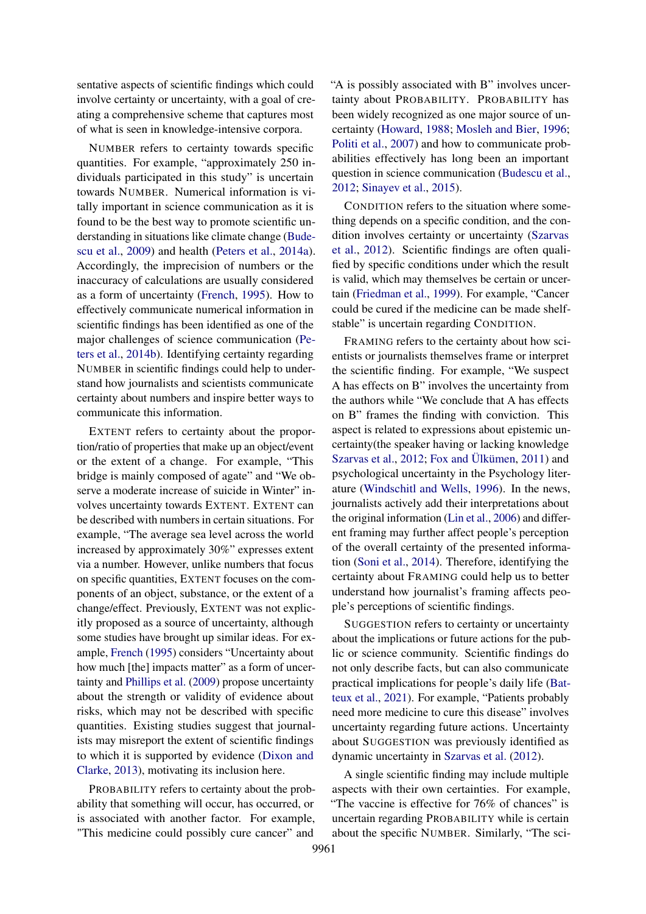sentative aspects of scientific findings which could involve certainty or uncertainty, with a goal of creating a comprehensive scheme that captures most of what is seen in knowledge-intensive corpora.

NUMBER refers to certainty towards specific quantities. For example, "approximately 250 individuals participated in this study" is uncertain towards NUMBER. Numerical information is vitally important in science communication as it is found to be the best way to promote scientific understanding in situations like climate change [\(Bude](#page-9-10)[scu et al.,](#page-9-10) [2009\)](#page-9-10) and health [\(Peters et al.,](#page-10-9) [2014a\)](#page-10-9). Accordingly, the imprecision of numbers or the inaccuracy of calculations are usually considered as a form of uncertainty [\(French,](#page-9-9) [1995\)](#page-9-9). How to effectively communicate numerical information in scientific findings has been identified as one of the major challenges of science communication [\(Pe](#page-10-10)[ters et al.,](#page-10-10) [2014b\)](#page-10-10). Identifying certainty regarding NUMBER in scientific findings could help to understand how journalists and scientists communicate certainty about numbers and inspire better ways to communicate this information.

EXTENT refers to certainty about the proportion/ratio of properties that make up an object/event or the extent of a change. For example, "This bridge is mainly composed of agate" and "We observe a moderate increase of suicide in Winter" involves uncertainty towards EXTENT. EXTENT can be described with numbers in certain situations. For example, "The average sea level across the world increased by approximately 30%" expresses extent via a number. However, unlike numbers that focus on specific quantities, EXTENT focuses on the components of an object, substance, or the extent of a change/effect. Previously, EXTENT was not explicitly proposed as a source of uncertainty, although some studies have brought up similar ideas. For example, [French](#page-9-9) [\(1995\)](#page-9-9) considers "Uncertainty about how much [the] impacts matter" as a form of uncertainty and [Phillips et al.](#page-10-11) [\(2009\)](#page-10-11) propose uncertainty about the strength or validity of evidence about risks, which may not be described with specific quantities. Existing studies suggest that journalists may misreport the extent of scientific findings to which it is supported by evidence [\(Dixon and](#page-9-11) [Clarke,](#page-9-11) [2013\)](#page-9-11), motivating its inclusion here.

PROBABILITY refers to certainty about the probability that something will occur, has occurred, or is associated with another factor. For example, "This medicine could possibly cure cancer" and

"A is possibly associated with B" involves uncertainty about PROBABILITY. PROBABILITY has been widely recognized as one major source of uncertainty [\(Howard,](#page-10-12) [1988;](#page-10-12) [Mosleh and Bier,](#page-10-13) [1996;](#page-10-13) [Politi et al.,](#page-10-8) [2007\)](#page-10-8) and how to communicate probabilities effectively has long been an important question in science communication [\(Budescu et al.,](#page-9-12) [2012;](#page-9-12) [Sinayev et al.,](#page-11-11) [2015\)](#page-11-11).

CONDITION refers to the situation where something depends on a specific condition, and the condition involves certainty or uncertainty [\(Szarvas](#page-11-3) [et al.,](#page-11-3) [2012\)](#page-11-3). Scientific findings are often qualified by specific conditions under which the result is valid, which may themselves be certain or uncertain [\(Friedman et al.,](#page-9-0) [1999\)](#page-9-0). For example, "Cancer could be cured if the medicine can be made shelfstable" is uncertain regarding CONDITION.

FRAMING refers to the certainty about how scientists or journalists themselves frame or interpret the scientific finding. For example, "We suspect A has effects on B" involves the uncertainty from the authors while "We conclude that A has effects on B" frames the finding with conviction. This aspect is related to expressions about epistemic uncertainty(the speaker having or lacking knowledge [Szarvas et al.,](#page-11-3) [2012;](#page-11-3) [Fox and Ülkümen,](#page-9-13) [2011\)](#page-9-13) and psychological uncertainty in the Psychology literature [\(Windschitl and Wells,](#page-11-12) [1996\)](#page-11-12). In the news, journalists actively add their interpretations about the original information [\(Lin et al.,](#page-10-14) [2006\)](#page-10-14) and different framing may further affect people's perception of the overall certainty of the presented information [\(Soni et al.,](#page-11-13) [2014\)](#page-11-13). Therefore, identifying the certainty about FRAMING could help us to better understand how journalist's framing affects people's perceptions of scientific findings.

SUGGESTION refers to certainty or uncertainty about the implications or future actions for the public or science community. Scientific findings do not only describe facts, but can also communicate practical implications for people's daily life [\(Bat](#page-9-14)[teux et al.,](#page-9-14) [2021\)](#page-9-14). For example, "Patients probably need more medicine to cure this disease" involves uncertainty regarding future actions. Uncertainty about SUGGESTION was previously identified as dynamic uncertainty in [Szarvas et al.](#page-11-3) [\(2012\)](#page-11-3).

A single scientific finding may include multiple aspects with their own certainties. For example, "The vaccine is effective for 76% of chances" is uncertain regarding PROBABILITY while is certain about the specific NUMBER. Similarly, "The sci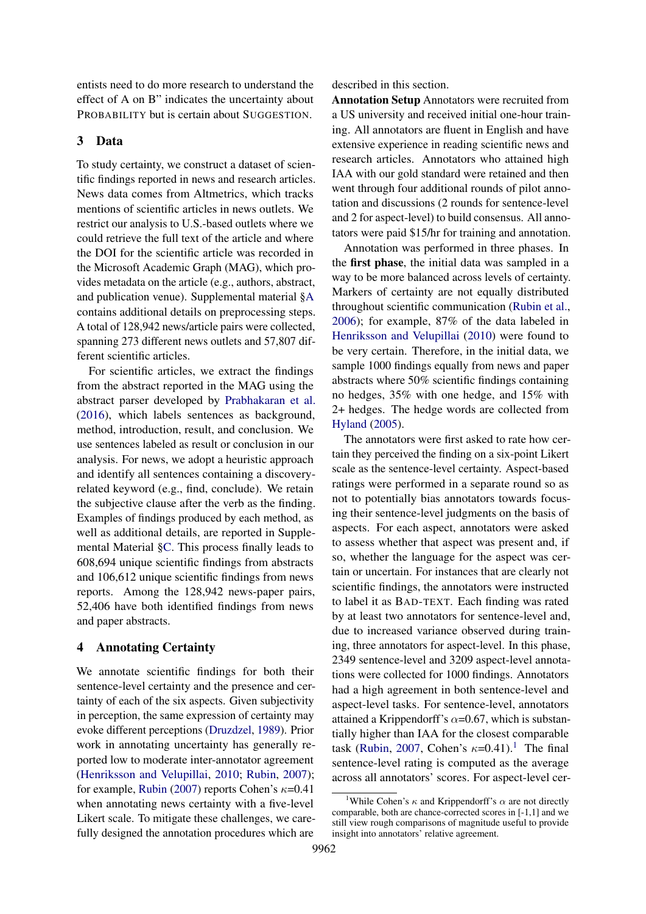entists need to do more research to understand the effect of A on B" indicates the uncertainty about PROBABILITY but is certain about SUGGESTION.

## 3 Data

To study certainty, we construct a dataset of scientific findings reported in news and research articles. News data comes from Altmetrics, which tracks mentions of scientific articles in news outlets. We restrict our analysis to U.S.-based outlets where we could retrieve the full text of the article and where the DOI for the scientific article was recorded in the Microsoft Academic Graph (MAG), which provides metadata on the article (e.g., authors, abstract, and publication venue). Supplemental material [§A](#page-12-0) contains additional details on preprocessing steps. A total of 128,942 news/article pairs were collected, spanning 273 different news outlets and 57,807 different scientific articles.

For scientific articles, we extract the findings from the abstract reported in the MAG using the abstract parser developed by [Prabhakaran et al.](#page-10-15) [\(2016\)](#page-10-15), which labels sentences as background, method, introduction, result, and conclusion. We use sentences labeled as result or conclusion in our analysis. For news, we adopt a heuristic approach and identify all sentences containing a discoveryrelated keyword (e.g., find, conclude). We retain the subjective clause after the verb as the finding. Examples of findings produced by each method, as well as additional details, are reported in Supplemental Material [§C.](#page-12-1) This process finally leads to 608,694 unique scientific findings from abstracts and 106,612 unique scientific findings from news reports. Among the 128,942 news-paper pairs, 52,406 have both identified findings from news and paper abstracts.

## 4 Annotating Certainty

We annotate scientific findings for both their sentence-level certainty and the presence and certainty of each of the six aspects. Given subjectivity in perception, the same expression of certainty may evoke different perceptions [\(Druzdzel,](#page-9-15) [1989\)](#page-9-15). Prior work in annotating uncertainty has generally reported low to moderate inter-annotator agreement [\(Henriksson and Velupillai,](#page-10-3) [2010;](#page-10-3) [Rubin,](#page-10-4) [2007\)](#page-10-4); for example, [Rubin](#page-10-4) [\(2007\)](#page-10-4) reports Cohen's  $\kappa$ =0.41 when annotating news certainty with a five-level Likert scale. To mitigate these challenges, we carefully designed the annotation procedures which are

described in this section.

Annotation Setup Annotators were recruited from a US university and received initial one-hour training. All annotators are fluent in English and have extensive experience in reading scientific news and research articles. Annotators who attained high IAA with our gold standard were retained and then went through four additional rounds of pilot annotation and discussions (2 rounds for sentence-level and 2 for aspect-level) to build consensus. All annotators were paid \$15/hr for training and annotation.

Annotation was performed in three phases. In the first phase, the initial data was sampled in a way to be more balanced across levels of certainty. Markers of certainty are not equally distributed throughout scientific communication [\(Rubin et al.,](#page-11-5) [2006\)](#page-11-5); for example, 87% of the data labeled in [Henriksson and Velupillai](#page-10-3) [\(2010\)](#page-10-3) were found to be very certain. Therefore, in the initial data, we sample 1000 findings equally from news and paper abstracts where 50% scientific findings containing no hedges, 35% with one hedge, and 15% with 2+ hedges. The hedge words are collected from [Hyland](#page-10-16) [\(2005\)](#page-10-16).

The annotators were first asked to rate how certain they perceived the finding on a six-point Likert scale as the sentence-level certainty. Aspect-based ratings were performed in a separate round so as not to potentially bias annotators towards focusing their sentence-level judgments on the basis of aspects. For each aspect, annotators were asked to assess whether that aspect was present and, if so, whether the language for the aspect was certain or uncertain. For instances that are clearly not scientific findings, the annotators were instructed to label it as BAD-TEXT. Each finding was rated by at least two annotators for sentence-level and, due to increased variance observed during training, three annotators for aspect-level. In this phase, 2349 sentence-level and 3209 aspect-level annotations were collected for 1000 findings. Annotators had a high agreement in both sentence-level and aspect-level tasks. For sentence-level, annotators attained a Krippendorff's  $\alpha$ =0.67, which is substantially higher than IAA for the closest comparable task [\(Rubin,](#page-10-4) [2007,](#page-10-4) Cohen's  $\kappa$ =0.4[1](#page-3-0)).<sup>1</sup> The final sentence-level rating is computed as the average across all annotators' scores. For aspect-level cer-

<span id="page-3-0"></span><sup>&</sup>lt;sup>1</sup>While Cohen's  $\kappa$  and Krippendorff's  $\alpha$  are not directly comparable, both are chance-corrected scores in [-1,1] and we still view rough comparisons of magnitude useful to provide insight into annotators' relative agreement.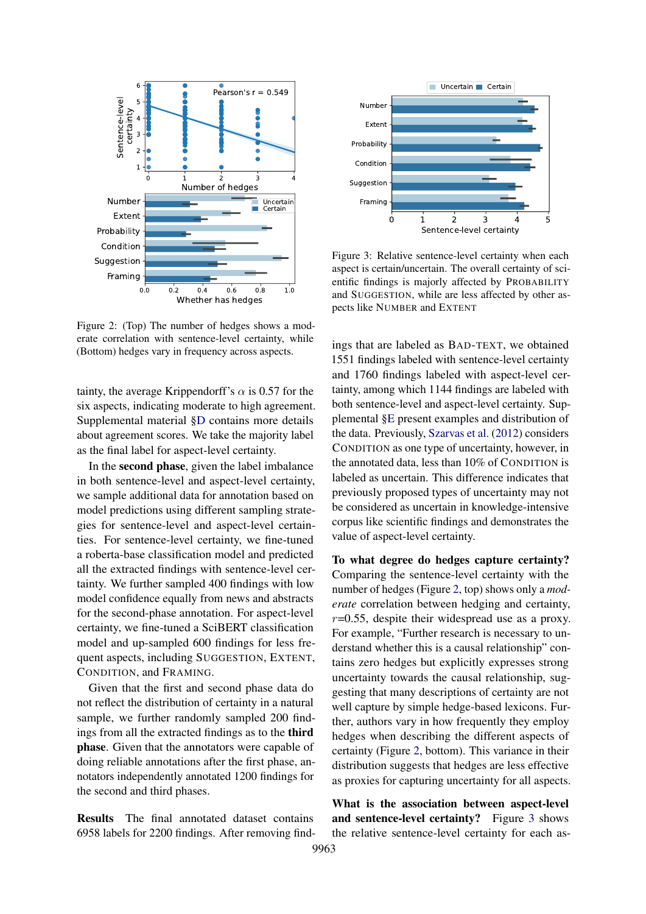<span id="page-4-0"></span>

Figure 2: (Top) The number of hedges shows a moderate correlation with sentence-level certainty, while (Bottom) hedges vary in frequency across aspects.

tainty, the average Krippendorff's  $\alpha$  is 0.57 for the six aspects, indicating moderate to high agreement. Supplemental material [§D](#page-12-2) contains more details about agreement scores. We take the majority label as the final label for aspect-level certainty.

In the second phase, given the label imbalance in both sentence-level and aspect-level certainty, we sample additional data for annotation based on model predictions using different sampling strategies for sentence-level and aspect-level certainties. For sentence-level certainty, we fine-tuned a roberta-base classification model and predicted all the extracted findings with sentence-level certainty. We further sampled 400 findings with low model confidence equally from news and abstracts for the second-phase annotation. For aspect-level certainty, we fine-tuned a SciBERT classification model and up-sampled 600 findings for less frequent aspects, including SUGGESTION, EXTENT, CONDITION, and FRAMING.

Given that the first and second phase data do not reflect the distribution of certainty in a natural sample, we further randomly sampled 200 findings from all the extracted findings as to the third phase. Given that the annotators were capable of doing reliable annotations after the first phase, annotators independently annotated 1200 findings for the second and third phases.

Results The final annotated dataset contains 6958 labels for 2200 findings. After removing find-

<span id="page-4-1"></span>

Figure 3: Relative sentence-level certainty when each aspect is certain/uncertain. The overall certainty of scientific findings is majorly affected by PROBABILITY and SUGGESTION, while are less affected by other aspects like NUMBER and EXTENT

ings that are labeled as BAD-TEXT, we obtained 1551 findings labeled with sentence-level certainty and 1760 findings labeled with aspect-level certainty, among which 1144 findings are labeled with both sentence-level and aspect-level certainty. Supplemental [§E](#page-12-3) present examples and distribution of the data. Previously, [Szarvas et al.](#page-11-3) [\(2012\)](#page-11-3) considers CONDITION as one type of uncertainty, however, in the annotated data, less than 10% of CONDITION is labeled as uncertain. This difference indicates that previously proposed types of uncertainty may not be considered as uncertain in knowledge-intensive corpus like scientific findings and demonstrates the value of aspect-level certainty.

To what degree do hedges capture certainty? Comparing the sentence-level certainty with the number of hedges (Figure [2,](#page-4-0) top) shows only a *moderate* correlation between hedging and certainty,  $r=0.55$ , despite their widespread use as a proxy. For example, "Further research is necessary to understand whether this is a causal relationship" contains zero hedges but explicitly expresses strong uncertainty towards the causal relationship, suggesting that many descriptions of certainty are not well capture by simple hedge-based lexicons. Further, authors vary in how frequently they employ hedges when describing the different aspects of certainty (Figure [2,](#page-4-0) bottom). This variance in their distribution suggests that hedges are less effective as proxies for capturing uncertainty for all aspects.

What is the association between aspect-level and sentence-level certainty? Figure [3](#page-4-1) shows the relative sentence-level certainty for each as-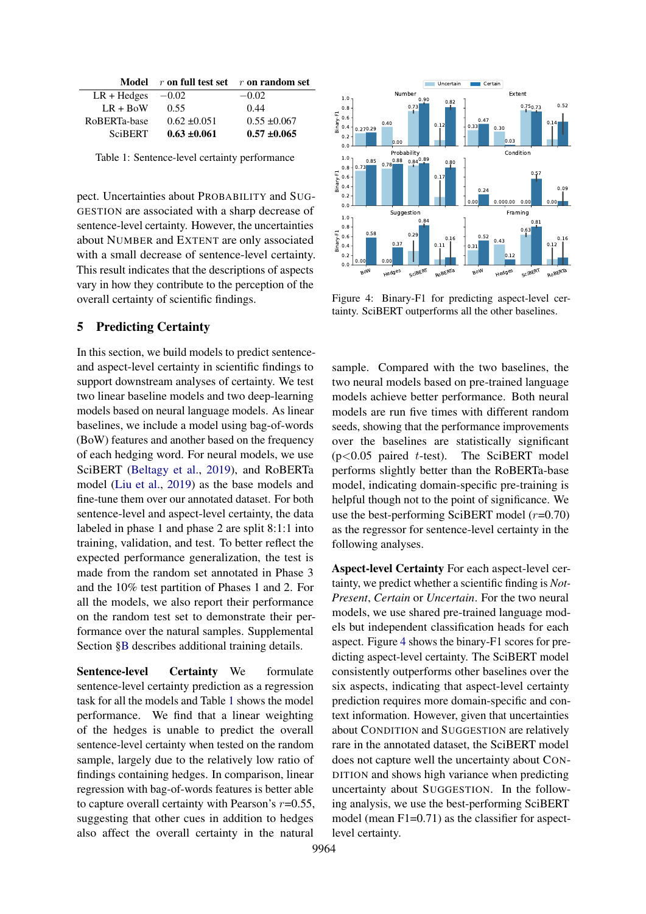<span id="page-5-0"></span>

|                           | Model $r$ on full test set $r$ on random set |                  |
|---------------------------|----------------------------------------------|------------------|
| $LR + Hedges \quad -0.02$ |                                              | $-0.02$          |
| $LR + B0W$                | 0.55                                         | 0.44             |
| RoBERTa-base              | $0.62 \pm 0.051$                             | $0.55 \pm 0.067$ |
| <b>SciBERT</b>            | $0.63 \pm 0.061$                             | $0.57 \pm 0.065$ |

Table 1: Sentence-level certainty performance

pect. Uncertainties about PROBABILITY and SUG-GESTION are associated with a sharp decrease of sentence-level certainty. However, the uncertainties about NUMBER and EXTENT are only associated with a small decrease of sentence-level certainty. This result indicates that the descriptions of aspects vary in how they contribute to the perception of the overall certainty of scientific findings.

# 5 Predicting Certainty

In this section, we build models to predict sentenceand aspect-level certainty in scientific findings to support downstream analyses of certainty. We test two linear baseline models and two deep-learning models based on neural language models. As linear baselines, we include a model using bag-of-words (BoW) features and another based on the frequency of each hedging word. For neural models, we use SciBERT [\(Beltagy et al.,](#page-9-4) [2019\)](#page-9-4), and RoBERTa model [\(Liu et al.,](#page-10-17) [2019\)](#page-10-17) as the base models and fine-tune them over our annotated dataset. For both sentence-level and aspect-level certainty, the data labeled in phase 1 and phase 2 are split 8:1:1 into training, validation, and test. To better reflect the expected performance generalization, the test is made from the random set annotated in Phase 3 and the 10% test partition of Phases 1 and 2. For all the models, we also report their performance on the random test set to demonstrate their performance over the natural samples. Supplemental Section [§B](#page-12-4) describes additional training details.

Sentence-level Certainty We formulate sentence-level certainty prediction as a regression task for all the models and Table [1](#page-5-0) shows the model performance. We find that a linear weighting of the hedges is unable to predict the overall sentence-level certainty when tested on the random sample, largely due to the relatively low ratio of findings containing hedges. In comparison, linear regression with bag-of-words features is better able to capture overall certainty with Pearson's  $r=0.55$ , suggesting that other cues in addition to hedges also affect the overall certainty in the natural

<span id="page-5-1"></span>

Figure 4: Binary-F1 for predicting aspect-level certainty. SciBERT outperforms all the other baselines.

sample. Compared with the two baselines, the two neural models based on pre-trained language models achieve better performance. Both neural models are run five times with different random seeds, showing that the performance improvements over the baselines are statistically significant  $(p<0.05$  paired t-test). The SciBERT model performs slightly better than the RoBERTa-base model, indicating domain-specific pre-training is helpful though not to the point of significance. We use the best-performing SciBERT model  $(r=0.70)$ as the regressor for sentence-level certainty in the following analyses.

Aspect-level Certainty For each aspect-level certainty, we predict whether a scientific finding is *Not-Present*, *Certain* or *Uncertain*. For the two neural models, we use shared pre-trained language models but independent classification heads for each aspect. Figure [4](#page-5-1) shows the binary-F1 scores for predicting aspect-level certainty. The SciBERT model consistently outperforms other baselines over the six aspects, indicating that aspect-level certainty prediction requires more domain-specific and context information. However, given that uncertainties about CONDITION and SUGGESTION are relatively rare in the annotated dataset, the SciBERT model does not capture well the uncertainty about CON-DITION and shows high variance when predicting uncertainty about SUGGESTION. In the following analysis, we use the best-performing SciBERT model (mean F1=0.71) as the classifier for aspectlevel certainty.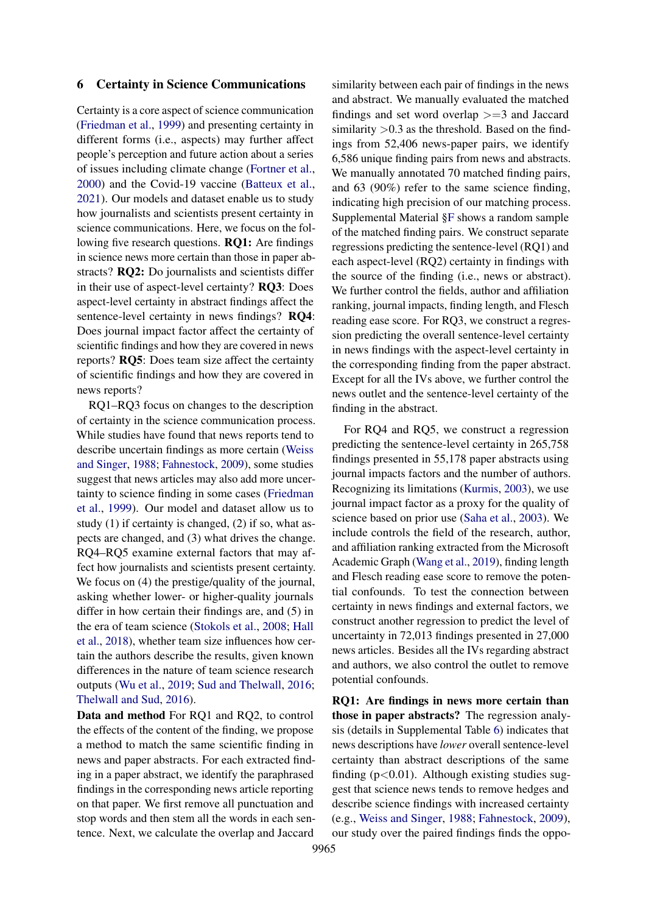## 6 Certainty in Science Communications

Certainty is a core aspect of science communication [\(Friedman et al.,](#page-9-0) [1999\)](#page-9-0) and presenting certainty in different forms (i.e., aspects) may further affect people's perception and future action about a series of issues including climate change [\(Fortner et al.,](#page-9-16) [2000\)](#page-9-16) and the Covid-19 vaccine [\(Batteux et al.,](#page-9-14) [2021\)](#page-9-14). Our models and dataset enable us to study how journalists and scientists present certainty in science communications. Here, we focus on the following five research questions. RQ1: Are findings in science news more certain than those in paper abstracts? RQ2: Do journalists and scientists differ in their use of aspect-level certainty? RQ3: Does aspect-level certainty in abstract findings affect the sentence-level certainty in news findings? RQ4: Does journal impact factor affect the certainty of scientific findings and how they are covered in news reports? RQ5: Does team size affect the certainty of scientific findings and how they are covered in news reports?

RQ1–RQ3 focus on changes to the description of certainty in the science communication process. While studies have found that news reports tend to describe uncertain findings as more certain [\(Weiss](#page-11-7) [and Singer,](#page-11-7) [1988;](#page-11-7) [Fahnestock,](#page-9-5) [2009\)](#page-9-5), some studies suggest that news articles may also add more uncertainty to science finding in some cases [\(Friedman](#page-9-0) [et al.,](#page-9-0) [1999\)](#page-9-0). Our model and dataset allow us to study (1) if certainty is changed, (2) if so, what aspects are changed, and (3) what drives the change. RQ4–RQ5 examine external factors that may affect how journalists and scientists present certainty. We focus on  $(4)$  the prestige/quality of the journal, asking whether lower- or higher-quality journals differ in how certain their findings are, and (5) in the era of team science [\(Stokols et al.,](#page-11-14) [2008;](#page-11-14) [Hall](#page-9-17) [et al.,](#page-9-17) [2018\)](#page-9-17), whether team size influences how certain the authors describe the results, given known differences in the nature of team science research outputs [\(Wu et al.,](#page-11-15) [2019;](#page-11-15) [Sud and Thelwall,](#page-11-16) [2016;](#page-11-16) [Thelwall and Sud,](#page-11-17) [2016\)](#page-11-17).

Data and method For RQ1 and RQ2, to control the effects of the content of the finding, we propose a method to match the same scientific finding in news and paper abstracts. For each extracted finding in a paper abstract, we identify the paraphrased findings in the corresponding news article reporting on that paper. We first remove all punctuation and stop words and then stem all the words in each sentence. Next, we calculate the overlap and Jaccard

similarity between each pair of findings in the news and abstract. We manually evaluated the matched findings and set word overlap  $>=$  3 and Jaccard similarity  $>0.3$  as the threshold. Based on the findings from 52,406 news-paper pairs, we identify 6,586 unique finding pairs from news and abstracts. We manually annotated 70 matched finding pairs, and 63 (90%) refer to the same science finding, indicating high precision of our matching process. Supplemental Material [§F](#page-12-5) shows a random sample of the matched finding pairs. We construct separate regressions predicting the sentence-level (RQ1) and each aspect-level (RQ2) certainty in findings with the source of the finding (i.e., news or abstract). We further control the fields, author and affiliation ranking, journal impacts, finding length, and Flesch reading ease score. For RQ3, we construct a regression predicting the overall sentence-level certainty in news findings with the aspect-level certainty in the corresponding finding from the paper abstract. Except for all the IVs above, we further control the news outlet and the sentence-level certainty of the finding in the abstract.

For RQ4 and RQ5, we construct a regression predicting the sentence-level certainty in 265,758 findings presented in 55,178 paper abstracts using journal impacts factors and the number of authors. Recognizing its limitations [\(Kurmis,](#page-10-18) [2003\)](#page-10-18), we use journal impact factor as a proxy for the quality of science based on prior use [\(Saha et al.,](#page-11-18) [2003\)](#page-11-18). We include controls the field of the research, author, and affiliation ranking extracted from the Microsoft Academic Graph [\(Wang et al.,](#page-11-19) [2019\)](#page-11-19), finding length and Flesch reading ease score to remove the potential confounds. To test the connection between certainty in news findings and external factors, we construct another regression to predict the level of uncertainty in 72,013 findings presented in 27,000 news articles. Besides all the IVs regarding abstract and authors, we also control the outlet to remove potential confounds.

RQ1: Are findings in news more certain than those in paper abstracts? The regression analysis (details in Supplemental Table [6\)](#page-17-0) indicates that news descriptions have *lower* overall sentence-level certainty than abstract descriptions of the same finding  $(p<0.01)$ . Although existing studies suggest that science news tends to remove hedges and describe science findings with increased certainty (e.g., [Weiss and Singer,](#page-11-7) [1988;](#page-11-7) [Fahnestock,](#page-9-5) [2009\)](#page-9-5), our study over the paired findings finds the oppo-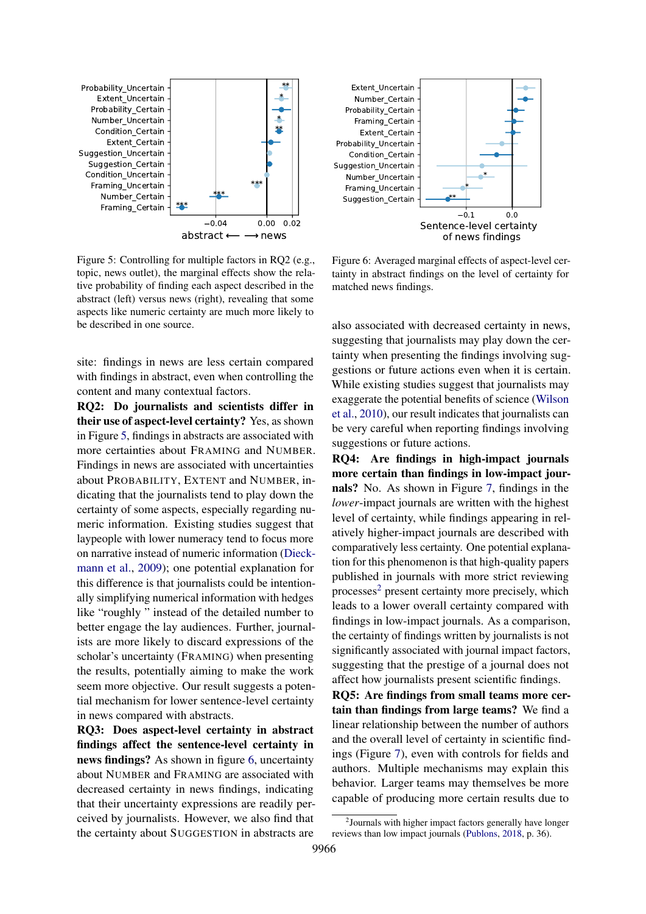<span id="page-7-0"></span>

Figure 5: Controlling for multiple factors in RQ2 (e.g., topic, news outlet), the marginal effects show the relative probability of finding each aspect described in the abstract (left) versus news (right), revealing that some aspects like numeric certainty are much more likely to be described in one source.

site: findings in news are less certain compared with findings in abstract, even when controlling the content and many contextual factors.

RQ2: Do journalists and scientists differ in their use of aspect-level certainty? Yes, as shown in Figure [5,](#page-7-0) findings in abstracts are associated with more certainties about FRAMING and NUMBER. Findings in news are associated with uncertainties about PROBABILITY, EXTENT and NUMBER, indicating that the journalists tend to play down the certainty of some aspects, especially regarding numeric information. Existing studies suggest that laypeople with lower numeracy tend to focus more on narrative instead of numeric information [\(Dieck](#page-9-18)[mann et al.,](#page-9-18) [2009\)](#page-9-18); one potential explanation for this difference is that journalists could be intentionally simplifying numerical information with hedges like "roughly " instead of the detailed number to better engage the lay audiences. Further, journalists are more likely to discard expressions of the scholar's uncertainty (FRAMING) when presenting the results, potentially aiming to make the work seem more objective. Our result suggests a potential mechanism for lower sentence-level certainty in news compared with abstracts.

RQ3: Does aspect-level certainty in abstract findings affect the sentence-level certainty in news findings? As shown in figure [6,](#page-7-1) uncertainty about NUMBER and FRAMING are associated with decreased certainty in news findings, indicating that their uncertainty expressions are readily perceived by journalists. However, we also find that the certainty about SUGGESTION in abstracts are

<span id="page-7-1"></span>

Figure 6: Averaged marginal effects of aspect-level certainty in abstract findings on the level of certainty for matched news findings.

also associated with decreased certainty in news, suggesting that journalists may play down the certainty when presenting the findings involving suggestions or future actions even when it is certain. While existing studies suggest that journalists may exaggerate the potential benefits of science [\(Wilson](#page-11-20) [et al.,](#page-11-20) [2010\)](#page-11-20), our result indicates that journalists can be very careful when reporting findings involving suggestions or future actions.

RQ4: Are findings in high-impact journals more certain than findings in low-impact journals? No. As shown in Figure [7,](#page-8-0) findings in the *lower*-impact journals are written with the highest level of certainty, while findings appearing in relatively higher-impact journals are described with comparatively less certainty. One potential explanation for this phenomenon is that high-quality papers published in journals with more strict reviewing processes<sup>[2](#page-7-2)</sup> present certainty more precisely, which leads to a lower overall certainty compared with findings in low-impact journals. As a comparison, the certainty of findings written by journalists is not significantly associated with journal impact factors, suggesting that the prestige of a journal does not affect how journalists present scientific findings.

RQ5: Are findings from small teams more certain than findings from large teams? We find a linear relationship between the number of authors and the overall level of certainty in scientific findings (Figure [7\)](#page-8-0), even with controls for fields and authors. Multiple mechanisms may explain this behavior. Larger teams may themselves be more capable of producing more certain results due to

<span id="page-7-2"></span><sup>2</sup> Journals with higher impact factors generally have longer reviews than low impact journals [\(Publons,](#page-10-19) [2018,](#page-10-19) p. 36).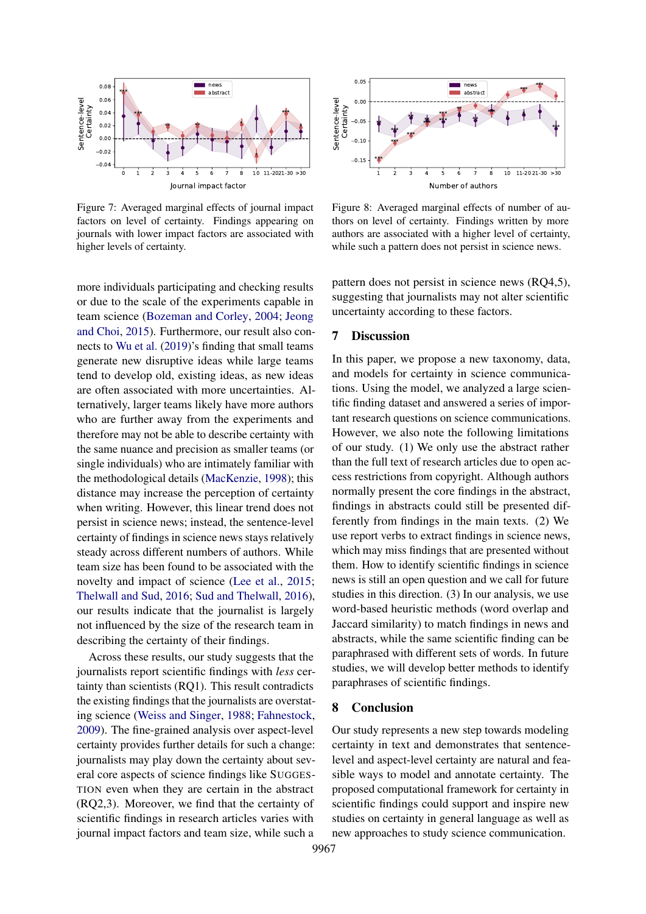<span id="page-8-0"></span>

Figure 7: Averaged marginal effects of journal impact factors on level of certainty. Findings appearing on journals with lower impact factors are associated with higher levels of certainty.

more individuals participating and checking results or due to the scale of the experiments capable in team science [\(Bozeman and Corley,](#page-9-19) [2004;](#page-9-19) [Jeong](#page-10-20) [and Choi,](#page-10-20) [2015\)](#page-10-20). Furthermore, our result also connects to [Wu et al.](#page-11-15) [\(2019\)](#page-11-15)'s finding that small teams generate new disruptive ideas while large teams tend to develop old, existing ideas, as new ideas are often associated with more uncertainties. Alternatively, larger teams likely have more authors who are further away from the experiments and therefore may not be able to describe certainty with the same nuance and precision as smaller teams (or single individuals) who are intimately familiar with the methodological details [\(MacKenzie,](#page-10-21) [1998\)](#page-10-21); this distance may increase the perception of certainty when writing. However, this linear trend does not persist in science news; instead, the sentence-level certainty of findings in science news stays relatively steady across different numbers of authors. While team size has been found to be associated with the novelty and impact of science [\(Lee et al.,](#page-10-22) [2015;](#page-10-22) [Thelwall and Sud,](#page-11-17) [2016;](#page-11-17) [Sud and Thelwall,](#page-11-16) [2016\)](#page-11-16), our results indicate that the journalist is largely not influenced by the size of the research team in describing the certainty of their findings.

Across these results, our study suggests that the journalists report scientific findings with *less* certainty than scientists (RQ1). This result contradicts the existing findings that the journalists are overstating science [\(Weiss and Singer,](#page-11-7) [1988;](#page-11-7) [Fahnestock,](#page-9-5) [2009\)](#page-9-5). The fine-grained analysis over aspect-level certainty provides further details for such a change: journalists may play down the certainty about several core aspects of science findings like SUGGES-TION even when they are certain in the abstract (RQ2,3). Moreover, we find that the certainty of scientific findings in research articles varies with journal impact factors and team size, while such a



Figure 8: Averaged marginal effects of number of authors on level of certainty. Findings written by more authors are associated with a higher level of certainty, while such a pattern does not persist in science news.

pattern does not persist in science news (RQ4,5), suggesting that journalists may not alter scientific uncertainty according to these factors.

#### 7 Discussion

In this paper, we propose a new taxonomy, data, and models for certainty in science communications. Using the model, we analyzed a large scientific finding dataset and answered a series of important research questions on science communications. However, we also note the following limitations of our study. (1) We only use the abstract rather than the full text of research articles due to open access restrictions from copyright. Although authors normally present the core findings in the abstract, findings in abstracts could still be presented differently from findings in the main texts. (2) We use report verbs to extract findings in science news, which may miss findings that are presented without them. How to identify scientific findings in science news is still an open question and we call for future studies in this direction. (3) In our analysis, we use word-based heuristic methods (word overlap and Jaccard similarity) to match findings in news and abstracts, while the same scientific finding can be paraphrased with different sets of words. In future studies, we will develop better methods to identify paraphrases of scientific findings.

## 8 Conclusion

Our study represents a new step towards modeling certainty in text and demonstrates that sentencelevel and aspect-level certainty are natural and feasible ways to model and annotate certainty. The proposed computational framework for certainty in scientific findings could support and inspire new studies on certainty in general language as well as new approaches to study science communication.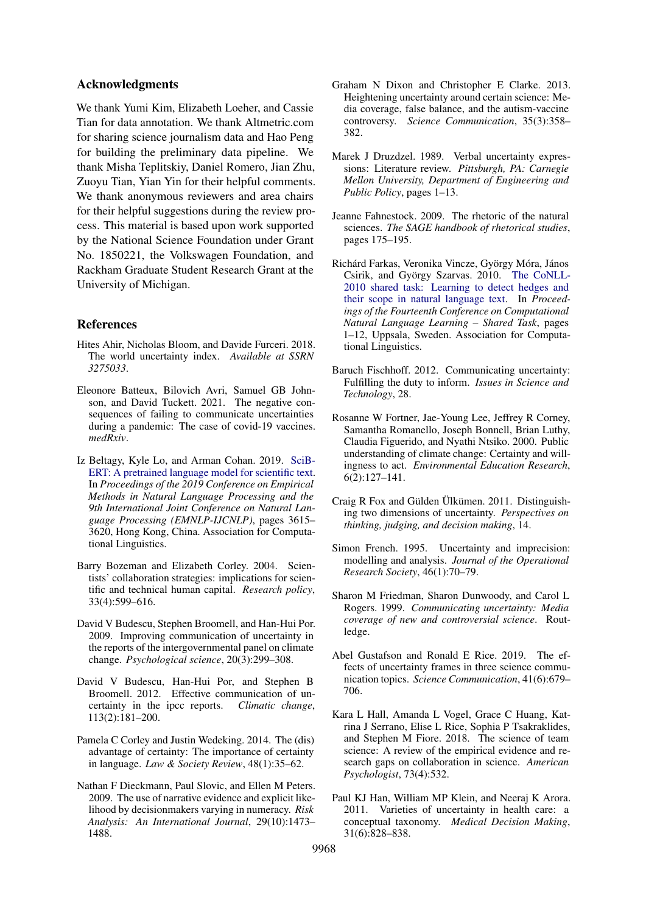## Acknowledgments

We thank Yumi Kim, Elizabeth Loeher, and Cassie Tian for data annotation. We thank Altmetric.com for sharing science journalism data and Hao Peng for building the preliminary data pipeline. We thank Misha Teplitskiy, Daniel Romero, Jian Zhu, Zuoyu Tian, Yian Yin for their helpful comments. We thank anonymous reviewers and area chairs for their helpful suggestions during the review process. This material is based upon work supported by the National Science Foundation under Grant No. 1850221, the Volkswagen Foundation, and Rackham Graduate Student Research Grant at the University of Michigan.

#### References

- <span id="page-9-6"></span>Hites Ahir, Nicholas Bloom, and Davide Furceri. 2018. The world uncertainty index. *Available at SSRN 3275033*.
- <span id="page-9-14"></span>Eleonore Batteux, Bilovich Avri, Samuel GB Johnson, and David Tuckett. 2021. The negative consequences of failing to communicate uncertainties during a pandemic: The case of covid-19 vaccines. *medRxiv*.
- <span id="page-9-4"></span>Iz Beltagy, Kyle Lo, and Arman Cohan. 2019. [SciB-](https://doi.org/10.18653/v1/D19-1371)[ERT: A pretrained language model for scientific text.](https://doi.org/10.18653/v1/D19-1371) In *Proceedings of the 2019 Conference on Empirical Methods in Natural Language Processing and the 9th International Joint Conference on Natural Language Processing (EMNLP-IJCNLP)*, pages 3615– 3620, Hong Kong, China. Association for Computational Linguistics.
- <span id="page-9-19"></span>Barry Bozeman and Elizabeth Corley. 2004. Scientists' collaboration strategies: implications for scientific and technical human capital. *Research policy*, 33(4):599–616.
- <span id="page-9-10"></span>David V Budescu, Stephen Broomell, and Han-Hui Por. 2009. Improving communication of uncertainty in the reports of the intergovernmental panel on climate change. *Psychological science*, 20(3):299–308.
- <span id="page-9-12"></span>David V Budescu, Han-Hui Por, and Stephen B Broomell. 2012. Effective communication of uncertainty in the ipcc reports. *Climatic change*, 113(2):181–200.
- <span id="page-9-7"></span>Pamela C Corley and Justin Wedeking. 2014. The (dis) advantage of certainty: The importance of certainty in language. *Law & Society Review*, 48(1):35–62.
- <span id="page-9-18"></span>Nathan F Dieckmann, Paul Slovic, and Ellen M Peters. 2009. The use of narrative evidence and explicit likelihood by decisionmakers varying in numeracy. *Risk Analysis: An International Journal*, 29(10):1473– 1488.
- <span id="page-9-11"></span>Graham N Dixon and Christopher E Clarke. 2013. Heightening uncertainty around certain science: Media coverage, false balance, and the autism-vaccine controversy. *Science Communication*, 35(3):358– 382.
- <span id="page-9-15"></span>Marek J Druzdzel. 1989. Verbal uncertainty expressions: Literature review. *Pittsburgh, PA: Carnegie Mellon University, Department of Engineering and Public Policy*, pages 1–13.
- <span id="page-9-5"></span>Jeanne Fahnestock. 2009. The rhetoric of the natural sciences. *The SAGE handbook of rhetorical studies*, pages 175–195.
- <span id="page-9-3"></span>Richárd Farkas, Veronika Vincze, György Móra, János Csirik, and György Szarvas. 2010. [The CoNLL-](https://aclanthology.org/W10-3001)[2010 shared task: Learning to detect hedges and](https://aclanthology.org/W10-3001) [their scope in natural language text.](https://aclanthology.org/W10-3001) In *Proceedings of the Fourteenth Conference on Computational Natural Language Learning – Shared Task*, pages 1–12, Uppsala, Sweden. Association for Computational Linguistics.
- <span id="page-9-2"></span>Baruch Fischhoff. 2012. Communicating uncertainty: Fulfilling the duty to inform. *Issues in Science and Technology*, 28.
- <span id="page-9-16"></span>Rosanne W Fortner, Jae-Young Lee, Jeffrey R Corney, Samantha Romanello, Joseph Bonnell, Brian Luthy, Claudia Figuerido, and Nyathi Ntsiko. 2000. Public understanding of climate change: Certainty and willingness to act. *Environmental Education Research*, 6(2):127–141.
- <span id="page-9-13"></span>Craig R Fox and Gülden Ülkümen. 2011. Distinguishing two dimensions of uncertainty. *Perspectives on thinking, judging, and decision making*, 14.
- <span id="page-9-9"></span>Simon French. 1995. Uncertainty and imprecision: modelling and analysis. *Journal of the Operational Research Society*, 46(1):70–79.
- <span id="page-9-0"></span>Sharon M Friedman, Sharon Dunwoody, and Carol L Rogers. 1999. *Communicating uncertainty: Media coverage of new and controversial science*. Routledge.
- <span id="page-9-1"></span>Abel Gustafson and Ronald E Rice. 2019. The effects of uncertainty frames in three science communication topics. *Science Communication*, 41(6):679– 706.
- <span id="page-9-17"></span>Kara L Hall, Amanda L Vogel, Grace C Huang, Katrina J Serrano, Elise L Rice, Sophia P Tsakraklides, and Stephen M Fiore. 2018. The science of team science: A review of the empirical evidence and research gaps on collaboration in science. *American Psychologist*, 73(4):532.
- <span id="page-9-8"></span>Paul KJ Han, William MP Klein, and Neeraj K Arora. 2011. Varieties of uncertainty in health care: a conceptual taxonomy. *Medical Decision Making*, 31(6):828–838.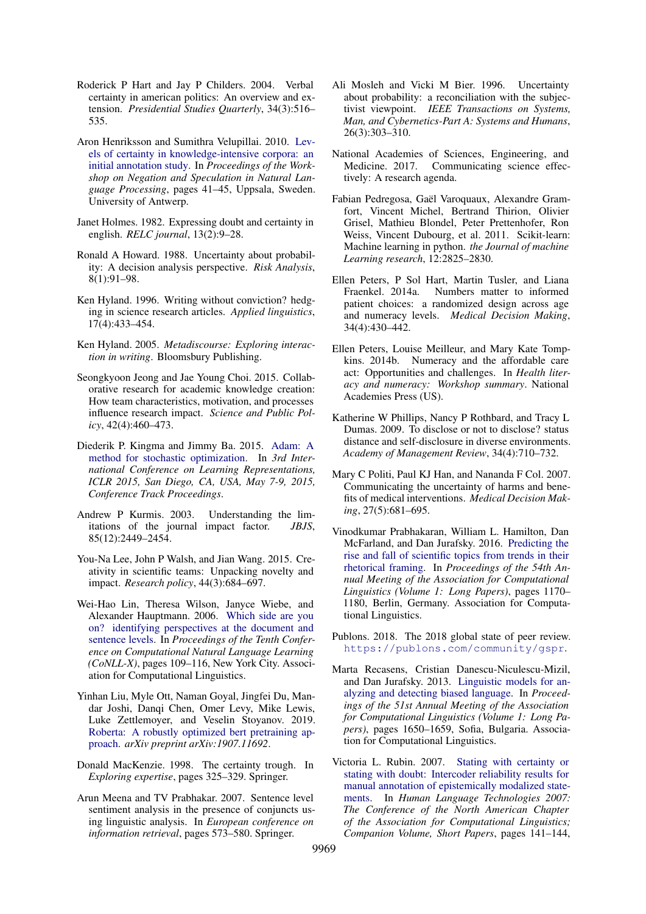- <span id="page-10-1"></span>Roderick P Hart and Jay P Childers. 2004. Verbal certainty in american politics: An overview and extension. *Presidential Studies Quarterly*, 34(3):516– 535.
- <span id="page-10-3"></span>Aron Henriksson and Sumithra Velupillai. 2010. [Lev](https://aclanthology.org/W10-3107)[els of certainty in knowledge-intensive corpora: an](https://aclanthology.org/W10-3107) [initial annotation study.](https://aclanthology.org/W10-3107) In *Proceedings of the Workshop on Negation and Speculation in Natural Language Processing*, pages 41–45, Uppsala, Sweden. University of Antwerp.
- <span id="page-10-7"></span>Janet Holmes. 1982. Expressing doubt and certainty in english. *RELC journal*, 13(2):9–28.
- <span id="page-10-12"></span>Ronald A Howard. 1988. Uncertainty about probability: A decision analysis perspective. *Risk Analysis*, 8(1):91–98.
- <span id="page-10-2"></span>Ken Hyland. 1996. Writing without conviction? hedging in science research articles. *Applied linguistics*, 17(4):433–454.
- <span id="page-10-16"></span>Ken Hyland. 2005. *Metadiscourse: Exploring interaction in writing*. Bloomsbury Publishing.
- <span id="page-10-20"></span>Seongkyoon Jeong and Jae Young Choi. 2015. Collaborative research for academic knowledge creation: How team characteristics, motivation, and processes influence research impact. *Science and Public Policy*, 42(4):460–473.
- <span id="page-10-24"></span>Diederik P. Kingma and Jimmy Ba. 2015. [Adam: A](http://arxiv.org/abs/1412.6980) [method for stochastic optimization.](http://arxiv.org/abs/1412.6980) In *3rd International Conference on Learning Representations, ICLR 2015, San Diego, CA, USA, May 7-9, 2015, Conference Track Proceedings*.
- <span id="page-10-18"></span>Andrew P Kurmis. 2003. Understanding the limitations of the journal impact factor. *JBJS*, 85(12):2449–2454.
- <span id="page-10-22"></span>You-Na Lee, John P Walsh, and Jian Wang. 2015. Creativity in scientific teams: Unpacking novelty and impact. *Research policy*, 44(3):684–697.
- <span id="page-10-14"></span>Wei-Hao Lin, Theresa Wilson, Janyce Wiebe, and Alexander Hauptmann. 2006. [Which side are you](https://aclanthology.org/W06-2915) [on? identifying perspectives at the document and](https://aclanthology.org/W06-2915) [sentence levels.](https://aclanthology.org/W06-2915) In *Proceedings of the Tenth Conference on Computational Natural Language Learning (CoNLL-X)*, pages 109–116, New York City. Association for Computational Linguistics.
- <span id="page-10-17"></span>Yinhan Liu, Myle Ott, Naman Goyal, Jingfei Du, Mandar Joshi, Danqi Chen, Omer Levy, Mike Lewis, Luke Zettlemoyer, and Veselin Stoyanov. 2019. [Roberta: A robustly optimized bert pretraining ap](https://arxiv.org/abs/1907.11692)[proach.](https://arxiv.org/abs/1907.11692) *arXiv preprint arXiv:1907.11692*.
- <span id="page-10-21"></span>Donald MacKenzie. 1998. The certainty trough. In *Exploring expertise*, pages 325–329. Springer.
- <span id="page-10-5"></span>Arun Meena and TV Prabhakar. 2007. Sentence level sentiment analysis in the presence of conjuncts using linguistic analysis. In *European conference on information retrieval*, pages 573–580. Springer.
- <span id="page-10-13"></span>Ali Mosleh and Vicki M Bier. 1996. Uncertainty about probability: a reconciliation with the subjectivist viewpoint. *IEEE Transactions on Systems, Man, and Cybernetics-Part A: Systems and Humans*, 26(3):303–310.
- <span id="page-10-0"></span>National Academies of Sciences, Engineering, and Medicine. 2017. Communicating science effectively: A research agenda.
- <span id="page-10-23"></span>Fabian Pedregosa, Gaël Varoquaux, Alexandre Gramfort, Vincent Michel, Bertrand Thirion, Olivier Grisel, Mathieu Blondel, Peter Prettenhofer, Ron Weiss, Vincent Dubourg, et al. 2011. Scikit-learn: Machine learning in python. *the Journal of machine Learning research*, 12:2825–2830.
- <span id="page-10-9"></span>Ellen Peters, P Sol Hart, Martin Tusler, and Liana Fraenkel. 2014a. Numbers matter to informed patient choices: a randomized design across age and numeracy levels. *Medical Decision Making*, 34(4):430–442.
- <span id="page-10-10"></span>Ellen Peters, Louise Meilleur, and Mary Kate Tompkins. 2014b. Numeracy and the affordable care act: Opportunities and challenges. In *Health literacy and numeracy: Workshop summary*. National Academies Press (US).
- <span id="page-10-11"></span>Katherine W Phillips, Nancy P Rothbard, and Tracy L Dumas. 2009. To disclose or not to disclose? status distance and self-disclosure in diverse environments. *Academy of Management Review*, 34(4):710–732.
- <span id="page-10-8"></span>Mary C Politi, Paul KJ Han, and Nananda F Col. 2007. Communicating the uncertainty of harms and benefits of medical interventions. *Medical Decision Making*, 27(5):681–695.
- <span id="page-10-15"></span>Vinodkumar Prabhakaran, William L. Hamilton, Dan McFarland, and Dan Jurafsky. 2016. [Predicting the](https://doi.org/10.18653/v1/P16-1111) [rise and fall of scientific topics from trends in their](https://doi.org/10.18653/v1/P16-1111) [rhetorical framing.](https://doi.org/10.18653/v1/P16-1111) In *Proceedings of the 54th Annual Meeting of the Association for Computational Linguistics (Volume 1: Long Papers)*, pages 1170– 1180, Berlin, Germany. Association for Computational Linguistics.
- <span id="page-10-19"></span>Publons. 2018. The 2018 global state of peer review. <https://publons.com/community/gspr>.
- <span id="page-10-6"></span>Marta Recasens, Cristian Danescu-Niculescu-Mizil, and Dan Jurafsky. 2013. [Linguistic models for an](https://aclanthology.org/P13-1162)[alyzing and detecting biased language.](https://aclanthology.org/P13-1162) In *Proceedings of the 51st Annual Meeting of the Association for Computational Linguistics (Volume 1: Long Papers)*, pages 1650–1659, Sofia, Bulgaria. Association for Computational Linguistics.
- <span id="page-10-4"></span>Victoria L. Rubin. 2007. [Stating with certainty or](https://aclanthology.org/N07-2036) [stating with doubt: Intercoder reliability results for](https://aclanthology.org/N07-2036) [manual annotation of epistemically modalized state](https://aclanthology.org/N07-2036)[ments.](https://aclanthology.org/N07-2036) In *Human Language Technologies 2007: The Conference of the North American Chapter of the Association for Computational Linguistics; Companion Volume, Short Papers*, pages 141–144,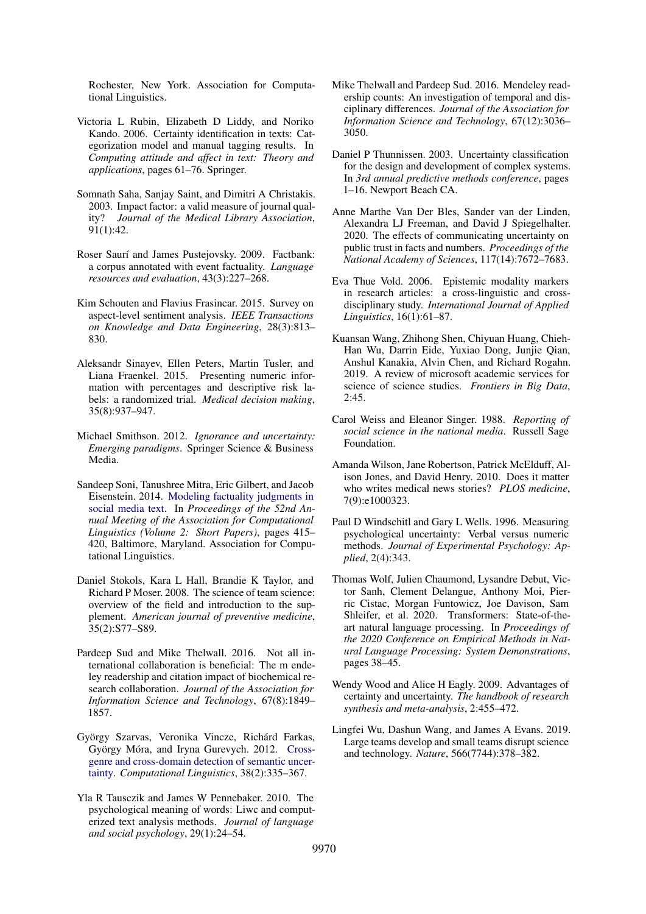Rochester, New York. Association for Computational Linguistics.

- <span id="page-11-5"></span>Victoria L Rubin, Elizabeth D Liddy, and Noriko Kando. 2006. Certainty identification in texts: Categorization model and manual tagging results. In *Computing attitude and affect in text: Theory and applications*, pages 61–76. Springer.
- <span id="page-11-18"></span>Somnath Saha, Sanjay Saint, and Dimitri A Christakis. 2003. Impact factor: a valid measure of journal quality? *Journal of the Medical Library Association*, 91(1):42.
- <span id="page-11-4"></span>Roser Saurí and James Pustejovsky. 2009. Factbank: a corpus annotated with event factuality. *Language resources and evaluation*, 43(3):227–268.
- <span id="page-11-6"></span>Kim Schouten and Flavius Frasincar. 2015. Survey on aspect-level sentiment analysis. *IEEE Transactions on Knowledge and Data Engineering*, 28(3):813– 830.
- <span id="page-11-11"></span>Aleksandr Sinayev, Ellen Peters, Martin Tusler, and Liana Fraenkel. 2015. Presenting numeric information with percentages and descriptive risk labels: a randomized trial. *Medical decision making*, 35(8):937–947.
- <span id="page-11-0"></span>Michael Smithson. 2012. *Ignorance and uncertainty: Emerging paradigms*. Springer Science & Business Media.
- <span id="page-11-13"></span>Sandeep Soni, Tanushree Mitra, Eric Gilbert, and Jacob Eisenstein. 2014. [Modeling factuality judgments in](https://doi.org/10.3115/v1/P14-2068) [social media text.](https://doi.org/10.3115/v1/P14-2068) In *Proceedings of the 52nd Annual Meeting of the Association for Computational Linguistics (Volume 2: Short Papers)*, pages 415– 420, Baltimore, Maryland. Association for Computational Linguistics.
- <span id="page-11-14"></span>Daniel Stokols, Kara L Hall, Brandie K Taylor, and Richard P Moser. 2008. The science of team science: overview of the field and introduction to the supplement. *American journal of preventive medicine*, 35(2):S77–S89.
- <span id="page-11-16"></span>Pardeep Sud and Mike Thelwall. 2016. Not all international collaboration is beneficial: The m endeley readership and citation impact of biochemical research collaboration. *Journal of the Association for Information Science and Technology*, 67(8):1849– 1857.
- <span id="page-11-3"></span>György Szarvas, Veronika Vincze, Richárd Farkas, György Móra, and Iryna Gurevych. 2012. [Cross](https://doi.org/10.1162/COLI_a_00098)[genre and cross-domain detection of semantic uncer](https://doi.org/10.1162/COLI_a_00098)[tainty.](https://doi.org/10.1162/COLI_a_00098) *Computational Linguistics*, 38(2):335–367.
- <span id="page-11-8"></span>Yla R Tausczik and James W Pennebaker. 2010. The psychological meaning of words: Liwc and computerized text analysis methods. *Journal of language and social psychology*, 29(1):24–54.
- <span id="page-11-17"></span>Mike Thelwall and Pardeep Sud. 2016. Mendeley readership counts: An investigation of temporal and disciplinary differences. *Journal of the Association for Information Science and Technology*, 67(12):3036– 3050.
- <span id="page-11-10"></span>Daniel P Thunnissen. 2003. Uncertainty classification for the design and development of complex systems. In *3rd annual predictive methods conference*, pages 1–16. Newport Beach CA.
- <span id="page-11-1"></span>Anne Marthe Van Der Bles, Sander van der Linden, Alexandra LJ Freeman, and David J Spiegelhalter. 2020. The effects of communicating uncertainty on public trust in facts and numbers. *Proceedings of the National Academy of Sciences*, 117(14):7672–7683.
- <span id="page-11-2"></span>Eva Thue Vold. 2006. Epistemic modality markers in research articles: a cross-linguistic and crossdisciplinary study. *International Journal of Applied Linguistics*, 16(1):61–87.
- <span id="page-11-19"></span>Kuansan Wang, Zhihong Shen, Chiyuan Huang, Chieh-Han Wu, Darrin Eide, Yuxiao Dong, Junjie Qian, Anshul Kanakia, Alvin Chen, and Richard Rogahn. 2019. A review of microsoft academic services for science of science studies. *Frontiers in Big Data*, 2:45.
- <span id="page-11-7"></span>Carol Weiss and Eleanor Singer. 1988. *Reporting of social science in the national media*. Russell Sage Foundation.
- <span id="page-11-20"></span>Amanda Wilson, Jane Robertson, Patrick McElduff, Alison Jones, and David Henry. 2010. Does it matter who writes medical news stories? *PLOS medicine*, 7(9):e1000323.
- <span id="page-11-12"></span>Paul D Windschitl and Gary L Wells. 1996. Measuring psychological uncertainty: Verbal versus numeric methods. *Journal of Experimental Psychology: Applied*, 2(4):343.
- <span id="page-11-21"></span>Thomas Wolf, Julien Chaumond, Lysandre Debut, Victor Sanh, Clement Delangue, Anthony Moi, Pierric Cistac, Morgan Funtowicz, Joe Davison, Sam Shleifer, et al. 2020. Transformers: State-of-theart natural language processing. In *Proceedings of the 2020 Conference on Empirical Methods in Natural Language Processing: System Demonstrations*, pages 38–45.
- <span id="page-11-9"></span>Wendy Wood and Alice H Eagly. 2009. Advantages of certainty and uncertainty. *The handbook of research synthesis and meta-analysis*, 2:455–472.
- <span id="page-11-15"></span>Lingfei Wu, Dashun Wang, and James A Evans. 2019. Large teams develop and small teams disrupt science and technology. *Nature*, 566(7744):378–382.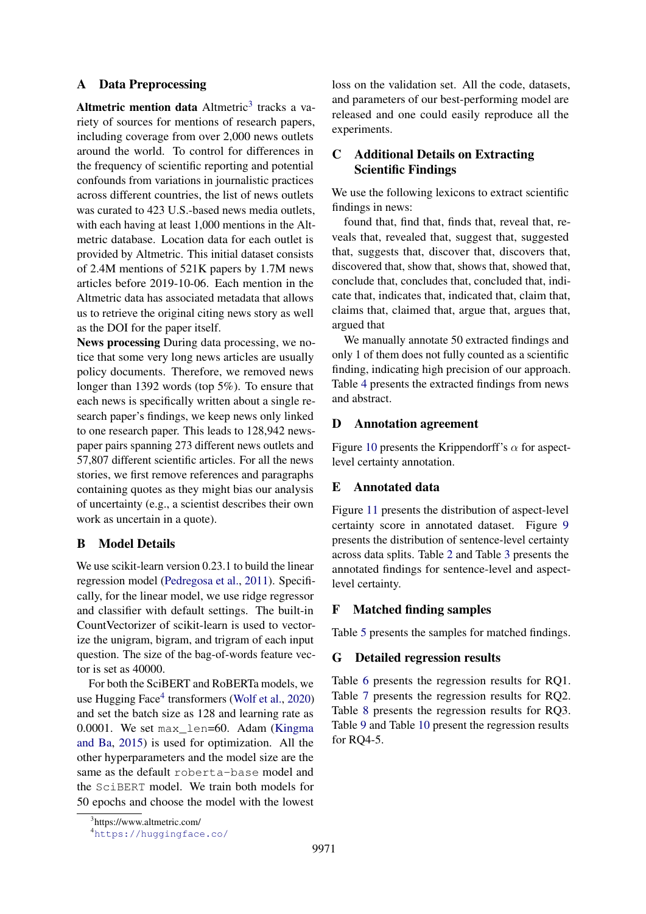## <span id="page-12-0"></span>A Data Preprocessing

Altmetric mention data  $\Delta$ ltmetric<sup>[3](#page-12-6)</sup> tracks a variety of sources for mentions of research papers, including coverage from over 2,000 news outlets around the world. To control for differences in the frequency of scientific reporting and potential confounds from variations in journalistic practices across different countries, the list of news outlets was curated to 423 U.S.-based news media outlets, with each having at least 1,000 mentions in the Altmetric database. Location data for each outlet is provided by Altmetric. This initial dataset consists of 2.4M mentions of 521K papers by 1.7M news articles before 2019-10-06. Each mention in the Altmetric data has associated metadata that allows us to retrieve the original citing news story as well as the DOI for the paper itself.

News processing During data processing, we notice that some very long news articles are usually policy documents. Therefore, we removed news longer than 1392 words (top 5%). To ensure that each news is specifically written about a single research paper's findings, we keep news only linked to one research paper. This leads to 128,942 newspaper pairs spanning 273 different news outlets and 57,807 different scientific articles. For all the news stories, we first remove references and paragraphs containing quotes as they might bias our analysis of uncertainty (e.g., a scientist describes their own work as uncertain in a quote).

## <span id="page-12-4"></span>B Model Details

We use scikit-learn version 0.23.1 to build the linear regression model [\(Pedregosa et al.,](#page-10-23) [2011\)](#page-10-23). Specifically, for the linear model, we use ridge regressor and classifier with default settings. The built-in CountVectorizer of scikit-learn is used to vectorize the unigram, bigram, and trigram of each input question. The size of the bag-of-words feature vector is set as 40000.

For both the SciBERT and RoBERTa models, we use Hugging Face<sup>[4](#page-12-7)</sup> transformers [\(Wolf et al.,](#page-11-21) [2020\)](#page-11-21) and set the batch size as 128 and learning rate as 0.0001. We set max\_len=60. Adam [\(Kingma](#page-10-24) [and Ba,](#page-10-24) [2015\)](#page-10-24) is used for optimization. All the other hyperparameters and the model size are the same as the default roberta-base model and the SciBERT model. We train both models for 50 epochs and choose the model with the lowest loss on the validation set. All the code, datasets, and parameters of our best-performing model are released and one could easily reproduce all the experiments.

# <span id="page-12-1"></span>C Additional Details on Extracting Scientific Findings

We use the following lexicons to extract scientific findings in news:

found that, find that, finds that, reveal that, reveals that, revealed that, suggest that, suggested that, suggests that, discover that, discovers that, discovered that, show that, shows that, showed that, conclude that, concludes that, concluded that, indicate that, indicates that, indicated that, claim that, claims that, claimed that, argue that, argues that, argued that

We manually annotate 50 extracted findings and only 1 of them does not fully counted as a scientific finding, indicating high precision of our approach. Table [4](#page-15-0) presents the extracted findings from news and abstract.

## <span id="page-12-2"></span>D Annotation agreement

Figure [10](#page-13-0) presents the Krippendorff's  $\alpha$  for aspectlevel certainty annotation.

## <span id="page-12-3"></span>E Annotated data

Figure [11](#page-14-0) presents the distribution of aspect-level certainty score in annotated dataset. Figure [9](#page-13-1) presents the distribution of sentence-level certainty across data splits. Table [2](#page-13-2) and Table [3](#page-14-1) presents the annotated findings for sentence-level and aspectlevel certainty.

## <span id="page-12-5"></span>F Matched finding samples

Table [5](#page-16-0) presents the samples for matched findings.

## G Detailed regression results

Table [6](#page-17-0) presents the regression results for RQ1. Table [7](#page-19-0) presents the regression results for RQ2. Table [8](#page-40-0) presents the regression results for RQ3. Table [9](#page-44-0) and Table [10](#page-50-0) present the regression results for RQ4-5.

<span id="page-12-6"></span><sup>3</sup> https://www.altmetric.com/

<span id="page-12-7"></span><sup>4</sup><https://huggingface.co/>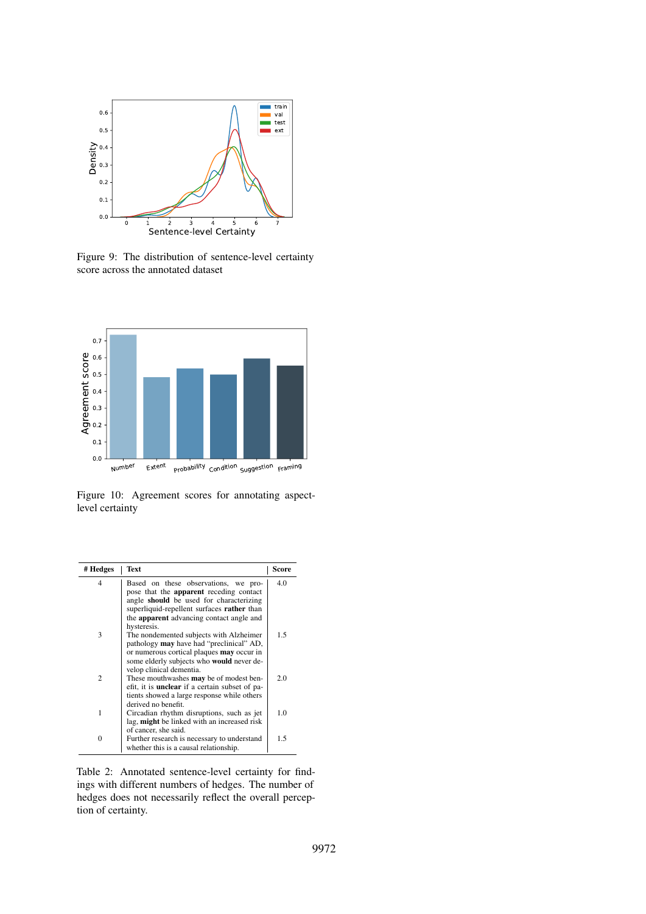<span id="page-13-1"></span>

Figure 9: The distribution of sentence-level certainty score across the annotated dataset

<span id="page-13-0"></span>

Figure 10: Agreement scores for annotating aspectlevel certainty

<span id="page-13-2"></span>

| # Hedges           | Text                                                                                                                                                                            | Score |
|--------------------|---------------------------------------------------------------------------------------------------------------------------------------------------------------------------------|-------|
| 4                  | Based on these observations, we pro-<br>pose that the <b>apparent</b> receding contact<br>angle should be used for characterizing<br>superliquid-repellent surfaces rather than | 4.0   |
|                    | the <b>apparent</b> advancing contact angle and<br>hysteresis.                                                                                                                  |       |
| 3                  | The nondemented subjects with Alzheimer<br>pathology <b>may</b> have had "preclinical" AD,<br>or numerous cortical plaques may occur in                                         | 1.5   |
|                    | some elderly subjects who would never de-                                                                                                                                       |       |
| $\mathfrak{D}_{1}$ | velop clinical dementia.<br>These mouthwashes <b>may</b> be of modest ben-<br>efit, it is <b>unclear</b> if a certain subset of pa-                                             | 2.0   |
|                    | tients showed a large response while others<br>derived no benefit.                                                                                                              |       |
| 1                  | Circadian rhythm disruptions, such as jet<br>lag, might be linked with an increased risk                                                                                        | 1.0   |
|                    | of cancer, she said.                                                                                                                                                            |       |
| 0                  | Further research is necessary to understand<br>whether this is a causal relationship.                                                                                           | 1.5   |

Table 2: Annotated sentence-level certainty for findings with different numbers of hedges. The number of hedges does not necessarily reflect the overall perception of certainty.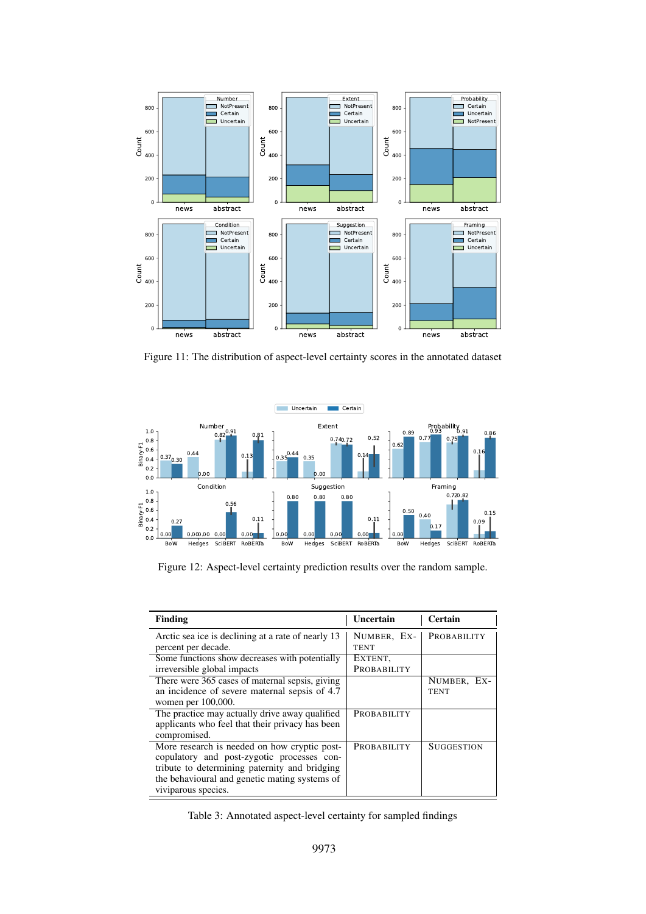<span id="page-14-0"></span>

Figure 11: The distribution of aspect-level certainty scores in the annotated dataset



Figure 12: Aspect-level certainty prediction results over the random sample.

<span id="page-14-1"></span>

| <b>Finding</b>                                     | Uncertain   | Certain            |
|----------------------------------------------------|-------------|--------------------|
| Arctic sea ice is declining at a rate of nearly 13 | NUMBER, EX- | <b>PROBABILITY</b> |
| percent per decade.                                | <b>TENT</b> |                    |
| Some functions show decreases with potentially     | EXTENT,     |                    |
| irreversible global impacts                        | PROBABILITY |                    |
| There were 365 cases of maternal sepsis, giving    |             | NUMBER, EX-        |
| an incidence of severe maternal sepsis of 4.7      |             | <b>TENT</b>        |
| women per 100,000.                                 |             |                    |
| The practice may actually drive away qualified     | PROBABILITY |                    |
| applicants who feel that their privacy has been    |             |                    |
| compromised.                                       |             |                    |
| More research is needed on how cryptic post-       | PROBABILITY | SUGGESTION         |
| copulatory and post-zygotic processes con-         |             |                    |
| tribute to determining paternity and bridging      |             |                    |
| the behavioural and genetic mating systems of      |             |                    |
| viviparous species.                                |             |                    |

Table 3: Annotated aspect-level certainty for sampled findings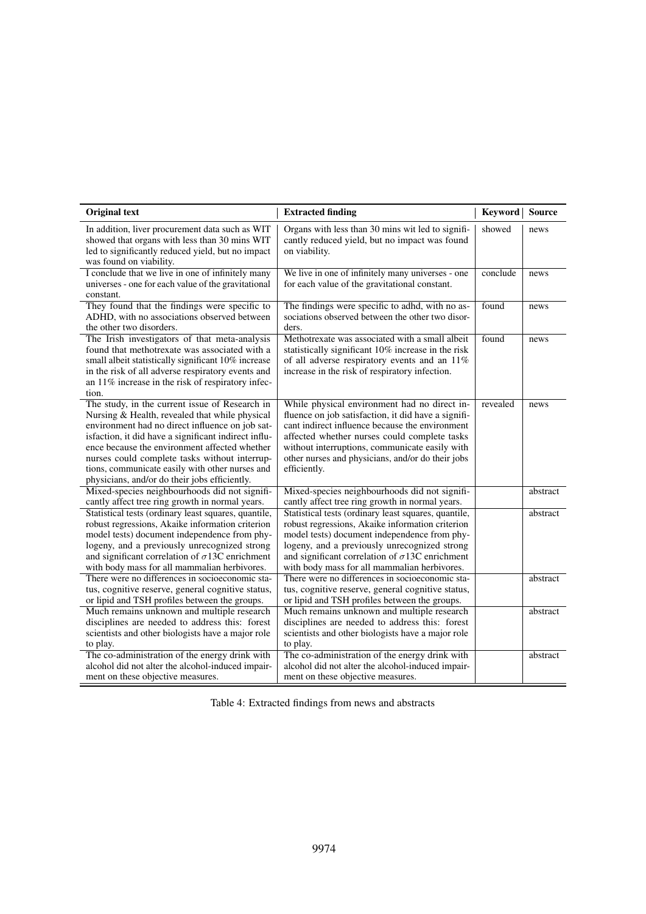<span id="page-15-0"></span>

| <b>Original text</b>                                                                                                                                                                                                                                                                                                                                                                                              | <b>Extracted finding</b>                                                                                                                                                                                                                                                                                                      | <b>Keyword</b> | Source   |
|-------------------------------------------------------------------------------------------------------------------------------------------------------------------------------------------------------------------------------------------------------------------------------------------------------------------------------------------------------------------------------------------------------------------|-------------------------------------------------------------------------------------------------------------------------------------------------------------------------------------------------------------------------------------------------------------------------------------------------------------------------------|----------------|----------|
| In addition, liver procurement data such as WIT<br>showed that organs with less than 30 mins WIT<br>led to significantly reduced yield, but no impact<br>was found on viability.                                                                                                                                                                                                                                  | Organs with less than 30 mins wit led to signifi-<br>cantly reduced yield, but no impact was found<br>on viability.                                                                                                                                                                                                           | showed         | news     |
| I conclude that we live in one of infinitely many<br>universes - one for each value of the gravitational<br>constant.                                                                                                                                                                                                                                                                                             | We live in one of infinitely many universes - one<br>for each value of the gravitational constant.                                                                                                                                                                                                                            | conclude       | news     |
| They found that the findings were specific to<br>ADHD, with no associations observed between<br>the other two disorders.                                                                                                                                                                                                                                                                                          | The findings were specific to adhd, with no as-<br>sociations observed between the other two disor-<br>ders.                                                                                                                                                                                                                  | found          | news     |
| The Irish investigators of that meta-analysis<br>found that methotrexate was associated with a<br>small albeit statistically significant 10% increase<br>in the risk of all adverse respiratory events and<br>an 11% increase in the risk of respiratory infec-<br>tion.                                                                                                                                          | Methotrexate was associated with a small albeit<br>statistically significant 10% increase in the risk<br>of all adverse respiratory events and an 11%<br>increase in the risk of respiratory infection.                                                                                                                       | found          | news     |
| The study, in the current issue of Research in<br>Nursing & Health, revealed that while physical<br>environment had no direct influence on job sat-<br>isfaction, it did have a significant indirect influ-<br>ence because the environment affected whether<br>nurses could complete tasks without interrup-<br>tions, communicate easily with other nurses and<br>physicians, and/or do their jobs efficiently. | While physical environment had no direct in-<br>fluence on job satisfaction, it did have a signifi-<br>cant indirect influence because the environment<br>affected whether nurses could complete tasks<br>without interruptions, communicate easily with<br>other nurses and physicians, and/or do their jobs<br>efficiently. | revealed       | news     |
| Mixed-species neighbourhoods did not signifi-<br>cantly affect tree ring growth in normal years.                                                                                                                                                                                                                                                                                                                  | Mixed-species neighbourhoods did not signifi-<br>cantly affect tree ring growth in normal years.                                                                                                                                                                                                                              |                | abstract |
| Statistical tests (ordinary least squares, quantile,<br>robust regressions, Akaike information criterion<br>model tests) document independence from phy-<br>logeny, and a previously unrecognized strong<br>and significant correlation of $\sigma$ 13C enrichment<br>with body mass for all mammalian herbivores.                                                                                                | Statistical tests (ordinary least squares, quantile,<br>robust regressions, Akaike information criterion<br>model tests) document independence from phy-<br>logeny, and a previously unrecognized strong<br>and significant correlation of $\sigma$ 13C enrichment<br>with body mass for all mammalian herbivores.            |                | abstract |
| There were no differences in socioeconomic sta-<br>tus, cognitive reserve, general cognitive status,<br>or lipid and TSH profiles between the groups.                                                                                                                                                                                                                                                             | There were no differences in socioeconomic sta-<br>tus, cognitive reserve, general cognitive status,<br>or lipid and TSH profiles between the groups.                                                                                                                                                                         |                | abstract |
| Much remains unknown and multiple research<br>disciplines are needed to address this: forest<br>scientists and other biologists have a major role<br>to play.                                                                                                                                                                                                                                                     | Much remains unknown and multiple research<br>disciplines are needed to address this: forest<br>scientists and other biologists have a major role<br>to play.                                                                                                                                                                 |                | abstract |
| The co-administration of the energy drink with<br>alcohol did not alter the alcohol-induced impair-<br>ment on these objective measures.                                                                                                                                                                                                                                                                          | The co-administration of the energy drink with<br>alcohol did not alter the alcohol-induced impair-<br>ment on these objective measures.                                                                                                                                                                                      |                | abstract |

| Table 4: Extracted findings from news and abstracts |  |  |  |
|-----------------------------------------------------|--|--|--|
|-----------------------------------------------------|--|--|--|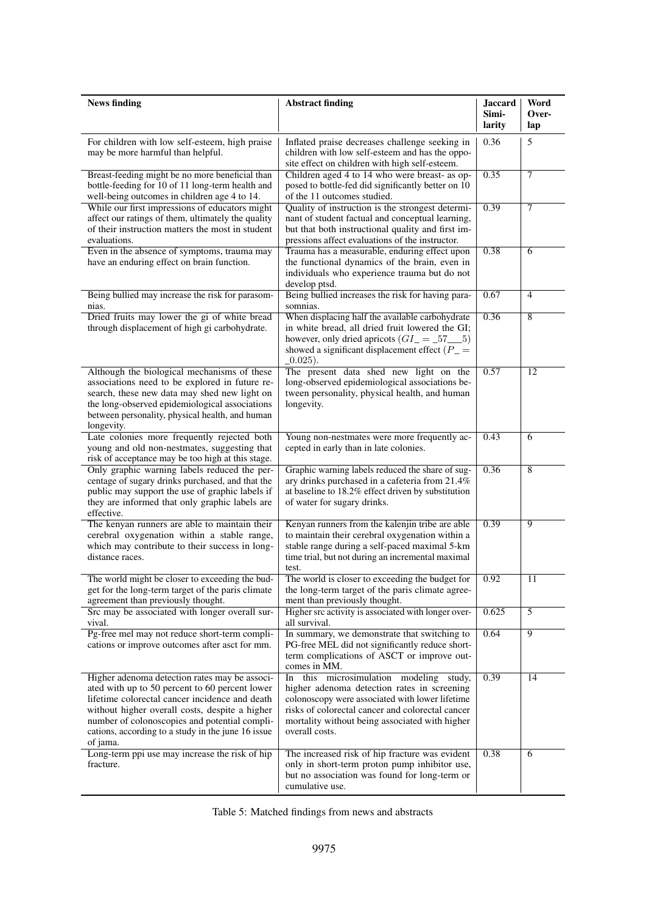<span id="page-16-0"></span>

| <b>News finding</b>                                                                                                                                                                                                                                                                                                    | <b>Abstract finding</b>                                                                                                                                                                                                                                              | <b>Jaccard</b><br>Simi- | Word<br>Over-  |
|------------------------------------------------------------------------------------------------------------------------------------------------------------------------------------------------------------------------------------------------------------------------------------------------------------------------|----------------------------------------------------------------------------------------------------------------------------------------------------------------------------------------------------------------------------------------------------------------------|-------------------------|----------------|
|                                                                                                                                                                                                                                                                                                                        |                                                                                                                                                                                                                                                                      | larity                  | lap            |
| For children with low self-esteem, high praise<br>may be more harmful than helpful.                                                                                                                                                                                                                                    | Inflated praise decreases challenge seeking in<br>children with low self-esteem and has the oppo-<br>site effect on children with high self-esteem.                                                                                                                  | 0.36                    | 5              |
| Breast-feeding might be no more beneficial than<br>bottle-feeding for 10 of 11 long-term health and<br>well-being outcomes in children age 4 to 14.                                                                                                                                                                    | Children aged 4 to 14 who were breast- as op-<br>posed to bottle-fed did significantly better on 10<br>of the 11 outcomes studied.                                                                                                                                   | 0.35                    | 7              |
| While our first impressions of educators might<br>affect our ratings of them, ultimately the quality<br>of their instruction matters the most in student<br>evaluations.                                                                                                                                               | Quality of instruction is the strongest determi-<br>nant of student factual and conceptual learning,<br>but that both instructional quality and first im-<br>pressions affect evaluations of the instructor.                                                         | 0.39                    | 7              |
| Even in the absence of symptoms, trauma may<br>have an enduring effect on brain function.                                                                                                                                                                                                                              | Trauma has a measurable, enduring effect upon<br>the functional dynamics of the brain, even in<br>individuals who experience trauma but do not<br>develop ptsd.                                                                                                      | 0.38                    | 6              |
| Being bullied may increase the risk for parasom-<br>nias.                                                                                                                                                                                                                                                              | Being bullied increases the risk for having para-<br>somnias.                                                                                                                                                                                                        | 0.67                    | 4              |
| Dried fruits may lower the gi of white bread<br>through displacement of high gi carbohydrate.                                                                                                                                                                                                                          | When displacing half the available carbohydrate<br>in white bread, all dried fruit lowered the GI;<br>however, only dried apricots $(GI_{-} = .575)$<br>showed a significant displacement effect $(P_$ =<br>$(0.025)$ .                                              | 0.36                    | $\overline{8}$ |
| Although the biological mechanisms of these<br>associations need to be explored in future re-<br>search, these new data may shed new light on<br>the long-observed epidemiological associations<br>between personality, physical health, and human<br>longevity.                                                       | The present data shed new light on the<br>long-observed epidemiological associations be-<br>tween personality, physical health, and human<br>longevity.                                                                                                              | 0.57                    | 12             |
| Late colonies more frequently rejected both<br>young and old non-nestmates, suggesting that<br>risk of acceptance may be too high at this stage.                                                                                                                                                                       | Young non-nestmates were more frequently ac-<br>cepted in early than in late colonies.                                                                                                                                                                               | 0.43                    | 6              |
| Only graphic warning labels reduced the per-<br>centage of sugary drinks purchased, and that the<br>public may support the use of graphic labels if<br>they are informed that only graphic labels are<br>effective.                                                                                                    | Graphic warning labels reduced the share of sug-<br>ary drinks purchased in a cafeteria from 21.4%<br>at baseline to 18.2% effect driven by substitution<br>of water for sugary drinks.                                                                              | 0.36                    | 8              |
| The kenyan runners are able to maintain their<br>cerebral oxygenation within a stable range,<br>which may contribute to their success in long-<br>distance races.                                                                                                                                                      | Kenyan runners from the kalenjin tribe are able<br>to maintain their cerebral oxygenation within a<br>stable range during a self-paced maximal 5-km<br>time trial, but not during an incremental maximal<br>test.                                                    | 0.39                    | $\overline{9}$ |
| The world might be closer to exceeding the bud-<br>get for the long-term target of the paris climate<br>agreement than previously thought.                                                                                                                                                                             | The world is closer to exceeding the budget for $\vert$ 0.92<br>the long-term target of the paris climate agree-<br>ment than previously thought.                                                                                                                    |                         | 11             |
| Src may be associated with longer overall sur-<br>vival.                                                                                                                                                                                                                                                               | Higher src activity is associated with longer over-<br>all survival.                                                                                                                                                                                                 | 0.625                   | $\overline{5}$ |
| Pg-free mel may not reduce short-term compli-<br>cations or improve outcomes after asct for mm.                                                                                                                                                                                                                        | In summary, we demonstrate that switching to<br>PG-free MEL did not significantly reduce short-<br>term complications of ASCT or improve out-<br>comes in MM.                                                                                                        | 0.64                    | $\overline{9}$ |
| Higher adenoma detection rates may be associ-<br>ated with up to 50 percent to 60 percent lower<br>lifetime colorectal cancer incidence and death<br>without higher overall costs, despite a higher<br>number of colonoscopies and potential compli-<br>cations, according to a study in the june 16 issue<br>of jama. | this microsimulation modeling study,<br>In<br>higher adenoma detection rates in screening<br>colonoscopy were associated with lower lifetime<br>risks of colorectal cancer and colorectal cancer<br>mortality without being associated with higher<br>overall costs. | 0.39                    | 14             |
| Long-term ppi use may increase the risk of hip<br>fracture.                                                                                                                                                                                                                                                            | The increased risk of hip fracture was evident<br>only in short-term proton pump inhibitor use,<br>but no association was found for long-term or<br>cumulative use.                                                                                                  | 0.38                    | 6              |

Table 5: Matched findings from news and abstracts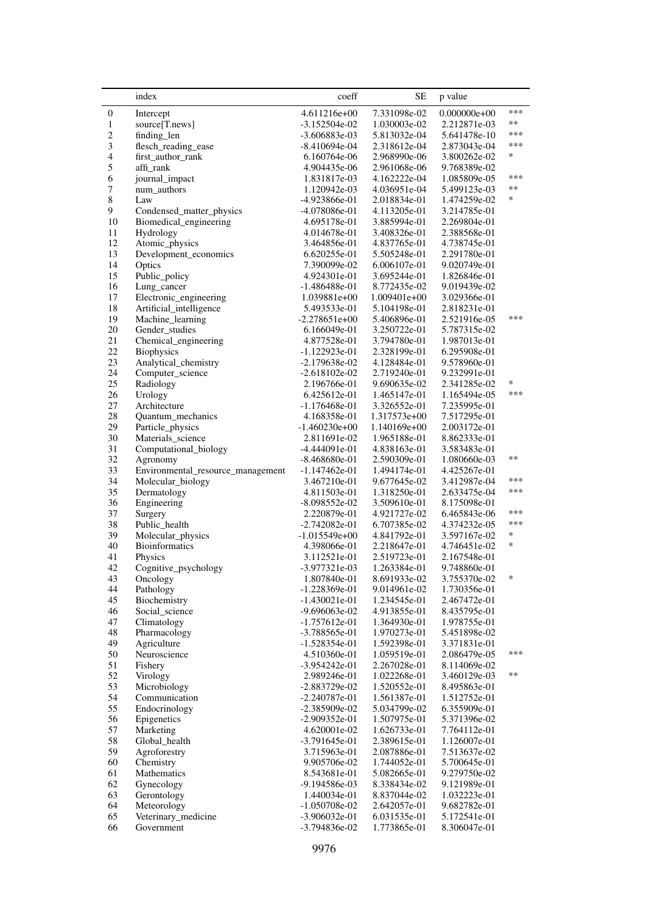<span id="page-17-0"></span>

|                  | index                                       | coeff                           | SЕ                           | p value                      |               |
|------------------|---------------------------------------------|---------------------------------|------------------------------|------------------------------|---------------|
| $\boldsymbol{0}$ | Intercept                                   | 4.611216e+00                    | 7.331098e-02                 | $0.000000e+00$               | ***           |
| $\mathbf{1}$     | source[T.news]                              | -3.152504e-02                   | 1.030003e-02                 | 2.212871e-03                 | $***$         |
| $\overline{c}$   | finding_len                                 | -3.606883e-03                   | 5.813032e-04                 | 5.641478e-10                 | ***           |
| 3                | flesch_reading_ease                         | $-8.410694e-04$                 | 2.318612e-04                 | 2.873043e-04                 | ***           |
| $\overline{4}$   | first_author_rank                           | 6.160764e-06                    | 2.968990e-06                 | 3.800262e-02                 | *             |
| 5                | affi_rank                                   | 4.904435e-06                    | 2.961068e-06                 | 9.768389e-02                 | ***           |
| 6                | journal_impact                              | 1.831817e-03                    | 4.162222e-04                 | 1.085809e-05                 | **            |
| 7<br>8           | num_authors<br>Law                          | 1.120942e-03<br>-4.923866e-01   | 4.036951e-04<br>2.018834e-01 | 5.499123e-03<br>1.474259e-02 | *             |
| 9                | Condensed_matter_physics                    | -4.078086e-01                   | 4.113205e-01                 | 3.214785e-01                 |               |
| 10               | Biomedical_engineering                      | 4.695178e-01                    | 3.885994e-01                 | 2.269804e-01                 |               |
| 11               | Hydrology                                   | 4.014678e-01                    | 3.408326e-01                 | 2.388568e-01                 |               |
| 12               | Atomic_physics                              | 3.464856e-01                    | 4.837765e-01                 | 4.738745e-01                 |               |
| 13               | Development_economics                       | 6.620255e-01                    | 5.505248e-01                 | 2.291780e-01                 |               |
| 14               | Optics                                      | 7.390099e-02                    | 6.006107e-01                 | 9.020749e-01                 |               |
| 15               | Public_policy                               | 4.924301e-01                    | 3.695244e-01                 | 1.826846e-01                 |               |
| 16               | Lung_cancer                                 | -1.486488e-01                   | 8.772435e-02                 | 9.019439e-02                 |               |
| 17               | Electronic_engineering                      | 1.039881e+00                    | $1.009401e+00$               | 3.029366e-01                 |               |
| 18<br>19         | Artificial_intelligence<br>Machine_learning | 5.493533e-01<br>$-2.278651e+00$ | 5.104198e-01<br>5.406896e-01 | 2.818231e-01<br>2.521916e-05 | ***           |
| $20\,$           | Gender_studies                              | 6.166049e-01                    | 3.250722e-01                 | 5.787315e-02                 |               |
| 21               | Chemical_engineering                        | 4.877528e-01                    | 3.794780e-01                 | 1.987013e-01                 |               |
| $22\,$           | <b>Biophysics</b>                           | $-1.122923e-01$                 | 2.328199e-01                 | 6.295908e-01                 |               |
| 23               | Analytical_chemistry                        | $-2.179638e-02$                 | 4.128484e-01                 | 9.578960e-01                 |               |
| 24               | Computer_science                            | $-2.618102e-02$                 | 2.719240e-01                 | 9.232991e-01                 |               |
| 25               | Radiology                                   | 2.196766e-01                    | 9.690635e-02                 | 2.341285e-02                 | $\ast$        |
| 26               | Urology                                     | 6.425612e-01                    | 1.465147e-01                 | 1.165494e-05                 | ***           |
| 27               | Architecture                                | -1.176468e-01                   | 3.326552e-01                 | 7.235995e-01                 |               |
| $28\,$           | Quantum_mechanics                           | 4.168358e-01                    | 1.317573e+00                 | 7.517295e-01                 |               |
| 29               | Particle_physics                            | $-1.460230e+00$                 | 1.140169e+00                 | 2.003172e-01                 |               |
| 30<br>31         | Materials_science<br>Computational_biology  | 2.811691e-02<br>-4.444091e-01   | 1.965188e-01<br>4.838163e-01 | 8.862333e-01<br>3.583483e-01 |               |
| 32               | Agronomy                                    | -8.468680e-01                   | 2.590309e-01                 | 1.080660e-03                 | **            |
| 33               | Environmental_resource_management           | -1.147462e-01                   | 1.494174e-01                 | 4.425267e-01                 |               |
| 34               | Molecular_biology                           | 3.467210e-01                    | 9.677645e-02                 | 3.412987e-04                 | ***           |
| 35               | Dermatology                                 | 4.811503e-01                    | 1.318250e-01                 | 2.633475e-04                 | ***           |
| 36               | Engineering                                 | -8.098552e-02                   | 3.509610e-01                 | 8.175098e-01                 |               |
| 37               | Surgery                                     | 2.220879e-01                    | 4.921727e-02                 | 6.465843e-06                 | ***           |
| 38               | Public_health                               | $-2.742082e-01$                 | 6.707385e-02                 | 4.374232e-05                 | ***<br>$\ast$ |
| 39               | Molecular_physics<br>Bioinformatics         | $-1.015549e+00$                 | 4.841792e-01                 | 3.597167e-02                 | $\ast$        |
| 40<br>41         | Physics                                     | 4.398066e-01<br>3.112521e-01    | 2.218647e-01<br>2.519723e-01 | 4.746451e-02<br>2.167548e-01 |               |
| 42               | Cognitive_psychology                        | -3.977321e-03                   | 1.263384e-01                 | 9.748860e-01                 |               |
| 43               | Oncology                                    | 1.807840e-01                    | 8.691933e-02                 | 3.755370e-02                 | *             |
| 44               | Pathology                                   | $-1.228369e-01$                 | 9.014961e-02                 | 1.730356e-01                 |               |
| 45               | Biochemistry                                | $-1.430021e-01$                 | 1.234545e-01                 | 2.467472e-01                 |               |
| 46               | Social_science                              | -9.696063e-02                   | 4.913855e-01                 | 8.435795e-01                 |               |
| 47               | Climatology                                 | -1.757612e-01                   | 1.364930e-01                 | 1.978755e-01                 |               |
| 48               | Pharmacology                                | -3.788565e-01                   | 1.970273e-01                 | 5.451898e-02                 |               |
| 49               | Agriculture                                 | $-1.528354e-01$                 | 1.592398e-01                 | 3.371831e-01                 | ***           |
| 50               | Neuroscience                                | 4.510360e-01                    | 1.059519e-01                 | 2.086479e-05                 |               |
| 51<br>52         | Fishery<br>Virology                         | $-3.954242e-01$<br>2.989246e-01 | 2.267028e-01<br>1.022268e-01 | 8.114069e-02<br>3.460129e-03 | $**$          |
| 53               | Microbiology                                | -2.883729e-02                   | 1.520552e-01                 | 8.495863e-01                 |               |
| 54               | Communication                               | $-2.240787e-01$                 | 1.561387e-01                 | 1.512752e-01                 |               |
| 55               | Endocrinology                               | -2.385909e-02                   | 5.034799e-02                 | 6.355909e-01                 |               |
| 56               | Epigenetics                                 | -2.909352e-01                   | 1.507975e-01                 | 5.371396e-02                 |               |
| 57               | Marketing                                   | 4.620001e-02                    | 1.626733e-01                 | 7.764112e-01                 |               |
| 58               | Global_health                               | $-3.791645e-01$                 | 2.389615e-01                 | 1.126007e-01                 |               |
| 59               | Agroforestry                                | 3.715963e-01                    | 2.087886e-01                 | 7.513637e-02                 |               |
| 60               | Chemistry                                   | 9.905706e-02                    | 1.744052e-01                 | 5.700645e-01                 |               |
| 61<br>62         | Mathematics                                 | 8.543681e-01                    | 5.082665e-01                 | 9.279750e-02                 |               |
| 63               | Gynecology<br>Gerontology                   | -9.194586e-03<br>1.440034e-01   | 8.338434e-02<br>8.837044e-02 | 9.121989e-01<br>1.032223e-01 |               |
| 64               | Meteorology                                 | $-1.050708e-02$                 | 2.642057e-01                 | 9.682782e-01                 |               |
| 65               | Veterinary_medicine                         | $-3.906032e-01$                 | 6.031535e-01                 | 5.172541e-01                 |               |
| 66               | Government                                  | -3.794836e-02                   | 1.773865e-01                 | 8.306047e-01                 |               |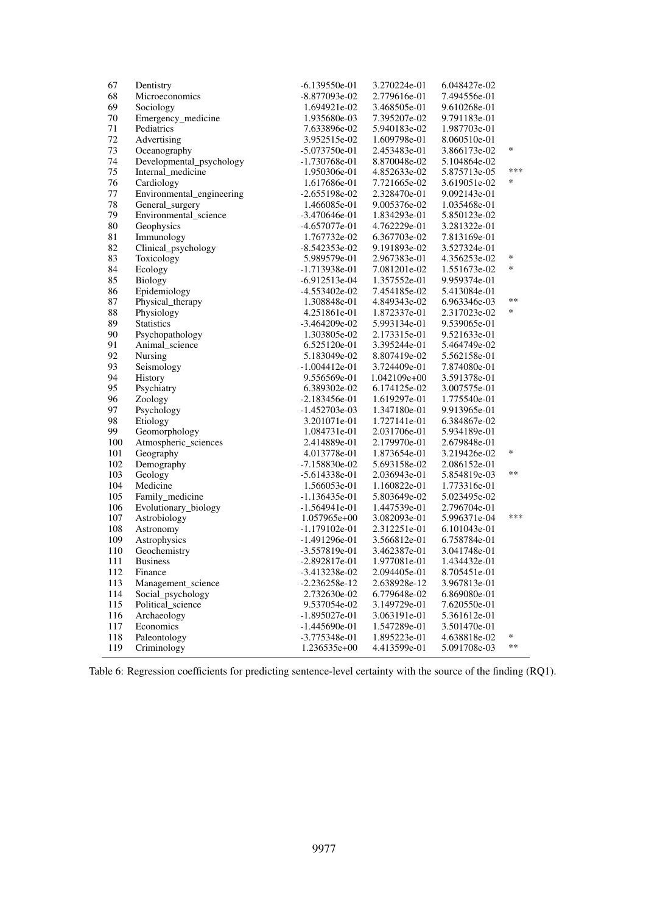| 67  | Dentistry                 | $-6.139550e-01$ | 3.270224e-01 | 6.048427e-02 |            |
|-----|---------------------------|-----------------|--------------|--------------|------------|
| 68  | Microeconomics            | -8.877093e-02   | 2.779616e-01 | 7.494556e-01 |            |
| 69  | Sociology                 | 1.694921e-02    | 3.468505e-01 | 9.610268e-01 |            |
| 70  | Emergency_medicine        | 1.935680e-03    | 7.395207e-02 | 9.791183e-01 |            |
| 71  | Pediatrics                | 7.633896e-02    | 5.940183e-02 | 1.987703e-01 |            |
| 72  | Advertising               | 3.952515e-02    | 1.609798e-01 | 8.060510e-01 |            |
| 73  | Oceanography              | $-5.073750e-01$ | 2.453483e-01 | 3.866173e-02 | $\ast$     |
| 74  | Developmental_psychology  | -1.730768e-01   | 8.870048e-02 | 5.104864e-02 |            |
| 75  | Internal_medicine         | 1.950306e-01    | 4.852633e-02 | 5.875713e-05 | ***        |
| 76  | Cardiology                | 1.617686e-01    | 7.721665e-02 | 3.619051e-02 | $\ast$     |
| 77  | Environmental_engineering | $-2.655198e-02$ | 2.328470e-01 | 9.092143e-01 |            |
| 78  | General_surgery           | 1.466085e-01    | 9.005376e-02 | 1.035468e-01 |            |
| 79  | Environmental_science     | $-3.470646e-01$ | 1.834293e-01 | 5.850123e-02 |            |
|     |                           | -4.657077e-01   |              |              |            |
| 80  | Geophysics                |                 | 4.762229e-01 | 3.281322e-01 |            |
| 81  | Immunology                | 1.767732e-02    | 6.367703e-02 | 7.813169e-01 |            |
| 82  | Clinical_psychology       | $-8.542353e-02$ | 9.191893e-02 | 3.527324e-01 | $\ast$     |
| 83  | Toxicology                | 5.989579e-01    | 2.967383e-01 | 4.356253e-02 |            |
| 84  | Ecology                   | -1.713938e-01   | 7.081201e-02 | 1.551673e-02 | *          |
| 85  | Biology                   | $-6.912513e-04$ | 1.357552e-01 | 9.959374e-01 |            |
| 86  | Epidemiology              | -4.553402e-02   | 7.454185e-02 | 5.413084e-01 |            |
| 87  | Physical_therapy          | 1.308848e-01    | 4.849343e-02 | 6.963346e-03 | $\ast\ast$ |
| 88  | Physiology                | 4.251861e-01    | 1.872337e-01 | 2.317023e-02 | $\ast$     |
| 89  | <b>Statistics</b>         | $-3.464209e-02$ | 5.993134e-01 | 9.539065e-01 |            |
| 90  | Psychopathology           | 1.303805e-02    | 2.173315e-01 | 9.521633e-01 |            |
| 91  | Animal_science            | 6.525120e-01    | 3.395244e-01 | 5.464749e-02 |            |
| 92  | Nursing                   | 5.183049e-02    | 8.807419e-02 | 5.562158e-01 |            |
| 93  | Seismology                | $-1.004412e-01$ | 3.724409e-01 | 7.874080e-01 |            |
| 94  | History                   | 9.556569e-01    | 1.042109e+00 | 3.591378e-01 |            |
| 95  | Psychiatry                | 6.389302e-02    | 6.174125e-02 | 3.007575e-01 |            |
| 96  | Zoology                   | $-2.183456e-01$ | 1.619297e-01 | 1.775540e-01 |            |
| 97  | Psychology                | $-1.452703e-03$ | 1.347180e-01 | 9.913965e-01 |            |
| 98  | Etiology                  | 3.201071e-01    | 1.727141e-01 | 6.384867e-02 |            |
| 99  | Geomorphology             | 1.084731e-01    | 2.031706e-01 | 5.934189e-01 |            |
| 100 | Atmospheric_sciences      | 2.414889e-01    | 2.179970e-01 | 2.679848e-01 |            |
| 101 | Geography                 | 4.013778e-01    | 1.873654e-01 | 3.219426e-02 | $\ast$     |
| 102 | Demography                | $-7.158830e-02$ | 5.693158e-02 | 2.086152e-01 |            |
| 103 | Geology                   | $-5.614338e-01$ | 2.036943e-01 | 5.854819e-03 | **         |
| 104 | Medicine                  | 1.566053e-01    | 1.160822e-01 | 1.773316e-01 |            |
| 105 | Family_medicine           | $-1.136435e-01$ | 5.803649e-02 | 5.023495e-02 |            |
| 106 | Evolutionary_biology      | $-1.564941e-01$ | 1.447539e-01 | 2.796704e-01 |            |
| 107 | Astrobiology              | 1.057965e+00    | 3.082093e-01 | 5.996371e-04 | ***        |
| 108 |                           | $-1.179102e-01$ | 2.312251e-01 | 6.101043e-01 |            |
|     | Astronomy                 |                 |              |              |            |
| 109 | Astrophysics              | $-1.491296e-01$ | 3.566812e-01 | 6.758784e-01 |            |
| 110 | Geochemistry              | $-3.557819e-01$ | 3.462387e-01 | 3.041748e-01 |            |
| 111 | <b>Business</b>           | $-2.892817e-01$ | 1.977081e-01 | 1.434432e-01 |            |
| 112 | Finance                   | -3.413238e-02   | 2.094405e-01 | 8.705451e-01 |            |
| 113 | Management_science        | $-2.236258e-12$ | 2.638928e-12 | 3.967813e-01 |            |
| 114 | Social_psychology         | 2.732630e-02    | 6.779648e-02 | 6.869080e-01 |            |
| 115 | Political_science         | 9.537054e-02    | 3.149729e-01 | 7.620550e-01 |            |
| 116 | Archaeology               | $-1.895027e-01$ | 3.063191e-01 | 5.361612e-01 |            |
| 117 | Economics                 | $-1.445690e-01$ | 1.547289e-01 | 3.501470e-01 |            |
| 118 | Paleontology              | -3.775348e-01   | 1.895223e-01 | 4.638818e-02 | *          |
| 119 | Criminology               | 1.236535e+00    | 4.413599e-01 | 5.091708e-03 | $\ast\ast$ |

Table 6: Regression coefficients for predicting sentence-level certainty with the source of the finding (RQ1).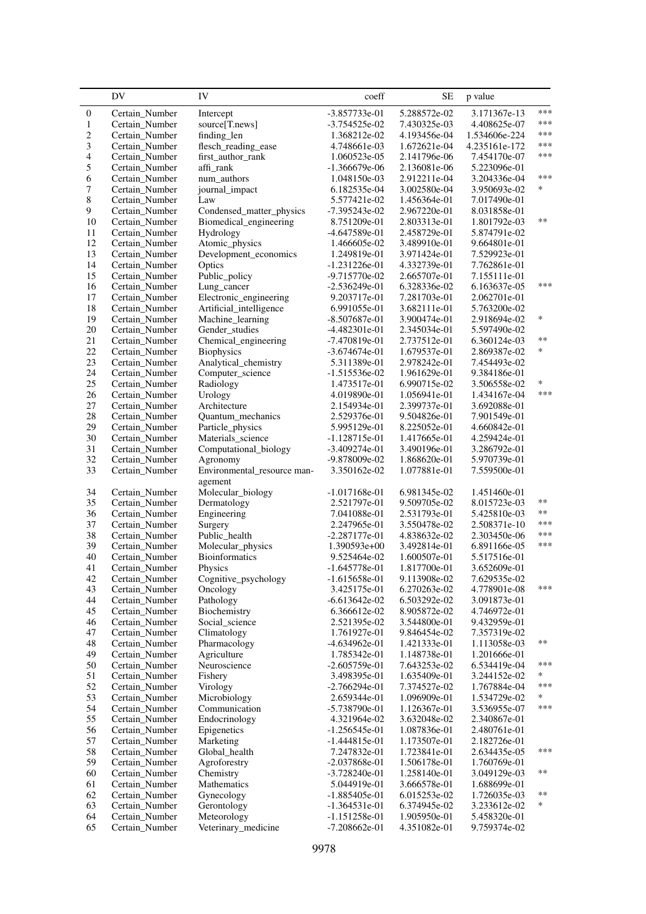<span id="page-19-0"></span>

|                  | DV                               | IV                          | coeff                           | SЕ                           | p value                      |        |
|------------------|----------------------------------|-----------------------------|---------------------------------|------------------------------|------------------------------|--------|
| $\boldsymbol{0}$ | Certain_Number                   | Intercept                   | -3.857733e-01                   | 5.288572e-02                 | 3.171367e-13                 | ***    |
| $\mathbf{1}$     | Certain_Number                   | source[T.news]              | $-3.754525e-02$                 | 7.430325e-03                 | 4.408625e-07                 | ***    |
| $\overline{c}$   | Certain_Number                   | finding_len                 | 1.368212e-02                    | 4.193456e-04                 | 1.534606e-224                | ***    |
| 3                | Certain_Number                   | flesch_reading_ease         | 4.748661e-03                    | 1.672621e-04                 | 4.235161e-172                | ***    |
| $\overline{4}$   | Certain_Number                   | first_author_rank           | 1.060523e-05                    | 2.141796e-06                 | 7.454170e-07                 | ***    |
| 5                | Certain_Number                   | affi_rank                   | $-1.366679e-06$                 | 2.136081e-06                 | 5.223096e-01                 |        |
| 6                | Certain_Number                   | num_authors                 | 1.048150e-03                    | 2.912211e-04                 | 3.204336e-04                 | ***    |
| 7                | Certain_Number                   | journal_impact              | 6.182535e-04                    | 3.002580e-04                 | 3.950693e-02                 | *.     |
| $\,8\,$          | Certain_Number                   | Law                         | 5.577421e-02                    | 1.456364e-01                 | 7.017490e-01                 |        |
| 9                | Certain_Number                   | Condensed_matter_physics    | $-7.395243e-02$                 | 2.967220e-01                 | 8.031858e-01                 |        |
| 10               | Certain_Number                   | Biomedical_engineering      | 8.751209e-01                    | 2.803313e-01                 | 1.801792e-03                 | $**$   |
| 11               | Certain_Number                   | Hydrology                   | -4.647589e-01                   | 2.458729e-01                 | 5.874791e-02                 |        |
| 12               | Certain_Number                   | Atomic_physics              | 1.466605e-02                    | 3.489910e-01                 | 9.664801e-01                 |        |
| 13               | Certain_Number                   | Development_economics       | 1.249819e-01                    | 3.971424e-01                 | 7.529923e-01                 |        |
| 14               | Certain_Number                   | Optics                      | $-1.231226e-01$                 | 4.332739e-01                 | 7.762861e-01                 |        |
| 15               | Certain_Number                   | Public_policy               | -9.715770e-02                   | 2.665707e-01                 | 7.155111e-01                 | ***    |
| 16               | Certain_Number                   | Lung_cancer                 | $-2.536249e-01$                 | 6.328336e-02                 | 6.163637e-05                 |        |
| 17               | Certain_Number                   | Electronic_engineering      | 9.203717e-01                    | 7.281703e-01                 | 2.062701e-01                 |        |
| 18               | Certain_Number                   | Artificial_intelligence     | 6.991055e-01                    | 3.682111e-01                 | 5.763200e-02                 | $\ast$ |
| 19               | Certain Number                   | Machine_learning            | -8.507687e-01                   | 3.900474e-01                 | 2.918694e-02                 |        |
| 20               | Certain_Number                   | Gender_studies              | $-4.482301e-01$                 | 2.345034e-01                 | 5.597490e-02                 | **     |
| 21               | Certain_Number                   | Chemical_engineering        | -7.470819e-01                   | 2.737512e-01                 | 6.360124e-03                 | *      |
| 22               | Certain_Number                   | <b>Biophysics</b>           | $-3.674674e-01$                 | 1.679537e-01                 | 2.869387e-02                 |        |
| 23               | Certain_Number                   | Analytical_chemistry        | 5.311389e-01                    | 2.978242e-01                 | 7.454493e-02                 |        |
| 24               | Certain_Number                   | Computer_science            | $-1.515536e-02$                 | 1.961629e-01                 | 9.384186e-01                 | *      |
| 25<br>26         | Certain Number                   | Radiology                   | 1.473517e-01                    | 6.990715e-02<br>1.056941e-01 | 3.506558e-02                 | ***    |
| 27               | Certain_Number                   | Urology<br>Architecture     | 4.019890e-01                    |                              | 1.434167e-04                 |        |
| 28               | Certain_Number<br>Certain_Number | Quantum_mechanics           | 2.154934e-01<br>2.529376e-01    | 2.399737e-01<br>9.504826e-01 | 3.692088e-01<br>7.901549e-01 |        |
| 29               | Certain_Number                   | Particle_physics            | 5.995129e-01                    | 8.225052e-01                 | 4.660842e-01                 |        |
| 30               | Certain_Number                   | Materials_science           | $-1.128715e-01$                 | 1.417665e-01                 | 4.259424e-01                 |        |
| 31               | Certain_Number                   | Computational_biology       | $-3.409274e-01$                 | 3.490196e-01                 | 3.286792e-01                 |        |
| 32               | Certain_Number                   | Agronomy                    | -9.878009e-02                   | 1.868620e-01                 | 5.970739e-01                 |        |
| 33               | Certain_Number                   | Environmental_resource man- | 3.350162e-02                    | 1.077881e-01                 | 7.559500e-01                 |        |
|                  |                                  | agement                     |                                 |                              |                              |        |
| 34               | Certain_Number                   | Molecular_biology           | $-1.017168e-01$                 | 6.981345e-02                 | 1.451460e-01                 |        |
| 35               | Certain_Number                   | Dermatology                 | 2.521797e-01                    | 9.509705e-02                 | 8.015723e-03                 | **     |
| 36               | Certain_Number                   | Engineering                 | 7.041088e-01                    | 2.531793e-01                 | 5.425810e-03                 | **     |
| 37               | Certain_Number                   | Surgery                     | 2.247965e-01                    | 3.550478e-02                 | 2.508371e-10                 | ***    |
| 38               | Certain Number                   | Public_health               | $-2.287177e-01$                 | 4.838632e-02                 | 2.303450e-06                 | ***    |
| 39               | Certain_Number                   | Molecular_physics           | 1.390593e+00                    | 3.492814e-01                 | 6.891166e-05                 | ***    |
| 40               | Certain_Number                   | <b>Bioinformatics</b>       | 9.525464e-02                    | 1.600507e-01                 | 5.517516e-01                 |        |
| 41               | Certain_Number                   | Physics                     | $-1.645778e-01$                 | 1.817700e-01                 | 3.652609e-01                 |        |
| 42               | Certain_Number                   | Cognitive_psychology        | $-1.615658e-01$                 | 9.113908e-02                 | 7.629535e-02                 |        |
| 43               | Certain_Number                   | Oncology                    | 3.425175e-01                    | 6.270263e-02                 | 4.778901e-08                 | ***    |
| 44               | Certain_Number                   | Pathology                   | $-6.613642e-02$                 | 6.503292e-02                 | 3.091873e-01                 |        |
| 45               | Certain_Number                   | Biochemistry                | 6.366612e-02                    | 8.905872e-02                 | 4.746972e-01                 |        |
| 46               | Certain_Number                   | Social_science              | 2.521395e-02                    | 3.544800e-01                 | 9.432959e-01                 |        |
| 47               | Certain_Number                   | Climatology                 | 1.761927e-01                    | 9.846454e-02                 | 7.357319e-02                 |        |
| 48               | Certain_Number                   | Pharmacology                | -4.634962e-01                   | 1.421333e-01                 | 1.113058e-03                 | **     |
| 49               | Certain_Number                   | Agriculture                 | 1.785342e-01                    | 1.148738e-01                 | 1.201666e-01                 |        |
| 50               | Certain Number                   | Neuroscience                | $-2.605759e-01$                 | 7.643253e-02                 | 6.534419e-04                 | ***    |
| 51               | Certain_Number                   | Fishery                     | 3.498395e-01                    | 1.635409e-01                 | 3.244152e-02                 | *      |
| 52               | Certain_Number                   | Virology                    | $-2.766294e-01$                 | 7.374527e-02                 | 1.767884e-04                 | ***    |
| 53               | Certain_Number                   | Microbiology                | 2.659344e-01                    | 1.096909e-01                 | 1.534729e-02                 | ∗      |
| 54               | Certain_Number                   | Communication               | -5.738790e-01                   | 1.126367e-01                 | 3.536955e-07                 | ***    |
| 55               | Certain_Number                   | Endocrinology               | 4.321964e-02                    | 3.632048e-02                 | 2.340867e-01                 |        |
| 56               | Certain_Number                   | Epigenetics                 | $-1.256545e-01$                 | 1.087836e-01                 | 2.480761e-01                 |        |
| 57               | Certain_Number                   | Marketing                   | $-1.444815e-01$                 | 1.173507e-01                 | 2.182726e-01                 | ***    |
| 58               | Certain_Number                   | Global_health               | 7.247832e-01                    | 1.723841e-01                 | 2.634435e-05                 |        |
| 59               | Certain_Number                   | Agroforestry                | -2.037868e-01                   | 1.506178e-01                 | 1.760769e-01                 | **     |
| 60<br>61         | Certain_Number<br>Certain_Number | Chemistry<br>Mathematics    | $-3.728240e-01$<br>5.044919e-01 | 1.258140e-01<br>3.666578e-01 | 3.049129e-03<br>1.688699e-01 |        |
| 62               | Certain_Number                   | Gynecology                  | $-1.885405e-01$                 | 6.015253e-02                 | 1.726035e-03                 | **     |
| 63               | Certain_Number                   | Gerontology                 | $-1.364531e-01$                 | 6.374945e-02                 | 3.233612e-02                 | $\ast$ |
| 64               | Certain_Number                   | Meteorology                 | $-1.151258e-01$                 | 1.905950e-01                 | 5.458320e-01                 |        |
| 65               | Certain_Number                   | Veterinary_medicine         | $-7.208662e-01$                 | 4.351082e-01                 | 9.759374e-02                 |        |
|                  |                                  |                             |                                 |                              |                              |        |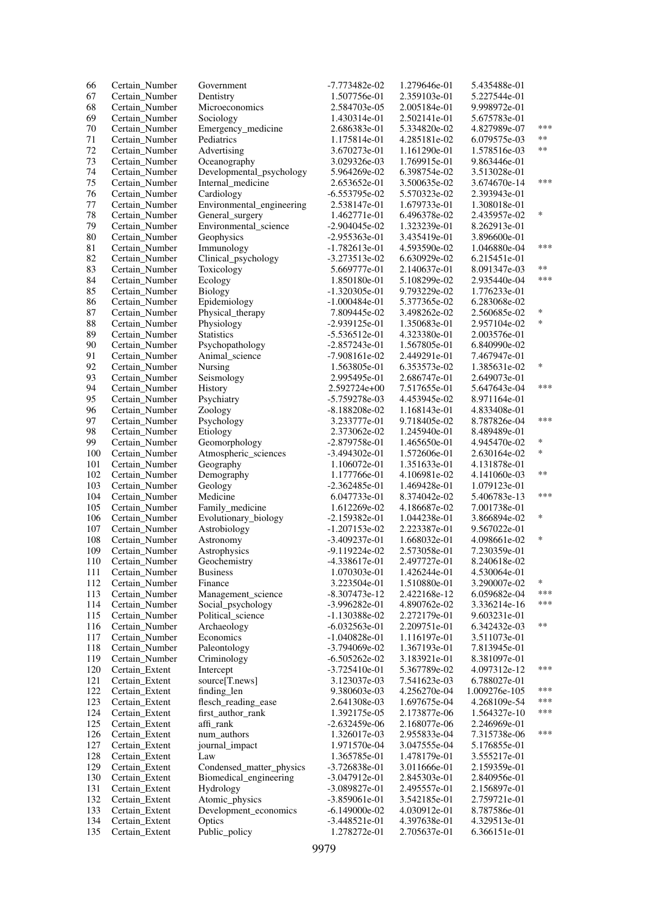| 66  | Certain Number | Government                | -7.773482e-02   | 1.279646e-01 | 5.435488e-01  |        |
|-----|----------------|---------------------------|-----------------|--------------|---------------|--------|
| 67  | Certain_Number | Dentistry                 | 1.507756e-01    | 2.359103e-01 | 5.227544e-01  |        |
| 68  | Certain_Number | Microeconomics            | 2.584703e-05    | 2.005184e-01 | 9.998972e-01  |        |
| 69  | Certain Number | Sociology                 | 1.430314e-01    | 2.502141e-01 | 5.675783e-01  |        |
|     |                |                           |                 |              |               | ***    |
| 70  | Certain_Number | Emergency_medicine        | 2.686383e-01    | 5.334820e-02 | 4.827989e-07  |        |
| 71  | Certain Number | Pediatrics                | 1.175814e-01    | 4.285181e-02 | 6.079575e-03  | $***$  |
| 72  | Certain Number | Advertising               | 3.670273e-01    | 1.161290e-01 | 1.578516e-03  | $***$  |
| 73  | Certain_Number | Oceanography              | 3.029326e-03    | 1.769915e-01 | 9.863446e-01  |        |
| 74  |                |                           | 5.964269e-02    | 6.398754e-02 | 3.513028e-01  |        |
|     | Certain_Number | Developmental_psychology  |                 |              |               | ***    |
| 75  | Certain_Number | Internal_medicine         | 2.653652e-01    | 3.500635e-02 | 3.674670e-14  |        |
| 76  | Certain_Number | Cardiology                | $-6.553795e-02$ | 5.570323e-02 | 2.393943e-01  |        |
| 77  | Certain_Number | Environmental_engineering | 2.538147e-01    | 1.679733e-01 | 1.308018e-01  |        |
| 78  | Certain_Number | General_surgery           | 1.462771e-01    | 6.496378e-02 | 2.435957e-02  | $\ast$ |
|     |                |                           |                 |              |               |        |
| 79  | Certain_Number | Environmental_science     | $-2.904045e-02$ | 1.323239e-01 | 8.262913e-01  |        |
| 80  | Certain_Number | Geophysics                | $-2.955363e-01$ | 3.435419e-01 | 3.896600e-01  |        |
| 81  | Certain Number | Immunology                | $-1.782613e-01$ | 4.593590e-02 | 1.046880e-04  | ***    |
| 82  | Certain_Number | Clinical_psychology       | -3.273513e-02   | 6.630929e-02 | 6.215451e-01  |        |
|     |                |                           |                 |              |               | $***$  |
| 83  | Certain_Number | Toxicology                | 5.669777e-01    | 2.140637e-01 | 8.091347e-03  |        |
| 84  | Certain_Number | Ecology                   | 1.850180e-01    | 5.108299e-02 | 2.935440e-04  | ***    |
| 85  | Certain_Number | Biology                   | $-1.320305e-01$ | 9.793229e-02 | 1.776233e-01  |        |
| 86  | Certain_Number | Epidemiology              | $-1.000484e-01$ | 5.377365e-02 | 6.283068e-02  |        |
|     |                |                           |                 | 3.498262e-02 |               | $\ast$ |
| 87  | Certain Number | Physical_therapy          | 7.809445e-02    |              | 2.560685e-02  |        |
| 88  | Certain_Number | Physiology                | $-2.939125e-01$ | 1.350683e-01 | 2.957104e-02  | $\ast$ |
| 89  | Certain_Number | <b>Statistics</b>         | $-5.536512e-01$ | 4.323380e-01 | 2.003576e-01  |        |
| 90  | Certain Number | Psychopathology           | $-2.857243e-01$ | 1.567805e-01 | 6.840990e-02  |        |
| 91  | Certain_Number | Animal_science            | $-7.908161e-02$ | 2.449291e-01 | 7.467947e-01  |        |
|     |                |                           |                 |              |               | $\ast$ |
| 92  | Certain_Number | Nursing                   | 1.563805e-01    | 6.353573e-02 | 1.385631e-02  |        |
| 93  | Certain_Number | Seismology                | 2.995495e-01    | 2.686747e-01 | 2.649073e-01  |        |
| 94  | Certain_Number | History                   | 2.592724e+00    | 7.517655e-01 | 5.647643e-04  | ***    |
| 95  | Certain_Number | Psychiatry                | -5.759278e-03   | 4.453945e-02 | 8.971164e-01  |        |
|     |                |                           |                 |              |               |        |
| 96  | Certain_Number | Zoology                   | -8.188208e-02   | 1.168143e-01 | 4.833408e-01  |        |
| 97  | Certain_Number | Psychology                | 3.233777e-01    | 9.718405e-02 | 8.787826e-04  | ***    |
| 98  | Certain_Number | Etiology                  | 2.373062e-02    | 1.245940e-01 | 8.489489e-01  |        |
| 99  | Certain_Number | Geomorphology             | -2.879758e-01   | 1.465650e-01 | 4.945470e-02  | $\ast$ |
| 100 | Certain_Number | Atmospheric_sciences      | -3.494302e-01   | 1.572606e-01 | 2.630164e-02  | $\ast$ |
|     |                |                           |                 |              |               |        |
| 101 | Certain_Number | Geography                 | 1.106072e-01    | 1.351633e-01 | 4.131878e-01  |        |
| 102 | Certain_Number | Demography                | 1.177766e-01    | 4.106981e-02 | 4.141060e-03  | $***$  |
| 103 | Certain_Number | Geology                   | $-2.362485e-01$ | 1.469428e-01 | 1.079123e-01  |        |
| 104 | Certain_Number | Medicine                  | 6.047733e-01    | 8.374042e-02 | 5.406783e-13  | ***    |
| 105 | Certain_Number | Family_medicine           | 1.612269e-02    | 4.186687e-02 | 7.001738e-01  |        |
|     |                |                           |                 |              |               | $\ast$ |
| 106 | Certain_Number | Evolutionary_biology      | $-2.159382e-01$ | 1.044238e-01 | 3.866894e-02  |        |
| 107 | Certain_Number | Astrobiology              | $-1.207153e-02$ | 2.223387e-01 | 9.567022e-01  |        |
| 108 | Certain_Number | Astronomy                 | -3.409237e-01   | 1.668032e-01 | 4.098661e-02  | $\ast$ |
| 109 | Certain_Number | Astrophysics              | $-9.119224e-02$ | 2.573058e-01 | 7.230359e-01  |        |
|     |                |                           |                 |              |               |        |
| 110 | Certain Number | Geochemistry              | -4.338617e-01   | 2.497727e-01 | 8.240618e-02  |        |
| 111 | Certain_Number | <b>Business</b>           | 1.070303e-01    | 1.426244e-01 | 4.530064e-01  |        |
| 112 | Certain_Number | Finance                   | 3.223504e-01    | 1.510880e-01 | 3.290007e-02  | $\ast$ |
| 113 | Certain_Number | Management science        | $-8.307473e-12$ | 2.422168e-12 | 6.059682e-04  | ***    |
| 114 | Certain_Number | Social_psychology         | $-3.996282e-01$ | 4.890762e-02 | 3.336214e-16  | ***    |
|     |                |                           |                 |              |               |        |
| 115 | Certain_Number | Political_science         | $-1.130388e-02$ | 2.272179e-01 | 9.603231e-01  |        |
| 116 | Certain_Number | Archaeology               | $-6.032563e-01$ | 2.209751e-01 | 6.342432e-03  | $***$  |
| 117 | Certain_Number | Economics                 | $-1.040828e-01$ | 1.116197e-01 | 3.511073e-01  |        |
| 118 | Certain_Number | Paleontology              | -3.794069e-02   | 1.367193e-01 | 7.813945e-01  |        |
| 119 | Certain_Number | Criminology               | $-6.505262e-02$ | 3.183921e-01 |               |        |
|     |                |                           |                 |              | 8.381097e-01  |        |
| 120 | Certain_Extent | Intercept                 | $-3.725410e-01$ | 5.367789e-02 | 4.097312e-12  | ***    |
| 121 | Certain Extent | source[T.news]            | 3.123037e-03    | 7.541623e-03 | 6.788027e-01  |        |
| 122 | Certain_Extent | finding len               | 9.380603e-03    | 4.256270e-04 | 1.009276e-105 | ***    |
| 123 | Certain_Extent | flesch_reading_ease       | 2.641308e-03    | 1.697675e-04 | 4.268109e-54  | ***    |
| 124 |                |                           |                 |              |               | ***    |
|     | Certain_Extent | first_author_rank         | 1.392175e-05    | 2.173877e-06 | 1.564327e-10  |        |
| 125 | Certain_Extent | affi_rank                 | $-2.632459e-06$ | 2.168077e-06 | 2.246969e-01  |        |
| 126 | Certain_Extent | num_authors               | 1.326017e-03    | 2.955833e-04 | 7.315738e-06  | ***    |
| 127 | Certain_Extent | journal_impact            | 1.971570e-04    | 3.047555e-04 | 5.176855e-01  |        |
| 128 | Certain_Extent | Law                       | 1.365785e-01    | 1.478179e-01 | 3.555217e-01  |        |
|     |                |                           |                 |              |               |        |
| 129 | Certain_Extent | Condensed matter physics  | $-3.726838e-01$ | 3.011666e-01 | 2.159359e-01  |        |
| 130 | Certain_Extent | Biomedical_engineering    | $-3.047912e-01$ | 2.845303e-01 | 2.840956e-01  |        |
| 131 | Certain_Extent | Hydrology                 | $-3.089827e-01$ | 2.495557e-01 | 2.156897e-01  |        |
| 132 | Certain_Extent | Atomic_physics            | $-3.859061e-01$ | 3.542185e-01 | 2.759721e-01  |        |
| 133 | Certain_Extent | Development_economics     | $-6.149000e-02$ | 4.030912e-01 | 8.787586e-01  |        |
|     |                |                           |                 |              |               |        |
| 134 | Certain_Extent | Optics                    | $-3.448521e-01$ | 4.397638e-01 | 4.329513e-01  |        |
| 135 | Certain_Extent | Public_policy             | 1.278272e-01    | 2.705637e-01 | 6.366151e-01  |        |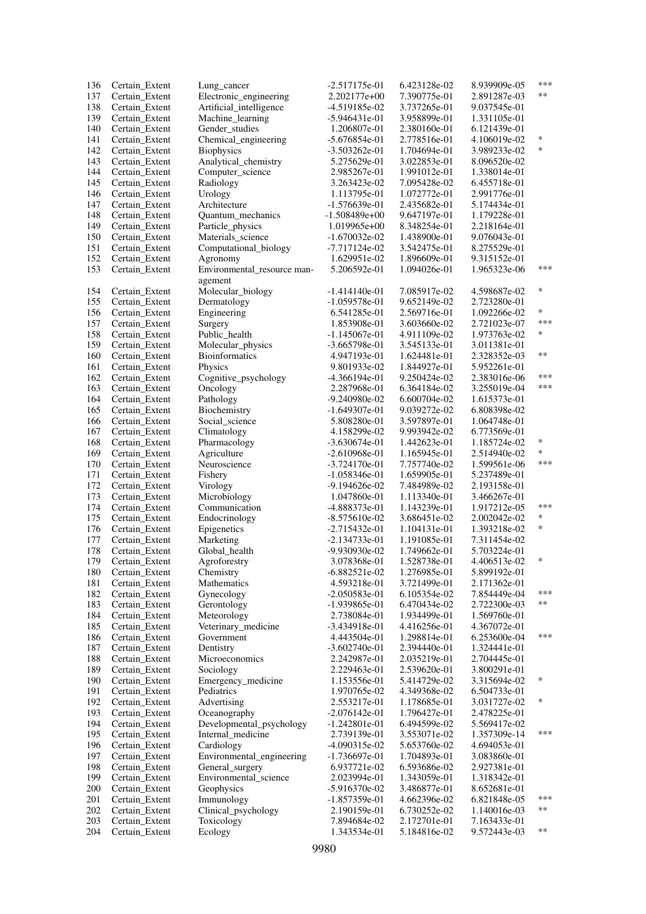| 136 | Certain_Extent                   | Lung_cancer                  | $-2.517175e-01$ | 6.423128e-02 | 8.939909e-05 | ***    |
|-----|----------------------------------|------------------------------|-----------------|--------------|--------------|--------|
| 137 | Certain Extent                   | Electronic_engineering       | 2.202177e+00    | 7.390775e-01 | 2.891287e-03 | $***$  |
| 138 | Certain Extent                   | Artificial_intelligence      | -4.519185e-02   | 3.737265e-01 | 9.037545e-01 |        |
| 139 | Certain_Extent                   | Machine_learning             | $-5.946431e-01$ | 3.958899e-01 | 1.331105e-01 |        |
| 140 | Certain_Extent                   | Gender_studies               | 1.206807e-01    | 2.380160e-01 | 6.121439e-01 |        |
| 141 | Certain_Extent                   | Chemical_engineering         | $-5.676854e-01$ | 2.778516e-01 | 4.106019e-02 | *      |
| 142 | Certain_Extent                   | <b>Biophysics</b>            | $-3.503262e-01$ | 1.704694e-01 | 3.989233e-02 | $\ast$ |
| 143 | Certain_Extent                   | Analytical_chemistry         | 5.275629e-01    | 3.022853e-01 | 8.096520e-02 |        |
| 144 | Certain_Extent                   | Computer_science             | 2.985267e-01    | 1.991012e-01 | 1.338014e-01 |        |
| 145 | Certain_Extent                   | Radiology                    | 3.263423e-02    | 7.095428e-02 | 6.455718e-01 |        |
| 146 | Certain_Extent                   | Urology                      | 1.113795e-01    | 1.072772e-01 | 2.991776e-01 |        |
| 147 | Certain_Extent                   | Architecture                 | $-1.576639e-01$ | 2.435682e-01 | 5.174434e-01 |        |
| 148 | Certain_Extent                   | Quantum_mechanics            | $-1.508489e+00$ | 9.647197e-01 | 1.179228e-01 |        |
| 149 | Certain_Extent                   | Particle_physics             | 1.019965e+00    | 8.348254e-01 | 2.218164e-01 |        |
| 150 | Certain_Extent                   | Materials_science            | $-1.670032e-02$ | 1.438900e-01 | 9.076043e-01 |        |
| 151 | Certain_Extent                   | Computational_biology        | -7.717124e-02   | 3.542475e-01 | 8.275529e-01 |        |
| 152 | Certain_Extent                   | Agronomy                     | 1.629951e-02    | 1.896609e-01 | 9.315152e-01 |        |
| 153 | Certain_Extent                   | Environmental_resource man-  | 5.206592e-01    | 1.094026e-01 | 1.965323e-06 | ***    |
|     |                                  |                              |                 |              |              |        |
|     |                                  | agement<br>Molecular_biology |                 |              | 4.598687e-02 | *      |
| 154 | Certain_Extent                   |                              | $-1.414140e-01$ | 7.085917e-02 |              |        |
| 155 | Certain_Extent                   | Dermatology                  | $-1.059578e-01$ | 9.652149e-02 | 2.723280e-01 | *      |
| 156 | Certain Extent                   | Engineering                  | 6.541285e-01    | 2.569716e-01 | 1.092266e-02 | ***    |
| 157 | Certain_Extent                   | Surgery                      | 1.853908e-01    | 3.603660e-02 | 2.721023e-07 |        |
| 158 | Certain_Extent                   | Public_health                | $-1.145067e-01$ | 4.911109e-02 | 1.973763e-02 | *      |
| 159 | Certain_Extent                   | Molecular_physics            | $-3.665798e-01$ | 3.545133e-01 | 3.011381e-01 |        |
| 160 | Certain_Extent                   | <b>Bioinformatics</b>        | 4.947193e-01    | 1.624481e-01 | 2.328352e-03 | **     |
| 161 | Certain_Extent                   | Physics                      | 9.801933e-02    | 1.844927e-01 | 5.952261e-01 |        |
| 162 | Certain_Extent                   | Cognitive_psychology         | $-4.366194e-01$ | 9.250424e-02 | 2.383016e-06 | ***    |
| 163 | Certain_Extent                   | Oncology                     | 2.287968e-01    | 6.364184e-02 | 3.255019e-04 | ***    |
| 164 | Certain_Extent                   | Pathology                    | -9.240980e-02   | 6.600704e-02 | 1.615373e-01 |        |
| 165 | Certain_Extent                   | Biochemistry                 | $-1.649307e-01$ | 9.039272e-02 | 6.808398e-02 |        |
| 166 | Certain_Extent                   | Social_science               | 5.808280e-01    | 3.597897e-01 | 1.064748e-01 |        |
| 167 | Certain_Extent                   | Climatology                  | 4.158299e-02    | 9.993942e-02 | 6.773569e-01 |        |
| 168 | Certain_Extent                   | Pharmacology                 | $-3.630674e-01$ | 1.442623e-01 | 1.185724e-02 | ∗      |
| 169 | Certain_Extent                   | Agriculture                  | $-2.610968e-01$ | 1.165945e-01 | 2.514940e-02 | *      |
| 170 | Certain_Extent                   | Neuroscience                 | -3.724170e-01   | 7.757740e-02 | 1.599561e-06 | ***    |
| 171 | Certain_Extent                   | Fishery                      | $-1.058346e-01$ | 1.659905e-01 | 5.237489e-01 |        |
| 172 | Certain_Extent                   | Virology                     | -9.194626e-02   | 7.484989e-02 | 2.193158e-01 |        |
| 173 | Certain_Extent                   | Microbiology                 | 1.047860e-01    | 1.113340e-01 | 3.466267e-01 |        |
| 174 | Certain_Extent                   | Communication                | -4.888373e-01   | 1.143239e-01 | 1.917212e-05 | ***    |
| 175 | Certain_Extent                   | Endocrinology                | -8.575610e-02   | 3.686451e-02 | 2.002042e-02 | *      |
| 176 | Certain_Extent                   | Epigenetics                  | $-2.715432e-01$ | 1.104131e-01 | 1.393218e-02 | ∗      |
| 177 | Certain_Extent                   | Marketing                    | $-2.134733e-01$ | 1.191085e-01 | 7.311454e-02 |        |
| 178 | Certain_Extent                   | Global health                | -9.930930e-02   | 1.749662e-01 | 5.703224e-01 |        |
| 179 | Certain_Extent                   | Agroforestry                 | 3.078368e-01    | 1.528738e-01 | 4.406513e-02 | $\ast$ |
| 180 | Certain_Extent                   | Chemistry                    | $-6.882521e-02$ | 1.276985e-01 | 5.899192e-01 |        |
| 181 | Certain_Extent                   | Mathematics                  | 4.593218e-01    | 3.721499e-01 | 2.171362e-01 |        |
| 182 | Certain_Extent                   | Gynecology                   | $-2.050583e-01$ | 6.105354e-02 | 7.854449e-04 | ***    |
| 183 | Certain_Extent                   | Gerontology                  | -1.939865e-01   | 6.470434e-02 | 2.722300e-03 | **     |
| 184 | Certain_Extent                   | Meteorology                  | 2.738084e-01    | 1.934499e-01 | 1.569760e-01 |        |
| 185 | Certain_Extent                   | Veterinary_medicine          | $-3.434918e-01$ | 4.416256e-01 | 4.367072e-01 |        |
| 186 | Certain_Extent                   | Government                   | 4.443504e-01    | 1.298814e-01 | 6.253600e-04 | ***    |
| 187 | Certain_Extent                   | Dentistry                    | $-3.602740e-01$ | 2.394440e-01 | 1.324441e-01 |        |
| 188 | Certain_Extent                   | Microeconomics               | 2.242987e-01    | 2.035219e-01 | 2.704445e-01 |        |
| 189 | Certain_Extent                   | Sociology                    | 2.229463e-01    | 2.539620e-01 | 3.800291e-01 |        |
| 190 | Certain_Extent                   | Emergency_medicine           | 1.153556e-01    | 5.414729e-02 | 3.315694e-02 | ∗      |
| 191 | Certain_Extent                   | Pediatrics                   | 1.970765e-02    | 4.349368e-02 | 6.504733e-01 |        |
| 192 | Certain Extent                   | Advertising                  | 2.553217e-01    | 1.178685e-01 | 3.031727e-02 | ∗      |
| 193 | Certain_Extent                   | Oceanography                 | $-2.076142e-01$ | 1.796427e-01 | 2.478225e-01 |        |
| 194 | Certain_Extent                   | Developmental_psychology     | $-1.242801e-01$ | 6.494599e-02 | 5.569417e-02 |        |
| 195 |                                  |                              |                 |              |              | ***    |
| 196 | Certain_Extent<br>Certain Extent | Internal_medicine            | 2.739139e-01    | 3.553071e-02 | 1.357309e-14 |        |
| 197 |                                  | Cardiology                   | -4.090315e-02   | 5.653760e-02 | 4.694053e-01 |        |
|     | Certain_Extent                   | Environmental_engineering    | $-1.736697e-01$ | 1.704893e-01 | 3.083860e-01 |        |
| 198 | Certain_Extent                   | General_surgery              | 6.937721e-02    | 6.593686e-02 | 2.927381e-01 |        |
| 199 | Certain_Extent                   | Environmental_science        | 2.023994e-01    | 1.343059e-01 | 1.318342e-01 |        |
| 200 | Certain_Extent                   | Geophysics                   | $-5.916370e-02$ | 3.486877e-01 | 8.652681e-01 |        |
| 201 | Certain_Extent                   | Immunology                   | $-1.857359e-01$ | 4.662396e-02 | 6.821848e-05 | ***    |
| 202 | Certain_Extent                   | Clinical_psychology          | 2.190159e-01    | 6.730252e-02 | 1.140016e-03 | **     |
| 203 | Certain_Extent                   | Toxicology                   | 7.894684e-02    | 2.172701e-01 | 7.163433e-01 |        |
| 204 | Certain_Extent                   | Ecology                      | 1.343534e-01    | 5.184816e-02 | 9.572443e-03 | **     |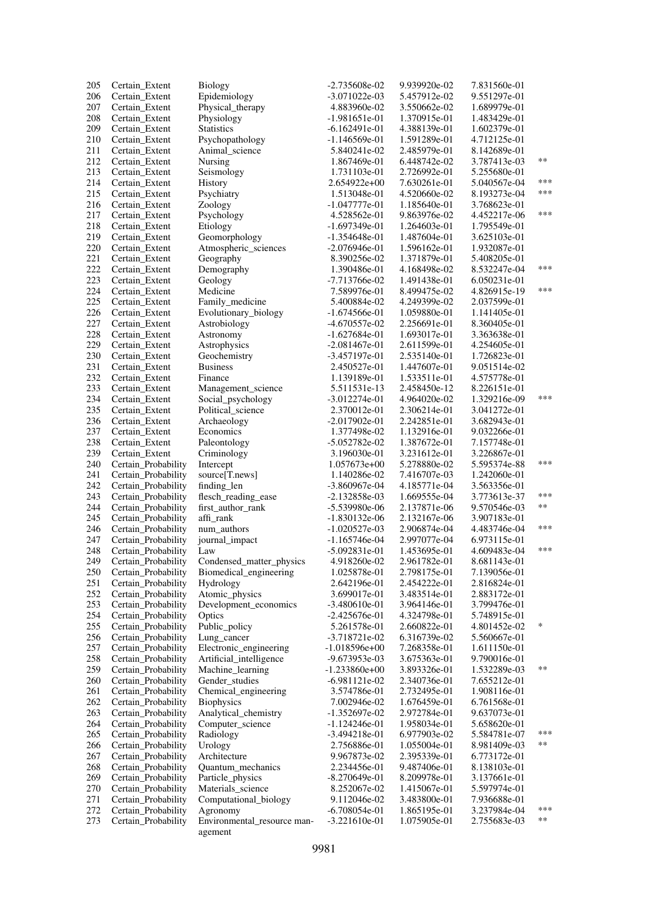| 205        | Certain_Extent                             | <b>Biology</b>                          | $-2.735608e-02$                 | 9.939920e-02                 | 7.831560e-01                 |       |
|------------|--------------------------------------------|-----------------------------------------|---------------------------------|------------------------------|------------------------------|-------|
| 206        | Certain_Extent                             | Epidemiology                            | $-3.071022e-03$                 | 5.457912e-02                 | 9.551297e-01                 |       |
| 207        | Certain_Extent                             | Physical_therapy                        | 4.883960e-02                    | 3.550662e-02                 | 1.689979e-01                 |       |
| 208        | Certain_Extent                             | Physiology                              | $-1.981651e-01$                 | 1.370915e-01                 | 1.483429e-01                 |       |
| 209        | Certain_Extent                             | <b>Statistics</b>                       | $-6.162491e-01$                 | 4.388139e-01                 | 1.602379e-01                 |       |
| 210        | Certain_Extent                             | Psychopathology                         | $-1.146569e-01$                 | 1.591289e-01                 | 4.712125e-01                 |       |
| 211        | Certain_Extent                             | Animal science                          | 5.840241e-02                    | 2.485979e-01                 | 8.142689e-01                 |       |
| 212        | Certain_Extent                             | Nursing                                 | 1.867469e-01                    | 6.448742e-02                 | 3.787413e-03                 | **    |
| 213        | Certain_Extent                             | Seismology                              | 1.731103e-01                    | 2.726992e-01                 | 5.255680e-01                 |       |
| 214        | Certain_Extent                             | History                                 | 2.654922e+00                    | 7.630261e-01                 | 5.040567e-04                 | ***   |
| 215        | Certain_Extent                             | Psychiatry                              | 1.513048e-01                    | 4.520660e-02                 | 8.193273e-04                 | ***   |
| 216        | Certain Extent                             | Zoology                                 | -1.047777e-01                   | 1.185640e-01                 | 3.768623e-01                 |       |
| 217        | Certain_Extent                             | Psychology                              | 4.528562e-01                    | 9.863976e-02                 | 4.452217e-06                 | ***   |
| 218        | Certain Extent                             | Etiology                                | $-1.697349e-01$                 | 1.264603e-01                 | 1.795549e-01                 |       |
| 219        | Certain_Extent                             | Geomorphology                           | -1.354648e-01                   | 1.487604e-01                 | 3.625103e-01                 |       |
| 220        | Certain_Extent                             | Atmospheric_sciences                    | $-2.076946e-01$                 | 1.596162e-01                 | 1.932087e-01                 |       |
| 221        | Certain_Extent                             | Geography                               | 8.390256e-02                    | 1.371879e-01                 | 5.408205e-01                 |       |
| 222        | Certain_Extent                             | Demography                              | 1.390486e-01                    | 4.168498e-02                 | 8.532247e-04                 | ***   |
| 223        | Certain_Extent                             | Geology                                 | -7.713766e-02                   | 1.491438e-01                 | 6.050231e-01                 |       |
| 224        | Certain_Extent                             | Medicine                                | 7.589976e-01                    | 8.499475e-02                 | 4.826915e-19                 | ***   |
| 225        | Certain_Extent                             | Family_medicine                         | 5.400884e-02                    | 4.249399e-02                 | 2.037599e-01                 |       |
| 226        | Certain_Extent                             | Evolutionary_biology                    | -1.674566e-01                   | 1.059880e-01                 | 1.141405e-01                 |       |
| 227        | Certain_Extent                             | Astrobiology                            | -4.670557e-02                   | 2.256691e-01                 | 8.360405e-01                 |       |
| 228        | Certain_Extent                             | Astronomy                               | $-1.627684e-01$                 | 1.693017e-01                 | 3.363638e-01                 |       |
| 229        | Certain_Extent                             | Astrophysics                            | $-2.081467e-01$                 | 2.611599e-01                 | 4.254605e-01                 |       |
| 230        | Certain_Extent                             | Geochemistry                            | -3.457197e-01                   | 2.535140e-01                 | 1.726823e-01                 |       |
| 231        | Certain_Extent                             | <b>Business</b>                         | 2.450527e-01                    | 1.447607e-01                 | 9.051514e-02                 |       |
| 232        | Certain_Extent                             | Finance                                 | 1.139189e-01                    | 1.533511e-01                 | 4.575778e-01                 |       |
| 233        | Certain Extent                             | Management_science                      | 5.511531e-13                    | 2.458450e-12                 | 8.226151e-01                 | ***   |
| 234        | Certain_Extent                             | Social_psychology                       | $-3.012274e-01$                 | 4.964020e-02                 | 1.329216e-09                 |       |
| 235        | Certain_Extent                             | Political_science                       | 2.370012e-01                    | 2.306214e-01                 | 3.041272e-01                 |       |
| 236        | Certain_Extent                             | Archaeology                             | $-2.017902e-01$                 | 2.242851e-01                 | 3.682943e-01                 |       |
| 237        | Certain_Extent                             | Economics                               | 1.377498e-02                    | 1.132916e-01                 | 9.032266e-01                 |       |
| 238<br>239 | Certain_Extent<br>Certain_Extent           | Paleontology                            | $-5.052782e-02$<br>3.196030e-01 | 1.387672e-01<br>3.231612e-01 | 7.157748e-01<br>3.226867e-01 |       |
| 240        | Certain_Probability                        | Criminology<br>Intercept                | $1.057673e+00$                  | 5.278880e-02                 | 5.595374e-88                 | ***   |
| 241        | Certain_Probability                        | source[T.news]                          | 1.140286e-02                    | 7.416707e-03                 | 1.242060e-01                 |       |
| 242        | Certain_Probability                        | finding_len                             | -3.860967e-04                   | 4.185771e-04                 | 3.563356e-01                 |       |
| 243        | Certain_Probability                        | flesch_reading_ease                     | $-2.132858e-03$                 | 1.669555e-04                 | 3.773613e-37                 | ***   |
| 244        | Certain_Probability                        | first_author_rank                       | -5.539980e-06                   | 2.137871e-06                 | 9.570546e-03                 | **    |
| 245        | Certain_Probability                        | affi_rank                               | -1.830132e-06                   | 2.132167e-06                 | 3.907183e-01                 |       |
| 246        | Certain_Probability                        | num_authors                             | $-1.020527e-03$                 | 2.906874e-04                 | 4.483746e-04                 | ***   |
| 247        | Certain_Probability                        | journal_impact                          | $-1.165746e-04$                 | 2.997077e-04                 | 6.973115e-01                 |       |
| 248        | Certain_Probability                        | Law                                     | $-5.092831e-01$                 | 1.453695e-01                 | 4.609483e-04                 | ***   |
| 249        | Certain_Probability                        | Condensed_matter_physics                | 4.918260e-02                    | 2.961782e-01                 | 8.681143e-01                 |       |
| 250        | Certain_Probability                        | Biomedical_engineering                  | 1.025878e-01                    | 2.798175e-01                 | 7.139056e-01                 |       |
| 251        | Certain_Probability                        | Hydrology                               | 2.642196e-01                    | 2.454222e-01                 | 2.816824e-01                 |       |
| 252        | Certain_Probability                        | Atomic_physics                          | 3.699017e-01                    | 3.483514e-01                 | 2.883172e-01                 |       |
| 253        | Certain Probability                        | Development_economics                   | -3.480610e-01                   | 3.964146e-01                 | 3.799476e-01                 |       |
| 254        | Certain Probability                        | Optics                                  | $-2.425676e-01$                 | 4.324798e-01                 | 5.748915e-01                 |       |
| 255        | Certain_Probability                        | Public_policy                           | 5.261578e-01                    | 2.660822e-01                 | 4.801452e-02                 | ∗     |
| 256        | Certain Probability                        | Lung cancer                             | $-3.718721e-02$                 | 6.316739e-02                 | 5.560667e-01                 |       |
| 257        | Certain_Probability                        | Electronic_engineering                  | $-1.018596e+00$                 | 7.268358e-01                 | 1.611150e-01                 |       |
| 258        | Certain_Probability                        | Artificial_intelligence                 | -9.673953e-03                   | 3.675363e-01                 | 9.790016e-01                 |       |
| 259        | Certain_Probability                        | Machine_learning                        | $-1.233860e+00$                 | 3.893326e-01                 | 1.532289e-03                 | $***$ |
| 260        | Certain_Probability                        | Gender_studies                          | $-6.981121e-02$                 | 2.340736e-01                 | 7.655212e-01                 |       |
| 261        | Certain_Probability                        | Chemical_engineering                    | 3.574786e-01                    | 2.732495e-01                 | 1.908116e-01                 |       |
| 262        | Certain_Probability                        | <b>Biophysics</b>                       | 7.002946e-02                    | 1.676459e-01                 | 6.761568e-01                 |       |
| 263        | Certain_Probability                        | Analytical_chemistry                    | $-1.352697e-02$                 | 2.972784e-01                 | 9.637073e-01                 |       |
| 264        | Certain_Probability                        | Computer_science                        | $-1.124246e-01$                 | 1.958034e-01                 | 5.658620e-01                 |       |
| 265        | Certain Probability                        | Radiology                               | -3.494218e-01                   | 6.977903e-02                 | 5.584781e-07                 | ***   |
| 266        | Certain_Probability                        | Urology                                 | 2.756886e-01                    | 1.055004e-01                 | 8.981409e-03                 | $***$ |
| 267        | Certain_Probability                        | Architecture                            | 9.967873e-02                    | 2.395339e-01                 | 6.773172e-01                 |       |
| 268        | Certain Probability                        | Quantum mechanics                       | 2.234456e-01                    | 9.487406e-01                 | 8.138103e-01                 |       |
| 269        | Certain_Probability                        | Particle_physics                        | $-8.270649e-01$                 | 8.209978e-01                 | 3.137661e-01                 |       |
| 270        | Certain Probability                        | Materials_science                       | 8.252067e-02                    | 1.415067e-01                 | 5.597974e-01                 |       |
| 271<br>272 | Certain_Probability                        | Computational_biology                   | 9.112046e-02<br>$-6.708054e-01$ | 3.483800e-01<br>1.865195e-01 | 7.936688e-01<br>3.237984e-04 | ***   |
| 273        | Certain_Probability<br>Certain_Probability | Agronomy<br>Environmental_resource man- | $-3.221610e-01$                 | 1.075905e-01                 | 2.755683e-03                 | $***$ |
|            |                                            | agement                                 |                                 |                              |                              |       |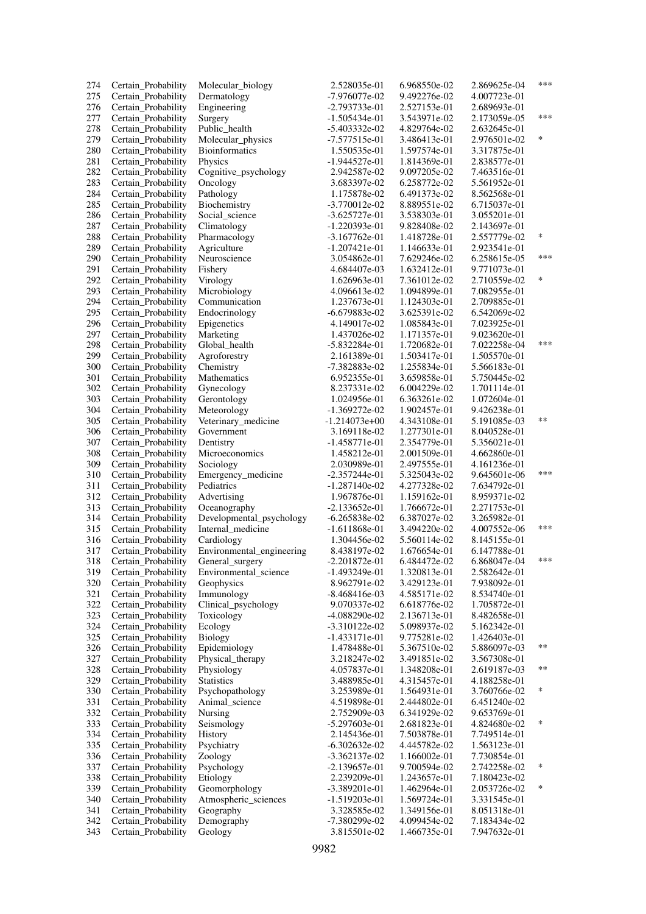| 274 | Certain_Probability | Molecular_biology         | 2.528035e-01    | 6.968550e-02 | 2.869625e-04 | ***   |
|-----|---------------------|---------------------------|-----------------|--------------|--------------|-------|
| 275 | Certain_Probability | Dermatology               | -7.976077e-02   | 9.492276e-02 | 4.007723e-01 |       |
| 276 | Certain_Probability | Engineering               | -2.793733e-01   | 2.527153e-01 | 2.689693e-01 |       |
| 277 | Certain_Probability | Surgery                   | $-1.505434e-01$ | 3.543971e-02 | 2.173059e-05 | ***   |
| 278 | Certain_Probability | Public_health             | -5.403332e-02   | 4.829764e-02 | 2.632645e-01 |       |
| 279 | Certain_Probability | Molecular_physics         | -7.577515e-01   | 3.486413e-01 | 2.976501e-02 | ∗     |
| 280 | Certain_Probability | <b>Bioinformatics</b>     | 1.550535e-01    | 1.597574e-01 | 3.317875e-01 |       |
| 281 | Certain_Probability | Physics                   | -1.944527e-01   | 1.814369e-01 | 2.838577e-01 |       |
| 282 | Certain_Probability | Cognitive_psychology      | 2.942587e-02    | 9.097205e-02 | 7.463516e-01 |       |
| 283 | Certain_Probability | Oncology                  | 3.683397e-02    | 6.258772e-02 | 5.561952e-01 |       |
| 284 | Certain_Probability | Pathology                 | 1.175878e-02    | 6.491373e-02 | 8.562568e-01 |       |
|     |                     |                           |                 |              |              |       |
| 285 | Certain_Probability | Biochemistry              | $-3.770012e-02$ | 8.889551e-02 | 6.715037e-01 |       |
| 286 | Certain_Probability | Social science            | $-3.625727e-01$ | 3.538303e-01 | 3.055201e-01 |       |
| 287 | Certain_Probability | Climatology               | $-1.220393e-01$ | 9.828408e-02 | 2.143697e-01 |       |
| 288 | Certain_Probability | Pharmacology              | $-3.167762e-01$ | 1.418728e-01 | 2.557779e-02 | *     |
| 289 | Certain_Probability | Agriculture               | $-1.207421e-01$ | 1.146633e-01 | 2.923541e-01 |       |
| 290 | Certain_Probability | Neuroscience              | 3.054862e-01    | 7.629246e-02 | 6.258615e-05 | ***   |
| 291 | Certain_Probability | Fishery                   | 4.684407e-03    | 1.632412e-01 | 9.771073e-01 |       |
| 292 | Certain_Probability | Virology                  | 1.626963e-01    | 7.361012e-02 | 2.710559e-02 | *     |
| 293 | Certain_Probability | Microbiology              | 4.096613e-02    | 1.094899e-01 | 7.082955e-01 |       |
| 294 | Certain_Probability | Communication             | 1.237673e-01    | 1.124303e-01 | 2.709885e-01 |       |
| 295 | Certain_Probability | Endocrinology             | $-6.679883e-02$ | 3.625391e-02 | 6.542069e-02 |       |
| 296 | Certain_Probability | Epigenetics               | 4.149017e-02    | 1.085843e-01 | 7.023925e-01 |       |
| 297 | Certain_Probability | Marketing                 | 1.437026e-02    | 1.171357e-01 | 9.023620e-01 |       |
| 298 | Certain_Probability | Global health             | $-5.832284e-01$ | 1.720682e-01 | 7.022258e-04 | ***   |
| 299 | Certain_Probability | Agroforestry              | 2.161389e-01    | 1.503417e-01 | 1.505570e-01 |       |
| 300 | Certain_Probability | Chemistry                 | -7.382883e-02   | 1.255834e-01 | 5.566183e-01 |       |
| 301 | Certain_Probability | Mathematics               | 6.952355e-01    | 3.659858e-01 | 5.750445e-02 |       |
| 302 | Certain Probability |                           | 8.237331e-02    | 6.004229e-02 | 1.701114e-01 |       |
|     |                     | Gynecology                |                 |              |              |       |
| 303 | Certain_Probability | Gerontology               | 1.024956e-01    | 6.363261e-02 | 1.072604e-01 |       |
| 304 | Certain_Probability | Meteorology               | $-1.369272e-02$ | 1.902457e-01 | 9.426238e-01 |       |
| 305 | Certain_Probability | Veterinary_medicine       | $-1.214073e+00$ | 4.343108e-01 | 5.191085e-03 | **    |
| 306 | Certain_Probability | Government                | 3.169118e-02    | 1.277301e-01 | 8.040528e-01 |       |
| 307 | Certain_Probability | Dentistry                 | $-1.458771e-01$ | 2.354779e-01 | 5.356021e-01 |       |
| 308 | Certain_Probability | Microeconomics            | 1.458212e-01    | 2.001509e-01 | 4.662860e-01 |       |
| 309 | Certain_Probability | Sociology                 | 2.030989e-01    | 2.497555e-01 | 4.161236e-01 |       |
| 310 | Certain_Probability | Emergency_medicine        | $-2.357244e-01$ | 5.325043e-02 | 9.645601e-06 | ***   |
| 311 | Certain_Probability | Pediatrics                | $-1.287140e-02$ | 4.277328e-02 | 7.634792e-01 |       |
| 312 | Certain_Probability | Advertising               | 1.967876e-01    | 1.159162e-01 | 8.959371e-02 |       |
| 313 | Certain_Probability | Oceanography              | $-2.133652e-01$ | 1.766672e-01 | 2.271753e-01 |       |
| 314 | Certain_Probability | Developmental_psychology  | $-6.265838e-02$ | 6.387027e-02 | 3.265982e-01 |       |
| 315 | Certain_Probability | Internal medicine         | $-1.611868e-01$ | 3.494220e-02 | 4.007552e-06 | ***   |
| 316 | Certain_Probability | Cardiology                | 1.304456e-02    | 5.560114e-02 | 8.145155e-01 |       |
| 317 | Certain_Probability | Environmental_engineering | 8.438197e-02    | 1.676654e-01 | 6.147788e-01 |       |
| 318 | Certain_Probability | General_surgery           | $-2.201872e-01$ | 6.484472e-02 | 6.868047e-04 | ***   |
| 319 | Certain_Probability | Environmental_science     | -1.493249e-01   | 1.320813e-01 | 2.582642e-01 |       |
| 320 | Certain_Probability | Geophysics                | 8.962791e-02    | 3.429123e-01 | 7.938092e-01 |       |
| 321 | Certain_Probability | Immunology                | $-8.468416e-03$ | 4.585171e-02 | 8.534740e-01 |       |
| 322 | Certain Probability | Clinical_psychology       | 9.070337e-02    | 6.618776e-02 | 1.705872e-01 |       |
| 323 | Certain Probability | Toxicology                | $-4.088290e-02$ | 2.136713e-01 | 8.482658e-01 |       |
| 324 | Certain_Probability | Ecology                   | $-3.310122e-02$ | 5.098937e-02 | 5.162342e-01 |       |
|     |                     |                           |                 |              | 1.426403e-01 |       |
| 325 | Certain_Probability | Biology                   | $-1.433171e-01$ | 9.775281e-02 | 5.886097e-03 | $***$ |
| 326 | Certain_Probability | Epidemiology              | 1.478488e-01    | 5.367510e-02 |              |       |
| 327 | Certain_Probability | Physical_therapy          | 3.218247e-02    | 3.491851e-02 | 3.567308e-01 |       |
| 328 | Certain_Probability | Physiology                | 4.057837e-01    | 1.348208e-01 | 2.619187e-03 | $***$ |
| 329 | Certain_Probability | Statistics                | 3.488985e-01    | 4.315457e-01 | 4.188258e-01 |       |
| 330 | Certain_Probability | Psychopathology           | 3.253989e-01    | 1.564931e-01 | 3.760766e-02 | ∗     |
| 331 | Certain_Probability | Animal science            | 4.519898e-01    | 2.444802e-01 | 6.451240e-02 |       |
| 332 | Certain_Probability | Nursing                   | 2.752909e-03    | 6.341929e-02 | 9.653769e-01 |       |
| 333 | Certain_Probability | Seismology                | $-5.297603e-01$ | 2.681823e-01 | 4.824680e-02 | *     |
| 334 | Certain_Probability | History                   | 2.145436e-01    | 7.503878e-01 | 7.749514e-01 |       |
| 335 | Certain_Probability | Psychiatry                | $-6.302632e-02$ | 4.445782e-02 | 1.563123e-01 |       |
| 336 | Certain_Probability | Zoology                   | $-3.362137e-02$ | 1.166002e-01 | 7.730854e-01 |       |
| 337 | Certain_Probability | Psychology                | $-2.139657e-01$ | 9.700594e-02 | 2.742258e-02 | ∗     |
| 338 | Certain_Probability | Etiology                  | 2.239209e-01    | 1.243657e-01 | 7.180423e-02 |       |
| 339 | Certain Probability | Geomorphology             | -3.389201e-01   | 1.462964e-01 | 2.053726e-02 | ∗     |
| 340 | Certain_Probability | Atmospheric_sciences      | $-1.519203e-01$ | 1.569724e-01 | 3.331545e-01 |       |
| 341 | Certain_Probability | Geography                 | 3.328585e-02    | 1.349156e-01 | 8.051318e-01 |       |
| 342 | Certain_Probability | Demography                | -7.380299e-02   | 4.099454e-02 | 7.183434e-02 |       |
| 343 | Certain_Probability | Geology                   | 3.815501e-02    | 1.466735e-01 | 7.947632e-01 |       |
|     |                     |                           |                 |              |              |       |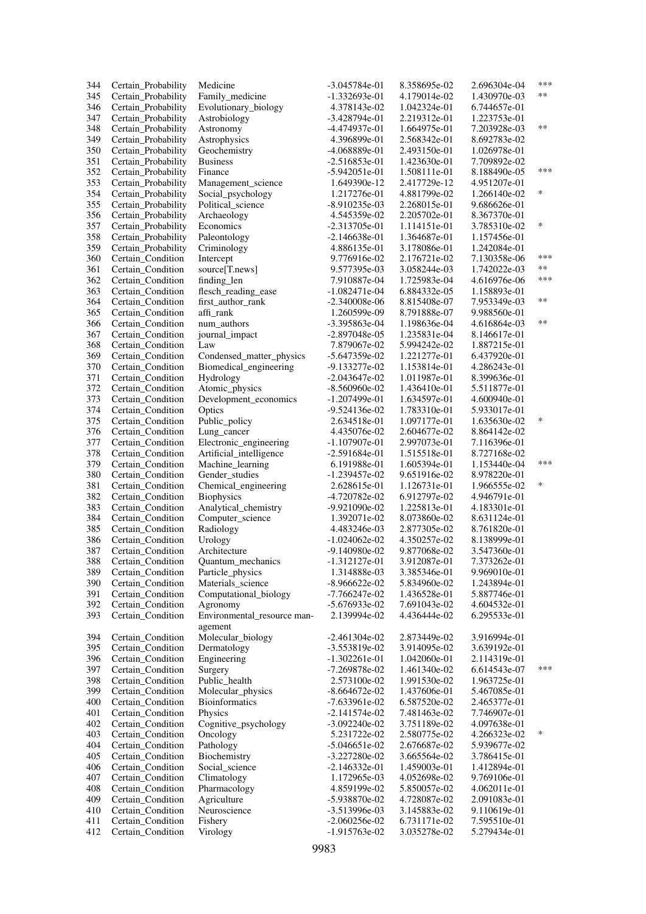| 344 | Certain_Probability | Medicine                               | $-3.045784e-01$ | 8.358695e-02 | 2.696304e-04 | ***    |
|-----|---------------------|----------------------------------------|-----------------|--------------|--------------|--------|
| 345 | Certain_Probability | Family_medicine                        | -1.332693e-01   | 4.179014e-02 | 1.430970e-03 | $**$   |
| 346 | Certain_Probability | Evolutionary_biology                   | 4.378143e-02    | 1.042324e-01 | 6.744657e-01 |        |
| 347 | Certain_Probability | Astrobiology                           | $-3.428794e-01$ | 2.219312e-01 | 1.223753e-01 |        |
| 348 | Certain_Probability | Astronomy                              | -4.474937e-01   | 1.664975e-01 | 7.203928e-03 | $***$  |
| 349 | Certain_Probability | Astrophysics                           | 4.396899e-01    | 2.568342e-01 | 8.692783e-02 |        |
| 350 | Certain_Probability | Geochemistry                           | -4.068889e-01   | 2.493150e-01 | 1.026978e-01 |        |
| 351 | Certain_Probability | <b>Business</b>                        | $-2.516853e-01$ | 1.423630e-01 | 7.709892e-02 |        |
| 352 | Certain_Probability | Finance                                | $-5.942051e-01$ | 1.508111e-01 | 8.188490e-05 | ***    |
| 353 | Certain_Probability | Management science                     | 1.649390e-12    | 2.417729e-12 | 4.951207e-01 |        |
| 354 | Certain Probability | Social_psychology                      | 1.217276e-01    | 4.881799e-02 | 1.266140e-02 | $\ast$ |
|     |                     |                                        |                 |              |              |        |
| 355 | Certain_Probability | Political_science                      | -8.910235e-03   | 2.268015e-01 | 9.686626e-01 |        |
| 356 | Certain_Probability | Archaeology                            | 4.545359e-02    | 2.205702e-01 | 8.367370e-01 | $\ast$ |
| 357 | Certain Probability | Economics                              | $-2.313705e-01$ | 1.114151e-01 | 3.785310e-02 |        |
| 358 | Certain_Probability | Paleontology                           | $-2.146638e-01$ | 1.364687e-01 | 1.157456e-01 |        |
| 359 | Certain_Probability | Criminology                            | 4.886135e-01    | 3.178086e-01 | 1.242084e-01 |        |
| 360 | Certain_Condition   | Intercept                              | 9.776916e-02    | 2.176721e-02 | 7.130358e-06 | ***    |
| 361 | Certain Condition   | source[T.news]                         | 9.577395e-03    | 3.058244e-03 | 1.742022e-03 | **     |
| 362 | Certain_Condition   | finding_len                            | 7.910887e-04    | 1.725983e-04 | 4.616976e-06 | ***    |
| 363 | Certain_Condition   | flesch_reading_ease                    | $-1.082471e-04$ | 6.884332e-05 | 1.158893e-01 |        |
| 364 | Certain Condition   | first_author_rank                      | $-2.340008e-06$ | 8.815408e-07 | 7.953349e-03 | **     |
| 365 | Certain Condition   | affi rank                              | 1.260599e-09    | 8.791888e-07 | 9.988560e-01 |        |
| 366 | Certain_Condition   | num authors                            | -3.395863e-04   | 1.198636e-04 | 4.616864e-03 | **     |
| 367 | Certain_Condition   | journal_impact                         | $-2.897048e-05$ | 1.235831e-04 | 8.146617e-01 |        |
| 368 | Certain_Condition   | Law                                    | 7.879067e-02    | 5.994242e-02 | 1.887215e-01 |        |
| 369 | Certain_Condition   | Condensed matter physics               | $-5.647359e-02$ | 1.221277e-01 | 6.437920e-01 |        |
| 370 | Certain Condition   | Biomedical_engineering                 | -9.133277e-02   | 1.153814e-01 | 4.286243e-01 |        |
| 371 | Certain_Condition   | Hydrology                              | $-2.043647e-02$ | 1.011987e-01 | 8.399636e-01 |        |
| 372 | Certain_Condition   | Atomic_physics                         | $-8.560960e-02$ | 1.436410e-01 | 5.511877e-01 |        |
| 373 | Certain Condition   | Development_economics                  | $-1.207499e-01$ | 1.634597e-01 | 4.600940e-01 |        |
| 374 | Certain_Condition   | Optics                                 | $-9.524136e-02$ | 1.783310e-01 | 5.933017e-01 |        |
| 375 | Certain Condition   | Public_policy                          | 2.634518e-01    | 1.097177e-01 | 1.635630e-02 | *      |
| 376 | Certain Condition   | Lung_cancer                            | 4.435076e-02    | 2.604677e-02 | 8.864142e-02 |        |
| 377 | Certain_Condition   | Electronic_engineering                 | $-1.107907e-01$ | 2.997073e-01 | 7.116396e-01 |        |
| 378 | Certain_Condition   | Artificial_intelligence                | $-2.591684e-01$ | 1.515518e-01 | 8.727168e-02 |        |
| 379 | Certain_Condition   | Machine_learning                       | 6.191988e-01    | 1.605394e-01 | 1.153440e-04 | ***    |
| 380 | Certain_Condition   | Gender_studies                         | $-1.239457e-02$ | 9.651916e-02 | 8.978220e-01 |        |
| 381 | Certain Condition   | Chemical_engineering                   | 2.628615e-01    | 1.126731e-01 | 1.966555e-02 | *      |
| 382 | Certain Condition   | <b>Biophysics</b>                      | -4.720782e-02   | 6.912797e-02 | 4.946791e-01 |        |
| 383 | Certain_Condition   | Analytical_chemistry                   | -9.921090e-02   | 1.225813e-01 | 4.183301e-01 |        |
| 384 | Certain_Condition   | Computer_science                       | 1.392071e-02    | 8.073860e-02 | 8.631124e-01 |        |
| 385 | Certain_Condition   | Radiology                              | 4.483246e-03    | 2.877305e-02 | 8.761820e-01 |        |
| 386 | Certain_Condition   | Urology                                | $-1.024062e-02$ | 4.350257e-02 | 8.138999e-01 |        |
| 387 | Certain_Condition   | Architecture                           | $-9.140980e-02$ | 9.877068e-02 | 3.547360e-01 |        |
| 388 | Certain_Condition   | Quantum_mechanics                      | $-1.312127e-01$ | 3.912087e-01 | 7.373262e-01 |        |
| 389 | Certain Condition   |                                        | 1.314888e-03    | 3.385346e-01 | 9.969010e-01 |        |
| 390 | Certain_Condition   | Particle_physics<br>Materials_science  | $-8.966622e-02$ | 5.834960e-02 | 1.243894e-01 |        |
| 391 | Certain_Condition   | Computational_biology                  | -7.766247e-02   | 1.436528e-01 | 5.887746e-01 |        |
|     |                     |                                        |                 |              |              |        |
| 392 | Certain Condition   | Agronomy                               | $-5.676933e-02$ | 7.691043e-02 | 4.604532e-01 |        |
| 393 | Certain_Condition   | Environmental_resource man-<br>agement | 2.139994e-02    | 4.436444e-02 | 6.295533e-01 |        |
| 394 | Certain_Condition   | Molecular_biology                      | $-2.461304e-02$ | 2.873449e-02 | 3.916994e-01 |        |
| 395 | Certain_Condition   | Dermatology                            | -3.553819e-02   | 3.914095e-02 | 3.639192e-01 |        |
| 396 | Certain_Condition   | Engineering                            | $-1.302261e-01$ | 1.042060e-01 | 2.114319e-01 |        |
| 397 | Certain_Condition   | Surgery                                | -7.269878e-02   | 1.461340e-02 | 6.614543e-07 | ***    |
| 398 | Certain_Condition   | Public_health                          | 2.573100e-02    | 1.991530e-02 | 1.963725e-01 |        |
| 399 | Certain_Condition   | Molecular_physics                      | $-8.664672e-02$ | 1.437606e-01 | 5.467085e-01 |        |
| 400 | Certain Condition   | <b>Bioinformatics</b>                  | $-7.633961e-02$ | 6.587520e-02 | 2.465377e-01 |        |
| 401 | Certain_Condition   | Physics                                | $-2.141574e-02$ | 7.481463e-02 | 7.746907e-01 |        |
| 402 | Certain_Condition   | Cognitive_psychology                   | $-3.092240e-02$ | 3.751189e-02 | 4.097638e-01 |        |
| 403 | Certain_Condition   | Oncology                               | 5.231722e-02    | 2.580775e-02 | 4.266323e-02 | *      |
| 404 | Certain_Condition   | Pathology                              | $-5.046651e-02$ | 2.676687e-02 | 5.939677e-02 |        |
| 405 | Certain_Condition   | Biochemistry                           | $-3.227280e-02$ | 3.665564e-02 | 3.786415e-01 |        |
| 406 | Certain_Condition   | Social_science                         | $-2.146332e-01$ | 1.459003e-01 | 1.412894e-01 |        |
| 407 | Certain_Condition   |                                        | 1.172965e-03    | 4.052698e-02 | 9.769106e-01 |        |
| 408 |                     | Climatology                            |                 |              |              |        |
|     | Certain_Condition   | Pharmacology                           | 4.859199e-02    | 5.850057e-02 | 4.062011e-01 |        |
| 409 | Certain_Condition   | Agriculture<br>Neuroscience            | $-5.938870e-02$ | 4.728087e-02 | 2.091083e-01 |        |
| 410 | Certain_Condition   |                                        | -3.513996e-03   | 3.145883e-02 | 9.110619e-01 |        |
| 411 | Certain_Condition   | Fishery                                | $-2.060256e-02$ | 6.731171e-02 | 7.595510e-01 |        |
| 412 | Certain_Condition   | Virology                               | $-1.915763e-02$ | 3.035278e-02 | 5.279434e-01 |        |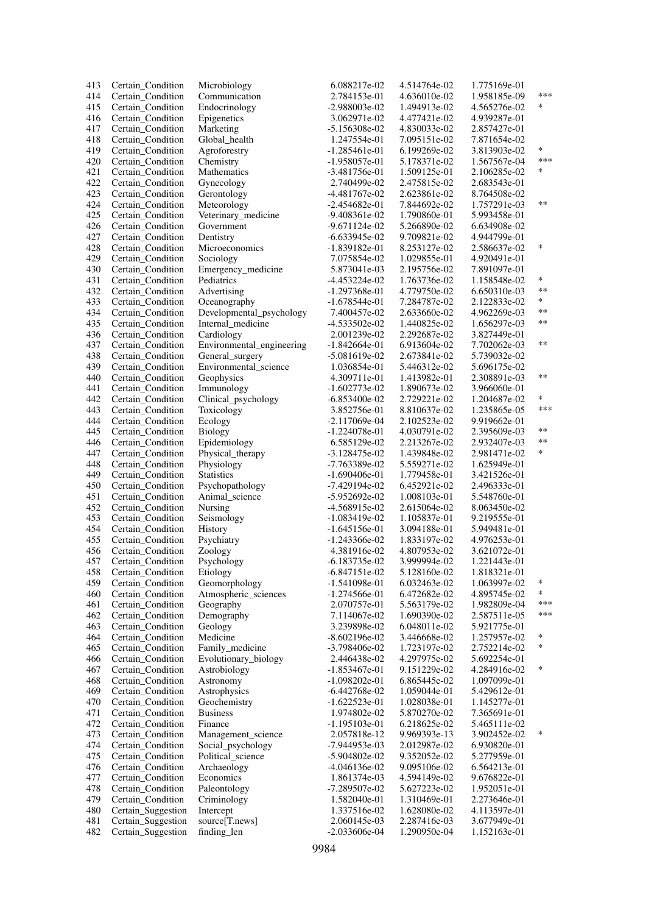| 413 | Certain_Condition  | Microbiology              | 6.088217e-02    | 4.514764e-02 | 1.775169e-01 |            |
|-----|--------------------|---------------------------|-----------------|--------------|--------------|------------|
| 414 | Certain_Condition  | Communication             | 2.784153e-01    | 4.636010e-02 | 1.958185e-09 | ***        |
| 415 | Certain Condition  | Endocrinology             | -2.988003e-02   | 1.494913e-02 | 4.565276e-02 | ∗          |
| 416 | Certain_Condition  | Epigenetics               | 3.062971e-02    | 4.477421e-02 | 4.939287e-01 |            |
| 417 | Certain_Condition  | Marketing                 | $-5.156308e-02$ | 4.830033e-02 | 2.857427e-01 |            |
|     |                    |                           |                 |              |              |            |
| 418 | Certain_Condition  | Global_health             | 1.247554e-01    | 7.095151e-02 | 7.871654e-02 |            |
| 419 | Certain_Condition  | Agroforestry              | $-1.285461e-01$ | 6.199269e-02 | 3.813903e-02 | *          |
| 420 | Certain_Condition  | Chemistry                 | $-1.958057e-01$ | 5.178371e-02 | 1.567567e-04 | ***        |
| 421 | Certain_Condition  | Mathematics               | $-3.481756e-01$ | 1.509125e-01 | 2.106285e-02 | ∗          |
| 422 | Certain_Condition  | Gynecology                | 2.740499e-02    | 2.475815e-02 | 2.683543e-01 |            |
| 423 | Certain_Condition  | Gerontology               | -4.481767e-02   | 2.623861e-02 | 8.764508e-02 |            |
| 424 | Certain_Condition  | Meteorology               | $-2.454682e-01$ | 7.844692e-02 | 1.757291e-03 | $***$      |
| 425 | Certain_Condition  | Veterinary_medicine       | $-9.408361e-02$ | 1.790860e-01 | 5.993458e-01 |            |
| 426 |                    | Government                | $-9.671124e-02$ |              |              |            |
|     | Certain_Condition  |                           |                 | 5.266890e-02 | 6.634908e-02 |            |
| 427 | Certain_Condition  | Dentistry                 | $-6.633945e-02$ | 9.709821e-02 | 4.944799e-01 |            |
| 428 | Certain_Condition  | Microeconomics            | $-1.839182e-01$ | 8.253127e-02 | 2.586637e-02 | ∗          |
| 429 | Certain_Condition  | Sociology                 | 7.075854e-02    | 1.029855e-01 | 4.920491e-01 |            |
| 430 | Certain_Condition  | Emergency_medicine        | 5.873041e-03    | 2.195756e-02 | 7.891097e-01 |            |
| 431 | Certain_Condition  | Pediatrics                | $-4.453224e-02$ | 1.763736e-02 | 1.158548e-02 | *          |
| 432 | Certain_Condition  | Advertising               | $-1.297368e-01$ | 4.779750e-02 | 6.650310e-03 | **         |
| 433 | Certain_Condition  | Oceanography              | $-1.678544e-01$ | 7.284787e-02 | 2.122833e-02 | $\ast$     |
| 434 | Certain Condition  | Developmental_psychology  | 7.400457e-02    | 2.633660e-02 | 4.962269e-03 | **         |
| 435 | Certain_Condition  | Internal_medicine         | $-4.533502e-02$ | 1.440825e-02 | 1.656297e-03 | **         |
|     |                    |                           |                 |              |              |            |
| 436 | Certain_Condition  | Cardiology                | 2.001239e-02    | 2.292687e-02 | 3.827449e-01 |            |
| 437 | Certain Condition  | Environmental_engineering | $-1.842664e-01$ | 6.913604e-02 | 7.702062e-03 | **         |
| 438 | Certain_Condition  | General_surgery           | $-5.081619e-02$ | 2.673841e-02 | 5.739032e-02 |            |
| 439 | Certain_Condition  | Environmental_science     | 1.036854e-01    | 5.446312e-02 | 5.696175e-02 |            |
| 440 | Certain_Condition  | Geophysics                | 4.309711e-01    | 1.413982e-01 | 2.308891e-03 | **         |
| 441 | Certain_Condition  | Immunology                | $-1.602773e-02$ | 1.890673e-02 | 3.966060e-01 |            |
| 442 | Certain Condition  | Clinical_psychology       | $-6.853400e-02$ | 2.729221e-02 | 1.204687e-02 | *          |
| 443 | Certain Condition  | Toxicology                | 3.852756e-01    | 8.810637e-02 | 1.235865e-05 | ***        |
| 444 |                    |                           |                 |              |              |            |
|     | Certain_Condition  | Ecology                   | $-2.117069e-04$ | 2.102523e-02 | 9.919662e-01 | **         |
| 445 | Certain_Condition  | Biology                   | $-1.224078e-01$ | 4.030791e-02 | 2.395609e-03 |            |
| 446 | Certain Condition  | Epidemiology              | 6.585129e-02    | 2.213267e-02 | 2.932407e-03 | $\ast\ast$ |
| 447 | Certain_Condition  | Physical_therapy          | $-3.128475e-02$ | 1.439848e-02 | 2.981471e-02 | $\ast$     |
| 448 | Certain_Condition  | Physiology                | $-7.763389e-02$ | 5.559271e-02 | 1.625949e-01 |            |
| 449 | Certain Condition  | <b>Statistics</b>         | -1.690406e-01   | 1.779458e-01 | 3.421526e-01 |            |
| 450 | Certain_Condition  | Psychopathology           | $-7.429194e-02$ | 6.452921e-02 | 2.496333e-01 |            |
| 451 | Certain Condition  | Animal science            | $-5.952692e-02$ | 1.008103e-01 | 5.548760e-01 |            |
| 452 | Certain_Condition  | Nursing                   | -4.568915e-02   | 2.615064e-02 | 8.063450e-02 |            |
| 453 |                    | Seismology                | $-1.083419e-02$ | 1.105837e-01 | 9.219555e-01 |            |
|     | Certain_Condition  |                           |                 |              |              |            |
| 454 | Certain_Condition  | History                   | $-1.645156e-01$ | 3.094188e-01 | 5.949481e-01 |            |
| 455 | Certain_Condition  | Psychiatry                | $-1.243366e-02$ | 1.833197e-02 | 4.976253e-01 |            |
| 456 | Certain_Condition  | Zoology                   | 4.381916e-02    | 4.807953e-02 | 3.621072e-01 |            |
| 457 | Certain_Condition  | Psychology                | $-6.183735e-02$ | 3.999994e-02 | 1.221443e-01 |            |
| 458 | Certain Condition  | Etiology                  | $-6.847151e-02$ | 5.128160e-02 | 1.818321e-01 |            |
| 459 | Certain_Condition  | Geomorphology             | $-1.541098e-01$ | 6.032463e-02 | 1.063997e-02 | $\ast$     |
| 460 | Certain_Condition  | Atmospheric_sciences      | $-1.274566e-01$ | 6.472682e-02 | 4.895745e-02 | *          |
| 461 | Certain_Condition  | Geography                 | 2.070757e-01    | 5.563179e-02 | 1.982809e-04 | ***        |
| 462 |                    |                           |                 | 1.690390e-02 |              | ***        |
|     | Certain_Condition  | Demography                | 7.114067e-02    |              | 2.587511e-05 |            |
| 463 | Certain_Condition  | Geology                   | 3.239898e-02    | 6.048011e-02 | 5.921775e-01 |            |
| 464 | Certain_Condition  | Medicine                  | $-8.602196e-02$ | 3.446668e-02 | 1.257957e-02 | $\ast$     |
| 465 | Certain_Condition  | Family_medicine           | -3.798406e-02   | 1.723197e-02 | 2.752214e-02 | ∗          |
| 466 | Certain_Condition  | Evolutionary_biology      | 2.446438e-02    | 4.297975e-02 | 5.692254e-01 |            |
| 467 | Certain_Condition  | Astrobiology              | $-1.853467e-01$ | 9.151229e-02 | 4.284916e-02 | ∗          |
| 468 | Certain Condition  | Astronomy                 | $-1.098202e-01$ | 6.865445e-02 | 1.097099e-01 |            |
| 469 | Certain_Condition  | Astrophysics              | $-6.442768e-02$ | 1.059044e-01 | 5.429612e-01 |            |
| 470 | Certain_Condition  | Geochemistry              | $-1.622523e-01$ | 1.028038e-01 | 1.145277e-01 |            |
|     |                    |                           |                 |              |              |            |
| 471 | Certain_Condition  | <b>Business</b>           | 1.974802e-02    | 5.870270e-02 | 7.365691e-01 |            |
| 472 | Certain_Condition  | Finance                   | $-1.195103e-01$ | 6.218625e-02 | 5.465111e-02 |            |
| 473 | Certain_Condition  | Management_science        | 2.057818e-12    | 9.969393e-13 | 3.902452e-02 | $\ast$     |
| 474 | Certain_Condition  | Social_psychology         | -7.944953e-03   | 2.012987e-02 | 6.930820e-01 |            |
| 475 | Certain_Condition  | Political_science         | $-5.904802e-02$ | 9.352052e-02 | 5.277959e-01 |            |
| 476 | Certain_Condition  | Archaeology               | $-4.046136e-02$ | 9.095106e-02 | 6.564213e-01 |            |
| 477 | Certain_Condition  | Economics                 | 1.861374e-03    | 4.594149e-02 | 9.676822e-01 |            |
| 478 | Certain_Condition  | Paleontology              | -7.289507e-02   | 5.627223e-02 | 1.952051e-01 |            |
| 479 | Certain_Condition  |                           | 1.582040e-01    | 1.310469e-01 | 2.273646e-01 |            |
|     |                    | Criminology               |                 |              |              |            |
| 480 | Certain_Suggestion | Intercept                 | 1.337516e-02    | 1.628080e-02 | 4.113597e-01 |            |
| 481 | Certain_Suggestion | source[T.news]            | 2.060145e-03    | 2.287416e-03 | 3.677949e-01 |            |
| 482 | Certain_Suggestion | finding_len               | $-2.033606e-04$ | 1.290950e-04 | 1.152163e-01 |            |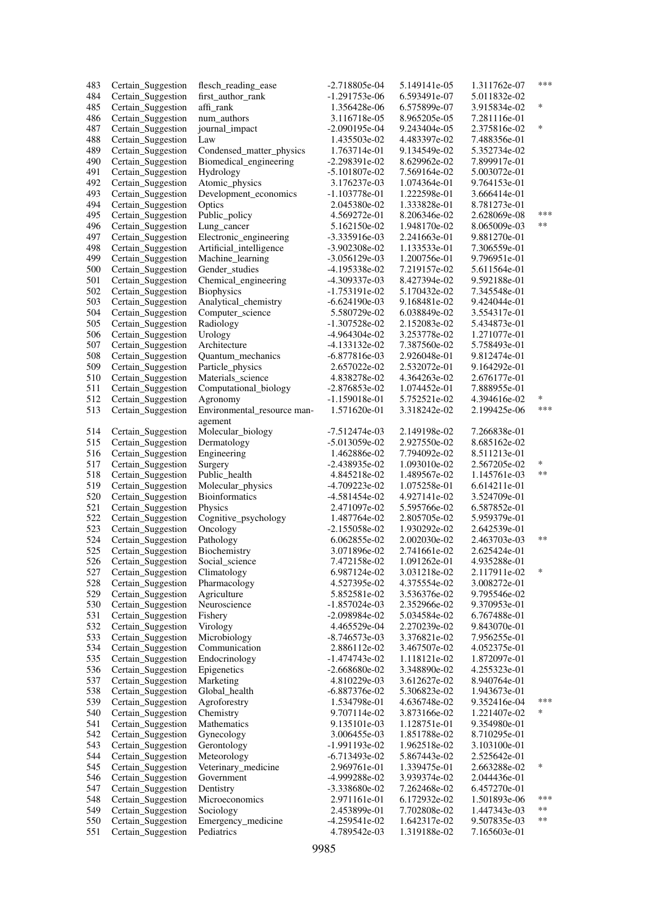| 483 | Certain_Suggestion | flesch_reading_ease         | -2.718805e-04   | 5.149141e-05 | 1.311762e-07 | ***  |
|-----|--------------------|-----------------------------|-----------------|--------------|--------------|------|
| 484 | Certain_Suggestion | first_author_rank           | -1.291753e-06   | 6.593491e-07 | 5.011832e-02 |      |
| 485 | Certain_Suggestion | affi rank                   | 1.356428e-06    | 6.575899e-07 | 3.915834e-02 | *    |
| 486 | Certain_Suggestion | num authors                 | 3.116718e-05    | 8.965205e-05 | 7.281116e-01 |      |
| 487 | Certain_Suggestion | journal_impact              | $-2.090195e-04$ | 9.243404e-05 | 2.375816e-02 | *    |
| 488 | Certain_Suggestion | Law                         | 1.435503e-02    | 4.483397e-02 | 7.488356e-01 |      |
| 489 | Certain_Suggestion | Condensed_matter_physics    | 1.763714e-01    | 9.134549e-02 | 5.352734e-02 |      |
| 490 | Certain_Suggestion | Biomedical_engineering      | $-2.298391e-02$ | 8.629962e-02 | 7.899917e-01 |      |
| 491 | Certain_Suggestion | Hydrology                   | $-5.101807e-02$ | 7.569164e-02 | 5.003072e-01 |      |
| 492 | Certain_Suggestion | Atomic_physics              | 3.176237e-03    | 1.074364e-01 | 9.764153e-01 |      |
|     |                    |                             |                 | 1.222598e-01 |              |      |
| 493 | Certain_Suggestion | Development_economics       | $-1.103778e-01$ |              | 3.666414e-01 |      |
| 494 | Certain_Suggestion | Optics                      | 2.045380e-02    | 1.333828e-01 | 8.781273e-01 | ***  |
| 495 | Certain_Suggestion | Public_policy               | 4.569272e-01    | 8.206346e-02 | 2.628069e-08 |      |
| 496 | Certain_Suggestion | Lung_cancer                 | 5.162150e-02    | 1.948170e-02 | 8.065009e-03 | **   |
| 497 | Certain_Suggestion | Electronic_engineering      | -3.335916e-03   | 2.241663e-01 | 9.881270e-01 |      |
| 498 | Certain_Suggestion | Artificial_intelligence     | $-3.902308e-02$ | 1.133533e-01 | 7.306559e-01 |      |
| 499 | Certain_Suggestion | Machine_learning            | $-3.056129e-03$ | 1.200756e-01 | 9.796951e-01 |      |
| 500 | Certain_Suggestion | Gender_studies              | -4.195338e-02   | 7.219157e-02 | 5.611564e-01 |      |
| 501 | Certain_Suggestion | Chemical_engineering        | -4.309337e-03   | 8.427394e-02 | 9.592188e-01 |      |
| 502 | Certain_Suggestion | <b>Biophysics</b>           | $-1.753191e-02$ | 5.170432e-02 | 7.345548e-01 |      |
| 503 | Certain_Suggestion | Analytical_chemistry        | $-6.624190e-03$ | 9.168481e-02 | 9.424044e-01 |      |
| 504 | Certain_Suggestion | Computer_science            | 5.580729e-02    | 6.038849e-02 | 3.554317e-01 |      |
| 505 | Certain_Suggestion | Radiology                   | $-1.307528e-02$ | 2.152083e-02 | 5.434873e-01 |      |
| 506 | Certain_Suggestion | Urology                     | -4.964304e-02   | 3.253778e-02 | 1.271077e-01 |      |
| 507 | Certain_Suggestion | Architecture                | -4.133132e-02   | 7.387560e-02 | 5.758493e-01 |      |
|     |                    | Quantum_mechanics           |                 |              |              |      |
| 508 | Certain_Suggestion |                             | $-6.877816e-03$ | 2.926048e-01 | 9.812474e-01 |      |
| 509 | Certain_Suggestion | Particle_physics            | 2.657022e-02    | 2.532072e-01 | 9.164292e-01 |      |
| 510 | Certain_Suggestion | Materials_science           | 4.838278e-02    | 4.364263e-02 | 2.676177e-01 |      |
| 511 | Certain_Suggestion | Computational_biology       | $-2.876853e-02$ | 1.074452e-01 | 7.888955e-01 |      |
| 512 | Certain_Suggestion | Agronomy                    | $-1.159018e-01$ | 5.752521e-02 | 4.394616e-02 | *    |
| 513 | Certain_Suggestion | Environmental_resource man- | 1.571620e-01    | 3.318242e-02 | 2.199425e-06 | ***  |
|     |                    | agement                     |                 |              |              |      |
| 514 | Certain_Suggestion | Molecular_biology           | $-7.512474e-03$ | 2.149198e-02 | 7.266838e-01 |      |
| 515 | Certain_Suggestion | Dermatology                 | $-5.013059e-02$ | 2.927550e-02 | 8.685162e-02 |      |
| 516 | Certain_Suggestion | Engineering                 | 1.462886e-02    | 7.794092e-02 | 8.511213e-01 |      |
| 517 | Certain_Suggestion | Surgery                     | -2.438935e-02   | 1.093010e-02 | 2.567205e-02 | *    |
| 518 | Certain_Suggestion | Public_health               | 4.845218e-02    | 1.489567e-02 | 1.145761e-03 | $**$ |
| 519 | Certain_Suggestion | Molecular_physics           | -4.709223e-02   | 1.075258e-01 | 6.614211e-01 |      |
| 520 | Certain_Suggestion | <b>Bioinformatics</b>       | -4.581454e-02   | 4.927141e-02 | 3.524709e-01 |      |
| 521 | Certain_Suggestion | Physics                     | 2.471097e-02    | 5.595766e-02 | 6.587852e-01 |      |
| 522 | Certain_Suggestion | Cognitive_psychology        | 1.487764e-02    | 2.805705e-02 | 5.959379e-01 |      |
| 523 | Certain_Suggestion | Oncology                    | $-2.155058e-02$ | 1.930292e-02 | 2.642539e-01 |      |
| 524 | Certain_Suggestion | Pathology                   | 6.062855e-02    | 2.002030e-02 | 2.463703e-03 | **   |
| 525 | Certain_Suggestion | Biochemistry                | 3.071896e-02    | 2.741661e-02 | 2.625424e-01 |      |
|     |                    |                             |                 |              |              |      |
| 526 | Certain Suggestion | Social_science              | 7.472158e-02    | 1.091262e-01 | 4.935288e-01 | *    |
| 527 | Certain_Suggestion | Climatology                 | 6.987124e-02    | 3.031218e-02 | 2.117911e-02 |      |
| 528 | Certain_Suggestion | Pharmacology                | 4.527395e-02    | 4.375554e-02 | 3.008272e-01 |      |
| 529 | Certain_Suggestion | Agriculture                 | 5.852581e-02    | 3.536376e-02 | 9.795546e-02 |      |
| 530 | Certain_Suggestion | Neuroscience                | $-1.857024e-03$ | 2.352966e-02 | 9.370953e-01 |      |
| 531 | Certain_Suggestion | Fishery                     | -2.098984e-02   | 5.034584e-02 | 6.767488e-01 |      |
| 532 | Certain_Suggestion | Virology                    | 4.465529e-04    | 2.270239e-02 | 9.843070e-01 |      |
| 533 | Certain_Suggestion | Microbiology                | $-8.746573e-03$ | 3.376821e-02 | 7.956255e-01 |      |
| 534 | Certain_Suggestion | Communication               | 2.886112e-02    | 3.467507e-02 | 4.052375e-01 |      |
| 535 | Certain_Suggestion | Endocrinology               | $-1.474743e-02$ | 1.118121e-02 | 1.872097e-01 |      |
| 536 | Certain_Suggestion | Epigenetics                 | $-2.668680e-02$ | 3.348890e-02 | 4.255323e-01 |      |
| 537 | Certain_Suggestion | Marketing                   | 4.810229e-03    | 3.612627e-02 | 8.940764e-01 |      |
| 538 | Certain_Suggestion | Global_health               | $-6.887376e-02$ | 5.306823e-02 | 1.943673e-01 |      |
| 539 | Certain_Suggestion | Agroforestry                | 1.534798e-01    | 4.636748e-02 | 9.352416e-04 | ***  |
| 540 | Certain_Suggestion | Chemistry                   | 9.707114e-02    | 3.873166e-02 | 1.221407e-02 | ∗    |
| 541 | Certain_Suggestion | Mathematics                 | 9.135101e-03    | 1.128751e-01 | 9.354980e-01 |      |
| 542 | Certain_Suggestion | Gynecology                  | 3.006455e-03    | 1.851788e-02 | 8.710295e-01 |      |
| 543 | Certain_Suggestion | Gerontology                 | $-1.991193e-02$ | 1.962518e-02 | 3.103100e-01 |      |
| 544 |                    | Meteorology                 | $-6.713493e-02$ | 5.867443e-02 | 2.525642e-01 |      |
|     | Certain_Suggestion |                             |                 |              |              | *    |
| 545 | Certain_Suggestion | Veterinary_medicine         | 2.969761e-01    | 1.339475e-01 | 2.663288e-02 |      |
| 546 | Certain_Suggestion | Government                  | -4.999288e-02   | 3.939374e-02 | 2.044436e-01 |      |
| 547 | Certain_Suggestion | Dentistry                   | -3.338680e-02   | 7.262468e-02 | 6.457270e-01 |      |
| 548 | Certain_Suggestion | Microeconomics              | 2.971161e-01    | 6.172932e-02 | 1.501893e-06 | ***  |
| 549 | Certain_Suggestion | Sociology                   | 2.453899e-01    | 7.702808e-02 | 1.447343e-03 | **   |
| 550 | Certain_Suggestion | Emergency_medicine          | $-4.259541e-02$ | 1.642317e-02 | 9.507835e-03 | **   |
| 551 | Certain_Suggestion | Pediatrics                  | 4.789542e-03    | 1.319188e-02 | 7.165603e-01 |      |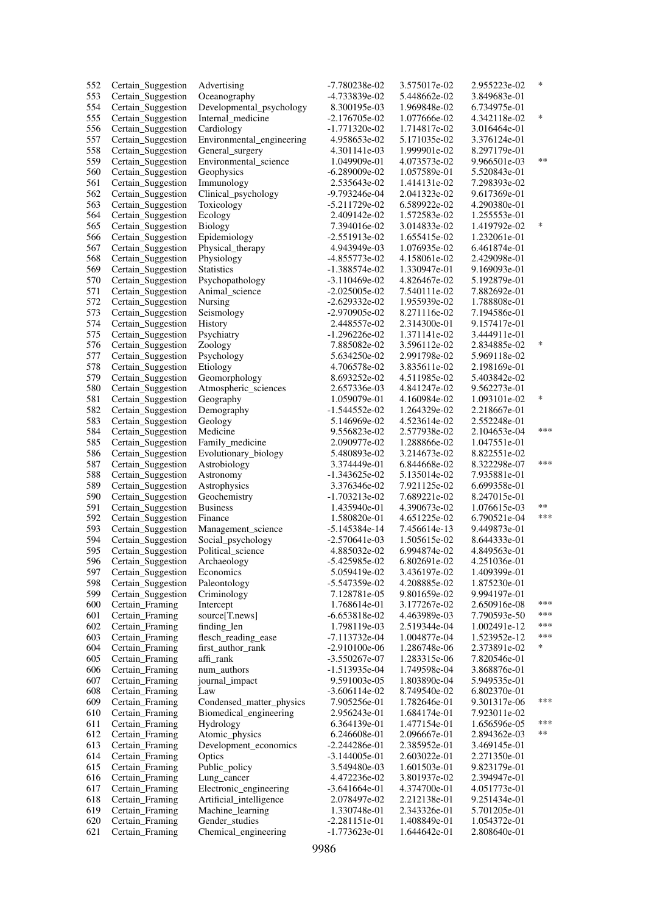| 552 | Certain_Suggestion | Advertising               | -7.780238e-02   | 3.575017e-02 | 2.955223e-02 | ∗      |
|-----|--------------------|---------------------------|-----------------|--------------|--------------|--------|
| 553 | Certain_Suggestion | Oceanography              | -4.733839e-02   | 5.448662e-02 | 3.849683e-01 |        |
| 554 | Certain_Suggestion | Developmental_psychology  | 8.300195e-03    | 1.969848e-02 | 6.734975e-01 |        |
| 555 | Certain_Suggestion | Internal medicine         | $-2.176705e-02$ | 1.077666e-02 | 4.342118e-02 | $\ast$ |
| 556 | Certain_Suggestion | Cardiology                | $-1.771320e-02$ | 1.714817e-02 | 3.016464e-01 |        |
| 557 | Certain_Suggestion | Environmental_engineering | 4.958653e-02    | 5.171035e-02 | 3.376124e-01 |        |
| 558 | Certain_Suggestion | General_surgery           | 4.301141e-03    | 1.999901e-02 | 8.297179e-01 |        |
| 559 | Certain_Suggestion | Environmental_science     | 1.049909e-01    | 4.073573e-02 | 9.966501e-03 | **     |
| 560 | Certain_Suggestion | Geophysics                | -6.289009e-02   | 1.057589e-01 | 5.520843e-01 |        |
| 561 | Certain_Suggestion | Immunology                | 2.535643e-02    | 1.414131e-02 | 7.298393e-02 |        |
|     |                    |                           | -9.793246e-04   |              |              |        |
| 562 | Certain_Suggestion | Clinical_psychology       |                 | 2.041323e-02 | 9.617369e-01 |        |
| 563 | Certain_Suggestion | Toxicology                | $-5.211729e-02$ | 6.589922e-02 | 4.290380e-01 |        |
| 564 | Certain_Suggestion | Ecology                   | 2.409142e-02    | 1.572583e-02 | 1.255553e-01 |        |
| 565 | Certain_Suggestion | Biology                   | 7.394016e-02    | 3.014833e-02 | 1.419792e-02 | ∗      |
| 566 | Certain_Suggestion | Epidemiology              | $-2.551913e-02$ | 1.655415e-02 | 1.232061e-01 |        |
| 567 | Certain_Suggestion | Physical_therapy          | 4.943949e-03    | 1.076935e-02 | 6.461874e-01 |        |
| 568 | Certain_Suggestion | Physiology                | -4.855773e-02   | 4.158061e-02 | 2.429098e-01 |        |
| 569 | Certain_Suggestion | <b>Statistics</b>         | $-1.388574e-02$ | 1.330947e-01 | 9.169093e-01 |        |
| 570 | Certain_Suggestion | Psychopathology           | $-3.110469e-02$ | 4.826467e-02 | 5.192879e-01 |        |
| 571 | Certain_Suggestion | Animal science            | $-2.025005e-02$ | 7.540111e-02 | 7.882692e-01 |        |
| 572 | Certain_Suggestion | Nursing                   | $-2.629332e-02$ | 1.955939e-02 | 1.788808e-01 |        |
| 573 | Certain_Suggestion | Seismology                | -2.970905e-02   | 8.271116e-02 | 7.194586e-01 |        |
| 574 | Certain_Suggestion | History                   | 2.448557e-02    | 2.314300e-01 | 9.157417e-01 |        |
| 575 | Certain_Suggestion | Psychiatry                | $-1.296226e-02$ | 1.371141e-02 | 3.444911e-01 |        |
| 576 | Certain_Suggestion | Zoology                   | 7.885082e-02    | 3.596112e-02 | 2.834885e-02 | ∗      |
| 577 | Certain_Suggestion | Psychology                | 5.634250e-02    | 2.991798e-02 | 5.969118e-02 |        |
| 578 | Certain_Suggestion | Etiology                  | 4.706578e-02    | 3.835611e-02 | 2.198169e-01 |        |
| 579 | Certain Suggestion | Geomorphology             | 8.693252e-02    | 4.511985e-02 | 5.403842e-02 |        |
| 580 | Certain_Suggestion | Atmospheric_sciences      | 2.657336e-03    | 4.841247e-02 | 9.562273e-01 |        |
| 581 |                    |                           | 1.059079e-01    | 4.160984e-02 | 1.093101e-02 | $\ast$ |
|     | Certain_Suggestion | Geography                 |                 |              |              |        |
| 582 | Certain_Suggestion | Demography                | -1.544552e-02   | 1.264329e-02 | 2.218667e-01 |        |
| 583 | Certain_Suggestion | Geology                   | 5.146969e-02    | 4.523614e-02 | 2.552248e-01 | ***    |
| 584 | Certain_Suggestion | Medicine                  | 9.556823e-02    | 2.577938e-02 | 2.104653e-04 |        |
| 585 | Certain_Suggestion | Family_medicine           | 2.090977e-02    | 1.288866e-02 | 1.047551e-01 |        |
| 586 | Certain_Suggestion | Evolutionary_biology      | 5.480893e-02    | 3.214673e-02 | 8.822551e-02 |        |
| 587 | Certain_Suggestion | Astrobiology              | 3.374449e-01    | 6.844668e-02 | 8.322298e-07 | ***    |
| 588 | Certain_Suggestion | Astronomy                 | $-1.343625e-02$ | 5.135014e-02 | 7.935881e-01 |        |
| 589 | Certain_Suggestion | Astrophysics              | 3.376346e-02    | 7.921125e-02 | 6.699358e-01 |        |
| 590 | Certain_Suggestion | Geochemistry              | $-1.703213e-02$ | 7.689221e-02 | 8.247015e-01 |        |
| 591 | Certain_Suggestion | <b>Business</b>           | 1.435940e-01    | 4.390673e-02 | 1.076615e-03 | **     |
| 592 | Certain_Suggestion | Finance                   | 1.580820e-01    | 4.651225e-02 | 6.790521e-04 | ***    |
| 593 | Certain_Suggestion | Management_science        | $-5.145384e-14$ | 7.456614e-13 | 9.449873e-01 |        |
| 594 | Certain_Suggestion | Social_psychology         | $-2.570641e-03$ | 1.505615e-02 | 8.644333e-01 |        |
| 595 | Certain_Suggestion | Political science         | 4.885032e-02    | 6.994874e-02 | 4.849563e-01 |        |
| 596 | Certain_Suggestion | Archaeology               | $-5.425985e-02$ | 6.802691e-02 | 4.251036e-01 |        |
| 597 | Certain_Suggestion | Economics                 | 5.059419e-02    | 3.436197e-02 | 1.409399e-01 |        |
| 598 | Certain_Suggestion | Paleontology              | -5.547359e-02   | 4.208885e-02 | 1.875230e-01 |        |
| 599 | Certain_Suggestion | Criminology               | 7.128781e-05    | 9.801659e-02 | 9.994197e-01 |        |
| 600 | Certain_Framing    | Intercept                 | 1.768614e-01    | 3.177267e-02 | 2.650916e-08 | ***    |
| 601 | Certain_Framing    | source[T.news]            | $-6.653818e-02$ | 4.463989e-03 | 7.790593e-50 | ***    |
| 602 | Certain_Framing    | finding_len               | 1.798119e-03    | 2.519344e-04 | 1.002491e-12 | ***    |
| 603 | Certain_Framing    | flesch_reading_ease       | -7.113732e-04   | 1.004877e-04 | 1.523952e-12 | ***    |
| 604 | Certain_Framing    | first_author_rank         | $-2.910100e-06$ | 1.286748e-06 | 2.373891e-02 | *      |
| 605 | Certain_Framing    | affi_rank                 | $-3.550267e-07$ | 1.283315e-06 | 7.820546e-01 |        |
| 606 | Certain_Framing    | num_authors               | $-1.513935e-04$ | 1.749598e-04 | 3.868876e-01 |        |
| 607 | Certain_Framing    | journal_impact            | 9.591003e-05    | 1.803890e-04 | 5.949535e-01 |        |
|     |                    |                           |                 |              |              |        |
| 608 | Certain Framing    | Law                       | $-3.606114e-02$ | 8.749540e-02 | 6.802370e-01 | ***    |
| 609 | Certain_Framing    | Condensed_matter_physics  | 7.905256e-01    | 1.782646e-01 | 9.301317e-06 |        |
| 610 | Certain_Framing    | Biomedical_engineering    | 2.956243e-01    | 1.684174e-01 | 7.923011e-02 |        |
| 611 | Certain_Framing    | Hydrology                 | 6.364139e-01    | 1.477154e-01 | 1.656596e-05 | ***    |
| 612 | Certain_Framing    | Atomic_physics            | 6.246608e-01    | 2.096667e-01 | 2.894362e-03 | **     |
| 613 | Certain_Framing    | Development_economics     | $-2.244286e-01$ | 2.385952e-01 | 3.469145e-01 |        |
| 614 | Certain_Framing    | Optics                    | $-3.144005e-01$ | 2.603022e-01 | 2.271350e-01 |        |
| 615 | Certain_Framing    | Public_policy             | 3.549480e-03    | 1.601503e-01 | 9.823179e-01 |        |
| 616 | Certain_Framing    | Lung_cancer               | 4.472236e-02    | 3.801937e-02 | 2.394947e-01 |        |
| 617 | Certain_Framing    | Electronic_engineering    | $-3.641664e-01$ | 4.374700e-01 | 4.051773e-01 |        |
| 618 | Certain_Framing    | Artificial_intelligence   | 2.078497e-02    | 2.212138e-01 | 9.251434e-01 |        |
| 619 | Certain_Framing    | Machine_learning          | 1.330748e-01    | 2.343326e-01 | 5.701205e-01 |        |
| 620 | Certain_Framing    | Gender_studies            | $-2.281151e-01$ | 1.408849e-01 | 1.054372e-01 |        |
| 621 | Certain_Framing    | Chemical_engineering      | $-1.773623e-01$ | 1.644642e-01 | 2.808640e-01 |        |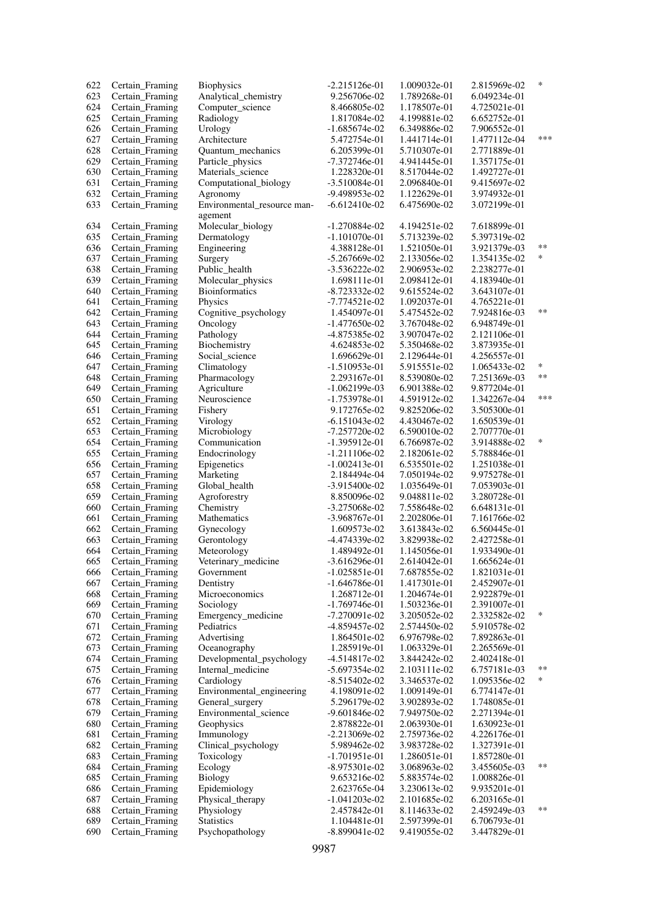| 622 | Certain_Framing | <b>Biophysics</b>           | $-2.215126e-01$ | 1.009032e-01 | 2.815969e-02 | ∗      |
|-----|-----------------|-----------------------------|-----------------|--------------|--------------|--------|
| 623 | Certain Framing | Analytical_chemistry        | 9.256706e-02    | 1.789268e-01 | 6.049234e-01 |        |
| 624 | Certain_Framing | Computer_science            | 8.466805e-02    | 1.178507e-01 | 4.725021e-01 |        |
| 625 | Certain_Framing | Radiology                   | 1.817084e-02    | 4.199881e-02 | 6.652752e-01 |        |
| 626 | Certain_Framing | Urology                     | -1.685674e-02   | 6.349886e-02 | 7.906552e-01 |        |
| 627 | Certain_Framing | Architecture                | 5.472754e-01    | 1.441714e-01 | 1.477112e-04 | ***    |
| 628 | Certain_Framing | Quantum_mechanics           | 6.205399e-01    | 5.710307e-01 | 2.771889e-01 |        |
| 629 | Certain_Framing | Particle_physics            | $-7.372746e-01$ | 4.941445e-01 | 1.357175e-01 |        |
| 630 | Certain_Framing | Materials_science           | 1.228320e-01    | 8.517044e-02 | 1.492727e-01 |        |
| 631 | Certain_Framing | Computational_biology       | $-3.510084e-01$ | 2.096840e-01 | 9.415697e-02 |        |
| 632 | Certain_Framing | Agronomy                    | -9.498953e-02   | 1.122629e-01 | 3.974932e-01 |        |
| 633 | Certain_Framing | Environmental_resource man- | $-6.612410e-02$ | 6.475690e-02 | 3.072199e-01 |        |
|     |                 | agement                     |                 |              |              |        |
|     |                 | Molecular_biology           |                 |              |              |        |
| 634 | Certain_Framing |                             | $-1.270884e-02$ | 4.194251e-02 | 7.618899e-01 |        |
| 635 | Certain_Framing | Dermatology                 | $-1.101070e-01$ | 5.713239e-02 | 5.397319e-02 | $***$  |
| 636 | Certain_Framing | Engineering                 | 4.388128e-01    | 1.521050e-01 | 3.921379e-03 | *      |
| 637 | Certain_Framing | Surgery                     | $-5.267669e-02$ | 2.133056e-02 | 1.354135e-02 |        |
| 638 | Certain_Framing | Public_health               | $-3.536222e-02$ | 2.906953e-02 | 2.238277e-01 |        |
| 639 | Certain_Framing | Molecular_physics           | 1.698111e-01    | 2.098412e-01 | 4.183940e-01 |        |
| 640 | Certain_Framing | <b>Bioinformatics</b>       | -8.723332e-02   | 9.615524e-02 | 3.643107e-01 |        |
| 641 | Certain_Framing | Physics                     | $-7.774521e-02$ | 1.092037e-01 | 4.765221e-01 |        |
| 642 | Certain_Framing | Cognitive_psychology        | 1.454097e-01    | 5.475452e-02 | 7.924816e-03 | **     |
| 643 | Certain Framing | Oncology                    | $-1.477650e-02$ | 3.767048e-02 | 6.948749e-01 |        |
| 644 | Certain_Framing | Pathology                   | -4.875385e-02   | 3.907047e-02 | 2.121106e-01 |        |
| 645 | Certain_Framing | Biochemistry                | 4.624853e-02    | 5.350468e-02 | 3.873935e-01 |        |
| 646 | Certain_Framing | Social_science              | 1.696629e-01    | 2.129644e-01 | 4.256557e-01 |        |
| 647 | Certain_Framing | Climatology                 | $-1.510953e-01$ | 5.915551e-02 | 1.065433e-02 | $\ast$ |
| 648 | Certain_Framing | Pharmacology                | 2.293167e-01    | 8.539080e-02 | 7.251369e-03 | $**$   |
| 649 | Certain_Framing | Agriculture                 | $-1.062199e-03$ | 6.901388e-02 | 9.877204e-01 |        |
| 650 | Certain_Framing | Neuroscience                | -1.753978e-01   | 4.591912e-02 | 1.342267e-04 | ***    |
| 651 | Certain_Framing | Fishery                     | 9.172765e-02    | 9.825206e-02 | 3.505300e-01 |        |
| 652 | Certain_Framing | Virology                    | $-6.151043e-02$ | 4.430467e-02 | 1.650539e-01 |        |
| 653 |                 |                             |                 |              |              |        |
|     | Certain_Framing | Microbiology                | -7.257720e-02   | 6.590010e-02 | 2.707770e-01 | *      |
| 654 | Certain_Framing | Communication               | $-1.395912e-01$ | 6.766987e-02 | 3.914888e-02 |        |
| 655 | Certain_Framing | Endocrinology               | $-1.211106e-02$ | 2.182061e-02 | 5.788846e-01 |        |
| 656 | Certain_Framing | Epigenetics                 | -1.002413e-01   | 6.535501e-02 | 1.251038e-01 |        |
| 657 | Certain_Framing | Marketing                   | 2.184494e-04    | 7.050194e-02 | 9.975278e-01 |        |
| 658 | Certain_Framing | Global_health               | $-3.915400e-02$ | 1.035649e-01 | 7.053903e-01 |        |
| 659 | Certain_Framing | Agroforestry                | 8.850096e-02    | 9.048811e-02 | 3.280728e-01 |        |
| 660 | Certain Framing | Chemistry                   | $-3.275068e-02$ | 7.558648e-02 | 6.648131e-01 |        |
| 661 | Certain_Framing | Mathematics                 | -3.968767e-01   | 2.202806e-01 | 7.161766e-02 |        |
| 662 | Certain_Framing | Gynecology                  | 1.609573e-02    | 3.613843e-02 | 6.560445e-01 |        |
| 663 | Certain Framing | Gerontology                 | -4.474339e-02   | 3.829938e-02 | 2.427258e-01 |        |
| 664 | Certain_Framing | Meteorology                 | 1.489492e-01    | 1.145056e-01 | 1.933490e-01 |        |
| 665 | Certain Framing | Veterinary_medicine         | $-3.616296e-01$ | 2.614042e-01 | 1.665624e-01 |        |
| 666 | Certain Framing | Government                  | $-1.025851e-01$ | 7.687855e-02 | 1.821031e-01 |        |
| 667 | Certain Framing | Dentistry                   | $-1.646786e-01$ | 1.417301e-01 | 2.452907e-01 |        |
| 668 | Certain_Framing | Microeconomics              | 1.268712e-01    | 1.204674e-01 | 2.922879e-01 |        |
| 669 | Certain Framing | Sociology                   | $-1.769746e-01$ | 1.503236e-01 | 2.391007e-01 |        |
| 670 | Certain_Framing | Emergency_medicine          | $-7.270091e-02$ | 3.205052e-02 | 2.332582e-02 | $\ast$ |
| 671 | Certain_Framing | Pediatrics                  | -4.859457e-02   | 2.574450e-02 | 5.910578e-02 |        |
| 672 | Certain_Framing | Advertising                 | 1.864501e-02    | 6.976798e-02 | 7.892863e-01 |        |
| 673 | Certain_Framing | Oceanography                | 1.285919e-01    | 1.063329e-01 | 2.265569e-01 |        |
| 674 | Certain_Framing | Developmental_psychology    | $-4.514817e-02$ | 3.844242e-02 | 2.402418e-01 |        |
| 675 | Certain_Framing | Internal_medicine           | $-5.697354e-02$ | 2.103111e-02 | 6.757181e-03 | $***$  |
| 676 | Certain_Framing | Cardiology                  | $-8.515402e-02$ | 3.346537e-02 | 1.095356e-02 | *      |
| 677 | Certain Framing | Environmental_engineering   | 4.198091e-02    | 1.009149e-01 | 6.774147e-01 |        |
|     |                 |                             |                 |              |              |        |
| 678 | Certain_Framing | General_surgery             | 5.296179e-02    | 3.902893e-02 | 1.748085e-01 |        |
| 679 | Certain_Framing | Environmental_science       | -9.601846e-02   | 7.949750e-02 | 2.271394e-01 |        |
| 680 | Certain_Framing | Geophysics                  | 2.878822e-01    | 2.063930e-01 | 1.630923e-01 |        |
| 681 | Certain_Framing | Immunology                  | $-2.213069e-02$ | 2.759736e-02 | 4.226176e-01 |        |
| 682 | Certain_Framing | Clinical_psychology         | 5.989462e-02    | 3.983728e-02 | 1.327391e-01 |        |
| 683 | Certain_Framing | Toxicology                  | $-1.701951e-01$ | 1.286051e-01 | 1.857280e-01 |        |
| 684 | Certain_Framing | Ecology                     | $-8.975301e-02$ | 3.068963e-02 | 3.455605e-03 | $***$  |
| 685 | Certain_Framing | <b>Biology</b>              | 9.653216e-02    | 5.883574e-02 | 1.008826e-01 |        |
| 686 | Certain_Framing | Epidemiology                | 2.623765e-04    | 3.230613e-02 | 9.935201e-01 |        |
| 687 | Certain_Framing | Physical_therapy            | $-1.041203e-02$ | 2.101685e-02 | 6.203165e-01 |        |
| 688 | Certain_Framing | Physiology                  | 2.457842e-01    | 8.114633e-02 | 2.459249e-03 | $***$  |
| 689 | Certain_Framing | <b>Statistics</b>           | 1.104481e-01    | 2.597399e-01 | 6.706793e-01 |        |
| 690 | Certain_Framing | Psychopathology             | -8.899041e-02   | 9.419055e-02 | 3.447829e-01 |        |
|     |                 |                             |                 |              |              |        |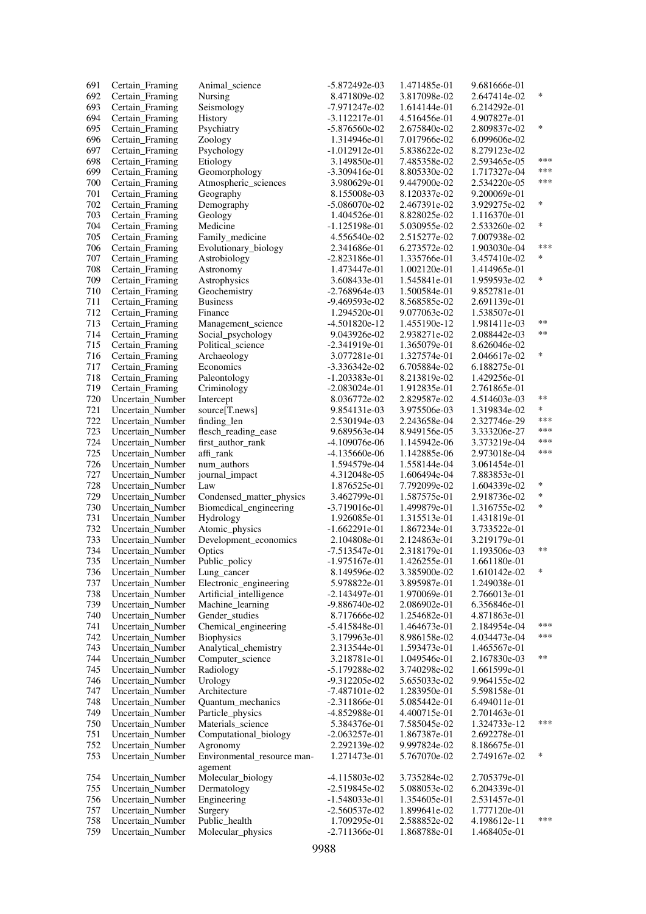| 691 | Certain Framing                      | Animal science              | -5.872492e-03   | 1.471485e-01 | 9.681666e-01 |        |
|-----|--------------------------------------|-----------------------------|-----------------|--------------|--------------|--------|
| 692 | Certain_Framing                      | Nursing                     | 8.471809e-02    | 3.817098e-02 | 2.647414e-02 | $\ast$ |
| 693 | Certain_Framing                      | Seismology                  | -7.971247e-02   | 1.614144e-01 | 6.214292e-01 |        |
| 694 | Certain_Framing                      | History                     | $-3.112217e-01$ | 4.516456e-01 | 4.907827e-01 |        |
| 695 | Certain_Framing                      | Psychiatry                  | $-5.876560e-02$ | 2.675840e-02 | 2.809837e-02 | $\ast$ |
| 696 | Certain_Framing                      | Zoology                     | 1.314946e-01    | 7.017966e-02 | 6.099606e-02 |        |
| 697 | Certain_Framing                      | Psychology                  | $-1.012912e-01$ | 5.838622e-02 | 8.279123e-02 |        |
| 698 | Certain_Framing                      | Etiology                    | 3.149850e-01    | 7.485358e-02 | 2.593465e-05 | ***    |
| 699 | Certain_Framing                      | Geomorphology               | $-3.309416e-01$ | 8.805330e-02 | 1.717327e-04 | ***    |
| 700 | Certain_Framing                      | Atmospheric_sciences        | 3.980629e-01    | 9.447900e-02 | 2.534220e-05 | ***    |
|     |                                      |                             |                 |              |              |        |
| 701 | Certain_Framing                      | Geography                   | 8.155008e-03    | 8.120337e-02 | 9.200069e-01 | $\ast$ |
| 702 | Certain Framing                      | Demography                  | -5.086070e-02   | 2.467391e-02 | 3.929275e-02 |        |
| 703 | Certain_Framing                      | Geology                     | 1.404526e-01    | 8.828025e-02 | 1.116370e-01 |        |
| 704 | Certain Framing                      | Medicine                    | $-1.125198e-01$ | 5.030955e-02 | 2.533260e-02 | ∗      |
| 705 | Certain_Framing                      | Family_medicine             | 4.556540e-02    | 2.515277e-02 | 7.007938e-02 |        |
| 706 | Certain_Framing                      | Evolutionary_biology        | 2.341686e-01    | 6.273572e-02 | 1.903030e-04 | ***    |
| 707 | Certain Framing                      | Astrobiology                | $-2.823186e-01$ | 1.335766e-01 | 3.457410e-02 | *      |
| 708 | Certain_Framing                      | Astronomy                   | 1.473447e-01    | 1.002120e-01 | 1.414965e-01 |        |
| 709 | Certain_Framing                      | Astrophysics                | 3.608433e-01    | 1.545841e-01 | 1.959593e-02 | $\ast$ |
| 710 | Certain_Framing                      | Geochemistry                | -2.768964e-03   | 1.500584e-01 | 9.852781e-01 |        |
| 711 | Certain Framing                      | <b>Business</b>             | -9.469593e-02   | 8.568585e-02 | 2.691139e-01 |        |
| 712 | Certain_Framing                      | Finance                     | 1.294520e-01    | 9.077063e-02 | 1.538507e-01 |        |
| 713 | Certain_Framing                      | Management_science          | -4.501820e-12   | 1.455190e-12 | 1.981411e-03 | $***$  |
| 714 | Certain_Framing                      | Social_psychology           | 9.043926e-02    | 2.938271e-02 | 2.088442e-03 | $***$  |
| 715 | Certain_Framing                      | Political science           | $-2.341919e-01$ | 1.365079e-01 | 8.626046e-02 |        |
| 716 | Certain_Framing                      | Archaeology                 | 3.077281e-01    | 1.327574e-01 | 2.046617e-02 | $\ast$ |
| 717 | Certain_Framing                      | Economics                   | $-3.336342e-02$ | 6.705884e-02 | 6.188275e-01 |        |
| 718 |                                      |                             |                 |              |              |        |
|     | Certain_Framing                      | Paleontology                | $-1.203383e-01$ | 8.213819e-02 | 1.429256e-01 |        |
| 719 | Certain_Framing                      | Criminology                 | $-2.083024e-01$ | 1.912835e-01 | 2.761865e-01 | $***$  |
| 720 | Uncertain_Number                     | Intercept                   | 8.036772e-02    | 2.829587e-02 | 4.514603e-03 |        |
| 721 | Uncertain Number                     | source[T.news]              | 9.854131e-03    | 3.975506e-03 | 1.319834e-02 | $\ast$ |
| 722 | Uncertain Number                     | finding_len                 | 2.530194e-03    | 2.243658e-04 | 2.327746e-29 | ***    |
| 723 | Uncertain Number                     | flesch_reading_ease         | 9.689563e-04    | 8.949156e-05 | 3.333206e-27 | ***    |
| 724 | Uncertain_Number                     | first_author_rank           | -4.109076e-06   | 1.145942e-06 | 3.373219e-04 | ***    |
| 725 | Uncertain Number                     | affi_rank                   | $-4.135660e-06$ | 1.142885e-06 | 2.973018e-04 | ***    |
| 726 | Uncertain Number                     | num_authors                 | 1.594579e-04    | 1.558144e-04 | 3.061454e-01 |        |
| 727 | Uncertain_Number                     | journal_impact              | 4.312048e-05    | 1.606494e-04 | 7.883853e-01 |        |
| 728 | Uncertain Number                     | Law                         | 1.876525e-01    | 7.792099e-02 | 1.604339e-02 | ∗      |
| 729 | Uncertain_Number                     | Condensed_matter_physics    | 3.462799e-01    | 1.587575e-01 | 2.918736e-02 | $\ast$ |
| 730 | Uncertain Number                     | Biomedical_engineering      | $-3.719016e-01$ | 1.499879e-01 | 1.316755e-02 | $\ast$ |
| 731 | Uncertain_Number                     | Hydrology                   | 1.926085e-01    | 1.315513e-01 | 1.431819e-01 |        |
| 732 | Uncertain_Number                     | Atomic_physics              | $-1.662291e-01$ | 1.867234e-01 | 3.733522e-01 |        |
| 733 | Uncertain Number                     | Development_economics       | 2.104808e-01    | 2.124863e-01 | 3.219179e-01 |        |
| 734 | Uncertain_Number                     | Optics                      | -7.513547e-01   | 2.318179e-01 | 1.193506e-03 | $***$  |
| 735 | Uncertain_Number                     | Public_policy               | $-1.975167e-01$ | 1.426255e-01 | 1.661180e-01 |        |
| 736 | Uncertain_Number                     | Lung_cancer                 | 8.149596e-02    | 3.385900e-02 | 1.610142e-02 | ∗      |
| 737 | Uncertain Number                     | Electronic_engineering      | 5.978822e-01    | 3.895987e-01 | 1.249038e-01 |        |
| 738 | Uncertain_Number                     | Artificial_intelligence     | $-2.143497e-01$ | 1.970069e-01 | 2.766013e-01 |        |
| 739 | Uncertain_Number                     | Machine_learning            | $-9.886740e-02$ | 2.086902e-01 | 6.356846e-01 |        |
| 740 | Uncertain_Number                     | Gender_studies              | 8.717666e-02    | 1.254682e-01 | 4.871863e-01 |        |
| 741 |                                      | Chemical_engineering        | $-5.415848e-01$ | 1.464673e-01 | 2.184954e-04 | ***    |
| 742 | Uncertain_Number<br>Uncertain_Number |                             | 3.179963e-01    |              |              | ***    |
|     |                                      | <b>Biophysics</b>           |                 | 8.986158e-02 | 4.034473e-04 |        |
| 743 | Uncertain_Number                     | Analytical_chemistry        | 2.313544e-01    | 1.593473e-01 | 1.465567e-01 | $***$  |
| 744 | Uncertain_Number                     | Computer_science            | 3.218781e-01    | 1.049546e-01 | 2.167830e-03 |        |
| 745 | Uncertain_Number                     | Radiology                   | -5.179288e-02   | 3.740298e-02 | 1.661599e-01 |        |
| 746 | Uncertain_Number                     | Urology                     | -9.312205e-02   | 5.655033e-02 | 9.964155e-02 |        |
| 747 | Uncertain_Number                     | Architecture                | $-7.487101e-02$ | 1.283950e-01 | 5.598158e-01 |        |
| 748 | Uncertain Number                     | Quantum_mechanics           | $-2.311866e-01$ | 5.085442e-01 | 6.494011e-01 |        |
| 749 | Uncertain_Number                     | Particle_physics            | -4.852988e-01   | 4.400715e-01 | 2.701463e-01 |        |
| 750 | Uncertain_Number                     | Materials_science           | 5.384376e-01    | 7.585045e-02 | 1.324733e-12 | ***    |
| 751 | Uncertain_Number                     | Computational_biology       | $-2.063257e-01$ | 1.867387e-01 | 2.692278e-01 |        |
| 752 | Uncertain_Number                     | Agronomy                    | 2.292139e-02    | 9.997824e-02 | 8.186675e-01 |        |
| 753 | Uncertain_Number                     | Environmental_resource man- | 1.271473e-01    | 5.767070e-02 | 2.749167e-02 | $\ast$ |
|     |                                      | agement                     |                 |              |              |        |
| 754 | Uncertain_Number                     | Molecular_biology           | $-4.115803e-02$ | 3.735284e-02 | 2.705379e-01 |        |
| 755 | Uncertain_Number                     | Dermatology                 | $-2.519845e-02$ | 5.088053e-02 | 6.204339e-01 |        |
| 756 | Uncertain Number                     | Engineering                 | $-1.548033e-01$ | 1.354605e-01 | 2.531457e-01 |        |
| 757 | Uncertain_Number                     | Surgery                     | $-2.560537e-02$ | 1.899641e-02 | 1.777120e-01 |        |
| 758 | Uncertain_Number                     | Public_health               | 1.709295e-01    | 2.588852e-02 | 4.198612e-11 | ***    |
| 759 | Uncertain Number                     | Molecular_physics           | $-2.711366e-01$ | 1.868788e-01 | 1.468405e-01 |        |
|     |                                      |                             |                 |              |              |        |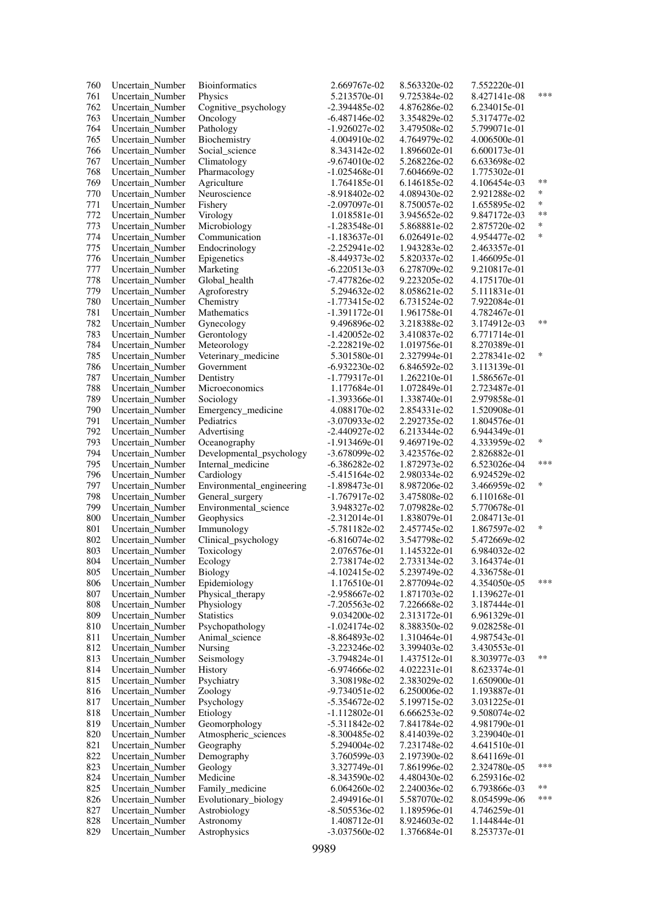| 760 | Uncertain_Number | <b>Bioinformatics</b>     | 2.669767e-02    | 8.563320e-02 | 7.552220e-01 |            |
|-----|------------------|---------------------------|-----------------|--------------|--------------|------------|
| 761 | Uncertain_Number | Physics                   | 5.213570e-01    | 9.725384e-02 | 8.427141e-08 | ***        |
| 762 | Uncertain_Number | Cognitive_psychology      | -2.394485e-02   | 4.876286e-02 | 6.234015e-01 |            |
| 763 | Uncertain Number | Oncology                  | $-6.487146e-02$ | 3.354829e-02 | 5.317477e-02 |            |
| 764 | Uncertain Number | Pathology                 | -1.926027e-02   | 3.479508e-02 | 5.799071e-01 |            |
| 765 | Uncertain Number | Biochemistry              | 4.004910e-02    | 4.764979e-02 | 4.006500e-01 |            |
| 766 | Uncertain Number | Social_science            | 8.343142e-02    | 1.896602e-01 | 6.600173e-01 |            |
| 767 | Uncertain_Number | Climatology               | -9.674010e-02   | 5.268226e-02 | 6.633698e-02 |            |
| 768 | Uncertain Number | Pharmacology              | $-1.025468e-01$ | 7.604669e-02 | 1.775302e-01 |            |
| 769 | Uncertain_Number | Agriculture               | 1.764185e-01    | 6.146185e-02 | 4.106454e-03 | $**$       |
| 770 | Uncertain Number | Neuroscience              | -8.918402e-02   | 4.089430e-02 | 2.921288e-02 | $\ast$     |
|     |                  |                           |                 |              |              | $\ast$     |
| 771 | Uncertain_Number | Fishery                   | -2.097097e-01   | 8.750057e-02 | 1.655895e-02 | $\ast\ast$ |
| 772 | Uncertain_Number | Virology                  | 1.018581e-01    | 3.945652e-02 | 9.847172e-03 | *          |
| 773 | Uncertain Number | Microbiology              | $-1.283548e-01$ | 5.868881e-02 | 2.875720e-02 |            |
| 774 | Uncertain_Number | Communication             | $-1.183637e-01$ | 6.026491e-02 | 4.954477e-02 | $\ast$     |
| 775 | Uncertain Number | Endocrinology             | $-2.252941e-02$ | 1.943283e-02 | 2.463357e-01 |            |
| 776 | Uncertain Number | Epigenetics               | -8.449373e-02   | 5.820337e-02 | 1.466095e-01 |            |
| 777 | Uncertain_Number | Marketing                 | $-6.220513e-03$ | 6.278709e-02 | 9.210817e-01 |            |
| 778 | Uncertain_Number | Global_health             | -7.477826e-02   | 9.223205e-02 | 4.175170e-01 |            |
| 779 | Uncertain_Number | Agroforestry              | 5.294632e-02    | 8.058621e-02 | 5.111831e-01 |            |
| 780 | Uncertain Number | Chemistry                 | -1.773415e-02   | 6.731524e-02 | 7.922084e-01 |            |
| 781 | Uncertain Number | Mathematics               | $-1.391172e-01$ | 1.961758e-01 | 4.782467e-01 |            |
| 782 | Uncertain_Number | Gynecology                | 9.496896e-02    | 3.218388e-02 | 3.174912e-03 | $***$      |
| 783 | Uncertain Number | Gerontology               | $-1.420052e-02$ | 3.410837e-02 | 6.771714e-01 |            |
| 784 | Uncertain Number | Meteorology               | $-2.228219e-02$ | 1.019756e-01 | 8.270389e-01 |            |
| 785 | Uncertain_Number | Veterinary_medicine       | 5.301580e-01    | 2.327994e-01 | 2.278341e-02 | $\ast$     |
| 786 | Uncertain_Number | Government                | $-6.932230e-02$ | 6.846592e-02 | 3.113139e-01 |            |
| 787 | Uncertain Number | Dentistry                 | -1.779317e-01   | 1.262210e-01 | 1.586567e-01 |            |
|     |                  |                           | 1.177684e-01    | 1.072849e-01 |              |            |
| 788 | Uncertain_Number | Microeconomics            |                 |              | 2.723487e-01 |            |
| 789 | Uncertain_Number | Sociology                 | $-1.393366e-01$ | 1.338740e-01 | 2.979858e-01 |            |
| 790 | Uncertain Number | Emergency_medicine        | 4.088170e-02    | 2.854331e-02 | 1.520908e-01 |            |
| 791 | Uncertain_Number | Pediatrics                | -3.070933e-02   | 2.292735e-02 | 1.804576e-01 |            |
| 792 | Uncertain Number | Advertising               | $-2.440927e-02$ | 6.213344e-02 | 6.944349e-01 |            |
| 793 | Uncertain_Number | Oceanography              | $-1.913469e-01$ | 9.469719e-02 | 4.333959e-02 | $\ast$     |
| 794 | Uncertain_Number | Developmental_psychology  | -3.678099e-02   | 3.423576e-02 | 2.826882e-01 |            |
| 795 | Uncertain Number | Internal_medicine         | -6.386282e-02   | 1.872973e-02 | 6.523026e-04 | ***        |
| 796 | Uncertain Number | Cardiology                | $-5.415164e-02$ | 2.980334e-02 | 6.924529e-02 |            |
| 797 | Uncertain_Number | Environmental_engineering | $-1.898473e-01$ | 8.987206e-02 | 3.466959e-02 | $\ast$     |
| 798 | Uncertain Number | General_surgery           | $-1.767917e-02$ | 3.475808e-02 | 6.110168e-01 |            |
| 799 | Uncertain Number | Environmental_science     | 3.948327e-02    | 7.079828e-02 | 5.770678e-01 |            |
| 800 | Uncertain_Number | Geophysics                | $-2.312014e-01$ | 1.838079e-01 | 2.084713e-01 |            |
| 801 | Uncertain Number | Immunology                | $-5.781182e-02$ | 2.457745e-02 | 1.867597e-02 | $\ast$     |
| 802 | Uncertain Number | Clinical_psychology       | $-6.816074e-02$ | 3.547798e-02 | 5.472669e-02 |            |
| 803 | Uncertain_Number | Toxicology                | 2.076576e-01    | 1.145322e-01 | 6.984032e-02 |            |
| 804 | Uncertain_Number | Ecology                   | 2.738174e-02    | 2.733134e-02 | 3.164374e-01 |            |
| 805 | Uncertain_Number | <b>Biology</b>            | -4.102415e-02   | 5.239749e-02 | 4.336758e-01 |            |
| 806 | Uncertain_Number | Epidemiology              | 1.176510e-01    | 2.877094e-02 | 4.354050e-05 | ***        |
| 807 | Uncertain_Number | Physical_therapy          | -2.958667e-02   | 1.871703e-02 | 1.139627e-01 |            |
| 808 | Uncertain Number | Physiology                | -7.205563e-02   | 7.226668e-02 | 3.187444e-01 |            |
| 809 | Uncertain_Number | <b>Statistics</b>         | 9.034200e-02    | 2.313172e-01 | 6.961329e-01 |            |
| 810 | Uncertain_Number | Psychopathology           | $-1.024174e-02$ | 8.388350e-02 | 9.028258e-01 |            |
|     |                  | Animal science            |                 |              |              |            |
| 811 | Uncertain Number |                           | -8.864893e-02   | 1.310464e-01 | 4.987543e-01 |            |
| 812 | Uncertain_Number | Nursing                   | $-3.223246e-02$ | 3.399403e-02 | 3.430553e-01 | $**$       |
| 813 | Uncertain Number | Seismology                | $-3.794824e-01$ | 1.437512e-01 | 8.303977e-03 |            |
| 814 | Uncertain Number | History                   | -6.974666e-02   | 4.022231e-01 | 8.623374e-01 |            |
| 815 | Uncertain_Number | Psychiatry                | 3.308198e-02    | 2.383029e-02 | 1.650900e-01 |            |
| 816 | Uncertain Number | Zoology                   | -9.734051e-02   | 6.250006e-02 | 1.193887e-01 |            |
| 817 | Uncertain Number | Psychology                | $-5.354672e-02$ | 5.199715e-02 | 3.031225e-01 |            |
| 818 | Uncertain_Number | Etiology                  | $-1.112802e-01$ | 6.666253e-02 | 9.508074e-02 |            |
| 819 | Uncertain_Number | Geomorphology             | $-5.311842e-02$ | 7.841784e-02 | 4.981790e-01 |            |
| 820 | Uncertain Number | Atmospheric_sciences      | -8.300485e-02   | 8.414039e-02 | 3.239040e-01 |            |
| 821 | Uncertain_Number | Geography                 | 5.294004e-02    | 7.231748e-02 | 4.641510e-01 |            |
| 822 | Uncertain Number | Demography                | 3.760599e-03    | 2.197390e-02 | 8.641169e-01 |            |
| 823 | Uncertain Number | Geology                   | 3.327749e-01    | 7.861996e-02 | 2.324780e-05 | ***        |
| 824 | Uncertain_Number | Medicine                  | $-8.343590e-02$ | 4.480430e-02 | 6.259316e-02 |            |
| 825 | Uncertain Number | Family_medicine           | 6.064260e-02    | 2.240036e-02 | 6.793866e-03 | $***$      |
| 826 | Uncertain Number | Evolutionary_biology      | 2.494916e-01    | 5.587070e-02 | 8.054599e-06 | ***        |
| 827 | Uncertain_Number | Astrobiology              | -8.505536e-02   | 1.189596e-01 | 4.746259e-01 |            |
| 828 | Uncertain_Number | Astronomy                 | 1.408712e-01    | 8.924603e-02 | 1.144844e-01 |            |
| 829 | Uncertain_Number | Astrophysics              | $-3.037560e-02$ | 1.376684e-01 | 8.253737e-01 |            |
|     |                  |                           |                 |              |              |            |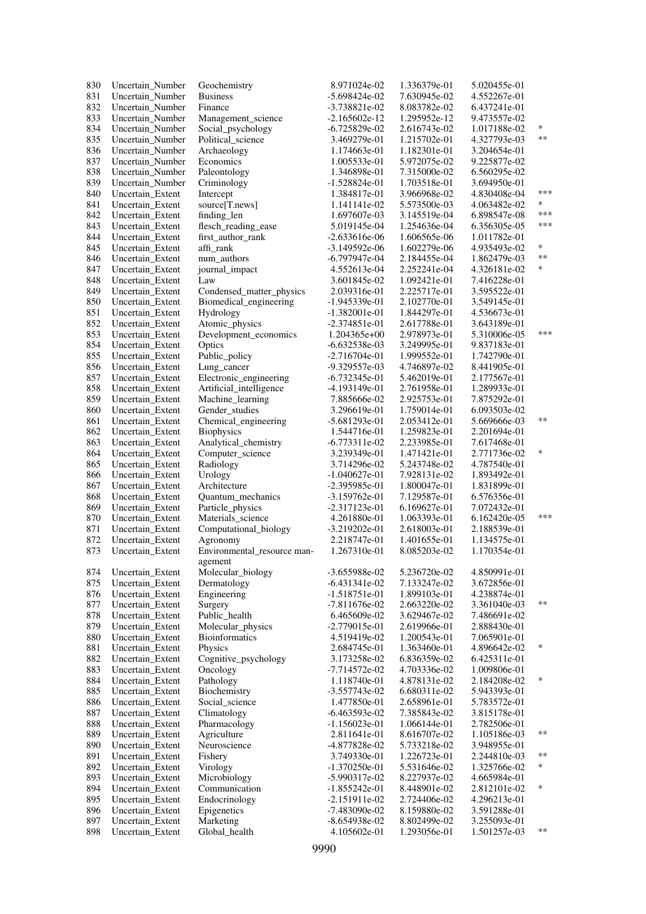| 830 | Uncertain_Number | Geochemistry                           | 8.971024e-02    | 1.336379e-01 | 5.020455e-01 |        |
|-----|------------------|----------------------------------------|-----------------|--------------|--------------|--------|
| 831 | Uncertain Number | <b>Business</b>                        | $-5.698424e-02$ | 7.630945e-02 | 4.552267e-01 |        |
| 832 | Uncertain_Number | Finance                                | $-3.738821e-02$ | 8.083782e-02 | 6.437241e-01 |        |
| 833 | Uncertain Number | Management science                     | $-2.165602e-12$ | 1.295952e-12 | 9.473557e-02 |        |
| 834 | Uncertain_Number | Social_psychology                      | $-6.725829e-02$ | 2.616743e-02 | 1.017188e-02 | $\ast$ |
| 835 | Uncertain Number | Political_science                      | 3.469279e-01    | 1.215702e-01 | 4.327793e-03 | $***$  |
| 836 | Uncertain_Number | Archaeology                            | 1.174663e-01    | 1.182301e-01 | 3.204654e-01 |        |
| 837 | Uncertain_Number | Economics                              | 1.005533e-01    | 5.972075e-02 | 9.225877e-02 |        |
| 838 | Uncertain_Number | Paleontology                           | 1.346898e-01    | 7.315000e-02 | 6.560295e-02 |        |
| 839 | Uncertain Number | Criminology                            | $-1.528824e-01$ | 1.703518e-01 | 3.694950e-01 |        |
| 840 | Uncertain Extent | Intercept                              | 1.384817e-01    | 3.966968e-02 | 4.830408e-04 | ***    |
| 841 | Uncertain_Extent | source[T.news]                         | 1.141141e-02    | 5.573500e-03 | 4.063482e-02 | $\ast$ |
| 842 | Uncertain Extent | finding_len                            | 1.697607e-03    | 3.145519e-04 | 6.898547e-08 | ***    |
| 843 | Uncertain_Extent | flesch_reading_ease                    | 5.019145e-04    | 1.254636e-04 | 6.356305e-05 | ***    |
| 844 | Uncertain_Extent | first_author_rank                      | $-2.633616e-06$ | 1.606565e-06 | 1.011782e-01 |        |
| 845 | Uncertain_Extent | affi_rank                              | $-3.149592e-06$ | 1.602279e-06 | 4.935493e-02 | $\ast$ |
| 846 | Uncertain_Extent | num_authors                            | $-6.797947e-04$ | 2.184455e-04 | 1.862479e-03 | $**$   |
| 847 | Uncertain Extent | journal_impact                         | 4.552613e-04    | 2.252241e-04 | 4.326181e-02 | $\ast$ |
| 848 | Uncertain_Extent | Law                                    | 3.601845e-02    | 1.092421e-01 | 7.416228e-01 |        |
| 849 | Uncertain_Extent | Condensed_matter_physics               | 2.039316e-01    | 2.225717e-01 | 3.595522e-01 |        |
| 850 | Uncertain_Extent | Biomedical_engineering                 | $-1.945339e-01$ | 2.102770e-01 | 3.549145e-01 |        |
| 851 | Uncertain_Extent | Hydrology                              | $-1.382001e-01$ | 1.844297e-01 | 4.536673e-01 |        |
| 852 | Uncertain_Extent | Atomic_physics                         | $-2.374851e-01$ | 2.617788e-01 | 3.643189e-01 |        |
| 853 | Uncertain_Extent | Development_economics                  | 1.204365e+00    | 2.978973e-01 | 5.310006e-05 | ***    |
| 854 | Uncertain Extent | Optics                                 | $-6.632538e-03$ | 3.249995e-01 | 9.837183e-01 |        |
| 855 | Uncertain Extent | Public_policy                          | $-2.716704e-01$ | 1.999552e-01 | 1.742790e-01 |        |
| 856 | Uncertain_Extent | Lung_cancer                            | -9.329557e-03   | 4.746897e-02 | 8.441905e-01 |        |
| 857 | Uncertain_Extent | Electronic_engineering                 | $-6.732345e-01$ | 5.462019e-01 | 2.177567e-01 |        |
| 858 | Uncertain_Extent | Artificial_intelligence                | $-4.193149e-01$ | 2.761958e-01 | 1.289933e-01 |        |
| 859 | Uncertain_Extent | Machine_learning                       | 7.885666e-02    | 2.925753e-01 | 7.875292e-01 |        |
| 860 | Uncertain_Extent | Gender studies                         | 3.296619e-01    | 1.759014e-01 | 6.093503e-02 |        |
| 861 | Uncertain_Extent | Chemical_engineering                   | $-5.681293e-01$ | 2.053412e-01 | 5.669666e-03 | $***$  |
| 862 | Uncertain_Extent | <b>Biophysics</b>                      | 1.544716e-01    | 1.259823e-01 | 2.201694e-01 |        |
| 863 | Uncertain_Extent | Analytical_chemistry                   | $-6.773311e-02$ | 2.233985e-01 | 7.617468e-01 |        |
| 864 | Uncertain_Extent | Computer_science                       | 3.239349e-01    | 1.471421e-01 | 2.771736e-02 | $\ast$ |
| 865 | Uncertain_Extent | Radiology                              | 3.714296e-02    | 5.243748e-02 | 4.787540e-01 |        |
| 866 | Uncertain_Extent | Urology                                | $-1.040627e-01$ | 7.928131e-02 | 1.893492e-01 |        |
| 867 | Uncertain_Extent | Architecture                           | $-2.395985e-01$ | 1.800047e-01 | 1.831899e-01 |        |
| 868 | Uncertain_Extent | Quantum_mechanics                      | $-3.159762e-01$ | 7.129587e-01 | 6.576356e-01 |        |
| 869 | Uncertain_Extent | Particle_physics                       | $-2.317123e-01$ | 6.169627e-01 | 7.072432e-01 |        |
| 870 | Uncertain_Extent | Materials_science                      | 4.261880e-01    | 1.063393e-01 | 6.162420e-05 | ***    |
| 871 | Uncertain_Extent | Computational_biology                  | $-3.219202e-01$ | 2.618003e-01 | 2.188539e-01 |        |
| 872 | Uncertain_Extent | Agronomy                               | 2.218747e-01    | 1.401655e-01 | 1.134575e-01 |        |
| 873 | Uncertain Extent | Environmental_resource man-<br>agement | 1.267310e-01    | 8.085203e-02 | 1.170354e-01 |        |
| 874 | Uncertain_Extent | Molecular_biology                      | $-3.655988e-02$ | 5.236720e-02 | 4.850991e-01 |        |
| 875 | Uncertain_Extent | Dermatology                            | $-6.431341e-02$ | 7.133247e-02 | 3.672856e-01 |        |
| 876 | Uncertain Extent | Engineering                            | $-1.518751e-01$ | 1.899103e-01 | 4.238874e-01 |        |
| 877 | Uncertain Extent | Surgery                                | $-7.811676e-02$ | 2.663220e-02 | 3.361040e-03 | $***$  |
| 878 | Uncertain_Extent | Public_health                          | 6.465609e-02    | 3.629467e-02 | 7.486691e-02 |        |
| 879 | Uncertain Extent | Molecular_physics                      | $-2.779015e-01$ | 2.619966e-01 | 2.888430e-01 |        |
| 880 | Uncertain Extent | <b>Bioinformatics</b>                  | 4.519419e-02    | 1.200543e-01 | 7.065901e-01 |        |
| 881 | Uncertain_Extent | Physics                                | 2.684745e-01    | 1.363460e-01 | 4.896642e-02 | $\ast$ |
| 882 | Uncertain_Extent | Cognitive_psychology                   | 3.173258e-02    | 6.836359e-02 | 6.425311e-01 |        |
| 883 | Uncertain_Extent | Oncology                               | $-7.714572e-02$ | 4.703336e-02 | 1.009806e-01 |        |
| 884 | Uncertain_Extent | Pathology                              | 1.118740e-01    | 4.878131e-02 | 2.184208e-02 | $\ast$ |
| 885 | Uncertain_Extent | Biochemistry                           | $-3.557743e-02$ | 6.680311e-02 | 5.943393e-01 |        |
| 886 | Uncertain Extent | Social_science                         | 1.477850e-01    | 2.658961e-01 | 5.783572e-01 |        |
| 887 | Uncertain_Extent | Climatology                            | $-6.463593e-02$ | 7.385843e-02 | 3.815178e-01 |        |
| 888 | Uncertain Extent | Pharmacology                           | $-1.156023e-01$ | 1.066144e-01 | 2.782506e-01 |        |
| 889 | Uncertain Extent | Agriculture                            | 2.811641e-01    | 8.616707e-02 | 1.105186e-03 | $***$  |
| 890 | Uncertain_Extent | Neuroscience                           | -4.877828e-02   | 5.733218e-02 | 3.948955e-01 |        |
| 891 | Uncertain Extent | Fishery                                | 3.749330e-01    | 1.226723e-01 | 2.244810e-03 | $***$  |
| 892 | Uncertain_Extent | Virology                               | $-1.370250e-01$ | 5.531646e-02 | 1.325766e-02 | $\ast$ |
| 893 | Uncertain Extent | Microbiology                           | $-5.990317e-02$ | 8.227937e-02 | 4.665984e-01 |        |
| 894 | Uncertain Extent | Communication                          | $-1.855242e-01$ | 8.448901e-02 | 2.812101e-02 | $\ast$ |
| 895 | Uncertain_Extent | Endocrinology                          | $-2.151911e-02$ | 2.724406e-02 | 4.296213e-01 |        |
| 896 | Uncertain_Extent | Epigenetics                            | $-7.483090e-02$ | 8.159880e-02 | 3.591288e-01 |        |
| 897 | Uncertain_Extent | Marketing                              | $-8.654938e-02$ | 8.802499e-02 | 3.255093e-01 |        |
| 898 | Uncertain_Extent | Global_health                          | 4.105602e-01    | 1.293056e-01 | 1.501257e-03 | **     |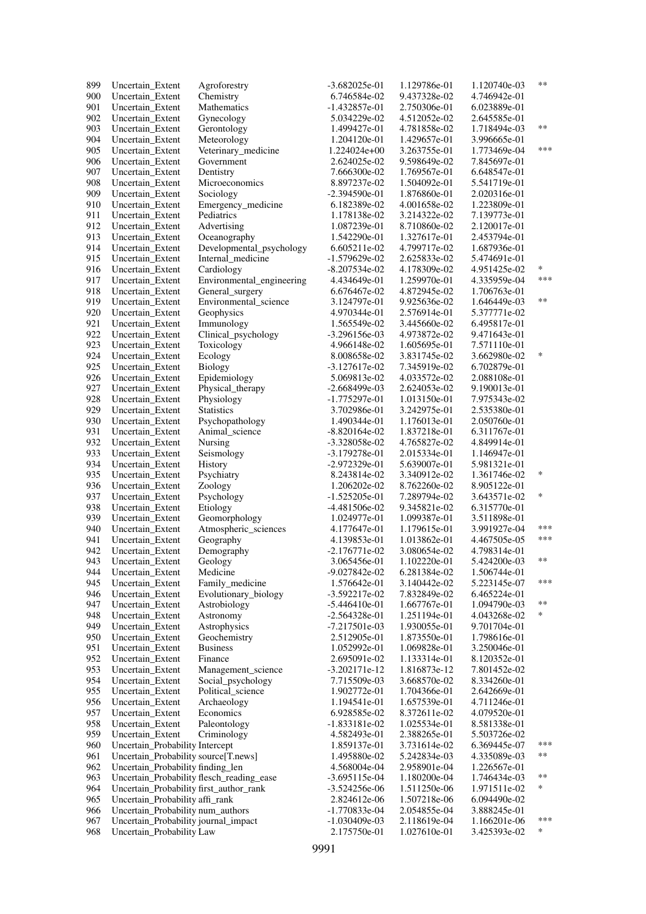| 899        | Uncertain Extent                                                     | Agroforestry                      | $-3.682025e-01$                    | 1.129786e-01                 | 1.120740e-03                 | $***$      |
|------------|----------------------------------------------------------------------|-----------------------------------|------------------------------------|------------------------------|------------------------------|------------|
| 900        | Uncertain_Extent                                                     | Chemistry                         | 6.746584e-02                       | 9.437328e-02                 | 4.746942e-01                 |            |
| 901        | Uncertain Extent                                                     | <b>Mathematics</b>                | $-1.432857e-01$                    | 2.750306e-01                 | 6.023889e-01                 |            |
| 902        | Uncertain Extent                                                     | Gynecology                        | 5.034229e-02                       | 4.512052e-02                 | 2.645585e-01                 |            |
| 903        | Uncertain_Extent                                                     | Gerontology                       | 1.499427e-01                       | 4.781858e-02                 | 1.718494e-03                 | $***$      |
| 904        | Uncertain Extent                                                     | Meteorology                       | 1.204120e-01                       | 1.429657e-01                 | 3.996665e-01                 |            |
| 905        | Uncertain Extent                                                     | Veterinary_medicine               | $1.224024e+00$                     | 3.263755e-01                 | 1.773469e-04                 | ***        |
| 906        | Uncertain_Extent                                                     | Government                        | 2.624025e-02                       | 9.598649e-02                 | 7.845697e-01                 |            |
| 907        | Uncertain Extent                                                     | Dentistry                         | 7.666300e-02                       | 1.769567e-01                 | 6.648547e-01                 |            |
| 908        | Uncertain Extent                                                     | Microeconomics                    | 8.897237e-02                       | 1.504092e-01                 | 5.541719e-01                 |            |
| 909        | Uncertain_Extent                                                     | Sociology                         | $-2.394590e-01$                    | 1.876860e-01                 | 2.020316e-01                 |            |
| 910        | Uncertain Extent                                                     | Emergency_medicine                | 6.182389e-02                       | 4.001658e-02                 | 1.223809e-01                 |            |
| 911        | Uncertain Extent                                                     | Pediatrics                        | 1.178138e-02                       | 3.214322e-02                 | 7.139773e-01                 |            |
| 912        | Uncertain_Extent                                                     | Advertising                       | 1.087239e-01                       | 8.710860e-02                 | 2.120017e-01                 |            |
| 913        | Uncertain Extent                                                     | Oceanography                      | 1.542290e-01                       | 1.327617e-01                 | 2.453794e-01                 |            |
| 914<br>915 | Uncertain Extent                                                     | Developmental_psychology          | 6.605211e-02                       | 4.799717e-02<br>2.625833e-02 | 1.687936e-01                 |            |
| 916        | Uncertain_Extent<br>Uncertain Extent                                 | Internal_medicine<br>Cardiology   | $-1.579629e-02$<br>$-8.207534e-02$ | 4.178309e-02                 | 5.474691e-01<br>4.951425e-02 | $\ast$     |
| 917        | Uncertain Extent                                                     | Environmental_engineering         | 4.434649e-01                       | 1.259970e-01                 | 4.335959e-04                 | ***        |
| 918        | Uncertain Extent                                                     | General_surgery                   | 6.676467e-02                       | 4.872945e-02                 | 1.706763e-01                 |            |
| 919        | Uncertain Extent                                                     | Environmental_science             | 3.124797e-01                       | 9.925636e-02                 | 1.646449e-03                 | $***$      |
| 920        | Uncertain_Extent                                                     | Geophysics                        | 4.970344e-01                       | 2.576914e-01                 | 5.377771e-02                 |            |
| 921        | Uncertain_Extent                                                     | Immunology                        | 1.565549e-02                       | 3.445660e-02                 | 6.495817e-01                 |            |
| 922        | Uncertain_Extent                                                     | Clinical_psychology               | $-3.296156e-03$                    | 4.973872e-02                 | 9.471643e-01                 |            |
| 923        | Uncertain_Extent                                                     | Toxicology                        | 4.966148e-02                       | 1.605695e-01                 | 7.571110e-01                 |            |
| 924        | Uncertain Extent                                                     | Ecology                           | 8.008658e-02                       | 3.831745e-02                 | 3.662980e-02                 | $\ast$     |
| 925        | Uncertain Extent                                                     | Biology                           | $-3.127617e-02$                    | 7.345919e-02                 | 6.702879e-01                 |            |
| 926        | Uncertain_Extent                                                     | Epidemiology                      | 5.069813e-02                       | 4.033572e-02                 | 2.088108e-01                 |            |
| 927        | Uncertain Extent                                                     | Physical_therapy                  | $-2.668499e-03$                    | 2.624053e-02                 | 9.190013e-01                 |            |
| 928        | Uncertain Extent                                                     | Physiology                        | $-1.775297e-01$                    | 1.013150e-01                 | 7.975343e-02                 |            |
| 929        | Uncertain_Extent                                                     | <b>Statistics</b>                 | 3.702986e-01                       | 3.242975e-01                 | 2.535380e-01                 |            |
| 930        | Uncertain Extent                                                     | Psychopathology                   | 1.490344e-01                       | 1.176013e-01                 | 2.050760e-01                 |            |
| 931        | Uncertain Extent                                                     | Animal_science                    | $-8.820164e-02$                    | 1.837218e-01                 | 6.311767e-01                 |            |
| 932        | Uncertain Extent                                                     | Nursing                           | $-3.328058e-02$                    | 4.765827e-02                 | 4.849914e-01                 |            |
| 933        | Uncertain Extent                                                     | Seismology                        | $-3.179278e-01$                    | 2.015334e-01                 | 1.146947e-01                 |            |
| 934        | Uncertain Extent                                                     | History                           | $-2.972329e-01$                    | 5.639007e-01                 | 5.981321e-01                 |            |
| 935        | Uncertain Extent                                                     | Psychiatry                        | 8.243814e-02                       | 3.340912e-02                 | 1.361746e-02                 | $\ast$     |
| 936        | Uncertain Extent                                                     | Zoology                           | 1.206202e-02                       | 8.762260e-02                 | 8.905122e-01                 | *          |
| 937        | Uncertain Extent                                                     | Psychology                        | $-1.525205e-01$                    | 7.289794e-02                 | 3.643571e-02                 |            |
| 938<br>939 | Uncertain_Extent                                                     | Etiology                          | -4.481506e-02<br>1.024977e-01      | 9.345821e-02                 | 6.315770e-01<br>3.511898e-01 |            |
| 940        | Uncertain Extent<br>Uncertain Extent                                 | Geomorphology                     |                                    | 1.099387e-01                 |                              | ***        |
| 941        | Uncertain_Extent                                                     | Atmospheric_sciences<br>Geography | 4.177647e-01<br>4.139853e-01       | 1.179615e-01<br>1.013862e-01 | 3.991927e-04<br>4.467505e-05 | ***        |
| 942        | Uncertain Extent                                                     | Demography                        | $-2.176771e-02$                    | 3.080654e-02                 | 4.798314e-01                 |            |
| 943        | Uncertain_Extent                                                     | Geology                           | 3.065456e-01                       | 1.102220e-01                 | 5.424200e-03                 | $***$      |
| 944        | Uncertain_Extent                                                     | Medicine                          | $-9.027842e-02$                    | 6.281384e-02                 | 1.506744e-01                 |            |
| 945        | Uncertain_Extent                                                     | Family_medicine                   | 1.576642e-01                       | 3.140442e-02                 | 5.223145e-07                 | ***        |
| 946        | Uncertain Extent                                                     | Evolutionary_biology              | $-3.592217e-02$                    | 7.832849e-02                 | 6.465224e-01                 |            |
| 947        | Uncertain_Extent                                                     | Astrobiology                      | $-5.446410e-01$                    | 1.667767e-01                 | 1.094790e-03                 | $***$      |
| 948        | Uncertain_Extent                                                     | Astronomy                         | $-2.564328e-01$                    | 1.251194e-01                 | 4.043268e-02                 | $\ast$     |
| 949        | Uncertain Extent                                                     | Astrophysics                      | $-7.217501e-03$                    | 1.930055e-01                 | 9.701704e-01                 |            |
| 950        | Uncertain_Extent                                                     | Geochemistry                      | 2.512905e-01                       | 1.873550e-01                 | 1.798616e-01                 |            |
| 951        | Uncertain_Extent                                                     | <b>Business</b>                   | 1.052992e-01                       | 1.069828e-01                 | 3.250046e-01                 |            |
| 952        | Uncertain_Extent                                                     | Finance                           | 2.695091e-02                       | 1.133314e-01                 | 8.120352e-01                 |            |
| 953        | Uncertain Extent                                                     | Management_science                | $-3.202171e-12$                    | 1.816873e-12                 | 7.801452e-02                 |            |
| 954        | Uncertain_Extent                                                     | Social_psychology                 | 7.715509e-03                       | 3.668570e-02                 | 8.334260e-01                 |            |
| 955        | Uncertain_Extent                                                     | Political science                 | 1.902772e-01                       | 1.704366e-01                 | 2.642669e-01                 |            |
| 956        | Uncertain_Extent                                                     | Archaeology                       | 1.194541e-01                       | 1.657539e-01                 | 4.711246e-01                 |            |
| 957        | Uncertain_Extent                                                     | Economics                         | 6.928585e-02                       | 8.372611e-02                 | 4.079520e-01                 |            |
| 958        | Uncertain Extent                                                     | Paleontology                      | $-1.833181e-02$                    | 1.025534e-01                 | 8.581338e-01                 |            |
| 959        | Uncertain_Extent                                                     | Criminology                       | 4.582493e-01                       | 2.388265e-01                 | 5.503726e-02                 |            |
| 960        | Uncertain_Probability Intercept                                      |                                   | 1.859137e-01                       | 3.731614e-02                 | 6.369445e-07                 | ***        |
| 961        | Uncertain_Probability source[T.news]                                 |                                   | 1.495880e-02                       | 5.242834e-03                 | 4.335089e-03                 | **         |
| 962        | Uncertain_Probability finding_len                                    |                                   | 4.568004e-04                       | 2.958901e-04                 | 1.226567e-01                 |            |
| 963        | Uncertain_Probability flesch_reading_ease                            |                                   | $-3.695115e-04$                    | 1.180200e-04                 | 1.746434e-03                 | $***$<br>* |
| 964        | Uncertain_Probability first_author_rank                              |                                   | $-3.524256e-06$                    | 1.511250e-06                 | 1.971511e-02                 |            |
| 965        | Uncertain_Probability affi_rank<br>Uncertain_Probability num_authors |                                   | 2.824612e-06                       | 1.507218e-06                 | 6.094490e-02                 |            |
| 966        | Uncertain_Probability journal_impact                                 |                                   | $-1.770833e-04$                    | 2.054855e-04                 | 3.888245e-01                 | ***        |
| 967<br>968 | Uncertain_Probability Law                                            |                                   | $-1.030409e-03$<br>2.175750e-01    | 2.118619e-04<br>1.027610e-01 | 1.166201e-06<br>3.425393e-02 | $\ast$     |
|            |                                                                      |                                   |                                    |                              |                              |            |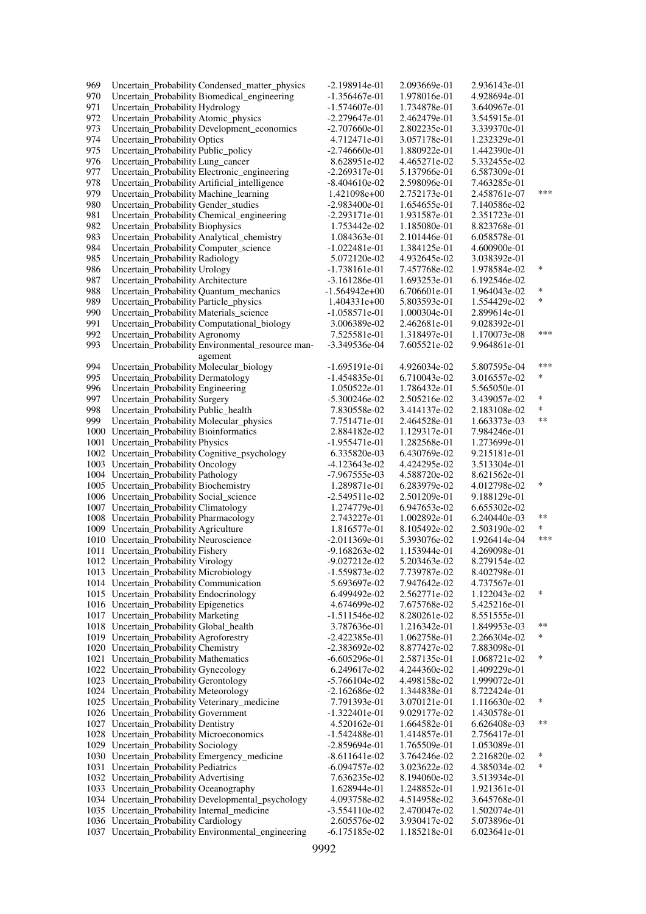| 969 | Uncertain_Probability Condensed_matter_physics                                           | $-2.198914e-01$                    | 2.093669e-01                 | 2.936143e-01                 |        |
|-----|------------------------------------------------------------------------------------------|------------------------------------|------------------------------|------------------------------|--------|
| 970 | Uncertain_Probability Biomedical_engineering                                             | $-1.356467e-01$                    | 1.978016e-01                 | 4.928694e-01                 |        |
| 971 | Uncertain_Probability Hydrology                                                          | $-1.574607e-01$                    | 1.734878e-01                 | 3.640967e-01                 |        |
| 972 | Uncertain_Probability Atomic_physics                                                     | $-2.279647e-01$                    | 2.462479e-01                 | 3.545915e-01                 |        |
| 973 | Uncertain_Probability Development_economics                                              | $-2.707660e-01$                    | 2.802235e-01                 | 3.339370e-01                 |        |
| 974 | Uncertain_Probability Optics                                                             | 4.712471e-01                       | 3.057178e-01                 | 1.232329e-01                 |        |
| 975 | Uncertain_Probability Public_policy                                                      | $-2.746660e-01$                    | 1.880922e-01                 | 1.442390e-01                 |        |
| 976 | Uncertain_Probability Lung_cancer                                                        | 8.628951e-02                       | 4.465271e-02                 | 5.332455e-02                 |        |
| 977 | Uncertain_Probability Electronic_engineering                                             | $-2.269317e-01$                    | 5.137966e-01                 | 6.587309e-01                 |        |
| 978 | Uncertain_Probability Artificial_intelligence                                            | $-8.404610e-02$                    | 2.598096e-01                 | 7.463285e-01                 |        |
| 979 | Uncertain_Probability Machine_learning                                                   | 1.421098e+00                       | 2.752173e-01                 | 2.458761e-07                 | ***    |
| 980 | Uncertain_Probability Gender_studies                                                     | $-2.983400e-01$                    | 1.654655e-01                 | 7.140586e-02                 |        |
| 981 | Uncertain_Probability Chemical_engineering                                               | $-2.293171e-01$                    | 1.931587e-01                 | 2.351723e-01                 |        |
| 982 | Uncertain_Probability Biophysics                                                         | 1.753442e-02                       | 1.185080e-01                 | 8.823768e-01                 |        |
| 983 | Uncertain_Probability Analytical_chemistry                                               | 1.084363e-01                       | 2.101446e-01                 | 6.058578e-01                 |        |
| 984 | Uncertain_Probability Computer_science                                                   | $-1.022481e-01$                    | 1.384125e-01                 | 4.600900e-01                 |        |
| 985 | Uncertain_Probability Radiology                                                          | 5.072120e-02                       | 4.932645e-02                 | 3.038392e-01                 |        |
| 986 | Uncertain_Probability Urology                                                            | $-1.738161e-01$                    | 7.457768e-02                 | 1.978584e-02                 | $\ast$ |
| 987 | Uncertain_Probability Architecture                                                       | $-3.161286e-01$                    | 1.693253e-01                 | 6.192546e-02                 |        |
| 988 | Uncertain_Probability Quantum_mechanics                                                  | $-1.564942e+00$                    | 6.706601e-01                 | 1.964043e-02                 | ∗      |
| 989 | Uncertain_Probability Particle_physics                                                   | $1.404331e+00$                     | 5.803593e-01                 | 1.554429e-02                 | $\ast$ |
| 990 | Uncertain_Probability Materials_science                                                  | $-1.058571e-01$                    | 1.000304e-01                 | 2.899614e-01                 |        |
| 991 | Uncertain_Probability Computational_biology                                              | 3.006389e-02                       | 2.462681e-01                 | 9.028392e-01                 |        |
| 992 | Uncertain_Probability Agronomy                                                           | 7.525581e-01                       | 1.318497e-01                 | 1.170073e-08                 | ***    |
| 993 | Uncertain_Probability Environmental_resource man-                                        | $-3.349536e-04$                    | 7.605521e-02                 | 9.964861e-01                 |        |
|     | agement                                                                                  |                                    |                              |                              |        |
| 994 | Uncertain_Probability Molecular_biology                                                  | $-1.695191e-01$                    | 4.926034e-02                 | 5.807595e-04                 | ***    |
| 995 | Uncertain_Probability Dermatology                                                        | $-1.454835e-01$                    | 6.710043e-02                 | 3.016557e-02                 | *      |
| 996 | Uncertain_Probability Engineering                                                        | 1.050522e-01                       | 1.786432e-01                 | 5.565050e-01                 |        |
| 997 | Uncertain_Probability Surgery                                                            | $-5.300246e-02$                    | 2.505216e-02                 | 3.439057e-02                 | $\ast$ |
| 998 | Uncertain_Probability Public_health                                                      | 7.830558e-02                       | 3.414137e-02                 | 2.183108e-02                 | $\ast$ |
| 999 | Uncertain_Probability Molecular_physics                                                  | 7.751471e-01                       | 2.464528e-01                 | 1.663373e-03                 | $***$  |
|     | 1000 Uncertain_Probability Bioinformatics                                                | 2.884182e-02                       | 1.129317e-01                 | 7.984246e-01                 |        |
|     | 1001 Uncertain_Probability Physics                                                       | $-1.955471e-01$                    | 1.282568e-01                 | 1.273699e-01                 |        |
|     | 1002 Uncertain_Probability Cognitive_psychology                                          | 6.335820e-03                       | 6.430769e-02                 | 9.215181e-01                 |        |
|     | 1003 Uncertain_Probability Oncology                                                      | -4.123643e-02                      | 4.424295e-02                 | 3.513304e-01                 |        |
|     | 1004 Uncertain_Probability Pathology                                                     | -7.967555e-03                      | 4.588720e-02                 | 8.621562e-01                 |        |
|     | 1005 Uncertain_Probability Biochemistry                                                  | 1.289871e-01                       | 6.283979e-02                 | 4.012798e-02                 | $\ast$ |
|     | 1006 Uncertain_Probability Social_science                                                | $-2.549511e-02$                    | 2.501209e-01                 | 9.188129e-01                 |        |
|     | 1007 Uncertain_Probability Climatology                                                   | 1.274779e-01                       | 6.947653e-02                 | 6.655302e-02                 |        |
|     | 1008 Uncertain_Probability Pharmacology                                                  | 2.743227e-01                       | 1.002892e-01                 | 6.240440e-03                 | $***$  |
|     | 1009 Uncertain_Probability Agriculture                                                   | 1.816577e-01                       | 8.105492e-02                 | 2.503190e-02                 | *      |
|     | 1010 Uncertain_Probability Neuroscience                                                  | $-2.011369e-01$                    | 5.393076e-02                 | 1.926414e-04                 | ***    |
|     | 1011 Uncertain_Probability Fishery                                                       | $-9.168263e-02$                    | 1.153944e-01                 | 4.269098e-01                 |        |
|     | 1012 Uncertain_Probability Virology                                                      | $-9.027212e-02$                    | 5.203463e-02                 | 8.279154e-02                 |        |
|     | 1013 Uncertain_Probability Microbiology                                                  | $-1.559873e-02$                    | 7.739787e-02                 | 8.402798e-01                 |        |
|     | 1014 Uncertain_Probability Communication                                                 | 5.693697e-02                       | 7.947642e-02                 | 4.737567e-01                 | $\ast$ |
|     | 1015 Uncertain_Probability Endocrinology                                                 | 6.499492e-02                       | 2.562771e-02                 | 1.122043e-02                 |        |
|     | 1016 Uncertain_Probability Epigenetics                                                   | 4.674699e-02                       | 7.675768e-02                 | 5.425216e-01                 |        |
|     | 1017 Uncertain_Probability Marketing                                                     | $-1.511546e-02$                    | 8.280261e-02<br>1.216342e-01 | 8.551555e-01                 | $***$  |
|     | 1018 Uncertain_Probability Global_health                                                 | 3.787636e-01                       |                              | 1.849953e-03                 | ∗      |
|     | 1019 Uncertain_Probability Agroforestry<br>1020 Uncertain_Probability Chemistry          | $-2.422385e-01$<br>$-2.383692e-02$ | 1.062758e-01<br>8.877427e-02 | 2.266304e-02<br>7.883098e-01 |        |
|     |                                                                                          |                                    |                              |                              | ∗      |
|     | 1021 Uncertain_Probability Mathematics                                                   | $-6.605296e-01$                    | 2.587135e-01                 | 1.068721e-02                 |        |
|     | 1022 Uncertain_Probability Gynecology                                                    | 6.249617e-02                       | 4.244360e-02                 | 1.409229e-01                 |        |
|     | 1023 Uncertain_Probability Gerontology                                                   | $-5.766104e-02$                    | 4.498158e-02<br>1.344838e-01 | 1.999072e-01                 |        |
|     | 1024 Uncertain_Probability Meteorology<br>1025 Uncertain_Probability Veterinary_medicine | $-2.162686e-02$                    | 3.070121e-01                 | 8.722424e-01                 | $\ast$ |
|     |                                                                                          | 7.791393e-01                       |                              | 1.116630e-02                 |        |
|     | 1026 Uncertain_Probability Government                                                    | $-1.322401e-01$                    | 9.029177e-02                 | 1.430578e-01                 | $***$  |
|     | 1027 Uncertain_Probability Dentistry<br>1028 Uncertain_Probability Microeconomics        | 4.520162e-01                       | 1.664582e-01                 | 6.626408e-03                 |        |
|     |                                                                                          | $-1.542488e-01$                    | 1.414857e-01                 | 2.756417e-01                 |        |
|     | 1029 Uncertain_Probability Sociology<br>1030 Uncertain_Probability Emergency_medicine    | $-2.859694e-01$<br>$-8.611641e-02$ | 1.765509e-01<br>3.764246e-02 | 1.053089e-01<br>2.216820e-02 | ∗      |
|     | 1031 Uncertain_Probability Pediatrics                                                    | -6.094757e-02                      | 3.023622e-02                 | 4.385034e-02                 | ∗      |
|     | 1032 Uncertain_Probability Advertising                                                   | 7.636235e-02                       | 8.194060e-02                 | 3.513934e-01                 |        |
|     | 1033 Uncertain_Probability Oceanography                                                  | 1.628944e-01                       | 1.248852e-01                 | 1.921361e-01                 |        |
|     | 1034 Uncertain_Probability Developmental_psychology                                      | 4.093758e-02                       | 4.514958e-02                 | 3.645768e-01                 |        |
|     | 1035 Uncertain_Probability Internal_medicine                                             | $-3.554110e-02$                    | 2.470047e-02                 | 1.502074e-01                 |        |
|     | 1036 Uncertain_Probability Cardiology                                                    | 2.605576e-02                       | 3.930417e-02                 | 5.073896e-01                 |        |
|     | 1037 Uncertain_Probability Environmental_engineering                                     | $-6.175185e-02$                    | 1.185218e-01                 | 6.023641e-01                 |        |
|     |                                                                                          |                                    |                              |                              |        |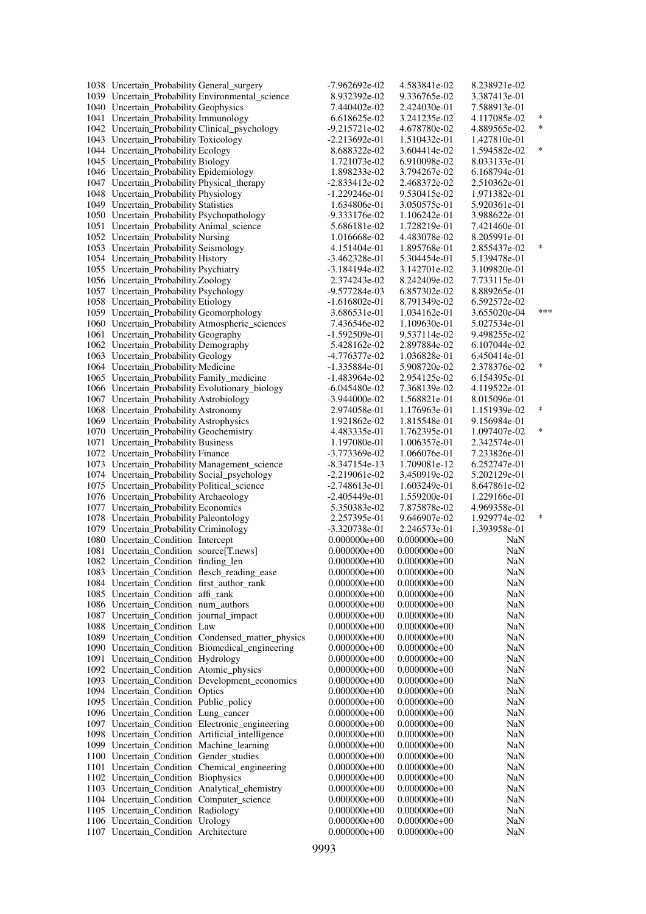| 1038 Uncertain_Probability General_surgery                                     |                                                   | -7.962692e-02                | 4.583841e-02                 | 8.238921e-02                 |        |
|--------------------------------------------------------------------------------|---------------------------------------------------|------------------------------|------------------------------|------------------------------|--------|
|                                                                                | 1039 Uncertain_Probability Environmental_science  | 8.932392e-02                 | 9.336765e-02                 | 3.387413e-01                 |        |
| 1040 Uncertain_Probability Geophysics                                          |                                                   | 7.440402e-02                 | 2.424030e-01                 | 7.588913e-01                 |        |
| 1041 Uncertain_Probability Immunology                                          |                                                   | 6.618625e-02                 | 3.241235e-02                 | 4.117085e-02                 | $\ast$ |
| 1042 Uncertain_Probability Clinical_psychology                                 |                                                   | $-9.215721e-02$              | 4.678780e-02                 | 4.889565e-02                 | $\ast$ |
| 1043 Uncertain_Probability Toxicology                                          |                                                   | $-2.213692e-01$              | 1.510432e-01                 | 1.427810e-01                 |        |
| 1044 Uncertain_Probability Ecology                                             |                                                   | 8.688322e-02                 | 3.604414e-02                 | 1.594582e-02                 | *      |
| 1045 Uncertain_Probability Biology                                             |                                                   | 1.721073e-02                 | 6.910098e-02                 | 8.033133e-01                 |        |
| 1046 Uncertain_Probability Epidemiology                                        |                                                   | 1.898233e-02                 | 3.794267e-02                 | 6.168794e-01                 |        |
| 1047 Uncertain_Probability Physical_therapy                                    |                                                   | -2.833412e-02                | 2.468372e-02                 | 2.510362e-01                 |        |
| 1048 Uncertain_Probability Physiology                                          |                                                   | -1.229246e-01                | 9.530415e-02                 | 1.971382e-01                 |        |
| 1049 Uncertain_Probability Statistics                                          |                                                   | 1.634806e-01                 | 3.050575e-01                 | 5.920361e-01                 |        |
| 1050 Uncertain_Probability Psychopathology                                     |                                                   | -9.333176e-02                | 1.106242e-01                 | 3.988622e-01                 |        |
| 1051 Uncertain_Probability Animal_science                                      |                                                   | 5.686181e-02                 | 1.728219e-01                 | 7.421460e-01                 |        |
| 1052 Uncertain_Probability Nursing                                             |                                                   | 1.016668e-02                 | 4.483078e-02                 | 8.205991e-01                 |        |
| 1053 Uncertain_Probability Seismology                                          |                                                   | 4.151404e-01                 | 1.895768e-01                 | 2.855437e-02                 | $\ast$ |
| 1054 Uncertain_Probability History                                             |                                                   | -3.462328e-01                | 5.304454e-01                 | 5.139478e-01                 |        |
| 1055 Uncertain_Probability Psychiatry                                          |                                                   | $-3.184194e-02$              | 3.142701e-02                 | 3.109820e-01                 |        |
| 1056 Uncertain_Probability Zoology                                             |                                                   | 2.374243e-02                 | 8.242409e-02                 | 7.733115e-01                 |        |
| 1057 Uncertain_Probability Psychology                                          |                                                   | -9.577284e-03                | 6.857302e-02                 | 8.889265e-01                 |        |
| 1058 Uncertain_Probability Etiology                                            |                                                   | $-1.616802e-01$              | 8.791349e-02                 | 6.592572e-02                 |        |
| 1059 Uncertain_Probability Geomorphology                                       |                                                   | 3.686531e-01                 | 1.034162e-01                 | 3.655020e-04                 | ***    |
|                                                                                | 1060 Uncertain_Probability Atmospheric_sciences   | 7.436546e-02                 | 1.109630e-01                 | 5.027534e-01                 |        |
| 1061 Uncertain_Probability Geography                                           |                                                   | $-1.592509e-01$              | 9.537114e-02                 | 9.498255e-02                 |        |
| 1062 Uncertain_Probability Demography                                          |                                                   | 5.428162e-02                 | 2.897884e-02                 | 6.107044e-02                 |        |
| 1063 Uncertain_Probability Geology                                             |                                                   | -4.776377e-02                | 1.036828e-01                 | 6.450414e-01                 |        |
| 1064 Uncertain_Probability Medicine                                            |                                                   | $-1.335884e-01$              | 5.908720e-02                 | 2.378376e-02                 | $\ast$ |
| 1065 Uncertain_Probability Family_medicine                                     |                                                   | -1.483964e-02                | 2.954125e-02                 | 6.154395e-01                 |        |
| 1066 Uncertain_Probability Evolutionary_biology                                |                                                   | -6.045480e-02                | 7.368139e-02                 | 4.119522e-01                 |        |
| 1067 Uncertain_Probability Astrobiology                                        |                                                   | $-3.944000e-02$              | 1.568821e-01                 | 8.015096e-01                 |        |
| 1068 Uncertain_Probability Astronomy                                           |                                                   | 2.974058e-01                 | 1.176963e-01                 | 1.151939e-02                 | $\ast$ |
| 1069 Uncertain_Probability Astrophysics                                        |                                                   | 1.921862e-02                 | 1.815548e-01                 | 9.156984e-01                 |        |
| 1070 Uncertain_Probability Geochemistry                                        |                                                   | 4.483335e-01                 | 1.762395e-01                 | 1.097407e-02                 | $\ast$ |
| 1071 Uncertain_Probability Business                                            |                                                   | 1.197080e-01                 | 1.006357e-01                 | 2.342574e-01                 |        |
| 1072 Uncertain_Probability Finance                                             |                                                   | -3.773369e-02                | 1.066076e-01                 | 7.233826e-01                 |        |
| 1073 Uncertain_Probability Management_science                                  |                                                   | -8.347154e-13                | 1.709081e-12                 | 6.252747e-01                 |        |
| 1074 Uncertain_Probability Social_psychology                                   |                                                   | $-2.219061e-02$              | 3.450919e-02                 | 5.202129e-01                 |        |
| 1075 Uncertain_Probability Political_science                                   |                                                   | $-2.748613e-01$              | 1.603249e-01                 | 8.647861e-02                 |        |
| 1076 Uncertain_Probability Archaeology<br>1077 Uncertain_Probability Economics |                                                   | -2.405449e-01                | 1.559200e-01                 | 1.229166e-01                 |        |
| 1078 Uncertain_Probability Paleontology                                        |                                                   | 5.350383e-02<br>2.257395e-01 | 7.875878e-02<br>9.646907e-02 | 4.969358e-01<br>1.929774e-02 | $\ast$ |
| 1079 Uncertain_Probability Criminology                                         |                                                   | $-3.320738e-01$              | 2.246573e-01                 | 1.393958e-01                 |        |
| 1080 Uncertain_Condition Intercept                                             |                                                   | $0.000000e + 00$             | $0.000000e+00$               |                              |        |
| 1081 Uncertain_Condition source[T.news]                                        |                                                   | $0.000000e + 00$             | $0.000000e+00$               | NaN<br>NaN                   |        |
| 1082 Uncertain_Condition finding_len                                           |                                                   | $0.000000e + 00$             | $0.000000e+00$               | <b>NaN</b>                   |        |
| 1083 Uncertain_Condition flesch_reading_ease                                   |                                                   | $0.000000e+00$               | $0.000000e+00$               | NaN                          |        |
| 1084 Uncertain_Condition first_author_rank                                     |                                                   | $0.000000e + 00$             | $0.000000e+00$               | NaN                          |        |
| 1085 Uncertain_Condition affi_rank                                             |                                                   | $0.000000e+00$               | $0.000000e+00$               | NaN                          |        |
| 1086 Uncertain Condition num authors                                           |                                                   | $0.000000e+00$               | $0.000000e+00$               | NaN                          |        |
| 1087 Uncertain_Condition journal_impact                                        |                                                   | $0.000000e+00$               | $0.000000e+00$               | NaN                          |        |
| 1088 Uncertain_Condition Law                                                   |                                                   | $0.000000e+00$               | $0.000000e+00$               | NaN                          |        |
|                                                                                | 1089 Uncertain_Condition Condensed_matter_physics | $0.000000e+00$               | $0.000000e+00$               | NaN                          |        |
|                                                                                | 1090 Uncertain_Condition Biomedical_engineering   | $0.000000e+00$               | $0.000000e+00$               | NaN                          |        |
| 1091 Uncertain_Condition Hydrology                                             |                                                   | $0.000000e+00$               | $0.000000e+00$               | NaN                          |        |
| 1092 Uncertain Condition Atomic physics                                        |                                                   | $0.000000e+00$               | $0.000000e+00$               | NaN                          |        |
|                                                                                | 1093 Uncertain_Condition Development_economics    | $0.000000e+00$               | $0.000000e+00$               | NaN                          |        |
| 1094 Uncertain_Condition Optics                                                |                                                   | $0.000000e+00$               | $0.000000e+00$               | NaN                          |        |
| 1095 Uncertain_Condition Public_policy                                         |                                                   | $0.000000e+00$               | $0.000000e+00$               | <b>NaN</b>                   |        |
| 1096 Uncertain_Condition Lung_cancer                                           |                                                   | $0.000000e+00$               | $0.000000e+00$               | NaN                          |        |
|                                                                                | 1097 Uncertain_Condition Electronic_engineering   | $0.000000e+00$               | $0.000000e+00$               | NaN                          |        |
|                                                                                | 1098 Uncertain_Condition Artificial_intelligence  | $0.000000e+00$               | $0.000000e+00$               | NaN                          |        |
| 1099 Uncertain_Condition Machine_learning                                      |                                                   | $0.000000e+00$               | $0.000000e+00$               | NaN                          |        |
| 1100 Uncertain_Condition Gender_studies                                        |                                                   | $0.000000e+00$               | $0.000000e+00$               | NaN                          |        |
|                                                                                | 1101 Uncertain_Condition Chemical_engineering     | $0.000000e+00$               | $0.000000e+00$               | NaN                          |        |
| 1102 Uncertain_Condition Biophysics                                            |                                                   | $0.000000e+00$               | $0.000000e+00$               | NaN                          |        |
| 1103 Uncertain_Condition Analytical_chemistry                                  |                                                   | $0.000000e+00$               | $0.000000e+00$               | NaN                          |        |
| 1104 Uncertain_Condition Computer_science                                      |                                                   | $0.000000e+00$               | $0.000000e+00$               | NaN                          |        |
| 1105 Uncertain_Condition Radiology                                             |                                                   | $0.000000e+00$               | $0.000000e+00$               | NaN                          |        |
| 1106 Uncertain_Condition Urology                                               |                                                   | $0.000000e+00$               | $0.000000e+00$               | NaN                          |        |
| 1107 Uncertain_Condition Architecture                                          |                                                   | $0.000000e+00$               | $0.000000e+00$               | NaN                          |        |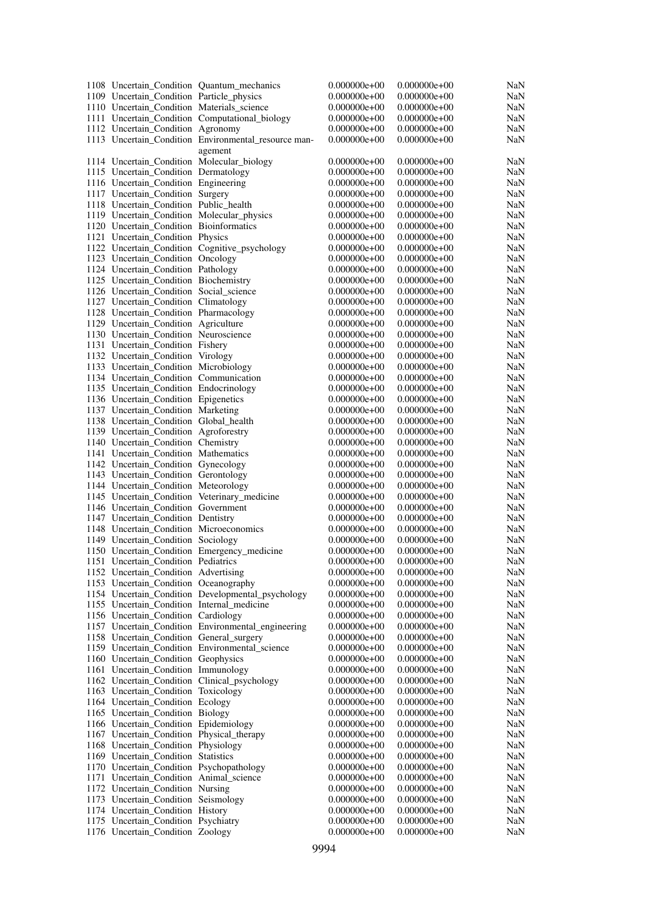|                                              | 1108 Uncertain_Condition Quantum_mechanics           | $0.000000e + 00$ | $0.000000e + 00$ | NaN        |
|----------------------------------------------|------------------------------------------------------|------------------|------------------|------------|
| 1109 Uncertain_Condition Particle_physics    |                                                      | $0.000000e+00$   | $0.000000e+00$   | NaN        |
| 1110 Uncertain_Condition Materials_science   |                                                      | $0.000000e+00$   | $0.000000e+00$   | NaN        |
|                                              | 1111 Uncertain Condition Computational biology       | $0.000000e+00$   | $0.000000e+00$   | <b>NaN</b> |
| 1112 Uncertain_Condition Agronomy            |                                                      | $0.000000e+00$   | $0.000000e+00$   | NaN        |
|                                              | 1113 Uncertain_Condition Environmental_resource man- | $0.000000e + 00$ | $0.000000e+00$   | NaN        |
|                                              |                                                      |                  |                  |            |
|                                              | agement                                              |                  |                  |            |
| 1114 Uncertain_Condition Molecular_biology   |                                                      | $0.000000e + 00$ | $0.000000e+00$   | NaN        |
| 1115 Uncertain_Condition Dermatology         |                                                      | $0.000000e+00$   | $0.000000e+00$   | NaN        |
| 1116 Uncertain_Condition Engineering         |                                                      | $0.000000e+00$   | $0.000000e+00$   | NaN        |
| 1117 Uncertain_Condition Surgery             |                                                      | $0.000000e + 00$ | $0.000000e+00$   | NaN        |
| 1118 Uncertain Condition Public health       |                                                      | $0.000000e+00$   | $0.000000e+00$   | NaN        |
| 1119 Uncertain_Condition Molecular_physics   |                                                      | $0.000000e+00$   | $0.000000e+00$   | NaN        |
| 1120 Uncertain Condition Bioinformatics      |                                                      | $0.000000e + 00$ | $0.000000e+00$   | NaN        |
| 1121 Uncertain_Condition Physics             |                                                      | $0.000000e+00$   | $0.000000e+00$   | NaN        |
|                                              | 1122 Uncertain_Condition Cognitive_psychology        | $0.000000e+00$   | $0.000000e+00$   | NaN        |
| 1123 Uncertain_Condition Oncology            |                                                      | $0.000000e + 00$ | $0.000000e+00$   | NaN        |
|                                              |                                                      | $0.000000e+00$   | $0.000000e+00$   | NaN        |
| 1124 Uncertain_Condition Pathology           |                                                      |                  |                  |            |
| 1125 Uncertain_Condition Biochemistry        |                                                      | $0.000000e+00$   | $0.000000e+00$   | NaN        |
| 1126 Uncertain_Condition Social_science      |                                                      | $0.000000e + 00$ | $0.000000e+00$   | NaN        |
| 1127 Uncertain_Condition Climatology         |                                                      | $0.000000e+00$   | $0.000000e+00$   | NaN        |
| 1128 Uncertain_Condition Pharmacology        |                                                      | $0.000000e + 00$ | $0.000000e+00$   | NaN        |
| 1129 Uncertain_Condition Agriculture         |                                                      | $0.000000e + 00$ | $0.000000e+00$   | NaN        |
| 1130 Uncertain_Condition Neuroscience        |                                                      | $0.000000e+00$   | $0.000000e+00$   | NaN        |
| 1131 Uncertain_Condition Fishery             |                                                      | $0.000000e+00$   | $0.000000e+00$   | NaN        |
| 1132 Uncertain_Condition Virology            |                                                      | $0.000000e+00$   | $0.000000e+00$   | NaN        |
| 1133 Uncertain_Condition Microbiology        |                                                      | $0.000000e+00$   | $0.000000e+00$   | NaN        |
| 1134 Uncertain_Condition Communication       |                                                      | $0.000000e + 00$ | $0.000000e+00$   | NaN        |
| 1135 Uncertain_Condition Endocrinology       |                                                      | $0.000000e+00$   | $0.000000e+00$   | NaN        |
| 1136 Uncertain_Condition Epigenetics         |                                                      | $0.000000e+00$   | $0.000000e+00$   | NaN        |
|                                              |                                                      |                  |                  |            |
| 1137 Uncertain_Condition Marketing           |                                                      | $0.000000e + 00$ | $0.000000e+00$   | NaN        |
| 1138 Uncertain_Condition Global_health       |                                                      | $0.000000e+00$   | $0.000000e+00$   | NaN        |
| 1139 Uncertain_Condition Agroforestry        |                                                      | $0.000000e+00$   | $0.000000e+00$   | NaN        |
| 1140 Uncertain_Condition Chemistry           |                                                      | $0.000000e+00$   | $0.000000e+00$   | NaN        |
| 1141 Uncertain_Condition Mathematics         |                                                      | $0.000000e + 00$ | $0.000000e+00$   | NaN        |
| 1142 Uncertain_Condition Gynecology          |                                                      | $0.000000e+00$   | $0.000000e+00$   | NaN        |
| 1143 Uncertain_Condition Gerontology         |                                                      | $0.000000e+00$   | $0.000000e+00$   | NaN        |
| 1144 Uncertain_Condition Meteorology         |                                                      | $0.000000e+00$   | $0.000000e+00$   | NaN        |
| 1145 Uncertain_Condition Veterinary_medicine |                                                      | $0.000000e + 00$ | $0.000000e+00$   | NaN        |
| 1146 Uncertain_Condition Government          |                                                      | $0.000000e + 00$ | $0.000000e+00$   | NaN        |
| 1147 Uncertain_Condition Dentistry           |                                                      | $0.000000e+00$   | $0.000000e+00$   | NaN        |
| 1148 Uncertain_Condition Microeconomics      |                                                      | $0.000000e + 00$ | $0.000000e+00$   | NaN        |
| 1149 Uncertain Condition Sociology           |                                                      | $0.000000e + 00$ | $0.000000e+00$   |            |
|                                              |                                                      |                  |                  | NaN        |
|                                              | 1150 Uncertain_Condition Emergency_medicine          | $0.000000e + 00$ | $0.000000e+00$   | NaN        |
| 1151 Uncertain_Condition Pediatrics          |                                                      | $0.000000e + 00$ | $0.000000e+00$   | NaN        |
| 1152 Uncertain Condition Advertising         |                                                      | $0.000000e+00$   | $0.000000e+00$   | NaN        |
| 1153 Uncertain_Condition Oceanography        |                                                      | $0.000000e + 00$ | $0.000000e+00$   | <b>NaN</b> |
|                                              | 1154 Uncertain_Condition Developmental_psychology    | $0.000000e + 00$ | $0.000000e + 00$ | NaN        |
| 1155 Uncertain_Condition Internal_medicine   |                                                      | $0.000000e+00$   | $0.000000e+00$   | NaN        |
| 1156 Uncertain Condition Cardiology          |                                                      | $0.000000e + 00$ | $0.000000e+00$   | NaN        |
|                                              | 1157 Uncertain_Condition Environmental_engineering   | $0.000000e + 00$ | $0.000000e+00$   | NaN        |
| 1158 Uncertain_Condition General_surgery     |                                                      | $0.000000e+00$   | $0.000000e+00$   | NaN        |
|                                              | 1159 Uncertain_Condition Environmental_science       | $0.000000e + 00$ | $0.000000e+00$   | NaN        |
| 1160 Uncertain_Condition Geophysics          |                                                      | $0.000000e + 00$ | $0.000000e+00$   | NaN        |
|                                              |                                                      |                  | $0.000000e+00$   |            |
| 1161 Uncertain_Condition Immunology          |                                                      | $0.000000e+00$   | $0.000000e+00$   | NaN        |
| 1162 Uncertain_Condition Clinical_psychology |                                                      | $0.000000e + 00$ |                  | NaN        |
| 1163 Uncertain_Condition Toxicology          |                                                      | $0.000000e + 00$ | $0.000000e+00$   | <b>NaN</b> |
| 1164 Uncertain_Condition Ecology             |                                                      | $0.000000e + 00$ | $0.000000e+00$   | NaN        |
| 1165 Uncertain_Condition Biology             |                                                      | $0.000000e + 00$ | $0.000000e+00$   | NaN        |
| 1166 Uncertain_Condition Epidemiology        |                                                      | $0.000000e + 00$ | $0.000000e+00$   | <b>NaN</b> |
| 1167 Uncertain_Condition Physical_therapy    |                                                      | $0.000000e+00$   | $0.000000e+00$   | NaN        |
| 1168 Uncertain_Condition Physiology          |                                                      | $0.000000e + 00$ | $0.000000e+00$   | NaN        |
| 1169 Uncertain Condition Statistics          |                                                      | $0.000000e+00$   | $0.000000e+00$   | NaN        |
| 1170 Uncertain_Condition Psychopathology     |                                                      | $0.000000e+00$   | $0.000000e+00$   | NaN        |
| 1171 Uncertain_Condition Animal_science      |                                                      | $0.000000e + 00$ | $0.000000e+00$   | NaN        |
| 1172 Uncertain_Condition Nursing             |                                                      | $0.000000e+00$   | $0.000000e+00$   | NaN        |
|                                              |                                                      |                  |                  |            |
| 1173 Uncertain_Condition Seismology          |                                                      | $0.000000e + 00$ | $0.000000e + 00$ | NaN        |
| 1174 Uncertain_Condition History             |                                                      | $0.000000e + 00$ | $0.000000e+00$   | NaN        |
| 1175 Uncertain_Condition Psychiatry          |                                                      | $0.000000e + 00$ | $0.000000e+00$   | NaN        |
| 1176 Uncertain_Condition Zoology             |                                                      | $0.000000e + 00$ | $0.000000e+00$   | NaN        |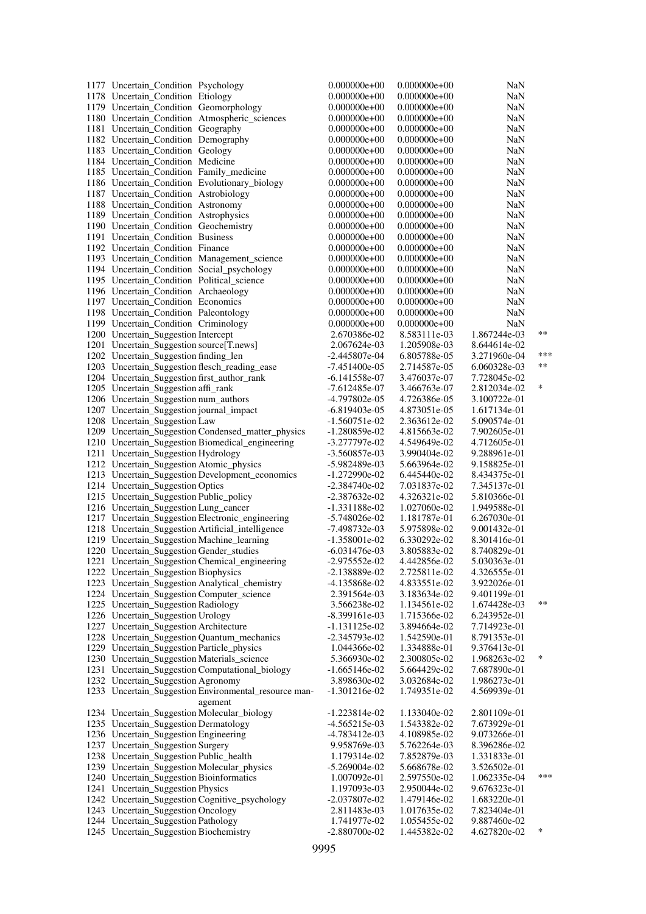| 1177 Uncertain_Condition Psychology                   | $0.000000e + 00$ | $0.000000e+00$   | NaN          |        |
|-------------------------------------------------------|------------------|------------------|--------------|--------|
|                                                       |                  | $0.000000e+00$   |              |        |
| 1178 Uncertain_Condition Etiology                     | $0.000000e+00$   |                  | NaN          |        |
| 1179 Uncertain_Condition Geomorphology                | $0.000000e+00$   | $0.000000e + 00$ | NaN          |        |
| 1180 Uncertain_Condition Atmospheric_sciences         | $0.000000e+00$   | $0.000000e+00$   | NaN          |        |
| 1181 Uncertain_Condition Geography                    | $0.000000e+00$   | $0.000000e+00$   | NaN          |        |
| 1182 Uncertain_Condition Demography                   | $0.000000e+00$   | $0.000000e + 00$ | NaN          |        |
| 1183 Uncertain_Condition Geology                      |                  |                  |              |        |
|                                                       | $0.000000e+00$   | $0.000000e+00$   | NaN          |        |
| 1184 Uncertain_Condition Medicine                     | $0.000000e+00$   | $0.000000e+00$   | NaN          |        |
| 1185 Uncertain_Condition Family_medicine              | $0.000000e+00$   | $0.000000e + 00$ | NaN          |        |
| 1186 Uncertain_Condition Evolutionary_biology         | $0.000000e+00$   | $0.000000e+00$   | NaN          |        |
| 1187 Uncertain_Condition Astrobiology                 | $0.000000e+00$   | $0.000000e+00$   | NaN          |        |
|                                                       |                  |                  |              |        |
| 1188 Uncertain_Condition Astronomy                    | $0.000000e + 00$ | $0.000000e + 00$ | <b>NaN</b>   |        |
| 1189 Uncertain_Condition Astrophysics                 | $0.000000e+00$   | $0.000000e+00$   | NaN          |        |
| 1190 Uncertain_Condition Geochemistry                 | $0.000000e+00$   | $0.000000e+00$   | NaN          |        |
| 1191 Uncertain Condition Business                     | $0.000000e+00$   | $0.000000e + 00$ | <b>NaN</b>   |        |
| 1192 Uncertain Condition Finance                      | $0.000000e+00$   | $0.000000e+00$   | <b>NaN</b>   |        |
|                                                       |                  |                  |              |        |
| 1193 Uncertain_Condition Management_science           | $0.000000e+00$   | $0.000000e+00$   | NaN          |        |
| 1194 Uncertain_Condition Social_psychology            | $0.000000e+00$   | $0.000000e + 00$ | <b>NaN</b>   |        |
| 1195 Uncertain_Condition Political_science            | $0.000000e+00$   | $0.000000e+00$   | NaN          |        |
| 1196 Uncertain_Condition Archaeology                  | $0.000000e+00$   | $0.000000e+00$   | NaN          |        |
|                                                       |                  |                  |              |        |
| 1197 Uncertain_Condition Economics                    | $0.000000e+00$   | $0.000000e+00$   | <b>NaN</b>   |        |
| 1198 Uncertain_Condition Paleontology                 | $0.000000e+00$   | $0.000000e+00$   | <b>NaN</b>   |        |
| 1199 Uncertain_Condition Criminology                  | $0.000000e + 00$ | $0.000000e+00$   | NaN          |        |
| 1200 Uncertain_Suggestion Intercept                   | 2.670386e-02     | 8.583111e-03     | 1.867244e-03 | $**$   |
| 1201 Uncertain_Suggestion source[T.news]              | 2.067624e-03     | 1.205908e-03     | 8.644614e-02 |        |
|                                                       |                  |                  |              | ***    |
| 1202 Uncertain_Suggestion finding_len                 | $-2.445807e-04$  | 6.805788e-05     | 3.271960e-04 |        |
| 1203 Uncertain_Suggestion flesch_reading_ease         | $-7.451400e-05$  | 2.714587e-05     | 6.060328e-03 | $***$  |
| 1204 Uncertain_Suggestion first_author_rank           | -6.141558e-07    | 3.476037e-07     | 7.728045e-02 |        |
| 1205 Uncertain_Suggestion affi_rank                   | $-7.612485e-07$  | 3.466763e-07     | 2.812034e-02 | *      |
|                                                       |                  |                  |              |        |
| 1206 Uncertain_Suggestion num_authors                 | -4.797802e-05    | 4.726386e-05     | 3.100722e-01 |        |
| 1207 Uncertain_Suggestion journal_impact              | -6.819403e-05    | 4.873051e-05     | 1.617134e-01 |        |
| 1208 Uncertain_Suggestion Law                         | $-1.560751e-02$  | 2.363612e-02     | 5.090574e-01 |        |
| 1209 Uncertain_Suggestion Condensed_matter_physics    | $-1.280859e-02$  | 4.815663e-02     | 7.902605e-01 |        |
| 1210 Uncertain_Suggestion Biomedical_engineering      | -3.277797e-02    | 4.549649e-02     | 4.712605e-01 |        |
|                                                       |                  |                  |              |        |
| 1211 Uncertain_Suggestion Hydrology                   | $-3.560857e-03$  | 3.990404e-02     | 9.288961e-01 |        |
| 1212 Uncertain_Suggestion Atomic_physics              | -5.982489e-03    | 5.663964e-02     | 9.158825e-01 |        |
| 1213 Uncertain_Suggestion Development_economics       | $-1.272990e-02$  | 6.445440e-02     | 8.434375e-01 |        |
| 1214 Uncertain_Suggestion Optics                      | $-2.384740e-02$  | 7.031837e-02     | 7.345137e-01 |        |
| 1215 Uncertain_Suggestion Public_policy               | -2.387632e-02    | 4.326321e-02     | 5.810366e-01 |        |
|                                                       |                  |                  |              |        |
| 1216 Uncertain_Suggestion Lung_cancer                 | $-1.331188e-02$  | 1.027060e-02     | 1.949588e-01 |        |
| 1217 Uncertain_Suggestion Electronic_engineering      | $-5.748026e-02$  | 1.181787e-01     | 6.267030e-01 |        |
| 1218 Uncertain_Suggestion Artificial_intelligence     | -7.498732e-03    | 5.975898e-02     | 9.001432e-01 |        |
| 1219 Uncertain_Suggestion Machine_learning            | $-1.358001e-02$  | 6.330292e-02     | 8.301416e-01 |        |
|                                                       |                  |                  |              |        |
| 1220 Uncertain_Suggestion Gender_studies              | $-6.031476e-03$  | 3.805883e-02     | 8.740829e-01 |        |
| 1221 Uncertain_Suggestion Chemical_engineering        | -2.975552e-02    | 4.442856e-02     | 5.030363e-01 |        |
| 1222 Uncertain_Suggestion Biophysics                  | $-2.138889e-02$  | 2.725811e-02     | 4.326555e-01 |        |
| 1223 Uncertain_Suggestion Analytical_chemistry        | -4.135868e-02    | 4.833551e-02     | 3.922026e-01 |        |
| 1224 Uncertain_Suggestion Computer_science            | 2.391564e-03     | 3.183634e-02     | 9.401199e-01 |        |
|                                                       |                  |                  |              | $***$  |
| 1225 Uncertain_Suggestion Radiology                   | 3.566238e-02     | 1.134561e-02     | 1.674428e-03 |        |
| 1226 Uncertain_Suggestion Urology                     | $-8.399161e-03$  | 1.715366e-02     | 6.243952e-01 |        |
| 1227 Uncertain_Suggestion Architecture                | $-1.131125e-02$  | 3.894664e-02     | 7.714923e-01 |        |
| 1228 Uncertain_Suggestion Quantum_mechanics           | $-2.345793e-02$  | 1.542590e-01     | 8.791353e-01 |        |
|                                                       |                  |                  |              |        |
| 1229 Uncertain_Suggestion Particle_physics            | 1.044366e-02     | 1.334888e-01     | 9.376413e-01 |        |
| 1230 Uncertain_Suggestion Materials_science           | 5.366930e-02     | 2.300805e-02     | 1.968263e-02 | $\ast$ |
| 1231 Uncertain_Suggestion Computational_biology       | $-1.665146e-02$  | 5.664429e-02     | 7.687890e-01 |        |
| 1232 Uncertain_Suggestion Agronomy                    | 3.898630e-02     | 3.032684e-02     | 1.986273e-01 |        |
| 1233 Uncertain_Suggestion Environmental_resource man- | $-1.301216e-02$  | 1.749351e-02     | 4.569939e-01 |        |
|                                                       |                  |                  |              |        |
| agement                                               |                  |                  |              |        |
| 1234 Uncertain_Suggestion Molecular_biology           | $-1.223814e-02$  | 1.133040e-02     | 2.801109e-01 |        |
| 1235 Uncertain_Suggestion Dermatology                 | $-4.565215e-03$  | 1.543382e-02     | 7.673929e-01 |        |
| 1236 Uncertain_Suggestion Engineering                 | $-4.783412e-03$  | 4.108985e-02     | 9.073266e-01 |        |
| 1237 Uncertain_Suggestion Surgery                     | 9.958769e-03     | 5.762264e-03     | 8.396286e-02 |        |
|                                                       |                  |                  |              |        |
| 1238 Uncertain_Suggestion Public_health               | 1.179314e-02     | 7.852879e-03     | 1.331833e-01 |        |
| 1239 Uncertain_Suggestion Molecular_physics           | $-5.269004e-02$  | 5.668678e-02     | 3.526502e-01 |        |
| 1240 Uncertain_Suggestion Bioinformatics              | 1.007092e-01     | 2.597550e-02     | 1.062335e-04 | ***    |
| 1241 Uncertain_Suggestion Physics                     | 1.197093e-03     | 2.950044e-02     | 9.676323e-01 |        |
|                                                       |                  |                  |              |        |
| 1242 Uncertain_Suggestion Cognitive_psychology        | -2.037807e-02    | 1.479146e-02     | 1.683220e-01 |        |
| 1243 Uncertain_Suggestion Oncology                    | 2.811483e-03     | 1.017635e-02     | 7.823404e-01 |        |
| 1244 Uncertain_Suggestion Pathology                   | 1.741977e-02     | 1.055455e-02     | 9.887460e-02 |        |
| 1245 Uncertain_Suggestion Biochemistry                | $-2.880700e-02$  | 1.445382e-02     | 4.627820e-02 | $\ast$ |
|                                                       |                  |                  |              |        |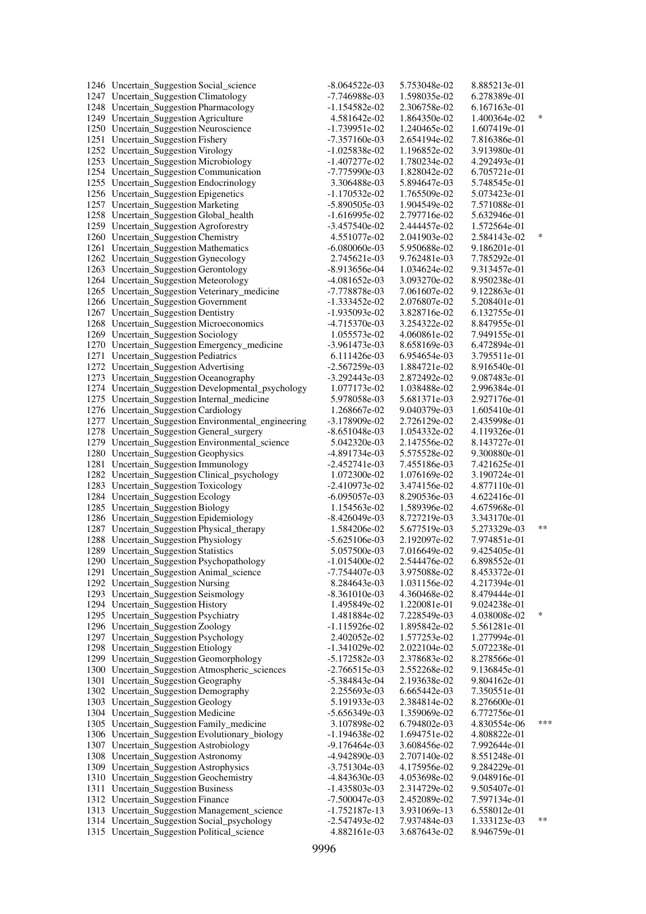| 1246 Uncertain_Suggestion Social_science                                             | $-8.064522e-03$                    | 5.753048e-02                 | 8.885213e-01                 |        |
|--------------------------------------------------------------------------------------|------------------------------------|------------------------------|------------------------------|--------|
| 1247 Uncertain_Suggestion Climatology                                                | -7.746988e-03                      | 1.598035e-02                 | 6.278389e-01                 |        |
| 1248 Uncertain_Suggestion Pharmacology                                               | $-1.154582e-02$                    | 2.306758e-02                 | 6.167163e-01                 |        |
| 1249 Uncertain_Suggestion Agriculture                                                | 4.581642e-02                       | 1.864350e-02                 | 1.400364e-02                 | $\ast$ |
| 1250 Uncertain_Suggestion Neuroscience                                               | $-1.739951e-02$                    | 1.240465e-02                 | 1.607419e-01                 |        |
| 1251 Uncertain_Suggestion Fishery                                                    | $-7.357160e-03$                    | 2.654194e-02                 | 7.816386e-01                 |        |
| 1252 Uncertain_Suggestion Virology                                                   | $-1.025838e-02$                    | 1.196852e-02                 | 3.913980e-01                 |        |
| 1253 Uncertain_Suggestion Microbiology                                               | -1.407277e-02                      | 1.780234e-02                 | 4.292493e-01                 |        |
| 1254 Uncertain_Suggestion Communication                                              | -7.775990e-03                      | 1.828042e-02                 | 6.705721e-01                 |        |
| 1255 Uncertain_Suggestion Endocrinology                                              | 3.306488e-03                       | 5.894647e-03                 | 5.748545e-01                 |        |
| 1256 Uncertain_Suggestion Epigenetics                                                | -1.170532e-02                      | 1.765509e-02                 | 5.073423e-01                 |        |
| 1257 Uncertain_Suggestion Marketing                                                  | $-5.890505e-03$                    | 1.904549e-02                 | 7.571088e-01                 |        |
| 1258 Uncertain_Suggestion Global_health                                              | -1.616995e-02                      | 2.797716e-02                 | 5.632946e-01                 |        |
| 1259 Uncertain_Suggestion Agroforestry<br>1260 Uncertain_Suggestion Chemistry        | $-3.457540e-02$<br>4.551077e-02    | 2.444457e-02<br>2.041903e-02 | 1.572564e-01<br>2.584143e-02 | $\ast$ |
| 1261 Uncertain_Suggestion Mathematics                                                | $-6.080060e-03$                    | 5.950688e-02                 | 9.186201e-01                 |        |
| 1262 Uncertain_Suggestion Gynecology                                                 | 2.745621e-03                       | 9.762481e-03                 | 7.785292e-01                 |        |
| 1263 Uncertain_Suggestion Gerontology                                                | -8.913656e-04                      | 1.034624e-02                 | 9.313457e-01                 |        |
| 1264 Uncertain_Suggestion Meteorology                                                | $-4.081652e-03$                    | 3.093270e-02                 | 8.950238e-01                 |        |
| 1265 Uncertain_Suggestion Veterinary_medicine                                        | -7.778878e-03                      | 7.061607e-02                 | 9.122863e-01                 |        |
| 1266 Uncertain_Suggestion Government                                                 | $-1.333452e-02$                    | 2.076807e-02                 | 5.208401e-01                 |        |
| 1267 Uncertain_Suggestion Dentistry                                                  | -1.935093e-02                      | 3.828716e-02                 | 6.132755e-01                 |        |
| 1268 Uncertain_Suggestion Microeconomics                                             | $-4.715370e-03$                    | 3.254322e-02                 | 8.847955e-01                 |        |
| 1269 Uncertain_Suggestion Sociology                                                  | 1.055573e-02                       | 4.060861e-02                 | 7.949155e-01                 |        |
| 1270 Uncertain_Suggestion Emergency_medicine                                         | $-3.961473e-03$                    | 8.658169e-03                 | 6.472894e-01                 |        |
| 1271 Uncertain_Suggestion Pediatrics                                                 | 6.111426e-03                       | 6.954654e-03                 | 3.795511e-01                 |        |
| 1272 Uncertain_Suggestion Advertising                                                | $-2.567259e-03$                    | 1.884721e-02                 | 8.916540e-01                 |        |
| 1273 Uncertain_Suggestion Oceanography                                               | $-3.292443e-03$                    | 2.872492e-02                 | 9.087483e-01                 |        |
| 1274 Uncertain_Suggestion Developmental_psychology                                   | 1.077173e-02                       | 1.038488e-02                 | 2.996384e-01                 |        |
| 1275 Uncertain_Suggestion Internal_medicine                                          | 5.978058e-03                       | 5.681371e-03                 | 2.927176e-01                 |        |
| 1276 Uncertain_Suggestion Cardiology                                                 | 1.268667e-02                       | 9.040379e-03                 | 1.605410e-01                 |        |
| 1277 Uncertain_Suggestion Environmental_engineering                                  | -3.178909e-02                      | 2.726129e-02                 | 2.435998e-01                 |        |
| 1278 Uncertain_Suggestion General_surgery                                            | $-8.651048e-03$                    | 1.054332e-02                 | 4.119326e-01                 |        |
| 1279 Uncertain_Suggestion Environmental_science                                      | 5.042320e-03                       | 2.147556e-02                 | 8.143727e-01                 |        |
| 1280 Uncertain_Suggestion Geophysics                                                 | -4.891734e-03                      | 5.575528e-02                 | 9.300880e-01                 |        |
| 1281 Uncertain_Suggestion Immunology                                                 | $-2.452741e-03$                    | 7.455186e-03                 | 7.421625e-01                 |        |
| 1282 Uncertain_Suggestion Clinical_psychology                                        | 1.072300e-02                       | 1.076169e-02                 | 3.190724e-01                 |        |
| 1283 Uncertain_Suggestion Toxicology                                                 | $-2.410973e-02$                    | 3.474156e-02                 | 4.877110e-01                 |        |
| 1284 Uncertain_Suggestion Ecology                                                    | -6.095057e-03                      | 8.290536e-03                 | 4.622416e-01                 |        |
| 1285 Uncertain_Suggestion Biology                                                    | 1.154563e-02                       | 1.589396e-02                 | 4.675968e-01                 |        |
| 1286 Uncertain_Suggestion Epidemiology<br>1287 Uncertain_Suggestion Physical_therapy | $-8.426049e-03$<br>1.584206e-02    | 8.727219e-03<br>5.677519e-03 | 3.343170e-01<br>5.273329e-03 | $**$   |
| 1288 Uncertain_Suggestion Physiology                                                 | $-5.625106e-03$                    | 2.192097e-02                 | 7.974851e-01                 |        |
| 1289 Uncertain_Suggestion Statistics                                                 | 5.057500e-03                       | 7.016649e-02                 | 9.425405e-01                 |        |
| 1290 Uncertain_Suggestion Psychopathology                                            | $-1.015400e-02$                    | 2.544476e-02                 | 6.898552e-01                 |        |
| 1291 Uncertain_Suggestion Animal_science                                             | -7.754407e-03                      | 3.975088e-02                 | 8.453372e-01                 |        |
| 1292 Uncertain Suggestion Nursing                                                    | 8.284643e-03                       | 1.031156e-02                 | 4.217394e-01                 |        |
| 1293 Uncertain_Suggestion Seismology                                                 | $-8.361010e-03$                    | 4.360468e-02                 | 8.479444e-01                 |        |
| 1294 Uncertain_Suggestion History                                                    | 1.495849e-02                       | 1.220081e-01                 | 9.024238e-01                 |        |
| 1295 Uncertain_Suggestion Psychiatry                                                 | 1.481884e-02                       | 7.228549e-03                 | 4.038008e-02                 | $\ast$ |
| 1296 Uncertain_Suggestion Zoology                                                    | $-1.115926e-02$                    | 1.895842e-02                 | 5.561281e-01                 |        |
| 1297 Uncertain_Suggestion Psychology                                                 | 2.402052e-02                       | 1.577253e-02                 | 1.277994e-01                 |        |
| 1298 Uncertain_Suggestion Etiology                                                   | $-1.341029e-02$                    | 2.022104e-02                 | 5.072238e-01                 |        |
| 1299 Uncertain_Suggestion Geomorphology                                              | $-5.172582e-03$                    | 2.378683e-02                 | 8.278566e-01                 |        |
| 1300 Uncertain_Suggestion Atmospheric_sciences                                       | $-2.766515e-03$                    | 2.552268e-02                 | 9.136845e-01                 |        |
| 1301 Uncertain_Suggestion Geography                                                  | $-5.384843e-04$                    | 2.193638e-02                 | 9.804162e-01                 |        |
| 1302 Uncertain_Suggestion Demography                                                 | 2.255693e-03                       | 6.665442e-03                 | 7.350551e-01                 |        |
| 1303 Uncertain_Suggestion Geology                                                    | 5.191933e-03                       | 2.384814e-02                 | 8.276600e-01                 |        |
| 1304 Uncertain_Suggestion Medicine                                                   | $-5.656349e-03$                    | 1.359069e-02                 | 6.772756e-01                 |        |
| 1305 Uncertain_Suggestion Family_medicine                                            | 3.107898e-02                       | 6.794802e-03                 | 4.830554e-06                 | ***    |
| 1306 Uncertain_Suggestion Evolutionary_biology                                       | -1.194638e-02                      | 1.694751e-02                 | 4.808822e-01                 |        |
| 1307 Uncertain_Suggestion Astrobiology                                               | $-9.176464e-03$                    | 3.608456e-02                 | 7.992644e-01                 |        |
| 1308 Uncertain_Suggestion Astronomy                                                  | -4.942890e-03                      | 2.707140e-02                 | 8.551248e-01                 |        |
| 1309 Uncertain_Suggestion Astrophysics                                               | -3.751304e-03                      | 4.175956e-02                 | 9.284229e-01                 |        |
| 1310 Uncertain_Suggestion Geochemistry                                               | $-4.843630e-03$                    | 4.053698e-02                 | 9.048916e-01                 |        |
| 1311 Uncertain_Suggestion Business                                                   | $-1.435803e-03$                    | 2.314729e-02                 | 9.505407e-01                 |        |
| 1312 Uncertain_Suggestion Finance<br>1313 Uncertain_Suggestion Management_science    | $-7.500047e-03$<br>$-1.752187e-13$ | 2.452089e-02<br>3.931069e-13 | 7.597134e-01<br>6.558012e-01 |        |
| 1314 Uncertain_Suggestion Social_psychology                                          | $-2.547493e-02$                    | 7.937484e-03                 | 1.333123e-03                 | $***$  |
| 1315 Uncertain_Suggestion Political_science                                          | 4.882161e-03                       | 3.687643e-02                 | 8.946759e-01                 |        |
|                                                                                      |                                    |                              |                              |        |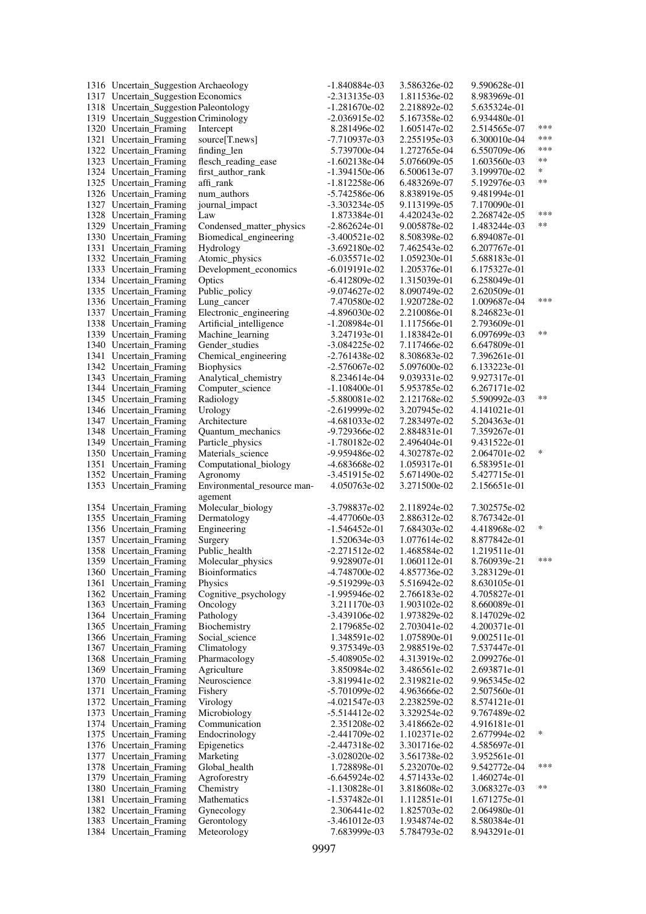| 1316 Uncertain_Suggestion Archaeology  |                             | $-1.840884e-03$ | 3.586326e-02 | 9.590628e-01 |        |
|----------------------------------------|-----------------------------|-----------------|--------------|--------------|--------|
| 1317 Uncertain_Suggestion Economics    |                             | -2.313135e-03   | 1.811536e-02 | 8.983969e-01 |        |
| 1318 Uncertain_Suggestion Paleontology |                             | $-1.281670e-02$ | 2.218892e-02 | 5.635324e-01 |        |
| 1319 Uncertain_Suggestion Criminology  |                             | $-2.036915e-02$ | 5.167358e-02 | 6.934480e-01 |        |
| 1320 Uncertain_Framing                 | Intercept                   | 8.281496e-02    | 1.605147e-02 | 2.514565e-07 | ***    |
| 1321 Uncertain_Framing                 | source[T.news]              | -7.710937e-03   | 2.255195e-03 | 6.300010e-04 | ***    |
| 1322 Uncertain_Framing                 | finding_len                 | 5.739700e-04    | 1.272765e-04 | 6.550709e-06 | ***    |
| 1323 Uncertain_Framing                 | flesch_reading_ease         | -1.602138e-04   | 5.076609e-05 | 1.603560e-03 | **     |
| 1324 Uncertain_Framing                 | first_author_rank           | $-1.394150e-06$ | 6.500613e-07 | 3.199970e-02 | $\ast$ |
| 1325 Uncertain_Framing                 | affi_rank                   | -1.812258e-06   | 6.483269e-07 | 5.192976e-03 | $**$   |
| 1326 Uncertain_Framing                 | num_authors                 | -5.742586e-06   | 8.838919e-05 | 9.481994e-01 |        |
| 1327 Uncertain_Framing                 | journal_impact              | -3.303234e-05   | 9.113199e-05 | 7.170090e-01 |        |
| 1328 Uncertain_Framing                 | Law                         | 1.873384e-01    | 4.420243e-02 | 2.268742e-05 | ***    |
| 1329 Uncertain Framing                 | Condensed_matter_physics    | $-2.862624e-01$ | 9.005878e-02 | 1.483244e-03 | $***$  |
| 1330 Uncertain_Framing                 | Biomedical_engineering      | -3.400521e-02   | 8.508398e-02 | 6.894087e-01 |        |
| 1331 Uncertain_Framing                 | Hydrology                   | $-3.692180e-02$ | 7.462543e-02 | 6.207767e-01 |        |
| 1332 Uncertain_Framing                 | Atomic_physics              | $-6.035571e-02$ | 1.059230e-01 | 5.688183e-01 |        |
| 1333 Uncertain_Framing                 | Development_economics       | $-6.019191e-02$ | 1.205376e-01 | 6.175327e-01 |        |
| 1334 Uncertain_Framing                 | Optics                      | $-6.412809e-02$ | 1.315039e-01 | 6.258049e-01 |        |
| 1335 Uncertain_Framing                 | Public_policy               | -9.074627e-02   | 8.090749e-02 | 2.620509e-01 |        |
| 1336 Uncertain Framing                 | Lung_cancer                 | 7.470580e-02    | 1.920728e-02 | 1.009687e-04 | ***    |
| 1337 Uncertain_Framing                 | Electronic_engineering      | -4.896030e-02   | 2.210086e-01 | 8.246823e-01 |        |
| 1338 Uncertain_Framing                 | Artificial_intelligence     | -1.208984e-01   | 1.117566e-01 | 2.793609e-01 |        |
| 1339 Uncertain Framing                 | Machine_learning            | 3.247193e-01    | 1.183842e-01 | 6.097699e-03 | **     |
| 1340 Uncertain_Framing                 | Gender_studies              | $-3.084225e-02$ | 7.117466e-02 | 6.647809e-01 |        |
| 1341 Uncertain_Framing                 | Chemical_engineering        | $-2.761438e-02$ | 8.308683e-02 | 7.396261e-01 |        |
| 1342 Uncertain_Framing                 | <b>Biophysics</b>           | -2.576067e-02   | 5.097600e-02 | 6.133223e-01 |        |
| 1343 Uncertain_Framing                 | Analytical_chemistry        | 8.234614e-04    | 9.039331e-02 | 9.927317e-01 |        |
| 1344 Uncertain_Framing                 | Computer_science            | $-1.108400e-01$ | 5.953785e-02 | 6.267171e-02 |        |
| 1345 Uncertain_Framing                 | Radiology                   | -5.880081e-02   | 2.121768e-02 | 5.590992e-03 | **     |
| 1346 Uncertain_Framing                 | Urology                     | $-2.619999e-02$ | 3.207945e-02 | 4.141021e-01 |        |
| 1347 Uncertain_Framing                 | Architecture                | $-4.681033e-02$ | 7.283497e-02 | 5.204363e-01 |        |
| 1348 Uncertain_Framing                 | Quantum_mechanics           | -9.729366e-02   | 2.884831e-01 | 7.359267e-01 |        |
| 1349 Uncertain_Framing                 | Particle_physics            | $-1.780182e-02$ | 2.496404e-01 | 9.431522e-01 |        |
| 1350 Uncertain_Framing                 | Materials_science           | -9.959486e-02   | 4.302787e-02 | 2.064701e-02 | $\ast$ |
| 1351 Uncertain_Framing                 | Computational_biology       | -4.683668e-02   | 1.059317e-01 | 6.583951e-01 |        |
| 1352 Uncertain_Framing                 | Agronomy                    | $-3.451915e-02$ | 5.671490e-02 | 5.427715e-01 |        |
| 1353 Uncertain_Framing                 | Environmental_resource man- | 4.050763e-02    | 3.271500e-02 | 2.156651e-01 |        |
|                                        | agement                     |                 |              |              |        |
| 1354 Uncertain_Framing                 | Molecular_biology           | -3.798837e-02   | 2.118924e-02 | 7.302575e-02 |        |
| 1355 Uncertain_Framing                 | Dermatology                 | -4.477060e-03   | 2.886312e-02 | 8.767342e-01 |        |
| 1356 Uncertain_Framing                 | Engineering                 | $-1.546452e-01$ | 7.684303e-02 | 4.418968e-02 | *      |
| 1357 Uncertain_Framing                 | Surgery                     | 1.520634e-03    | 1.077614e-02 | 8.877842e-01 |        |
| 1358 Uncertain_Framing                 | Public_health               | -2.271512e-02   | 1.468584e-02 | 1.219511e-01 |        |
| 1359 Uncertain Framing                 | Molecular_physics           | 9.928907e-01    | 1.060112e-01 | 8.760939e-21 | ***    |
| 1360 Uncertain Framing                 | <b>Bioinformatics</b>       | -4.748700e-02   | 4.857736e-02 | 3.283129e-01 |        |
| 1361 Uncertain Framing                 | Physics                     | -9.519299e-03   | 5.516942e-02 | 8.630105e-01 |        |
| 1362 Uncertain_Framing                 | Cognitive_psychology        | $-1.995946e-02$ | 2.766183e-02 | 4.705827e-01 |        |
| 1363 Uncertain Framing                 | Oncology                    | 3.211170e-03    | 1.903102e-02 | 8.660089e-01 |        |
| 1364 Uncertain_Framing                 | Pathology                   | -3.439106e-02   | 1.973829e-02 | 8.147029e-02 |        |
| 1365 Uncertain_Framing                 | Biochemistry                | 2.179685e-02    | 2.703041e-02 | 4.200371e-01 |        |
| 1366 Uncertain_Framing                 | Social_science              | 1.348591e-02    | 1.075890e-01 | 9.002511e-01 |        |
| 1367 Uncertain_Framing                 | Climatology                 | 9.375349e-03    | 2.988519e-02 | 7.537447e-01 |        |
| 1368 Uncertain Framing                 | Pharmacology                | -5.408905e-02   | 4.313919e-02 | 2.099276e-01 |        |
| 1369 Uncertain_Framing                 | Agriculture                 | 3.850984e-02    | 3.486561e-02 | 2.693871e-01 |        |
| 1370 Uncertain_Framing                 | Neuroscience                | $-3.819941e-02$ | 2.319821e-02 | 9.965345e-02 |        |
| 1371 Uncertain_Framing                 | Fishery                     | $-5.701099e-02$ | 4.963666e-02 | 2.507560e-01 |        |
| 1372 Uncertain_Framing                 | Virology                    | -4.021547e-03   | 2.238259e-02 | 8.574121e-01 |        |
| 1373 Uncertain_Framing                 | Microbiology                | $-5.514412e-02$ | 3.329254e-02 | 9.767489e-02 |        |
| 1374 Uncertain_Framing                 | Communication               | 2.351208e-02    | 3.418662e-02 | 4.916181e-01 |        |
| 1375 Uncertain_Framing                 | Endocrinology               | $-2.441709e-02$ | 1.102371e-02 | 2.677994e-02 | ∗      |
| 1376 Uncertain_Framing                 | Epigenetics                 | $-2.447318e-02$ | 3.301716e-02 | 4.585697e-01 |        |
| 1377 Uncertain_Framing                 | Marketing                   | $-3.028020e-02$ | 3.561738e-02 | 3.952561e-01 |        |
| 1378 Uncertain_Framing                 | Global_health               | 1.728898e-01    | 5.232070e-02 | 9.542772e-04 | ***    |
| 1379 Uncertain_Framing                 | Agroforestry                | $-6.645924e-02$ | 4.571433e-02 | 1.460274e-01 |        |
| 1380 Uncertain_Framing                 | Chemistry                   | $-1.130828e-01$ | 3.818608e-02 | 3.068327e-03 | **     |
| 1381 Uncertain_Framing                 | Mathematics                 | $-1.537482e-01$ | 1.112851e-01 | 1.671275e-01 |        |
| 1382 Uncertain_Framing                 | Gynecology                  | 2.306441e-02    | 1.825703e-02 | 2.064980e-01 |        |
| 1383 Uncertain_Framing                 | Gerontology                 | $-3.461012e-03$ | 1.934874e-02 | 8.580384e-01 |        |
| 1384 Uncertain_Framing                 | Meteorology                 | 7.683999e-03    | 5.784793e-02 | 8.943291e-01 |        |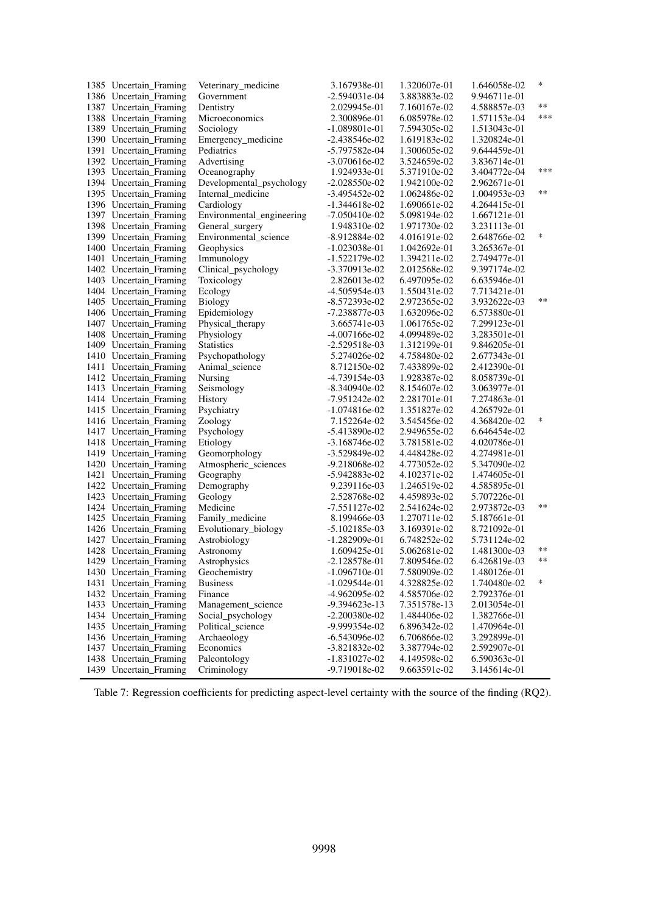| 1385 Uncertain_Framing                           | Veterinary_medicine       | 3.167938e-01                   | 1.320607e-01                 | 1.646058e-02                 | $\ast$ |
|--------------------------------------------------|---------------------------|--------------------------------|------------------------------|------------------------------|--------|
| 1386 Uncertain_Framing                           | Government                | $-2.594031e-04$                | 3.883883e-02                 | 9.946711e-01                 |        |
| 1387 Uncertain_Framing                           | Dentistry                 | 2.029945e-01                   | 7.160167e-02                 | 4.588857e-03                 | **     |
| 1388 Uncertain_Framing                           | Microeconomics            | 2.300896e-01                   | 6.085978e-02                 | 1.571153e-04                 | ***    |
| 1389 Uncertain_Framing                           | Sociology                 | $-1.089801e-01$                | 7.594305e-02                 | 1.513043e-01                 |        |
| 1390 Uncertain_Framing                           | Emergency_medicine        | $-2.438546e-02$                | 1.619183e-02                 | 1.320824e-01                 |        |
| 1391 Uncertain_Framing                           | Pediatrics                | -5.797582e-04                  | 1.300605e-02                 | 9.644459e-01                 |        |
| 1392 Uncertain_Framing                           | Advertising               | $-3.070616e-02$                | 3.524659e-02                 | 3.836714e-01                 |        |
| 1393 Uncertain_Framing                           | Oceanography              | 1.924933e-01                   | 5.371910e-02                 | 3.404772e-04                 | ***    |
| 1394 Uncertain_Framing                           | Developmental_psychology  | $-2.028550e-02$                | 1.942100e-02                 | 2.962671e-01                 |        |
| 1395 Uncertain_Framing                           | Internal medicine         | -3.495452e-02                  | 1.062486e-02                 | 1.004953e-03                 | **     |
| 1396 Uncertain_Framing                           | Cardiology                | $-1.344618e-02$                | 1.690661e-02                 | 4.264415e-01                 |        |
| 1397 Uncertain_Framing                           | Environmental_engineering | $-7.050410e-02$                | 5.098194e-02                 | 1.667121e-01                 |        |
| 1398 Uncertain_Framing                           | General_surgery           | 1.948310e-02                   | 1.971730e-02                 | 3.231113e-01                 |        |
| 1399 Uncertain_Framing                           | Environmental_science     | -8.912884e-02                  | 4.016191e-02                 | 2.648766e-02                 | $\ast$ |
| 1400 Uncertain_Framing                           | Geophysics                | -1.023038e-01                  | 1.042692e-01                 | 3.265367e-01                 |        |
| 1401 Uncertain_Framing                           | Immunology                | $-1.522179e-02$                | 1.394211e-02                 | 2.749477e-01                 |        |
| 1402 Uncertain_Framing                           | Clinical_psychology       | -3.370913e-02                  | 2.012568e-02                 | 9.397174e-02                 |        |
| 1403 Uncertain_Framing                           | Toxicology                | 2.826013e-02                   | 6.497095e-02                 | 6.635946e-01                 |        |
| 1404 Uncertain_Framing                           | Ecology                   | -4.505954e-03                  | 1.550431e-02                 | 7.713421e-01                 |        |
| 1405 Uncertain_Framing                           | Biology                   | -8.572393e-02                  | 2.972365e-02                 | 3.932622e-03                 | $**$   |
| 1406 Uncertain_Framing                           | Epidemiology              | -7.238877e-03                  | 1.632096e-02                 | 6.573880e-01                 |        |
| 1407 Uncertain_Framing                           | Physical_therapy          | 3.665741e-03                   | 1.061765e-02                 | 7.299123e-01                 |        |
| 1408 Uncertain_Framing                           | Physiology                | -4.007166e-02                  | 4.099489e-02                 | 3.283501e-01                 |        |
| 1409 Uncertain_Framing                           | <b>Statistics</b>         | $-2.529518e-03$                | 1.312199e-01                 | 9.846205e-01                 |        |
| 1410 Uncertain_Framing                           | Psychopathology           | 5.274026e-02                   | 4.758480e-02                 | 2.677343e-01                 |        |
| 1411 Uncertain_Framing                           | Animal_science            |                                |                              | 2.412390e-01                 |        |
|                                                  |                           | 8.712150e-02                   | 7.433899e-02                 |                              |        |
| 1412 Uncertain_Framing<br>1413 Uncertain_Framing | Nursing                   | -4.739154e-03<br>-8.340940e-02 | 1.928387e-02<br>8.154607e-02 | 8.058739e-01<br>3.063977e-01 |        |
|                                                  | Seismology                |                                |                              |                              |        |
| 1414 Uncertain_Framing                           | History                   | $-7.951242e-02$                | 2.281701e-01                 | 7.274863e-01                 |        |
| 1415 Uncertain_Framing                           | Psychiatry                | $-1.074816e-02$                | 1.351827e-02                 | 4.265792e-01                 | *      |
| 1416 Uncertain_Framing                           | Zoology                   | 7.152264e-02                   | 3.545456e-02                 | 4.368420e-02                 |        |
| 1417 Uncertain_Framing                           | Psychology                | $-5.413890e-02$                | 2.949655e-02                 | 6.646454e-02                 |        |
| 1418 Uncertain_Framing                           | Etiology                  | $-3.168746e-02$                | 3.781581e-02                 | 4.020786e-01                 |        |
| 1419 Uncertain_Framing                           | Geomorphology             | -3.529849e-02                  | 4.448428e-02                 | 4.274981e-01                 |        |
| 1420 Uncertain_Framing                           | Atmospheric_sciences      | -9.218068e-02                  | 4.773052e-02                 | 5.347090e-02                 |        |
| 1421 Uncertain_Framing                           | Geography                 | -5.942883e-02                  | 4.102371e-02                 | 1.474605e-01                 |        |
| 1422 Uncertain_Framing                           | Demography                | 9.239116e-03                   | 1.246519e-02                 | 4.585895e-01                 |        |
| 1423 Uncertain_Framing                           | Geology                   | 2.528768e-02                   | 4.459893e-02                 | 5.707226e-01                 | $**$   |
| 1424 Uncertain_Framing                           | Medicine                  | $-7.551127e-02$                | 2.541624e-02                 | 2.973872e-03                 |        |
| 1425 Uncertain_Framing                           | Family_medicine           | 8.199466e-03                   | 1.270711e-02                 | 5.187661e-01                 |        |
| 1426 Uncertain_Framing                           | Evolutionary_biology      | $-5.102185e-03$                | 3.169391e-02                 | 8.721092e-01                 |        |
| 1427 Uncertain_Framing                           | Astrobiology              | $-1.282909e-01$                | 6.748252e-02                 | 5.731124e-02                 |        |
| 1428 Uncertain_Framing                           | Astronomy                 | 1.609425e-01                   | 5.062681e-02                 | 1.481300e-03                 | **     |
| 1429 Uncertain Framing                           | Astrophysics              | $-2.128578e-01$                | 7.809546e-02                 | 6.426819e-03                 | **     |
| 1430 Uncertain_Framing                           | Geochemistry              | $-1.096710e-01$                | 7.580909e-02                 | 1.480126e-01                 |        |
| 1431 Uncertain_Framing                           | <b>Business</b>           | $-1.029544e-01$                | 4.328825e-02                 | 1.740480e-02                 | ∗      |
| 1432 Uncertain_Framing                           | Finance                   | -4.962095e-02                  | 4.585706e-02                 | 2.792376e-01                 |        |
| 1433 Uncertain_Framing                           | Management science        | -9.394623e-13                  | 7.351578e-13                 | 2.013054e-01                 |        |
| 1434 Uncertain_Framing                           | Social_psychology         | $-2.200380e-02$                | 1.484406e-02                 | 1.382766e-01                 |        |
| 1435 Uncertain_Framing                           | Political_science         | -9.999354e-02                  | 6.896342e-02                 | 1.470964e-01                 |        |
| 1436 Uncertain_Framing                           | Archaeology               | $-6.543096e-02$                | 6.706866e-02                 | 3.292899e-01                 |        |
| 1437 Uncertain_Framing                           | Economics                 | -3.821832e-02                  | 3.387794e-02                 | 2.592907e-01                 |        |
| 1438 Uncertain_Framing                           | Paleontology              | $-1.831027e-02$                | 4.149598e-02                 | 6.590363e-01                 |        |
| 1439 Uncertain Framing                           | Criminology               | -9.719018e-02                  | 9.663591e-02                 | 3.145614e-01                 |        |

Table 7: Regression coefficients for predicting aspect-level certainty with the source of the finding (RQ2).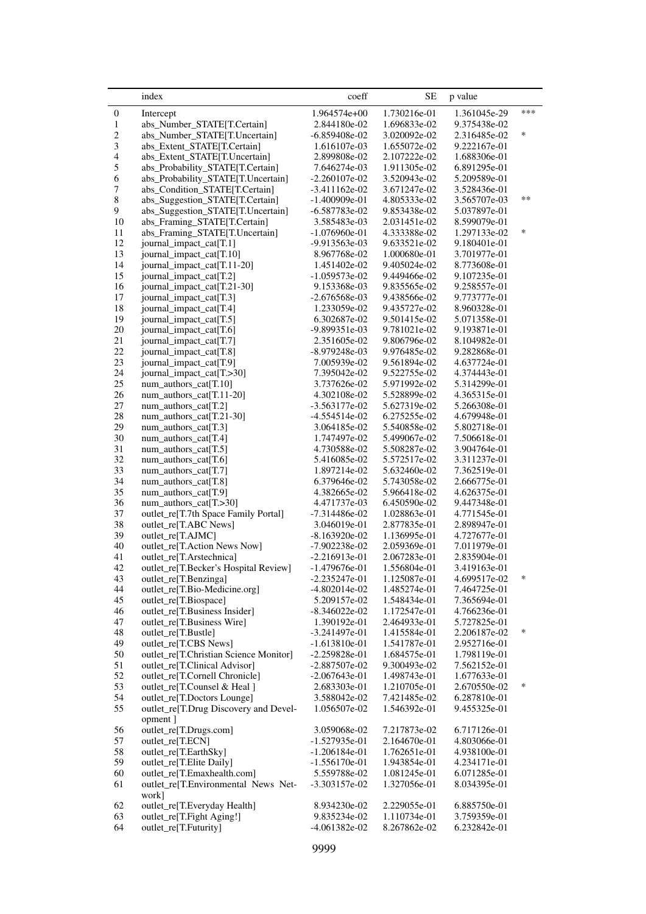<span id="page-40-0"></span>

|                  | index                                                                | coeff                              | <b>SE</b>                    | p value                      |        |
|------------------|----------------------------------------------------------------------|------------------------------------|------------------------------|------------------------------|--------|
| $\boldsymbol{0}$ | Intercept                                                            | 1.964574e+00                       | 1.730216e-01                 | 1.361045e-29                 | ***    |
| $\mathbf{1}$     | abs_Number_STATE[T.Certain]                                          | 2.844180e-02                       | 1.696833e-02                 | 9.375438e-02                 |        |
| $\overline{c}$   | abs_Number_STATE[T.Uncertain]                                        | $-6.859408e-02$                    | 3.020092e-02                 | 2.316485e-02                 | $\ast$ |
| $\mathfrak{Z}$   | abs_Extent_STATE[T.Certain]                                          | 1.616107e-03                       | 1.655072e-02                 | 9.222167e-01                 |        |
| $\overline{4}$   | abs_Extent_STATE[T.Uncertain]                                        | 2.899808e-02                       | 2.107222e-02                 | 1.688306e-01                 |        |
| 5                | abs_Probability_STATE[T.Certain]                                     | 7.646274e-03                       | 1.911305e-02                 | 6.891295e-01                 |        |
| 6                | abs_Probability_STATE[T.Uncertain]                                   | $-2.260107e-02$                    | 3.520943e-02                 | 5.209589e-01                 |        |
| 7<br>8           | abs_Condition_STATE[T.Certain]                                       | $-3.411162e-02$                    | 3.671247e-02                 | 3.528436e-01                 | **     |
| 9                | abs_Suggestion_STATE[T.Certain]<br>abs_Suggestion_STATE[T.Uncertain] | $-1.400909e-01$<br>$-6.587783e-02$ | 4.805333e-02<br>9.853438e-02 | 3.565707e-03<br>5.037897e-01 |        |
| 10               | abs_Framing_STATE[T.Certain]                                         | 3.585483e-03                       | 2.031451e-02                 | 8.599079e-01                 |        |
| 11               | abs_Framing_STATE[T.Uncertain]                                       | $-1.076960e-01$                    | 4.333388e-02                 | 1.297133e-02                 | $\ast$ |
| 12               | journal_impact_cat[T.1]                                              | -9.913563e-03                      | 9.633521e-02                 | 9.180401e-01                 |        |
| 13               | journal_impact_cat[T.10]                                             | 8.967768e-02                       | 1.000680e-01                 | 3.701977e-01                 |        |
| 14               | journal_impact_cat[T.11-20]                                          | 1.451402e-02                       | 9.405024e-02                 | 8.773608e-01                 |        |
| 15               | journal_impact_cat[T.2]                                              | $-1.059573e-02$                    | 9.449466e-02                 | 9.107235e-01                 |        |
| 16               | journal_impact_cat[T.21-30]                                          | 9.153368e-03                       | 9.835565e-02                 | 9.258557e-01                 |        |
| 17               | journal_impact_cat[T.3]                                              | $-2.676568e-03$                    | 9.438566e-02                 | 9.773777e-01                 |        |
| 18               | journal_impact_cat[T.4]                                              | 1.233059e-02                       | 9.435727e-02                 | 8.960328e-01                 |        |
| 19               | journal_impact_cat[T.5]                                              | 6.302687e-02                       | 9.501415e-02                 | 5.071358e-01                 |        |
| $20\,$           | journal_impact_cat[T.6]                                              | -9.899351e-03                      | 9.781021e-02                 | 9.193871e-01                 |        |
| 21<br>$22\,$     | journal_impact_cat[T.7]<br>journal_impact_cat[T.8]                   | 2.351605e-02<br>$-8.979248e-03$    | 9.806796e-02<br>9.976485e-02 | 8.104982e-01<br>9.282868e-01 |        |
| 23               | journal_impact_cat[T.9]                                              | 7.005939e-02                       | 9.561894e-02                 | 4.637724e-01                 |        |
| 24               | journal_impact_cat[T.>30]                                            | 7.395042e-02                       | 9.522755e-02                 | 4.374443e-01                 |        |
| $25\,$           | num authors cat[T.10]                                                | 3.737626e-02                       | 5.971992e-02                 | 5.314299e-01                 |        |
| 26               | num_authors_cat[T.11-20]                                             | 4.302108e-02                       | 5.528899e-02                 | 4.365315e-01                 |        |
| 27               | num_authors_cat[T.2]                                                 | $-3.563177e-02$                    | 5.627319e-02                 | 5.266308e-01                 |        |
| $28\,$           | num_authors_cat[T.21-30]                                             | $-4.554514e-02$                    | 6.275255e-02                 | 4.679948e-01                 |        |
| 29               | num_authors_cat[T.3]                                                 | 3.064185e-02                       | 5.540858e-02                 | 5.802718e-01                 |        |
| 30               | num_authors_cat[T.4]                                                 | 1.747497e-02                       | 5.499067e-02                 | 7.506618e-01                 |        |
| 31               | num_authors_cat[T.5]                                                 | 4.730588e-02                       | 5.508287e-02                 | 3.904764e-01                 |        |
| 32               | num_authors_cat[T.6]                                                 | 5.416085e-02                       | 5.572517e-02                 | 3.311237e-01                 |        |
| 33               | num_authors_cat[T.7]                                                 | 1.897214e-02                       | 5.632460e-02                 | 7.362519e-01                 |        |
| 34<br>35         | num_authors_cat[T.8]                                                 | 6.379646e-02<br>4.382665e-02       | 5.743058e-02<br>5.966418e-02 | 2.666775e-01<br>4.626375e-01 |        |
| 36               | num_authors_cat[T.9]<br>num_authors_cat[T.>30]                       | 4.471737e-03                       | 6.450590e-02                 | 9.447348e-01                 |        |
| 37               | outlet_re[T.7th Space Family Portal]                                 | -7.314486e-02                      | 1.028863e-01                 | 4.771545e-01                 |        |
| 38               | outlet_re[T.ABC News]                                                | 3.046019e-01                       | 2.877835e-01                 | 2.898947e-01                 |        |
| 39               | outlet_re[T.AJMC]                                                    | $-8.163920e-02$                    | 1.136995e-01                 | 4.727677e-01                 |        |
| 40               | outlet_re[T.Action News Now]                                         | -7.902238e-02                      | 2.059369e-01                 | 7.011979e-01                 |        |
| 41               | outlet_re[T.Arstechnica]                                             | $-2.216913e-01$                    | 2.067283e-01                 | 2.835904e-01                 |        |
| 42               | outlet_re[T.Becker's Hospital Review]                                | $-1.479676e-01$                    | 1.556804e-01                 | 3.419163e-01                 |        |
| 43               | outlet_re[T.Benzinga]                                                | $-2.235247e-01$                    | 1.125087e-01                 | 4.699517e-02                 |        |
| 44               | outlet_re[T.Bio-Medicine.org]                                        | $-4.802014e-02$                    | 1.485274e-01                 | 7.464725e-01                 |        |
| 45               | outlet_re[T.Biospace]                                                | 5.209157e-02                       | 1.548434e-01                 | 7.365694e-01                 |        |
| 46               | outlet_re[T.Business Insider]                                        | $-8.346022e-02$                    | 1.172547e-01                 | 4.766236e-01                 |        |
| 47               | outlet_re[T.Business Wire]                                           | 1.390192e-01                       | 2.464933e-01                 | 5.727825e-01<br>2.206187e-02 | *      |
| 48<br>49         | outlet_re[T.Bustle]<br>outlet_re[T.CBS News]                         | $-3.241497e-01$<br>$-1.613810e-01$ | 1.415584e-01<br>1.541787e-01 | 2.952716e-01                 |        |
| 50               | outlet_re[T.Christian Science Monitor]                               | $-2.259828e-01$                    | 1.684575e-01                 | 1.798119e-01                 |        |
| 51               | outlet_re[T.Clinical Advisor]                                        | $-2.887507e-02$                    | 9.300493e-02                 | 7.562152e-01                 |        |
| 52               | outlet_re[T.Cornell Chronicle]                                       | $-2.067643e-01$                    | 1.498743e-01                 | 1.677633e-01                 |        |
| 53               | outlet_re[T.Counsel & Heal]                                          | 2.683303e-01                       | 1.210705e-01                 | 2.670550e-02                 | $\ast$ |
| 54               | outlet_re[T.Doctors Lounge]                                          | 3.588042e-02                       | 7.421485e-02                 | 6.287810e-01                 |        |
| 55               | outlet_re[T.Drug Discovery and Devel-                                | 1.056507e-02                       | 1.546392e-01                 | 9.455325e-01                 |        |
|                  | opment ]                                                             |                                    |                              |                              |        |
| 56               | outlet_re[T.Drugs.com]                                               | 3.059068e-02                       | 7.217873e-02                 | 6.717126e-01                 |        |
| 57               | outlet_re[T.ECN]                                                     | $-1.527935e-01$                    | 2.164670e-01                 | 4.803066e-01                 |        |
| 58               | outlet_re[T.EarthSky]                                                | $-1.206184e-01$                    | 1.762651e-01                 | 4.938100e-01                 |        |
| 59               | outlet_re[T.Elite Daily]                                             | $-1.556170e-01$                    | 1.943854e-01                 | 4.234171e-01                 |        |
| 60               | outlet_re[T.Emaxhealth.com]                                          | 5.559788e-02                       | 1.081245e-01                 | 6.071285e-01                 |        |
| 61               | outlet_re[T.Environmental News Net-<br>work]                         | $-3.303157e-02$                    | 1.327056e-01                 | 8.034395e-01                 |        |
| 62               | outlet_re[T.Everyday Health]                                         | 8.934230e-02                       | 2.229055e-01                 | 6.885750e-01                 |        |
| 63               | outlet_re[T.Fight Aging!]                                            | 9.835234e-02                       | 1.110734e-01                 | 3.759359e-01                 |        |
| 64               | outlet_re[T.Futurity]                                                | $-4.061382e-02$                    | 8.267862e-02                 | 6.232842e-01                 |        |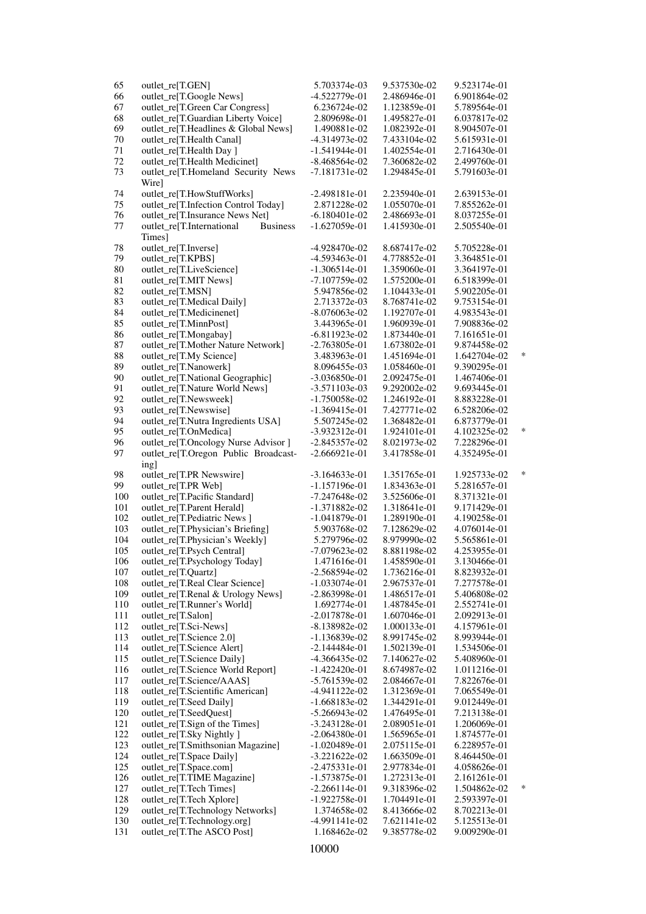| 65     | outlet_re[T.GEN]                             | 5.703374e-03    | 9.537530e-02 | 9.523174e-01 |        |
|--------|----------------------------------------------|-----------------|--------------|--------------|--------|
| 66     | outlet_re[T.Google News]                     | -4.522779e-01   | 2.486946e-01 | 6.901864e-02 |        |
| 67     | outlet_re[T.Green Car Congress]              | 6.236724e-02    | 1.123859e-01 | 5.789564e-01 |        |
| 68     | outlet_re[T.Guardian Liberty Voice]          | 2.809698e-01    | 1.495827e-01 | 6.037817e-02 |        |
| 69     | outlet_re[T.Headlines & Global News]         | 1.490881e-02    | 1.082392e-01 | 8.904507e-01 |        |
| $70\,$ | outlet_re[T.Health Canal]                    | $-4.314973e-02$ | 7.433104e-02 | 5.615931e-01 |        |
| $71\,$ | outlet_re[T.Health Day]                      | $-1.541944e-01$ | 1.402554e-01 | 2.716430e-01 |        |
| $72\,$ | outlet_re[T.Health Medicinet]                | $-8.468564e-02$ | 7.360682e-02 | 2.499760e-01 |        |
| 73     | outlet_re[T.Homeland Security News           | $-7.181731e-02$ | 1.294845e-01 | 5.791603e-01 |        |
|        | Wire]                                        |                 |              |              |        |
|        |                                              |                 | 2.235940e-01 |              |        |
| 74     | outlet_re[T.HowStuffWorks]                   | $-2.498181e-01$ |              | 2.639153e-01 |        |
| 75     | outlet_re[T.Infection Control Today]         | 2.871228e-02    | 1.055070e-01 | 7.855262e-01 |        |
| 76     | outlet_re[T.Insurance News Net]              | $-6.180401e-02$ | 2.486693e-01 | 8.037255e-01 |        |
| 77     | outlet_re[T.International<br><b>Business</b> | $-1.627059e-01$ | 1.415930e-01 | 2.505540e-01 |        |
|        | Times]                                       |                 |              |              |        |
| 78     | outlet_re[T.Inverse]                         | -4.928470e-02   | 8.687417e-02 | 5.705228e-01 |        |
| 79     | outlet_re[T.KPBS]                            | $-4.593463e-01$ | 4.778852e-01 | 3.364851e-01 |        |
| 80     | outlet_re[T.LiveScience]                     | $-1.306514e-01$ | 1.359060e-01 | 3.364197e-01 |        |
| 81     | outlet_re[T.MIT News]                        | -7.107759e-02   | 1.575200e-01 | 6.518399e-01 |        |
| 82     | outlet_re[T.MSN]                             | 5.947856e-02    | 1.104433e-01 | 5.902205e-01 |        |
| 83     | outlet_re[T.Medical Daily]                   | 2.713372e-03    | 8.768741e-02 | 9.753154e-01 |        |
| 84     | outlet_re[T.Medicinenet]                     | $-8.076063e-02$ | 1.192707e-01 | 4.983543e-01 |        |
| 85     | outlet_re[T.MinnPost]                        | 3.443965e-01    | 1.960939e-01 | 7.908836e-02 |        |
| 86     | outlet_re[T.Mongabay]                        | $-6.811923e-02$ | 1.873440e-01 | 7.161651e-01 |        |
| 87     | outlet_re[T.Mother Nature Network]           | $-2.763805e-01$ | 1.673802e-01 | 9.874458e-02 |        |
| 88     | outlet_re[T.My Science]                      | 3.483963e-01    | 1.451694e-01 | 1.642704e-02 | $\ast$ |
| 89     | outlet_re[T.Nanowerk]                        | 8.096455e-03    | 1.058460e-01 | 9.390295e-01 |        |
| 90     | outlet_re[T.National Geographic]             | $-3.036850e-01$ | 2.092475e-01 | 1.467406e-01 |        |
| 91     | outlet_re[T.Nature World News]               | $-3.571103e-03$ | 9.292002e-02 | 9.693445e-01 |        |
|        |                                              |                 |              |              |        |
| 92     | outlet_re[T.Newsweek]                        | $-1.750058e-02$ | 1.246192e-01 | 8.883228e-01 |        |
| 93     | outlet_re[T.Newswise]                        | $-1.369415e-01$ | 7.427771e-02 | 6.528206e-02 |        |
| 94     | outlet_re[T.Nutra Ingredients USA]           | 5.507245e-02    | 1.368482e-01 | 6.873779e-01 |        |
| 95     | outlet_re[T.OnMedica]                        | $-3.932312e-01$ | 1.924101e-01 | 4.102325e-02 | *      |
| 96     | outlet_re[T.Oncology Nurse Advisor]          | $-2.845357e-02$ | 8.021973e-02 | 7.228296e-01 |        |
| 97     | outlet_re[T.Oregon Public Broadcast-         | $-2.666921e-01$ | 3.417858e-01 | 4.352495e-01 |        |
|        | ing]                                         |                 |              |              |        |
| 98     | outlet_re[T.PR Newswire]                     | $-3.164633e-01$ | 1.351765e-01 | 1.925733e-02 | *      |
| 99     | outlet_re[T.PR Web]                          | $-1.157196e-01$ | 1.834363e-01 | 5.281657e-01 |        |
| 100    | outlet_re[T.Pacific Standard]                | -7.247648e-02   | 3.525606e-01 | 8.371321e-01 |        |
| 101    | outlet_re[T.Parent Herald]                   | $-1.371882e-02$ | 1.318641e-01 | 9.171429e-01 |        |
| 102    | outlet_re[T.Pediatric News]                  | $-1.041879e-01$ | 1.289190e-01 | 4.190258e-01 |        |
| 103    | outlet_re[T.Physician's Briefing]            | 5.903768e-02    | 7.128629e-02 | 4.076014e-01 |        |
| 104    | outlet_re[T.Physician's Weekly]              | 5.279796e-02    | 8.979990e-02 | 5.565861e-01 |        |
| 105    | outlet_re[T.Psych Central]                   | -7.079623e-02   | 8.881198e-02 | 4.253955e-01 |        |
| 106    | outlet_re[T.Psychology Today]                | 1.471616e-01    | 1.458590e-01 | 3.130466e-01 |        |
| 107    | outlet_re[T.Quartz]                          | $-2.568594e-02$ | 1.736216e-01 | 8.823932e-01 |        |
| 108    | outlet_re[T.Real Clear Science]              | $-1.033074e-01$ | 2.967537e-01 | 7.277578e-01 |        |
| 109    | outlet_re[T.Renal & Urology News]            | $-2.863998e-01$ | 1.486517e-01 | 5.406808e-02 |        |
| 110    | outlet_re[T.Runner's World]                  | 1.692774e-01    | 1.487845e-01 | 2.552741e-01 |        |
| 111    | outlet_re[T.Salon]                           | $-2.017878e-01$ | 1.607046e-01 | 2.092913e-01 |        |
| 112    | outlet_re[T.Sci-News]                        | $-8.138982e-02$ | 1.000133e-01 | 4.157961e-01 |        |
| 113    | outlet_re[T.Science 2.0]                     | $-1.136839e-02$ | 8.991745e-02 | 8.993944e-01 |        |
| 114    | outlet_re[T.Science Alert]                   | $-2.144484e-01$ | 1.502139e-01 | 1.534506e-01 |        |
| 115    | outlet_re[T.Science Daily]                   | -4.366435e-02   | 7.140627e-02 | 5.408960e-01 |        |
|        |                                              |                 |              |              |        |
| 116    | outlet_re[T.Science World Report]            | $-1.422420e-01$ | 8.674987e-02 | 1.011216e-01 |        |
| 117    | outlet_re[T.Science/AAAS]                    | $-5.761539e-02$ | 2.084667e-01 | 7.822676e-01 |        |
| 118    | outlet_re[T.Scientific American]             | -4.941122e-02   | 1.312369e-01 | 7.065549e-01 |        |
| 119    | outlet_re[T.Seed Daily]                      | $-1.668183e-02$ | 1.344291e-01 | 9.012449e-01 |        |
| 120    | outlet_re[T.SeedQuest]                       | $-5.266943e-02$ | 1.476495e-01 | 7.213138e-01 |        |
| 121    | outlet_re[T.Sign of the Times]               | $-3.243128e-01$ | 2.089051e-01 | 1.206069e-01 |        |
| 122    | outlet_re[T.Sky Nightly ]                    | $-2.064380e-01$ | 1.565965e-01 | 1.874577e-01 |        |
| 123    | outlet_re[T.Smithsonian Magazine]            | $-1.020489e-01$ | 2.075115e-01 | 6.228957e-01 |        |
| 124    | outlet_re[T.Space Daily]                     | $-3.221622e-02$ | 1.663509e-01 | 8.464450e-01 |        |
| 125    | outlet_re[T.Space.com]                       | $-2.475331e-01$ | 2.977834e-01 | 4.058626e-01 |        |
| 126    | outlet_re[T.TIME Magazine]                   | $-1.573875e-01$ | 1.272313e-01 | 2.161261e-01 |        |
| 127    | outlet_re[T.Tech Times]                      | $-2.266114e-01$ | 9.318396e-02 | 1.504862e-02 | $\ast$ |
| 128    | outlet_re[T.Tech Xplore]                     | $-1.922758e-01$ | 1.704491e-01 | 2.593397e-01 |        |
| 129    | outlet_re[T.Technology Networks]             | 1.374658e-02    | 8.413666e-02 | 8.702213e-01 |        |
| 130    | outlet_re[T.Technology.org]                  | -4.991141e-02   | 7.621141e-02 | 5.125513e-01 |        |
| 131    | outlet_re[T.The ASCO Post]                   | 1.168462e-02    | 9.385778e-02 | 9.009290e-01 |        |
|        |                                              |                 |              |              |        |

10000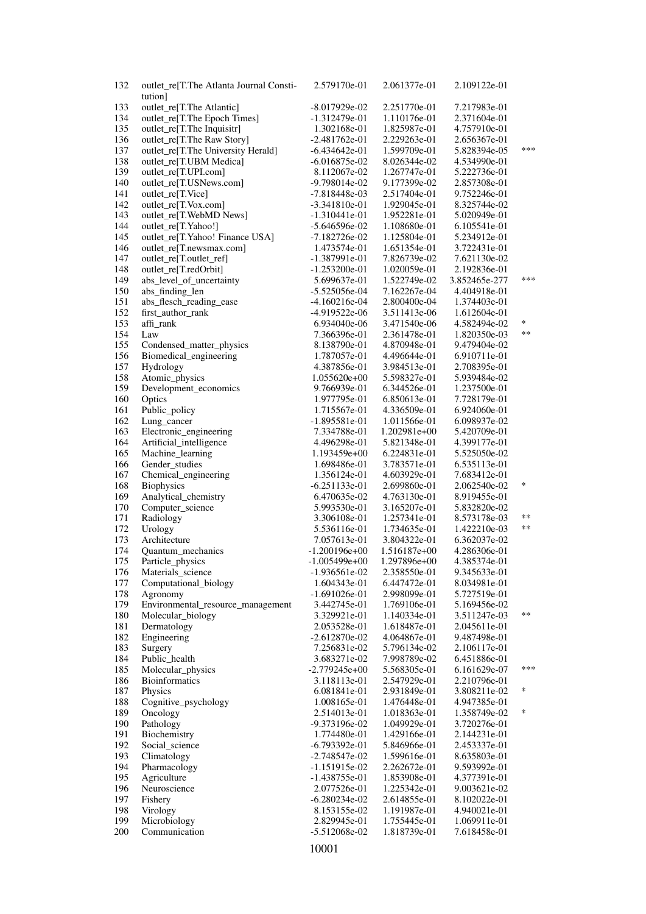| 132        | outlet_re[T.The Atlanta Journal Consti-  | 2.579170e-01                       | 2.061377e-01                 | 2.109122e-01                 |          |
|------------|------------------------------------------|------------------------------------|------------------------------|------------------------------|----------|
|            | tution]<br>outlet_re[T.The Atlantic]     |                                    |                              |                              |          |
| 133<br>134 | outlet_re[T.The Epoch Times]             | $-8.017929e-02$<br>$-1.312479e-01$ | 2.251770e-01<br>1.110176e-01 | 7.217983e-01<br>2.371604e-01 |          |
| 135        | outlet_re[T.The Inquisitr]               | 1.302168e-01                       | 1.825987e-01                 | 4.757910e-01                 |          |
| 136        | outlet_re[T.The Raw Story]               | $-2.481762e-01$                    | 2.229263e-01                 | 2.656367e-01                 |          |
| 137        | outlet_re[T.The University Herald]       | $-6.434642e-01$                    | 1.599709e-01                 | 5.828394e-05                 | ***      |
| 138        | outlet_re[T.UBM Medica]                  | $-6.016875e-02$                    | 8.026344e-02                 | 4.534990e-01                 |          |
| 139        | outlet_re[T.UPI.com]                     | 8.112067e-02                       | 1.267747e-01                 | 5.222736e-01                 |          |
| 140        | outlet_re[T.USNews.com]                  | $-9.798014e-02$                    | 9.177399e-02                 | 2.857308e-01                 |          |
| 141        | outlet_re[T.Vice]                        | $-7.818448e-03$                    | 2.517404e-01                 | 9.752246e-01                 |          |
| 142        | outlet_re[T.Vox.com]                     | $-3.341810e-01$                    | 1.929045e-01                 | 8.325744e-02                 |          |
| 143        | outlet_re[T.WebMD News]                  | $-1.310441e-01$                    | 1.952281e-01                 | 5.020949e-01                 |          |
| 144        | outlet_re[T.Yahoo!]                      | $-5.646596e-02$                    | 1.108680e-01                 | 6.105541e-01                 |          |
| 145        | outlet_re[T.Yahoo! Finance USA]          | $-7.182726e-02$                    | 1.125804e-01                 | 5.234912e-01                 |          |
| 146        | outlet_re[T.newsmax.com]                 | 1.473574e-01                       | 1.651354e-01                 | 3.722431e-01                 |          |
| 147        | outlet_re[T.outlet_ref]                  | -1.387991e-01                      | 7.826739e-02                 | 7.621130e-02                 |          |
| 148        | outlet_re[T.redOrbit]                    | $-1.253200e-01$                    | 1.020059e-01                 | 2.192836e-01                 |          |
| 149        | abs_level_of_uncertainty                 | 5.699637e-01                       | 1.522749e-02                 | 3.852465e-277                | ***      |
| 150        | abs_finding_len                          | $-5.525056e-04$                    | 7.162267e-04                 | 4.404918e-01                 |          |
| 151        | abs_flesch_reading_ease                  | $-4.160216e-04$                    | 2.800400e-04                 | 1.374403e-01                 |          |
| 152        | first_author_rank                        | -4.919522e-06                      | 3.511413e-06                 | 1.612604e-01                 | $\ast$   |
| 153        | affi_rank                                | 6.934040e-06                       | 3.471540e-06                 | 4.582494e-02                 | $**$     |
| 154        | Law                                      | 7.366396e-01                       | 2.361478e-01                 | 1.820350e-03                 |          |
| 155        | Condensed_matter_physics                 | 8.138790e-01                       | 4.870948e-01                 | 9.479404e-02                 |          |
| 156<br>157 | Biomedical_engineering<br>Hydrology      | 1.787057e-01<br>4.387856e-01       | 4.496644e-01<br>3.984513e-01 | 6.910711e-01<br>2.708395e-01 |          |
| 158        | Atomic_physics                           | $1.055620e+00$                     | 5.598327e-01                 | 5.939484e-02                 |          |
| 159        | Development_economics                    | 9.766939e-01                       | 6.344526e-01                 | 1.237500e-01                 |          |
| 160        | Optics                                   | 1.977795e-01                       | 6.850613e-01                 | 7.728179e-01                 |          |
| 161        | Public_policy                            | 1.715567e-01                       | 4.336509e-01                 | 6.924060e-01                 |          |
| 162        | Lung_cancer                              | $-1.895581e-01$                    | 1.011566e-01                 | 6.098937e-02                 |          |
| 163        | Electronic_engineering                   | 7.334788e-01                       | 1.202981e+00                 | 5.420709e-01                 |          |
| 164        | Artificial_intelligence                  | 4.496298e-01                       | 5.821348e-01                 | 4.399177e-01                 |          |
| 165        | Machine_learning                         | 1.193459e+00                       | 6.224831e-01                 | 5.525050e-02                 |          |
| 166        | Gender_studies                           | 1.698486e-01                       | 3.783571e-01                 | 6.535113e-01                 |          |
| 167        | Chemical_engineering                     | 1.356124e-01                       | 4.603929e-01                 | 7.683412e-01                 |          |
| 168        | <b>Biophysics</b>                        | $-6.251133e-01$                    | 2.699860e-01                 | 2.062540e-02                 | $\ast$   |
| 169        | Analytical_chemistry                     | 6.470635e-02                       | 4.763130e-01                 | 8.919455e-01                 |          |
| 170        | Computer_science                         | 5.993530e-01                       | 3.165207e-01                 | 5.832820e-02                 |          |
| 171        | Radiology                                | 3.306108e-01                       | 1.257341e-01                 | 8.573178e-03                 | **<br>** |
| 172        | Urology                                  | 5.536116e-01                       | 1.734635e-01                 | 1.422210e-03                 |          |
| 173        | Architecture<br><b>Ouantum</b> mechanics | 7.057613e-01                       | 3.804322e-01                 | 6.362037e-02<br>4.286306e-01 |          |
| 174<br>175 | Particle_physics                         | $-1.200196e+00$<br>$-1.005499e+00$ | 1.516187e+00<br>1.297896e+00 | 4.385374e-01                 |          |
| 176        | Materials_science                        | $-1.936561e-02$                    | 2.358550e-01                 | 9.345633e-01                 |          |
| 177        | Computational_biology                    | 1.604343e-01                       | 6.447472e-01                 | 8.034981e-01                 |          |
| 178        | Agronomy                                 | $-1.691026e-01$                    | 2.998099e-01                 | 5.727519e-01                 |          |
| 179        | Environmental_resource_management        | 3.442745e-01                       | 1.769106e-01                 | 5.169456e-02                 |          |
| 180        | Molecular_biology                        | 3.329921e-01                       | 1.140334e-01                 | 3.511247e-03                 | **       |
| 181        | Dermatology                              | 2.053528e-01                       | 1.618487e-01                 | 2.045611e-01                 |          |
| 182        | Engineering                              | $-2.612870e-02$                    | 4.064867e-01                 | 9.487498e-01                 |          |
| 183        | Surgery                                  | 7.256831e-02                       | 5.796134e-02                 | 2.106117e-01                 |          |
| 184        | Public_health                            | 3.683271e-02                       | 7.998789e-02                 | 6.451886e-01                 |          |
| 185        | Molecular_physics                        | $-2.779245e+00$                    | 5.568305e-01                 | 6.161629e-07                 | ***      |
| 186        | Bioinformatics                           | 3.118113e-01                       | 2.547929e-01                 | 2.210796e-01                 |          |
| 187        | Physics                                  | 6.081841e-01                       | 2.931849e-01                 | 3.808211e-02                 | $\ast$   |
| 188        | Cognitive_psychology                     | 1.008165e-01                       | 1.476448e-01                 | 4.947385e-01                 |          |
| 189        | Oncology                                 | 2.514013e-01                       | 1.018363e-01                 | 1.358749e-02                 | ∗        |
| 190        | Pathology                                | -9.373196e-02                      | 1.049929e-01                 | 3.720276e-01                 |          |
| 191        | Biochemistry                             | 1.774480e-01                       | 1.429166e-01                 | 2.144231e-01                 |          |
| 192        | Social_science                           | $-6.793392e-01$                    | 5.846966e-01                 | 2.453337e-01                 |          |
| 193<br>194 | Climatology<br>Pharmacology              | $-2.748547e-02$<br>$-1.151915e-02$ | 1.599616e-01<br>2.262672e-01 | 8.635803e-01<br>9.593992e-01 |          |
| 195        | Agriculture                              | $-1.438755e-01$                    | 1.853908e-01                 | 4.377391e-01                 |          |
| 196        | Neuroscience                             | 2.077526e-01                       | 1.225342e-01                 | 9.003621e-02                 |          |
| 197        | Fishery                                  | $-6.280234e-02$                    | 2.614855e-01                 | 8.102022e-01                 |          |
| 198        | Virology                                 | 8.153155e-02                       | 1.191987e-01                 | 4.940021e-01                 |          |
| 199        | Microbiology                             | 2.829945e-01                       | 1.755445e-01                 | 1.069911e-01                 |          |
| 200        | Communication                            | -5.512068e-02                      | 1.818739e-01                 | 7.618458e-01                 |          |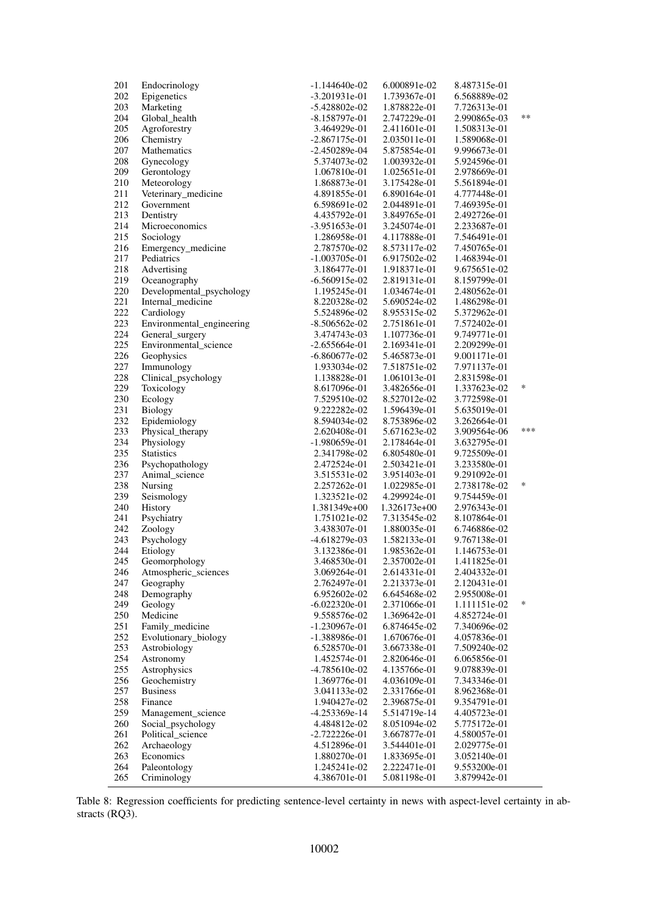| 201        | Endocrinology                            | $-1.144640e-02$                 | 6.000891e-02                 | 8.487315e-01                 |        |
|------------|------------------------------------------|---------------------------------|------------------------------|------------------------------|--------|
| 202        | Epigenetics                              | $-3.201931e-01$                 | 1.739367e-01                 | 6.568889e-02                 |        |
| 203        | Marketing                                | $-5.428802e-02$                 | 1.878822e-01                 | 7.726313e-01                 |        |
| 204        | Global_health                            | $-8.158797e-01$                 | 2.747229e-01                 | 2.990865e-03                 | **     |
| 205        | Agroforestry                             | 3.464929e-01                    | 2.411601e-01                 | 1.508313e-01                 |        |
| 206        | Chemistry                                | $-2.867175e-01$                 | 2.035011e-01                 | 1.589068e-01                 |        |
| 207        | Mathematics                              | $-2.450289e-04$                 | 5.875854e-01                 | 9.996673e-01                 |        |
| 208        | Gynecology                               | 5.374073e-02                    | 1.003932e-01                 | 5.924596e-01                 |        |
| 209        | Gerontology                              | 1.067810e-01                    | 1.025651e-01                 | 2.978669e-01                 |        |
| 210        | Meteorology                              | 1.868873e-01                    | 3.175428e-01                 | 5.561894e-01                 |        |
| 211        | Veterinary_medicine                      | 4.891855e-01                    | 6.890164e-01                 | 4.777448e-01                 |        |
| 212        | Government                               | 6.598691e-02                    | 2.044891e-01                 | 7.469395e-01                 |        |
| 213        | Dentistry                                | 4.435792e-01                    | 3.849765e-01                 | 2.492726e-01                 |        |
| 214        | Microeconomics                           | $-3.951653e-01$                 | 3.245074e-01                 | 2.233687e-01                 |        |
| 215        | Sociology                                | 1.286958e-01                    | 4.117888e-01                 | 7.546491e-01                 |        |
| 216        | Emergency_medicine                       | 2.787570e-02                    | 8.573117e-02                 | 7.450765e-01                 |        |
| 217        | Pediatrics                               | -1.003705e-01                   | 6.917502e-02                 | 1.468394e-01                 |        |
| 218        | Advertising                              | 3.186477e-01                    | 1.918371e-01                 | 9.675651e-02                 |        |
| 219<br>220 | Oceanography<br>Developmental_psychology | $-6.560915e-02$<br>1.195245e-01 | 2.819131e-01<br>1.034674e-01 | 8.159799e-01<br>2.480562e-01 |        |
| 221        | Internal_medicine                        | 8.220328e-02                    | 5.690524e-02                 | 1.486298e-01                 |        |
| 222        | Cardiology                               | 5.524896e-02                    | 8.955315e-02                 | 5.372962e-01                 |        |
| 223        | Environmental_engineering                | $-8.506562e-02$                 | 2.751861e-01                 | 7.572402e-01                 |        |
| 224        | General_surgery                          | 3.474743e-03                    | 1.107736e-01                 | 9.749771e-01                 |        |
| 225        | Environmental_science                    | $-2.655664e-01$                 | 2.169341e-01                 | 2.209299e-01                 |        |
| 226        | Geophysics                               | $-6.860677e-02$                 | 5.465873e-01                 | 9.001171e-01                 |        |
| 227        | Immunology                               | 1.933034e-02                    | 7.518751e-02                 | 7.971137e-01                 |        |
| 228        | Clinical_psychology                      | 1.138828e-01                    | 1.061013e-01                 | 2.831598e-01                 |        |
| 229        | Toxicology                               | 8.617096e-01                    | 3.482656e-01                 | 1.337623e-02                 | *      |
| 230        | Ecology                                  | 7.529510e-02                    | 8.527012e-02                 | 3.772598e-01                 |        |
| 231        | Biology                                  | 9.222282e-02                    | 1.596439e-01                 | 5.635019e-01                 |        |
| 232        | Epidemiology                             | 8.594034e-02                    | 8.753896e-02                 | 3.262664e-01                 |        |
| 233        | Physical_therapy                         | 2.620408e-01                    | 5.671623e-02                 | 3.909564e-06                 | ***    |
| 234        | Physiology                               | -1.980659e-01                   | 2.178464e-01                 | 3.632795e-01                 |        |
| 235        | <b>Statistics</b>                        | 2.341798e-02                    | 6.805480e-01                 | 9.725509e-01                 |        |
| 236        | Psychopathology                          | 2.472524e-01                    | 2.503421e-01                 | 3.233580e-01                 |        |
| 237        | Animal science                           | 3.515531e-02                    | 3.951403e-01                 | 9.291092e-01                 |        |
| 238        | Nursing                                  | 2.257262e-01                    | 1.022985e-01                 | 2.738178e-02                 | $\ast$ |
| 239        | Seismology                               | 1.323521e-02                    | 4.299924e-01                 | 9.754459e-01                 |        |
| 240        | <b>History</b>                           | 1.381349e+00                    | 1.326173e+00                 | 2.976343e-01                 |        |
| 241        | Psychiatry                               | 1.751021e-02                    | 7.313545e-02                 | 8.107864e-01                 |        |
| 242        | Zoology                                  | 3.438307e-01                    | 1.880035e-01                 | 6.746886e-02                 |        |
| 243        | Psychology                               | -4.618279e-03                   | 1.582133e-01                 | 9.767138e-01                 |        |
| 244        | Etiology                                 | 3.132386e-01                    | 1.985362e-01                 | 1.146753e-01                 |        |
| 245        | Geomorphology                            | 3.468530e-01                    | 2.357002e-01                 | 1.411825e-01                 |        |
| 246        | Atmospheric_sciences                     | 3.069264e-01                    | 2.614331e-01                 | 2.404332e-01                 |        |
| 247        | Geography                                | 2.762497e-01                    | 2.213373e-01                 | 2.120431e-01                 |        |
| 248        | Demography                               | 6.952602e-02                    | 6.645468e-02                 | 2.955008e-01                 | *      |
| 249        | Geology                                  | $-6.022320e-01$                 | 2.371066e-01                 | 1.111151e-02                 |        |
| 250        | Medicine                                 | 9.558576e-02                    | 1.369642e-01                 | 4.852724e-01                 |        |
| 251        | Family_medicine                          | $-1.230967e-01$                 | 6.874645e-02                 | 7.340696e-02                 |        |
| 252        | Evolutionary_biology                     | -1.388986e-01                   | 1.670676e-01                 | 4.057836e-01                 |        |
| 253        | Astrobiology                             | 6.528570e-01                    | 3.667338e-01                 | 7.509240e-02                 |        |
| 254        | Astronomy                                | 1.452574e-01                    | 2.820646e-01                 | 6.065856e-01                 |        |
| 255<br>256 | Astrophysics                             | $-4.785610e-02$<br>1.369776e-01 | 4.135766e-01<br>4.036109e-01 | 9.078839e-01<br>7.343346e-01 |        |
| 257        | Geochemistry<br><b>Business</b>          | 3.041133e-02                    | 2.331766e-01                 | 8.962368e-01                 |        |
| 258        | Finance                                  | 1.940427e-02                    | 2.396875e-01                 | 9.354791e-01                 |        |
| 259        | Management science                       | -4.253369e-14                   | 5.514719e-14                 | 4.405723e-01                 |        |
| 260        | Social_psychology                        | 4.484812e-02                    | 8.051094e-02                 | 5.775172e-01                 |        |
| 261        | Political_science                        | $-2.722226e-01$                 | 3.667877e-01                 | 4.580057e-01                 |        |
| 262        | Archaeology                              | 4.512896e-01                    | 3.544401e-01                 | 2.029775e-01                 |        |
| 263        | Economics                                | 1.880270e-01                    | 1.833695e-01                 | 3.052140e-01                 |        |
| 264        | Paleontology                             | 1.245241e-02                    | 2.222471e-01                 | 9.553200e-01                 |        |
| 265        | Criminology                              | 4.386701e-01                    | 5.081198e-01                 | 3.879942e-01                 |        |
|            |                                          |                                 |                              |                              |        |

Table 8: Regression coefficients for predicting sentence-level certainty in news with aspect-level certainty in abstracts (RQ3).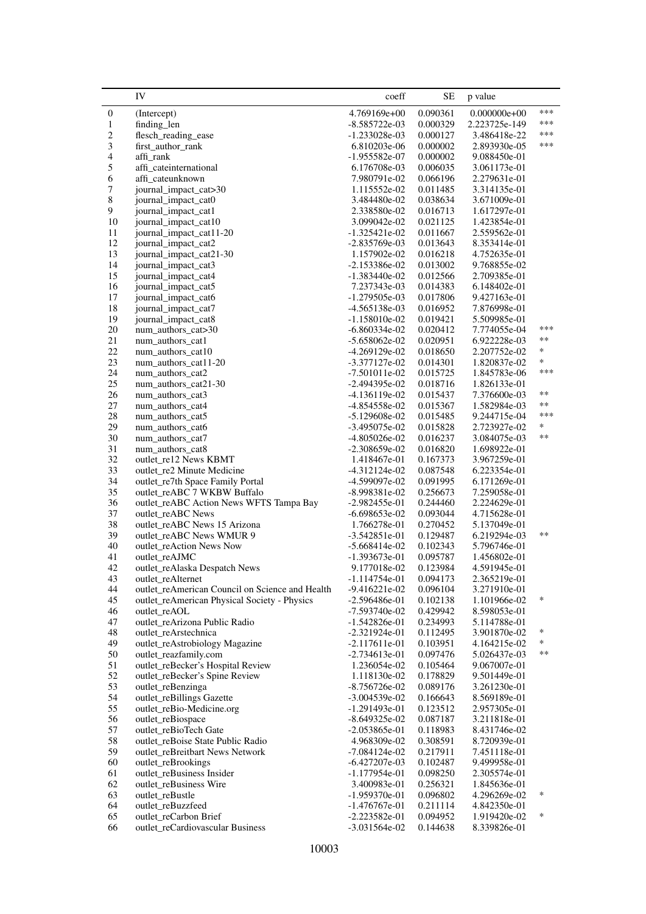<span id="page-44-0"></span>

|                          | IV                                                                  | coeff                              | <b>SE</b>            | p value                      |                      |
|--------------------------|---------------------------------------------------------------------|------------------------------------|----------------------|------------------------------|----------------------|
| $\boldsymbol{0}$         | (Intercept)                                                         | 4.769169e+00                       | 0.090361             | $0.000000e + 00$             | ***                  |
| $\mathbf{1}$             | finding len                                                         | $-8.585722e-03$                    | 0.000329             | 2.223725e-149                | ***                  |
| 2                        | flesch_reading_ease                                                 | $-1.233028e-03$                    | 0.000127             | 3.486418e-22                 | ***                  |
| 3                        | first_author_rank                                                   | 6.810203e-06                       | 0.000002             | 2.893930e-05                 | ***                  |
| $\overline{\mathcal{A}}$ | affi rank                                                           | $-1.955582e-07$                    | 0.000002             | 9.088450e-01                 |                      |
| $\mathfrak s$            | affi_cateinternational                                              | 6.176708e-03                       | 0.006035             | 3.061173e-01                 |                      |
| 6                        | affi_cateunknown                                                    | 7.980791e-02                       | 0.066196             | 2.279631e-01                 |                      |
| $\boldsymbol{7}$         | journal_impact_cat>30                                               | 1.115552e-02                       | 0.011485             | 3.314135e-01                 |                      |
| $\,$ 8 $\,$              | journal_impact_cat0                                                 | 3.484480e-02                       | 0.038634             | 3.671009e-01                 |                      |
| 9                        | journal_impact_cat1                                                 | 2.338580e-02                       | 0.016713             | 1.617297e-01                 |                      |
| 10                       | journal_impact_cat10                                                | 3.099042e-02                       | 0.021125             | 1.423854e-01                 |                      |
| 11<br>12                 | journal_impact_cat11-20                                             | $-1.325421e-02$                    | 0.011667             | 2.559562e-01<br>8.353414e-01 |                      |
| 13                       | journal_impact_cat2<br>journal_impact_cat21-30                      | $-2.835769e-03$<br>1.157902e-02    | 0.013643<br>0.016218 | 4.752635e-01                 |                      |
| 14                       | journal_impact_cat3                                                 | $-2.153386e-02$                    | 0.013002             | 9.768855e-02                 |                      |
| 15                       | journal_impact_cat4                                                 | $-1.383440e-02$                    | 0.012566             | 2.709385e-01                 |                      |
| 16                       | journal_impact_cat5                                                 | 7.237343e-03                       | 0.014383             | 6.148402e-01                 |                      |
| $17\,$                   | journal_impact_cat6                                                 | $-1.279505e-03$                    | 0.017806             | 9.427163e-01                 |                      |
| 18                       | journal_impact_cat7                                                 | $-4.565138e-03$                    | 0.016952             | 7.876998e-01                 |                      |
| 19                       | journal_impact_cat8                                                 | $-1.158010e-02$                    | 0.019421             | 5.509985e-01                 |                      |
| $20\,$                   | num_authors_cat>30                                                  | $-6.860334e-02$                    | 0.020412             | 7.774055e-04                 | ***                  |
| 21                       | num_authors_cat1                                                    | $-5.658062e-02$                    | 0.020951             | 6.922228e-03                 | $\ast\ast$           |
| $22\,$                   | num_authors_cat10                                                   | $-4.269129e-02$                    | 0.018650             | 2.207752e-02                 | *                    |
| 23                       | num_authors_cat11-20                                                | $-3.377127e-02$                    | 0.014301             | 1.820837e-02                 | *                    |
| 24                       | num_authors_cat2                                                    | $-7.501011e-02$                    | 0.015725             | 1.845783e-06                 | ***                  |
| 25                       | num_authors_cat21-30                                                | $-2.494395e-02$                    | 0.018716             | 1.826133e-01                 |                      |
| 26                       | num_authors_cat3                                                    | $-4.136119e-02$                    | 0.015437             | 7.376600e-03                 | $\ast\ast$           |
| $27\,$                   | num_authors_cat4                                                    | -4.854558e-02                      | 0.015367             | 1.582984e-03                 | $\ast\ast$           |
| $28\,$                   | num authors cat5                                                    | $-5.129608e-02$                    | 0.015485             | 9.244715e-04                 | ***                  |
| 29                       | num_authors_cat6                                                    | $-3.495075e-02$                    | 0.015828             | 2.723927e-02                 | *                    |
| 30                       | num_authors_cat7                                                    | $-4.805026e-02$                    | 0.016237             | 3.084075e-03                 | $\ast\ast$           |
| 31                       | num_authors_cat8                                                    | $-2.308659e-02$                    | 0.016820             | 1.698922e-01                 |                      |
| 32                       | outlet_re12 News KBMT                                               | 1.418467e-01                       | 0.167373             | 3.967259e-01                 |                      |
| 33<br>34                 | outlet_re2 Minute Medicine                                          | -4.312124e-02                      | 0.087548             | 6.223354e-01                 |                      |
| 35                       | outlet_re7th Space Family Portal<br>outlet_reABC 7 WKBW Buffalo     | -4.599097e-02<br>$-8.998381e-02$   | 0.091995<br>0.256673 | 6.171269e-01<br>7.259058e-01 |                      |
| 36                       | outlet_reABC Action News WFTS Tampa Bay                             | $-2.982455e-01$                    | 0.244460             | 2.224629e-01                 |                      |
| 37                       | outlet_reABC News                                                   | $-6.698653e-02$                    | 0.093044             | 4.715628e-01                 |                      |
| 38                       | outlet_reABC News 15 Arizona                                        | 1.766278e-01                       | 0.270452             | 5.137049e-01                 |                      |
| 39                       | outlet_reABC News WMUR 9                                            | $-3.542851e-01$                    | 0.129487             | 6.219294e-03                 | $\ast\ast$           |
| 40                       | outlet_reAction News Now                                            | $-5.668414e-02$                    | 0.102343             | 5.796746e-01                 |                      |
| 41                       | outlet_reAJMC                                                       | $-1.393673e-01$                    | 0.095787             | 1.456802e-01                 |                      |
| 42                       | outlet_reAlaska Despatch News                                       | 9.177018e-02                       | 0.123984             | 4.591945e-01                 |                      |
| 43                       | outlet_reAlternet                                                   | $-1.114754e-01$                    | 0.094173             | 2.365219e-01                 |                      |
| 44                       | outlet_reAmerican Council on Science and Health                     | $-9.416221e-02$                    | 0.096104             | 3.271910e-01                 |                      |
| 45                       | outlet_reAmerican Physical Society - Physics                        | $-2.596486e-01$                    | 0.102138             | 1.101966e-02                 | *                    |
| 46                       | outlet_reAOL                                                        | $-7.593740e-02$                    | 0.429942             | 8.598053e-01                 |                      |
| 47                       | outlet_reArizona Public Radio                                       | $-1.542826e-01$                    | 0.234993             | 5.114788e-01                 |                      |
| 48                       | outlet_reArstechnica                                                | $-2.321924e-01$                    | 0.112495             | 3.901870e-02                 | ∗                    |
| 49                       | outlet_reAstrobiology Magazine                                      | $-2.117611e-01$                    | 0.103951             | 4.164215e-02                 | $\ast$<br>$\ast\ast$ |
| 50                       | outlet_reazfamily.com                                               | $-2.734613e-01$                    | 0.097476             | 5.026437e-03                 |                      |
| 51<br>52                 | outlet_reBecker's Hospital Review<br>outlet_reBecker's Spine Review | 1.236054e-02                       | 0.105464             | 9.067007e-01                 |                      |
| 53                       |                                                                     | 1.118130e-02                       | 0.178829             | 9.501449e-01                 |                      |
| 54                       | outlet_reBenzinga<br>outlet_reBillings Gazette                      | $-8.756726e-02$<br>$-3.004539e-02$ | 0.089176<br>0.166643 | 3.261230e-01<br>8.569189e-01 |                      |
| 55                       | outlet_reBio-Medicine.org                                           | $-1.291493e-01$                    | 0.123512             | 2.957305e-01                 |                      |
| 56                       | outlet_reBiospace                                                   | $-8.649325e-02$                    | 0.087187             | 3.211818e-01                 |                      |
| 57                       | outlet_reBioTech Gate                                               | $-2.053865e-01$                    | 0.118983             | 8.431746e-02                 |                      |
| 58                       | outlet_reBoise State Public Radio                                   | 4.968309e-02                       | 0.308591             | 8.720939e-01                 |                      |
| 59                       | outlet_reBreitbart News Network                                     | $-7.084124e-02$                    | 0.217911             | 7.451118e-01                 |                      |
| 60                       | outlet_reBrookings                                                  | $-6.427207e-03$                    | 0.102487             | 9.499958e-01                 |                      |
| 61                       | outlet_reBusiness Insider                                           | $-1.177954e-01$                    | 0.098250             | 2.305574e-01                 |                      |
| 62                       | outlet_reBusiness Wire                                              | 3.400983e-01                       | 0.256321             | 1.845636e-01                 |                      |
| 63                       | outlet_reBustle                                                     | $-1.959370e-01$                    | 0.096802             | 4.296269e-02                 | *                    |
| 64                       | outlet_reBuzzfeed                                                   | $-1.476767e-01$                    | 0.211114             | 4.842350e-01                 |                      |
| 65                       | outlet_reCarbon Brief                                               | $-2.223582e-01$                    | 0.094952             | 1.919420e-02                 | ∗                    |
| 66                       | outlet_reCardiovascular Business                                    | $-3.031564e-02$                    | 0.144638             | 8.339826e-01                 |                      |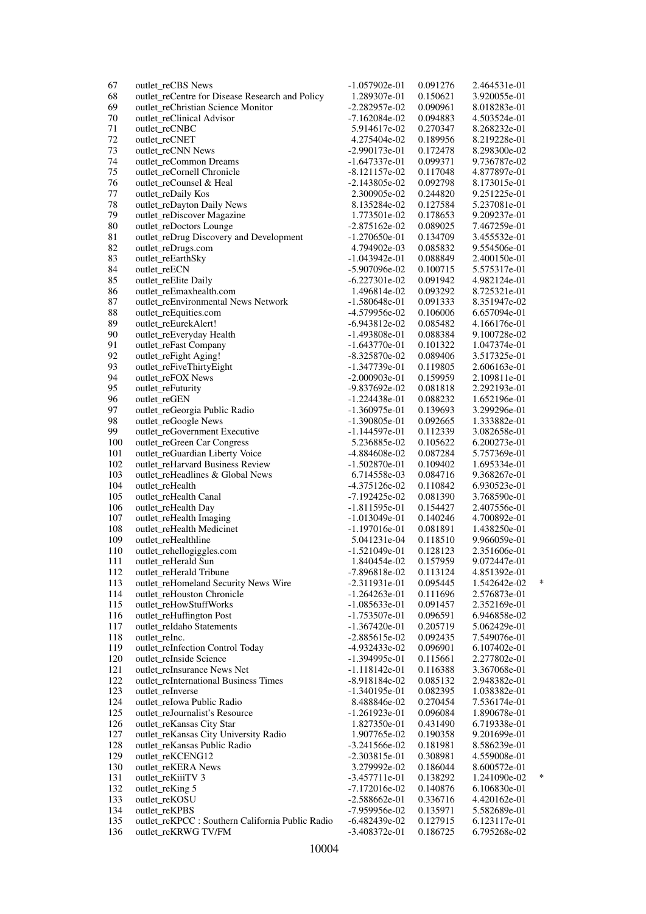| 67     | outlet_reCBS News                                | $-1.057902e-01$     | 0.091276 | 2.464531e-01 |        |
|--------|--------------------------------------------------|---------------------|----------|--------------|--------|
| 68     | outlet_reCentre for Disease Research and Policy  | 1.289307e-01        | 0.150621 | 3.920055e-01 |        |
| 69     | outlet_reChristian Science Monitor               | $-2.282957e-02$     | 0.090961 | 8.018283e-01 |        |
| 70     | outlet_reClinical Advisor                        | $-7.162084e-02$     | 0.094883 | 4.503524e-01 |        |
| 71     | outlet_reCNBC                                    | 5.914617e-02        | 0.270347 | 8.268232e-01 |        |
| 72     | outlet_reCNET                                    | 4.275404e-02        | 0.189956 | 8.219228e-01 |        |
| 73     | outlet_reCNN News                                | $-2.990173e-01$     | 0.172478 | 8.298300e-02 |        |
| 74     | outlet_reCommon Dreams                           | $-1.647337e-01$     | 0.099371 | 9.736787e-02 |        |
| 75     | outlet_reCornell Chronicle                       | $-8.121157e-02$     | 0.117048 | 4.877897e-01 |        |
| 76     |                                                  |                     |          |              |        |
|        | outlet_reCounsel & Heal                          | $-2.143805e-02$     | 0.092798 | 8.173015e-01 |        |
| $77\,$ | outlet_reDaily Kos                               | 2.300905e-02        | 0.244820 | 9.251225e-01 |        |
| 78     | outlet_reDayton Daily News                       | 8.135284e-02        | 0.127584 | 5.237081e-01 |        |
| 79     | outlet_reDiscover Magazine                       | 1.773501e-02        | 0.178653 | 9.209237e-01 |        |
| $80\,$ | outlet_reDoctors Lounge                          | $-2.875162e-02$     | 0.089025 | 7.467259e-01 |        |
| 81     | outlet_reDrug Discovery and Development          | $-1.270650e-01$     | 0.134709 | 3.455532e-01 |        |
| 82     | outlet_reDrugs.com                               | 4.794902e-03        | 0.085832 | 9.554506e-01 |        |
| 83     | outlet_reEarthSky                                | $-1.043942e-01$     | 0.088849 | 2.400150e-01 |        |
| 84     | outlet_reECN                                     | -5.907096e-02       | 0.100715 | 5.575317e-01 |        |
| 85     | outlet_reElite Daily                             | $-6.227301e-02$     | 0.091942 | 4.982124e-01 |        |
| 86     | outlet_reEmaxhealth.com                          | 1.496814e-02        | 0.093292 | 8.725321e-01 |        |
| 87     | outlet_reEnvironmental News Network              | $-1.580648e-01$     | 0.091333 | 8.351947e-02 |        |
| 88     | outlet_reEquities.com                            | -4.579956e-02       | 0.106006 | 6.657094e-01 |        |
| 89     | outlet_reEurekAlert!                             | $-6.943812e-02$     | 0.085482 | 4.166176e-01 |        |
| 90     | outlet_reEveryday Health                         | $-1.493808e-01$     | 0.088384 | 9.100728e-02 |        |
| 91     |                                                  |                     |          |              |        |
|        | outlet_reFast Company                            | $-1.643770e-01$     | 0.101322 | 1.047374e-01 |        |
| 92     | outlet_reFight Aging!                            | $-8.325870e-02$     | 0.089406 | 3.517325e-01 |        |
| 93     | outlet_reFiveThirtyEight                         | $-1.347739e-01$     | 0.119805 | 2.606163e-01 |        |
| 94     | outlet_reFOX News                                | $-2.000903e-01$     | 0.159959 | 2.109811e-01 |        |
| 95     | outlet_reFuturity                                | -9.837692e-02       | 0.081818 | 2.292193e-01 |        |
| 96     | outlet_reGEN                                     | $-1.224438e-01$     | 0.088232 | 1.652196e-01 |        |
| 97     | outlet_reGeorgia Public Radio                    | $-1.360975e-01$     | 0.139693 | 3.299296e-01 |        |
| 98     | outlet_reGoogle News                             | -1.390805e-01       | 0.092665 | 1.333882e-01 |        |
| 99     | outlet_reGovernment Executive                    | $-1.144597e-01$     | 0.112339 | 3.082658e-01 |        |
| 100    | outlet_reGreen Car Congress                      | 5.236885e-02        | 0.105622 | 6.200273e-01 |        |
| 101    | outlet_reGuardian Liberty Voice                  | -4.884608e-02       | 0.087284 | 5.757369e-01 |        |
| 102    | outlet_reHarvard Business Review                 | $-1.502870e-01$     | 0.109402 | 1.695334e-01 |        |
| 103    | outlet_reHeadlines & Global News                 | 6.714558e-03        | 0.084716 | 9.368267e-01 |        |
| 104    | outlet_reHealth                                  | -4.375126e-02       | 0.110842 | 6.930523e-01 |        |
| 105    | outlet_reHealth Canal                            | -7.192425e-02       | 0.081390 | 3.768590e-01 |        |
| 106    | outlet_reHealth Day                              | $-1.811595e-01$     | 0.154427 | 2.407556e-01 |        |
| 107    |                                                  |                     | 0.140246 | 4.700892e-01 |        |
|        | outlet_reHealth Imaging                          | $-1.013049e-01$     |          |              |        |
| 108    | outlet_reHealth Medicinet                        | $-1.197016e-01$     | 0.081891 | 1.438250e-01 |        |
| 109    | outlet reHealthline                              | 5.041231e-04        | 0.118510 | 9.966059e-01 |        |
| 110    | outlet_rehellogiggles.com                        | -1.521049e-01       | 0.128123 | 2.351606e-01 |        |
| 111    | outlet reHerald Sun                              | 1.840454e-02        | 0.157959 | 9.072447e-01 |        |
| 112    | outlet_reHerald Tribune                          | -7.896818e-02       | 0.113124 | 4.851392e-01 |        |
| 113    | outlet_reHomeland Security News Wire             | $-2.311931e-01$     | 0.095445 | 1.542642e-02 | $\ast$ |
| 114    | outlet_reHouston Chronicle                       | $-1.264263e-01$     | 0.111696 | 2.576873e-01 |        |
| 115    | outlet_reHowStuffWorks                           | $-1.085633e-01$     | 0.091457 | 2.352169e-01 |        |
| 116    | outlet_reHuffington Post                         | $-1.753507e-01$     | 0.096591 | 6.946858e-02 |        |
| 117    | outlet_reIdaho Statements                        | $-1.367420e-01$     | 0.205719 | 5.062429e-01 |        |
| 118    | outlet_reInc.                                    | $-2.885615e-02$     | 0.092435 | 7.549076e-01 |        |
| 119    | outlet_reInfection Control Today                 | -4.932433e-02       | 0.096901 | 6.107402e-01 |        |
| 120    | outlet_reInside Science                          | -1.394995e-01       | 0.115661 | 2.277802e-01 |        |
| 121    | outlet_reInsurance News Net                      | $-1.118142e-01$     | 0.116388 | 3.367068e-01 |        |
| 122    | outlet_reInternational Business Times            | $-8.918184e-02$     | 0.085132 | 2.948382e-01 |        |
| 123    | outlet reInverse                                 | $-1.340195e-01$     | 0.082395 | 1.038382e-01 |        |
|        |                                                  | 8.488846e-02        |          |              |        |
| 124    | outlet_reIowa Public Radio                       |                     | 0.270454 | 7.536174e-01 |        |
| 125    | outlet_reJournalist's Resource                   | $-1.261923e-01$     | 0.096084 | 1.890678e-01 |        |
| 126    | outlet_reKansas City Star                        | 1.827350e-01        | 0.431490 | 6.719338e-01 |        |
| 127    | outlet_reKansas City University Radio            | 1.907765e-02        | 0.190358 | 9.201699e-01 |        |
| 128    | outlet_reKansas Public Radio                     | $-3.241566e-02$     | 0.181981 | 8.586239e-01 |        |
| 129    | outlet_reKCENG12                                 | $-2.303815e-01$     | 0.308981 | 4.559008e-01 |        |
| 130    | outlet_reKERA News                               | 3.279992e-02        | 0.186044 | 8.600572e-01 |        |
| 131    | outlet_reKiiiTV 3                                | $-3.457711e-01$     | 0.138292 | 1.241090e-02 | ÷      |
| 132    | outlet_reKing 5                                  | $-7.172016$ e $-02$ | 0.140876 | 6.106830e-01 |        |
| 133    | outlet_reKOSU                                    | $-2.588662e-01$     | 0.336716 | 4.420162e-01 |        |
| 134    | outlet_reKPBS                                    | -7.959956e-02       | 0.135971 | 5.582689e-01 |        |
| 135    | outlet_reKPCC : Southern California Public Radio | $-6.482439e-02$     | 0.127915 | 6.123117e-01 |        |
| 136    | outlet_reKRWG TV/FM                              | $-3.408372e-01$     | 0.186725 | 6.795268e-02 |        |
|        |                                                  |                     |          |              |        |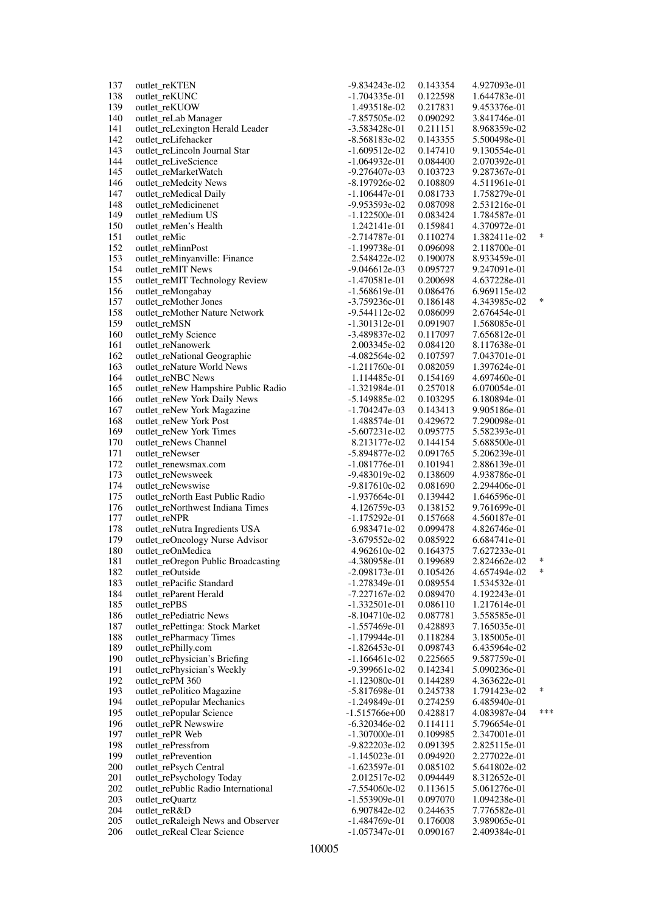| -1.704335e-01<br>139<br>outlet_reKUOW<br>1.493518e-02<br>0.217831<br>9.453376e-01<br>140<br>outlet_reLab Manager<br>-7.857505e-02<br>0.090292<br>3.841746e-01<br>141<br>outlet_reLexington Herald Leader<br>0.211151<br>8.968359e-02<br>-3.583428e-01<br>142<br>outlet_reLifehacker<br>$-8.568183e-02$<br>0.143355<br>5.500498e-01<br>143<br>outlet_reLincoln Journal Star<br>$-1.609512e-02$<br>0.147410<br>9.130554e-01<br>144<br>outlet_reLiveScience<br>0.084400<br>-1.064932e-01<br>2.070392e-01<br>145<br>outlet_reMarketWatch<br>$-9.276407e-03$<br>0.103723<br>9.287367e-01<br>146<br>outlet_reMedcity News<br>$-8.197926e-02$<br>0.108809<br>4.511961e-01<br>147<br>outlet_reMedical Daily<br>$-1.106447e-01$<br>1.758279e-01<br>0.081733<br>148<br>outlet_reMedicinenet<br>-9.953593e-02<br>0.087098<br>2.531216e-01<br>149<br>outlet_reMedium US<br>0.083424<br>1.784587e-01<br>-1.122500e-01<br>150<br>outlet_reMen's Health<br>1.242141e-01<br>0.159841<br>4.370972e-01<br>151<br>outlet_reMic<br>$-2.714787e-01$<br>0.110274<br>1.382411e-02<br>152<br>outlet_reMinnPost<br>-1.199738e-01<br>0.096098<br>2.118700e-01<br>153<br>outlet_reMinyanville: Finance<br>2.548422e-02<br>0.190078<br>8.933459e-01<br>154<br>outlet_reMIT News<br>0.095727<br>9.247091e-01<br>$-9.046612e-03$<br>155<br>outlet_reMIT Technology Review<br>$-1.470581e-01$<br>0.200698<br>4.637228e-01<br>156<br>outlet_reMongabay<br>$-1.568619e-01$<br>0.086476<br>6.969115e-02<br>157<br>outlet_reMother Jones<br>$-3.759236e-01$<br>0.186148<br>4.343985e-02<br>158<br>outlet reMother Nature Network<br>$-9.544112e-02$<br>0.086099<br>2.676454e-01<br>159<br>outlet reMSN<br>$-1.301312e-01$<br>0.091907<br>1.568085e-01<br>160<br>outlet_reMy Science<br>-3.489837e-02<br>0.117097<br>7.656812e-01<br>161<br>outlet_reNanowerk<br>0.084120<br>8.117638e-01<br>2.003345e-02<br>162<br>outlet_reNational Geographic<br>$-4.082564e-02$<br>0.107597<br>7.043701e-01<br>163<br>outlet_reNature World News<br>$-1.211760e-01$<br>0.082059<br>1.397624e-01<br>164<br>outlet reNBC News<br>1.114485e-01<br>0.154169<br>4.697460e-01<br>165<br>outlet_reNew Hampshire Public Radio<br>$-1.321984e-01$<br>0.257018<br>6.070054e-01<br>166<br>outlet_reNew York Daily News<br>0.103295<br>6.180894e-01<br>-5.149885e-02<br>167<br>outlet_reNew York Magazine<br>$-1.704247e-03$<br>0.143413<br>9.905186e-01<br>168<br>outlet_reNew York Post<br>1.488574e-01<br>0.429672<br>7.290098e-01<br>169<br>outlet_reNew York Times<br>$-5.607231e-02$<br>0.095775<br>5.582393e-01<br>170<br>outlet_reNews Channel<br>8.213177e-02<br>0.144154<br>5.688500e-01<br>171<br>outlet_reNewser<br>-5.894877e-02<br>0.091765<br>5.206239e-01<br>172<br>outlet_renewsmax.com<br>$-1.081776$ e $-01$<br>0.101941<br>2.886139e-01<br>173<br>outlet_reNewsweek<br>-9.483019e-02<br>0.138609<br>4.938786e-01<br>174<br>outlet_reNewswise<br>$-9.817610e-02$<br>0.081690<br>2.294406e-01<br>175<br>outlet_reNorth East Public Radio<br>0.139442<br>-1.937664e-01<br>1.646596e-01<br>176<br>outlet_reNorthwest Indiana Times<br>4.126759e-03<br>0.138152<br>9.761699e-01<br>177<br>outlet_reNPR<br>$-1.175292e-01$<br>0.157668<br>4.560187e-01<br>178<br>outlet_reNutra Ingredients USA<br>6.983471e-02<br>0.099478<br>4.826746e-01<br>179<br>outlet_reOncology Nurse Advisor<br>$-3.679552e-02$<br>0.085922<br>6.684741e-01<br>180<br>outlet_reOnMedica<br>0.164375<br>4.962610e-02<br>7.627233e-01<br>181<br>outlet_reOregon Public Broadcasting<br>-4.380958e-01<br>0.199689<br>2.824662e-02<br>182<br>outlet_reOutside<br>$-2.098173e-01$<br>0.105426<br>4.657494e-02<br>183<br>outlet_rePacific Standard<br>$-1.278349e-01$<br>0.089554<br>1.534532e-01<br>184<br>outlet_reParent Herald<br>$-7.227167e-02$<br>0.089470<br>4.192243e-01<br>185<br>outlet_rePBS<br>$-1.332501e-01$<br>0.086110<br>1.217614e-01<br>186<br>outlet_rePediatric News<br>$-8.104710e-02$<br>0.087781<br>3.558585e-01<br>187<br>outlet_rePettinga: Stock Market<br>$-1.557469e-01$<br>0.428893<br>7.165035e-01<br>188<br>outlet_rePharmacy Times<br>$-1.179944e-01$<br>0.118284<br>3.185005e-01<br>189<br>outlet_rePhilly.com<br>$-1.826453e-01$<br>0.098743<br>6.435964e-02<br>190<br>outlet_rePhysician's Briefing<br>$-1.166461e-02$<br>0.225665<br>9.587759e-01<br>191<br>outlet_rePhysician's Weekly<br>-9.399661e-02<br>0.142341<br>5.090236e-01<br>192<br>outlet_rePM 360<br>$-1.123080e-01$<br>0.144289<br>4.363622e-01<br>193<br>outlet_rePolitico Magazine<br>$-5.817698e-01$<br>0.245738<br>1.791423e-02<br>194<br>outlet_rePopular Mechanics<br>$-1.249849e-01$<br>0.274259<br>6.485940e-01<br>195<br>outlet_rePopular Science<br>$-1.515766e+00$<br>0.428817<br>4.083987e-04<br>196<br>outlet_rePR Newswire<br>$-6.320346e-02$<br>0.114111<br>5.796654e-01<br>197<br>outlet_rePR Web<br>$-1.307000e-01$<br>0.109985<br>2.347001e-01<br>198<br>outlet_rePressfrom<br>-9.822203e-02<br>2.825115e-01<br>0.091395<br>199<br>outlet_rePrevention<br>$-1.145023e-01$<br>0.094920<br>2.277022e-01<br>200<br>outlet_rePsych Central<br>$-1.623597e-01$<br>0.085102<br>5.641802e-02<br>201<br>outlet_rePsychology Today<br>2.012517e-02<br>0.094449<br>8.312652e-01<br>202<br>outlet rePublic Radio International<br>$-7.554060e-02$<br>0.113615<br>5.061276e-01<br>203<br>outlet_reQuartz<br>$-1.553909e-01$<br>0.097070<br>1.094238e-01<br>204<br>outlet_reR&D<br>6.907842e-02<br>0.244635<br>7.776582e-01<br>205<br>outlet_reRaleigh News and Observer<br>0.176008<br>-1.484769e-01<br>3.989065e-01<br>206<br>outlet_reReal Clear Science<br>$-1.057347e-01$<br>0.090167<br>2.409384e-01 | 137 | outlet_reKTEN | -9.834243e-02 | 0.143354 | 4.927093e-01 |        |
|-----------------------------------------------------------------------------------------------------------------------------------------------------------------------------------------------------------------------------------------------------------------------------------------------------------------------------------------------------------------------------------------------------------------------------------------------------------------------------------------------------------------------------------------------------------------------------------------------------------------------------------------------------------------------------------------------------------------------------------------------------------------------------------------------------------------------------------------------------------------------------------------------------------------------------------------------------------------------------------------------------------------------------------------------------------------------------------------------------------------------------------------------------------------------------------------------------------------------------------------------------------------------------------------------------------------------------------------------------------------------------------------------------------------------------------------------------------------------------------------------------------------------------------------------------------------------------------------------------------------------------------------------------------------------------------------------------------------------------------------------------------------------------------------------------------------------------------------------------------------------------------------------------------------------------------------------------------------------------------------------------------------------------------------------------------------------------------------------------------------------------------------------------------------------------------------------------------------------------------------------------------------------------------------------------------------------------------------------------------------------------------------------------------------------------------------------------------------------------------------------------------------------------------------------------------------------------------------------------------------------------------------------------------------------------------------------------------------------------------------------------------------------------------------------------------------------------------------------------------------------------------------------------------------------------------------------------------------------------------------------------------------------------------------------------------------------------------------------------------------------------------------------------------------------------------------------------------------------------------------------------------------------------------------------------------------------------------------------------------------------------------------------------------------------------------------------------------------------------------------------------------------------------------------------------------------------------------------------------------------------------------------------------------------------------------------------------------------------------------------------------------------------------------------------------------------------------------------------------------------------------------------------------------------------------------------------------------------------------------------------------------------------------------------------------------------------------------------------------------------------------------------------------------------------------------------------------------------------------------------------------------------------------------------------------------------------------------------------------------------------------------------------------------------------------------------------------------------------------------------------------------------------------------------------------------------------------------------------------------------------------------------------------------------------------------------------------------------------------------------------------------------------------------------------------------------------------------------------------------------------------------------------------------------------------------------------------------------------------------------------------------------------------------------------------------------------------------------------------------------------------------------------------------------------------------------------------------------------------------------------------------------------------------------------------------------------------------------------------------------------------------------------------------------------------------------------------------------------------------------------------------------------------------------------------------------------------------------------------------------------------------------|-----|---------------|---------------|----------|--------------|--------|
|                                                                                                                                                                                                                                                                                                                                                                                                                                                                                                                                                                                                                                                                                                                                                                                                                                                                                                                                                                                                                                                                                                                                                                                                                                                                                                                                                                                                                                                                                                                                                                                                                                                                                                                                                                                                                                                                                                                                                                                                                                                                                                                                                                                                                                                                                                                                                                                                                                                                                                                                                                                                                                                                                                                                                                                                                                                                                                                                                                                                                                                                                                                                                                                                                                                                                                                                                                                                                                                                                                                                                                                                                                                                                                                                                                                                                                                                                                                                                                                                                                                                                                                                                                                                                                                                                                                                                                                                                                                                                                                                                                                                                                                                                                                                                                                                                                                                                                                                                                                                                                                                                                                                                                                                                                                                                                                                                                                                                                                                                                                                                                                                                                         | 138 | outlet_reKUNC |               | 0.122598 | 1.644783e-01 |        |
|                                                                                                                                                                                                                                                                                                                                                                                                                                                                                                                                                                                                                                                                                                                                                                                                                                                                                                                                                                                                                                                                                                                                                                                                                                                                                                                                                                                                                                                                                                                                                                                                                                                                                                                                                                                                                                                                                                                                                                                                                                                                                                                                                                                                                                                                                                                                                                                                                                                                                                                                                                                                                                                                                                                                                                                                                                                                                                                                                                                                                                                                                                                                                                                                                                                                                                                                                                                                                                                                                                                                                                                                                                                                                                                                                                                                                                                                                                                                                                                                                                                                                                                                                                                                                                                                                                                                                                                                                                                                                                                                                                                                                                                                                                                                                                                                                                                                                                                                                                                                                                                                                                                                                                                                                                                                                                                                                                                                                                                                                                                                                                                                                                         |     |               |               |          |              |        |
|                                                                                                                                                                                                                                                                                                                                                                                                                                                                                                                                                                                                                                                                                                                                                                                                                                                                                                                                                                                                                                                                                                                                                                                                                                                                                                                                                                                                                                                                                                                                                                                                                                                                                                                                                                                                                                                                                                                                                                                                                                                                                                                                                                                                                                                                                                                                                                                                                                                                                                                                                                                                                                                                                                                                                                                                                                                                                                                                                                                                                                                                                                                                                                                                                                                                                                                                                                                                                                                                                                                                                                                                                                                                                                                                                                                                                                                                                                                                                                                                                                                                                                                                                                                                                                                                                                                                                                                                                                                                                                                                                                                                                                                                                                                                                                                                                                                                                                                                                                                                                                                                                                                                                                                                                                                                                                                                                                                                                                                                                                                                                                                                                                         |     |               |               |          |              |        |
|                                                                                                                                                                                                                                                                                                                                                                                                                                                                                                                                                                                                                                                                                                                                                                                                                                                                                                                                                                                                                                                                                                                                                                                                                                                                                                                                                                                                                                                                                                                                                                                                                                                                                                                                                                                                                                                                                                                                                                                                                                                                                                                                                                                                                                                                                                                                                                                                                                                                                                                                                                                                                                                                                                                                                                                                                                                                                                                                                                                                                                                                                                                                                                                                                                                                                                                                                                                                                                                                                                                                                                                                                                                                                                                                                                                                                                                                                                                                                                                                                                                                                                                                                                                                                                                                                                                                                                                                                                                                                                                                                                                                                                                                                                                                                                                                                                                                                                                                                                                                                                                                                                                                                                                                                                                                                                                                                                                                                                                                                                                                                                                                                                         |     |               |               |          |              |        |
|                                                                                                                                                                                                                                                                                                                                                                                                                                                                                                                                                                                                                                                                                                                                                                                                                                                                                                                                                                                                                                                                                                                                                                                                                                                                                                                                                                                                                                                                                                                                                                                                                                                                                                                                                                                                                                                                                                                                                                                                                                                                                                                                                                                                                                                                                                                                                                                                                                                                                                                                                                                                                                                                                                                                                                                                                                                                                                                                                                                                                                                                                                                                                                                                                                                                                                                                                                                                                                                                                                                                                                                                                                                                                                                                                                                                                                                                                                                                                                                                                                                                                                                                                                                                                                                                                                                                                                                                                                                                                                                                                                                                                                                                                                                                                                                                                                                                                                                                                                                                                                                                                                                                                                                                                                                                                                                                                                                                                                                                                                                                                                                                                                         |     |               |               |          |              |        |
|                                                                                                                                                                                                                                                                                                                                                                                                                                                                                                                                                                                                                                                                                                                                                                                                                                                                                                                                                                                                                                                                                                                                                                                                                                                                                                                                                                                                                                                                                                                                                                                                                                                                                                                                                                                                                                                                                                                                                                                                                                                                                                                                                                                                                                                                                                                                                                                                                                                                                                                                                                                                                                                                                                                                                                                                                                                                                                                                                                                                                                                                                                                                                                                                                                                                                                                                                                                                                                                                                                                                                                                                                                                                                                                                                                                                                                                                                                                                                                                                                                                                                                                                                                                                                                                                                                                                                                                                                                                                                                                                                                                                                                                                                                                                                                                                                                                                                                                                                                                                                                                                                                                                                                                                                                                                                                                                                                                                                                                                                                                                                                                                                                         |     |               |               |          |              |        |
|                                                                                                                                                                                                                                                                                                                                                                                                                                                                                                                                                                                                                                                                                                                                                                                                                                                                                                                                                                                                                                                                                                                                                                                                                                                                                                                                                                                                                                                                                                                                                                                                                                                                                                                                                                                                                                                                                                                                                                                                                                                                                                                                                                                                                                                                                                                                                                                                                                                                                                                                                                                                                                                                                                                                                                                                                                                                                                                                                                                                                                                                                                                                                                                                                                                                                                                                                                                                                                                                                                                                                                                                                                                                                                                                                                                                                                                                                                                                                                                                                                                                                                                                                                                                                                                                                                                                                                                                                                                                                                                                                                                                                                                                                                                                                                                                                                                                                                                                                                                                                                                                                                                                                                                                                                                                                                                                                                                                                                                                                                                                                                                                                                         |     |               |               |          |              |        |
|                                                                                                                                                                                                                                                                                                                                                                                                                                                                                                                                                                                                                                                                                                                                                                                                                                                                                                                                                                                                                                                                                                                                                                                                                                                                                                                                                                                                                                                                                                                                                                                                                                                                                                                                                                                                                                                                                                                                                                                                                                                                                                                                                                                                                                                                                                                                                                                                                                                                                                                                                                                                                                                                                                                                                                                                                                                                                                                                                                                                                                                                                                                                                                                                                                                                                                                                                                                                                                                                                                                                                                                                                                                                                                                                                                                                                                                                                                                                                                                                                                                                                                                                                                                                                                                                                                                                                                                                                                                                                                                                                                                                                                                                                                                                                                                                                                                                                                                                                                                                                                                                                                                                                                                                                                                                                                                                                                                                                                                                                                                                                                                                                                         |     |               |               |          |              |        |
|                                                                                                                                                                                                                                                                                                                                                                                                                                                                                                                                                                                                                                                                                                                                                                                                                                                                                                                                                                                                                                                                                                                                                                                                                                                                                                                                                                                                                                                                                                                                                                                                                                                                                                                                                                                                                                                                                                                                                                                                                                                                                                                                                                                                                                                                                                                                                                                                                                                                                                                                                                                                                                                                                                                                                                                                                                                                                                                                                                                                                                                                                                                                                                                                                                                                                                                                                                                                                                                                                                                                                                                                                                                                                                                                                                                                                                                                                                                                                                                                                                                                                                                                                                                                                                                                                                                                                                                                                                                                                                                                                                                                                                                                                                                                                                                                                                                                                                                                                                                                                                                                                                                                                                                                                                                                                                                                                                                                                                                                                                                                                                                                                                         |     |               |               |          |              |        |
|                                                                                                                                                                                                                                                                                                                                                                                                                                                                                                                                                                                                                                                                                                                                                                                                                                                                                                                                                                                                                                                                                                                                                                                                                                                                                                                                                                                                                                                                                                                                                                                                                                                                                                                                                                                                                                                                                                                                                                                                                                                                                                                                                                                                                                                                                                                                                                                                                                                                                                                                                                                                                                                                                                                                                                                                                                                                                                                                                                                                                                                                                                                                                                                                                                                                                                                                                                                                                                                                                                                                                                                                                                                                                                                                                                                                                                                                                                                                                                                                                                                                                                                                                                                                                                                                                                                                                                                                                                                                                                                                                                                                                                                                                                                                                                                                                                                                                                                                                                                                                                                                                                                                                                                                                                                                                                                                                                                                                                                                                                                                                                                                                                         |     |               |               |          |              |        |
|                                                                                                                                                                                                                                                                                                                                                                                                                                                                                                                                                                                                                                                                                                                                                                                                                                                                                                                                                                                                                                                                                                                                                                                                                                                                                                                                                                                                                                                                                                                                                                                                                                                                                                                                                                                                                                                                                                                                                                                                                                                                                                                                                                                                                                                                                                                                                                                                                                                                                                                                                                                                                                                                                                                                                                                                                                                                                                                                                                                                                                                                                                                                                                                                                                                                                                                                                                                                                                                                                                                                                                                                                                                                                                                                                                                                                                                                                                                                                                                                                                                                                                                                                                                                                                                                                                                                                                                                                                                                                                                                                                                                                                                                                                                                                                                                                                                                                                                                                                                                                                                                                                                                                                                                                                                                                                                                                                                                                                                                                                                                                                                                                                         |     |               |               |          |              |        |
|                                                                                                                                                                                                                                                                                                                                                                                                                                                                                                                                                                                                                                                                                                                                                                                                                                                                                                                                                                                                                                                                                                                                                                                                                                                                                                                                                                                                                                                                                                                                                                                                                                                                                                                                                                                                                                                                                                                                                                                                                                                                                                                                                                                                                                                                                                                                                                                                                                                                                                                                                                                                                                                                                                                                                                                                                                                                                                                                                                                                                                                                                                                                                                                                                                                                                                                                                                                                                                                                                                                                                                                                                                                                                                                                                                                                                                                                                                                                                                                                                                                                                                                                                                                                                                                                                                                                                                                                                                                                                                                                                                                                                                                                                                                                                                                                                                                                                                                                                                                                                                                                                                                                                                                                                                                                                                                                                                                                                                                                                                                                                                                                                                         |     |               |               |          |              |        |
|                                                                                                                                                                                                                                                                                                                                                                                                                                                                                                                                                                                                                                                                                                                                                                                                                                                                                                                                                                                                                                                                                                                                                                                                                                                                                                                                                                                                                                                                                                                                                                                                                                                                                                                                                                                                                                                                                                                                                                                                                                                                                                                                                                                                                                                                                                                                                                                                                                                                                                                                                                                                                                                                                                                                                                                                                                                                                                                                                                                                                                                                                                                                                                                                                                                                                                                                                                                                                                                                                                                                                                                                                                                                                                                                                                                                                                                                                                                                                                                                                                                                                                                                                                                                                                                                                                                                                                                                                                                                                                                                                                                                                                                                                                                                                                                                                                                                                                                                                                                                                                                                                                                                                                                                                                                                                                                                                                                                                                                                                                                                                                                                                                         |     |               |               |          |              |        |
|                                                                                                                                                                                                                                                                                                                                                                                                                                                                                                                                                                                                                                                                                                                                                                                                                                                                                                                                                                                                                                                                                                                                                                                                                                                                                                                                                                                                                                                                                                                                                                                                                                                                                                                                                                                                                                                                                                                                                                                                                                                                                                                                                                                                                                                                                                                                                                                                                                                                                                                                                                                                                                                                                                                                                                                                                                                                                                                                                                                                                                                                                                                                                                                                                                                                                                                                                                                                                                                                                                                                                                                                                                                                                                                                                                                                                                                                                                                                                                                                                                                                                                                                                                                                                                                                                                                                                                                                                                                                                                                                                                                                                                                                                                                                                                                                                                                                                                                                                                                                                                                                                                                                                                                                                                                                                                                                                                                                                                                                                                                                                                                                                                         |     |               |               |          |              | $\ast$ |
|                                                                                                                                                                                                                                                                                                                                                                                                                                                                                                                                                                                                                                                                                                                                                                                                                                                                                                                                                                                                                                                                                                                                                                                                                                                                                                                                                                                                                                                                                                                                                                                                                                                                                                                                                                                                                                                                                                                                                                                                                                                                                                                                                                                                                                                                                                                                                                                                                                                                                                                                                                                                                                                                                                                                                                                                                                                                                                                                                                                                                                                                                                                                                                                                                                                                                                                                                                                                                                                                                                                                                                                                                                                                                                                                                                                                                                                                                                                                                                                                                                                                                                                                                                                                                                                                                                                                                                                                                                                                                                                                                                                                                                                                                                                                                                                                                                                                                                                                                                                                                                                                                                                                                                                                                                                                                                                                                                                                                                                                                                                                                                                                                                         |     |               |               |          |              |        |
|                                                                                                                                                                                                                                                                                                                                                                                                                                                                                                                                                                                                                                                                                                                                                                                                                                                                                                                                                                                                                                                                                                                                                                                                                                                                                                                                                                                                                                                                                                                                                                                                                                                                                                                                                                                                                                                                                                                                                                                                                                                                                                                                                                                                                                                                                                                                                                                                                                                                                                                                                                                                                                                                                                                                                                                                                                                                                                                                                                                                                                                                                                                                                                                                                                                                                                                                                                                                                                                                                                                                                                                                                                                                                                                                                                                                                                                                                                                                                                                                                                                                                                                                                                                                                                                                                                                                                                                                                                                                                                                                                                                                                                                                                                                                                                                                                                                                                                                                                                                                                                                                                                                                                                                                                                                                                                                                                                                                                                                                                                                                                                                                                                         |     |               |               |          |              |        |
|                                                                                                                                                                                                                                                                                                                                                                                                                                                                                                                                                                                                                                                                                                                                                                                                                                                                                                                                                                                                                                                                                                                                                                                                                                                                                                                                                                                                                                                                                                                                                                                                                                                                                                                                                                                                                                                                                                                                                                                                                                                                                                                                                                                                                                                                                                                                                                                                                                                                                                                                                                                                                                                                                                                                                                                                                                                                                                                                                                                                                                                                                                                                                                                                                                                                                                                                                                                                                                                                                                                                                                                                                                                                                                                                                                                                                                                                                                                                                                                                                                                                                                                                                                                                                                                                                                                                                                                                                                                                                                                                                                                                                                                                                                                                                                                                                                                                                                                                                                                                                                                                                                                                                                                                                                                                                                                                                                                                                                                                                                                                                                                                                                         |     |               |               |          |              |        |
|                                                                                                                                                                                                                                                                                                                                                                                                                                                                                                                                                                                                                                                                                                                                                                                                                                                                                                                                                                                                                                                                                                                                                                                                                                                                                                                                                                                                                                                                                                                                                                                                                                                                                                                                                                                                                                                                                                                                                                                                                                                                                                                                                                                                                                                                                                                                                                                                                                                                                                                                                                                                                                                                                                                                                                                                                                                                                                                                                                                                                                                                                                                                                                                                                                                                                                                                                                                                                                                                                                                                                                                                                                                                                                                                                                                                                                                                                                                                                                                                                                                                                                                                                                                                                                                                                                                                                                                                                                                                                                                                                                                                                                                                                                                                                                                                                                                                                                                                                                                                                                                                                                                                                                                                                                                                                                                                                                                                                                                                                                                                                                                                                                         |     |               |               |          |              |        |
|                                                                                                                                                                                                                                                                                                                                                                                                                                                                                                                                                                                                                                                                                                                                                                                                                                                                                                                                                                                                                                                                                                                                                                                                                                                                                                                                                                                                                                                                                                                                                                                                                                                                                                                                                                                                                                                                                                                                                                                                                                                                                                                                                                                                                                                                                                                                                                                                                                                                                                                                                                                                                                                                                                                                                                                                                                                                                                                                                                                                                                                                                                                                                                                                                                                                                                                                                                                                                                                                                                                                                                                                                                                                                                                                                                                                                                                                                                                                                                                                                                                                                                                                                                                                                                                                                                                                                                                                                                                                                                                                                                                                                                                                                                                                                                                                                                                                                                                                                                                                                                                                                                                                                                                                                                                                                                                                                                                                                                                                                                                                                                                                                                         |     |               |               |          |              |        |
|                                                                                                                                                                                                                                                                                                                                                                                                                                                                                                                                                                                                                                                                                                                                                                                                                                                                                                                                                                                                                                                                                                                                                                                                                                                                                                                                                                                                                                                                                                                                                                                                                                                                                                                                                                                                                                                                                                                                                                                                                                                                                                                                                                                                                                                                                                                                                                                                                                                                                                                                                                                                                                                                                                                                                                                                                                                                                                                                                                                                                                                                                                                                                                                                                                                                                                                                                                                                                                                                                                                                                                                                                                                                                                                                                                                                                                                                                                                                                                                                                                                                                                                                                                                                                                                                                                                                                                                                                                                                                                                                                                                                                                                                                                                                                                                                                                                                                                                                                                                                                                                                                                                                                                                                                                                                                                                                                                                                                                                                                                                                                                                                                                         |     |               |               |          |              | $\ast$ |
|                                                                                                                                                                                                                                                                                                                                                                                                                                                                                                                                                                                                                                                                                                                                                                                                                                                                                                                                                                                                                                                                                                                                                                                                                                                                                                                                                                                                                                                                                                                                                                                                                                                                                                                                                                                                                                                                                                                                                                                                                                                                                                                                                                                                                                                                                                                                                                                                                                                                                                                                                                                                                                                                                                                                                                                                                                                                                                                                                                                                                                                                                                                                                                                                                                                                                                                                                                                                                                                                                                                                                                                                                                                                                                                                                                                                                                                                                                                                                                                                                                                                                                                                                                                                                                                                                                                                                                                                                                                                                                                                                                                                                                                                                                                                                                                                                                                                                                                                                                                                                                                                                                                                                                                                                                                                                                                                                                                                                                                                                                                                                                                                                                         |     |               |               |          |              |        |
|                                                                                                                                                                                                                                                                                                                                                                                                                                                                                                                                                                                                                                                                                                                                                                                                                                                                                                                                                                                                                                                                                                                                                                                                                                                                                                                                                                                                                                                                                                                                                                                                                                                                                                                                                                                                                                                                                                                                                                                                                                                                                                                                                                                                                                                                                                                                                                                                                                                                                                                                                                                                                                                                                                                                                                                                                                                                                                                                                                                                                                                                                                                                                                                                                                                                                                                                                                                                                                                                                                                                                                                                                                                                                                                                                                                                                                                                                                                                                                                                                                                                                                                                                                                                                                                                                                                                                                                                                                                                                                                                                                                                                                                                                                                                                                                                                                                                                                                                                                                                                                                                                                                                                                                                                                                                                                                                                                                                                                                                                                                                                                                                                                         |     |               |               |          |              |        |
|                                                                                                                                                                                                                                                                                                                                                                                                                                                                                                                                                                                                                                                                                                                                                                                                                                                                                                                                                                                                                                                                                                                                                                                                                                                                                                                                                                                                                                                                                                                                                                                                                                                                                                                                                                                                                                                                                                                                                                                                                                                                                                                                                                                                                                                                                                                                                                                                                                                                                                                                                                                                                                                                                                                                                                                                                                                                                                                                                                                                                                                                                                                                                                                                                                                                                                                                                                                                                                                                                                                                                                                                                                                                                                                                                                                                                                                                                                                                                                                                                                                                                                                                                                                                                                                                                                                                                                                                                                                                                                                                                                                                                                                                                                                                                                                                                                                                                                                                                                                                                                                                                                                                                                                                                                                                                                                                                                                                                                                                                                                                                                                                                                         |     |               |               |          |              |        |
|                                                                                                                                                                                                                                                                                                                                                                                                                                                                                                                                                                                                                                                                                                                                                                                                                                                                                                                                                                                                                                                                                                                                                                                                                                                                                                                                                                                                                                                                                                                                                                                                                                                                                                                                                                                                                                                                                                                                                                                                                                                                                                                                                                                                                                                                                                                                                                                                                                                                                                                                                                                                                                                                                                                                                                                                                                                                                                                                                                                                                                                                                                                                                                                                                                                                                                                                                                                                                                                                                                                                                                                                                                                                                                                                                                                                                                                                                                                                                                                                                                                                                                                                                                                                                                                                                                                                                                                                                                                                                                                                                                                                                                                                                                                                                                                                                                                                                                                                                                                                                                                                                                                                                                                                                                                                                                                                                                                                                                                                                                                                                                                                                                         |     |               |               |          |              |        |
|                                                                                                                                                                                                                                                                                                                                                                                                                                                                                                                                                                                                                                                                                                                                                                                                                                                                                                                                                                                                                                                                                                                                                                                                                                                                                                                                                                                                                                                                                                                                                                                                                                                                                                                                                                                                                                                                                                                                                                                                                                                                                                                                                                                                                                                                                                                                                                                                                                                                                                                                                                                                                                                                                                                                                                                                                                                                                                                                                                                                                                                                                                                                                                                                                                                                                                                                                                                                                                                                                                                                                                                                                                                                                                                                                                                                                                                                                                                                                                                                                                                                                                                                                                                                                                                                                                                                                                                                                                                                                                                                                                                                                                                                                                                                                                                                                                                                                                                                                                                                                                                                                                                                                                                                                                                                                                                                                                                                                                                                                                                                                                                                                                         |     |               |               |          |              |        |
|                                                                                                                                                                                                                                                                                                                                                                                                                                                                                                                                                                                                                                                                                                                                                                                                                                                                                                                                                                                                                                                                                                                                                                                                                                                                                                                                                                                                                                                                                                                                                                                                                                                                                                                                                                                                                                                                                                                                                                                                                                                                                                                                                                                                                                                                                                                                                                                                                                                                                                                                                                                                                                                                                                                                                                                                                                                                                                                                                                                                                                                                                                                                                                                                                                                                                                                                                                                                                                                                                                                                                                                                                                                                                                                                                                                                                                                                                                                                                                                                                                                                                                                                                                                                                                                                                                                                                                                                                                                                                                                                                                                                                                                                                                                                                                                                                                                                                                                                                                                                                                                                                                                                                                                                                                                                                                                                                                                                                                                                                                                                                                                                                                         |     |               |               |          |              |        |
|                                                                                                                                                                                                                                                                                                                                                                                                                                                                                                                                                                                                                                                                                                                                                                                                                                                                                                                                                                                                                                                                                                                                                                                                                                                                                                                                                                                                                                                                                                                                                                                                                                                                                                                                                                                                                                                                                                                                                                                                                                                                                                                                                                                                                                                                                                                                                                                                                                                                                                                                                                                                                                                                                                                                                                                                                                                                                                                                                                                                                                                                                                                                                                                                                                                                                                                                                                                                                                                                                                                                                                                                                                                                                                                                                                                                                                                                                                                                                                                                                                                                                                                                                                                                                                                                                                                                                                                                                                                                                                                                                                                                                                                                                                                                                                                                                                                                                                                                                                                                                                                                                                                                                                                                                                                                                                                                                                                                                                                                                                                                                                                                                                         |     |               |               |          |              |        |
|                                                                                                                                                                                                                                                                                                                                                                                                                                                                                                                                                                                                                                                                                                                                                                                                                                                                                                                                                                                                                                                                                                                                                                                                                                                                                                                                                                                                                                                                                                                                                                                                                                                                                                                                                                                                                                                                                                                                                                                                                                                                                                                                                                                                                                                                                                                                                                                                                                                                                                                                                                                                                                                                                                                                                                                                                                                                                                                                                                                                                                                                                                                                                                                                                                                                                                                                                                                                                                                                                                                                                                                                                                                                                                                                                                                                                                                                                                                                                                                                                                                                                                                                                                                                                                                                                                                                                                                                                                                                                                                                                                                                                                                                                                                                                                                                                                                                                                                                                                                                                                                                                                                                                                                                                                                                                                                                                                                                                                                                                                                                                                                                                                         |     |               |               |          |              |        |
|                                                                                                                                                                                                                                                                                                                                                                                                                                                                                                                                                                                                                                                                                                                                                                                                                                                                                                                                                                                                                                                                                                                                                                                                                                                                                                                                                                                                                                                                                                                                                                                                                                                                                                                                                                                                                                                                                                                                                                                                                                                                                                                                                                                                                                                                                                                                                                                                                                                                                                                                                                                                                                                                                                                                                                                                                                                                                                                                                                                                                                                                                                                                                                                                                                                                                                                                                                                                                                                                                                                                                                                                                                                                                                                                                                                                                                                                                                                                                                                                                                                                                                                                                                                                                                                                                                                                                                                                                                                                                                                                                                                                                                                                                                                                                                                                                                                                                                                                                                                                                                                                                                                                                                                                                                                                                                                                                                                                                                                                                                                                                                                                                                         |     |               |               |          |              |        |
|                                                                                                                                                                                                                                                                                                                                                                                                                                                                                                                                                                                                                                                                                                                                                                                                                                                                                                                                                                                                                                                                                                                                                                                                                                                                                                                                                                                                                                                                                                                                                                                                                                                                                                                                                                                                                                                                                                                                                                                                                                                                                                                                                                                                                                                                                                                                                                                                                                                                                                                                                                                                                                                                                                                                                                                                                                                                                                                                                                                                                                                                                                                                                                                                                                                                                                                                                                                                                                                                                                                                                                                                                                                                                                                                                                                                                                                                                                                                                                                                                                                                                                                                                                                                                                                                                                                                                                                                                                                                                                                                                                                                                                                                                                                                                                                                                                                                                                                                                                                                                                                                                                                                                                                                                                                                                                                                                                                                                                                                                                                                                                                                                                         |     |               |               |          |              |        |
|                                                                                                                                                                                                                                                                                                                                                                                                                                                                                                                                                                                                                                                                                                                                                                                                                                                                                                                                                                                                                                                                                                                                                                                                                                                                                                                                                                                                                                                                                                                                                                                                                                                                                                                                                                                                                                                                                                                                                                                                                                                                                                                                                                                                                                                                                                                                                                                                                                                                                                                                                                                                                                                                                                                                                                                                                                                                                                                                                                                                                                                                                                                                                                                                                                                                                                                                                                                                                                                                                                                                                                                                                                                                                                                                                                                                                                                                                                                                                                                                                                                                                                                                                                                                                                                                                                                                                                                                                                                                                                                                                                                                                                                                                                                                                                                                                                                                                                                                                                                                                                                                                                                                                                                                                                                                                                                                                                                                                                                                                                                                                                                                                                         |     |               |               |          |              |        |
|                                                                                                                                                                                                                                                                                                                                                                                                                                                                                                                                                                                                                                                                                                                                                                                                                                                                                                                                                                                                                                                                                                                                                                                                                                                                                                                                                                                                                                                                                                                                                                                                                                                                                                                                                                                                                                                                                                                                                                                                                                                                                                                                                                                                                                                                                                                                                                                                                                                                                                                                                                                                                                                                                                                                                                                                                                                                                                                                                                                                                                                                                                                                                                                                                                                                                                                                                                                                                                                                                                                                                                                                                                                                                                                                                                                                                                                                                                                                                                                                                                                                                                                                                                                                                                                                                                                                                                                                                                                                                                                                                                                                                                                                                                                                                                                                                                                                                                                                                                                                                                                                                                                                                                                                                                                                                                                                                                                                                                                                                                                                                                                                                                         |     |               |               |          |              |        |
|                                                                                                                                                                                                                                                                                                                                                                                                                                                                                                                                                                                                                                                                                                                                                                                                                                                                                                                                                                                                                                                                                                                                                                                                                                                                                                                                                                                                                                                                                                                                                                                                                                                                                                                                                                                                                                                                                                                                                                                                                                                                                                                                                                                                                                                                                                                                                                                                                                                                                                                                                                                                                                                                                                                                                                                                                                                                                                                                                                                                                                                                                                                                                                                                                                                                                                                                                                                                                                                                                                                                                                                                                                                                                                                                                                                                                                                                                                                                                                                                                                                                                                                                                                                                                                                                                                                                                                                                                                                                                                                                                                                                                                                                                                                                                                                                                                                                                                                                                                                                                                                                                                                                                                                                                                                                                                                                                                                                                                                                                                                                                                                                                                         |     |               |               |          |              |        |
|                                                                                                                                                                                                                                                                                                                                                                                                                                                                                                                                                                                                                                                                                                                                                                                                                                                                                                                                                                                                                                                                                                                                                                                                                                                                                                                                                                                                                                                                                                                                                                                                                                                                                                                                                                                                                                                                                                                                                                                                                                                                                                                                                                                                                                                                                                                                                                                                                                                                                                                                                                                                                                                                                                                                                                                                                                                                                                                                                                                                                                                                                                                                                                                                                                                                                                                                                                                                                                                                                                                                                                                                                                                                                                                                                                                                                                                                                                                                                                                                                                                                                                                                                                                                                                                                                                                                                                                                                                                                                                                                                                                                                                                                                                                                                                                                                                                                                                                                                                                                                                                                                                                                                                                                                                                                                                                                                                                                                                                                                                                                                                                                                                         |     |               |               |          |              |        |
|                                                                                                                                                                                                                                                                                                                                                                                                                                                                                                                                                                                                                                                                                                                                                                                                                                                                                                                                                                                                                                                                                                                                                                                                                                                                                                                                                                                                                                                                                                                                                                                                                                                                                                                                                                                                                                                                                                                                                                                                                                                                                                                                                                                                                                                                                                                                                                                                                                                                                                                                                                                                                                                                                                                                                                                                                                                                                                                                                                                                                                                                                                                                                                                                                                                                                                                                                                                                                                                                                                                                                                                                                                                                                                                                                                                                                                                                                                                                                                                                                                                                                                                                                                                                                                                                                                                                                                                                                                                                                                                                                                                                                                                                                                                                                                                                                                                                                                                                                                                                                                                                                                                                                                                                                                                                                                                                                                                                                                                                                                                                                                                                                                         |     |               |               |          |              |        |
|                                                                                                                                                                                                                                                                                                                                                                                                                                                                                                                                                                                                                                                                                                                                                                                                                                                                                                                                                                                                                                                                                                                                                                                                                                                                                                                                                                                                                                                                                                                                                                                                                                                                                                                                                                                                                                                                                                                                                                                                                                                                                                                                                                                                                                                                                                                                                                                                                                                                                                                                                                                                                                                                                                                                                                                                                                                                                                                                                                                                                                                                                                                                                                                                                                                                                                                                                                                                                                                                                                                                                                                                                                                                                                                                                                                                                                                                                                                                                                                                                                                                                                                                                                                                                                                                                                                                                                                                                                                                                                                                                                                                                                                                                                                                                                                                                                                                                                                                                                                                                                                                                                                                                                                                                                                                                                                                                                                                                                                                                                                                                                                                                                         |     |               |               |          |              |        |
|                                                                                                                                                                                                                                                                                                                                                                                                                                                                                                                                                                                                                                                                                                                                                                                                                                                                                                                                                                                                                                                                                                                                                                                                                                                                                                                                                                                                                                                                                                                                                                                                                                                                                                                                                                                                                                                                                                                                                                                                                                                                                                                                                                                                                                                                                                                                                                                                                                                                                                                                                                                                                                                                                                                                                                                                                                                                                                                                                                                                                                                                                                                                                                                                                                                                                                                                                                                                                                                                                                                                                                                                                                                                                                                                                                                                                                                                                                                                                                                                                                                                                                                                                                                                                                                                                                                                                                                                                                                                                                                                                                                                                                                                                                                                                                                                                                                                                                                                                                                                                                                                                                                                                                                                                                                                                                                                                                                                                                                                                                                                                                                                                                         |     |               |               |          |              |        |
|                                                                                                                                                                                                                                                                                                                                                                                                                                                                                                                                                                                                                                                                                                                                                                                                                                                                                                                                                                                                                                                                                                                                                                                                                                                                                                                                                                                                                                                                                                                                                                                                                                                                                                                                                                                                                                                                                                                                                                                                                                                                                                                                                                                                                                                                                                                                                                                                                                                                                                                                                                                                                                                                                                                                                                                                                                                                                                                                                                                                                                                                                                                                                                                                                                                                                                                                                                                                                                                                                                                                                                                                                                                                                                                                                                                                                                                                                                                                                                                                                                                                                                                                                                                                                                                                                                                                                                                                                                                                                                                                                                                                                                                                                                                                                                                                                                                                                                                                                                                                                                                                                                                                                                                                                                                                                                                                                                                                                                                                                                                                                                                                                                         |     |               |               |          |              |        |
|                                                                                                                                                                                                                                                                                                                                                                                                                                                                                                                                                                                                                                                                                                                                                                                                                                                                                                                                                                                                                                                                                                                                                                                                                                                                                                                                                                                                                                                                                                                                                                                                                                                                                                                                                                                                                                                                                                                                                                                                                                                                                                                                                                                                                                                                                                                                                                                                                                                                                                                                                                                                                                                                                                                                                                                                                                                                                                                                                                                                                                                                                                                                                                                                                                                                                                                                                                                                                                                                                                                                                                                                                                                                                                                                                                                                                                                                                                                                                                                                                                                                                                                                                                                                                                                                                                                                                                                                                                                                                                                                                                                                                                                                                                                                                                                                                                                                                                                                                                                                                                                                                                                                                                                                                                                                                                                                                                                                                                                                                                                                                                                                                                         |     |               |               |          |              |        |
|                                                                                                                                                                                                                                                                                                                                                                                                                                                                                                                                                                                                                                                                                                                                                                                                                                                                                                                                                                                                                                                                                                                                                                                                                                                                                                                                                                                                                                                                                                                                                                                                                                                                                                                                                                                                                                                                                                                                                                                                                                                                                                                                                                                                                                                                                                                                                                                                                                                                                                                                                                                                                                                                                                                                                                                                                                                                                                                                                                                                                                                                                                                                                                                                                                                                                                                                                                                                                                                                                                                                                                                                                                                                                                                                                                                                                                                                                                                                                                                                                                                                                                                                                                                                                                                                                                                                                                                                                                                                                                                                                                                                                                                                                                                                                                                                                                                                                                                                                                                                                                                                                                                                                                                                                                                                                                                                                                                                                                                                                                                                                                                                                                         |     |               |               |          |              |        |
|                                                                                                                                                                                                                                                                                                                                                                                                                                                                                                                                                                                                                                                                                                                                                                                                                                                                                                                                                                                                                                                                                                                                                                                                                                                                                                                                                                                                                                                                                                                                                                                                                                                                                                                                                                                                                                                                                                                                                                                                                                                                                                                                                                                                                                                                                                                                                                                                                                                                                                                                                                                                                                                                                                                                                                                                                                                                                                                                                                                                                                                                                                                                                                                                                                                                                                                                                                                                                                                                                                                                                                                                                                                                                                                                                                                                                                                                                                                                                                                                                                                                                                                                                                                                                                                                                                                                                                                                                                                                                                                                                                                                                                                                                                                                                                                                                                                                                                                                                                                                                                                                                                                                                                                                                                                                                                                                                                                                                                                                                                                                                                                                                                         |     |               |               |          |              |        |
|                                                                                                                                                                                                                                                                                                                                                                                                                                                                                                                                                                                                                                                                                                                                                                                                                                                                                                                                                                                                                                                                                                                                                                                                                                                                                                                                                                                                                                                                                                                                                                                                                                                                                                                                                                                                                                                                                                                                                                                                                                                                                                                                                                                                                                                                                                                                                                                                                                                                                                                                                                                                                                                                                                                                                                                                                                                                                                                                                                                                                                                                                                                                                                                                                                                                                                                                                                                                                                                                                                                                                                                                                                                                                                                                                                                                                                                                                                                                                                                                                                                                                                                                                                                                                                                                                                                                                                                                                                                                                                                                                                                                                                                                                                                                                                                                                                                                                                                                                                                                                                                                                                                                                                                                                                                                                                                                                                                                                                                                                                                                                                                                                                         |     |               |               |          |              |        |
|                                                                                                                                                                                                                                                                                                                                                                                                                                                                                                                                                                                                                                                                                                                                                                                                                                                                                                                                                                                                                                                                                                                                                                                                                                                                                                                                                                                                                                                                                                                                                                                                                                                                                                                                                                                                                                                                                                                                                                                                                                                                                                                                                                                                                                                                                                                                                                                                                                                                                                                                                                                                                                                                                                                                                                                                                                                                                                                                                                                                                                                                                                                                                                                                                                                                                                                                                                                                                                                                                                                                                                                                                                                                                                                                                                                                                                                                                                                                                                                                                                                                                                                                                                                                                                                                                                                                                                                                                                                                                                                                                                                                                                                                                                                                                                                                                                                                                                                                                                                                                                                                                                                                                                                                                                                                                                                                                                                                                                                                                                                                                                                                                                         |     |               |               |          |              | *      |
|                                                                                                                                                                                                                                                                                                                                                                                                                                                                                                                                                                                                                                                                                                                                                                                                                                                                                                                                                                                                                                                                                                                                                                                                                                                                                                                                                                                                                                                                                                                                                                                                                                                                                                                                                                                                                                                                                                                                                                                                                                                                                                                                                                                                                                                                                                                                                                                                                                                                                                                                                                                                                                                                                                                                                                                                                                                                                                                                                                                                                                                                                                                                                                                                                                                                                                                                                                                                                                                                                                                                                                                                                                                                                                                                                                                                                                                                                                                                                                                                                                                                                                                                                                                                                                                                                                                                                                                                                                                                                                                                                                                                                                                                                                                                                                                                                                                                                                                                                                                                                                                                                                                                                                                                                                                                                                                                                                                                                                                                                                                                                                                                                                         |     |               |               |          |              |        |
|                                                                                                                                                                                                                                                                                                                                                                                                                                                                                                                                                                                                                                                                                                                                                                                                                                                                                                                                                                                                                                                                                                                                                                                                                                                                                                                                                                                                                                                                                                                                                                                                                                                                                                                                                                                                                                                                                                                                                                                                                                                                                                                                                                                                                                                                                                                                                                                                                                                                                                                                                                                                                                                                                                                                                                                                                                                                                                                                                                                                                                                                                                                                                                                                                                                                                                                                                                                                                                                                                                                                                                                                                                                                                                                                                                                                                                                                                                                                                                                                                                                                                                                                                                                                                                                                                                                                                                                                                                                                                                                                                                                                                                                                                                                                                                                                                                                                                                                                                                                                                                                                                                                                                                                                                                                                                                                                                                                                                                                                                                                                                                                                                                         |     |               |               |          |              |        |
|                                                                                                                                                                                                                                                                                                                                                                                                                                                                                                                                                                                                                                                                                                                                                                                                                                                                                                                                                                                                                                                                                                                                                                                                                                                                                                                                                                                                                                                                                                                                                                                                                                                                                                                                                                                                                                                                                                                                                                                                                                                                                                                                                                                                                                                                                                                                                                                                                                                                                                                                                                                                                                                                                                                                                                                                                                                                                                                                                                                                                                                                                                                                                                                                                                                                                                                                                                                                                                                                                                                                                                                                                                                                                                                                                                                                                                                                                                                                                                                                                                                                                                                                                                                                                                                                                                                                                                                                                                                                                                                                                                                                                                                                                                                                                                                                                                                                                                                                                                                                                                                                                                                                                                                                                                                                                                                                                                                                                                                                                                                                                                                                                                         |     |               |               |          |              |        |
|                                                                                                                                                                                                                                                                                                                                                                                                                                                                                                                                                                                                                                                                                                                                                                                                                                                                                                                                                                                                                                                                                                                                                                                                                                                                                                                                                                                                                                                                                                                                                                                                                                                                                                                                                                                                                                                                                                                                                                                                                                                                                                                                                                                                                                                                                                                                                                                                                                                                                                                                                                                                                                                                                                                                                                                                                                                                                                                                                                                                                                                                                                                                                                                                                                                                                                                                                                                                                                                                                                                                                                                                                                                                                                                                                                                                                                                                                                                                                                                                                                                                                                                                                                                                                                                                                                                                                                                                                                                                                                                                                                                                                                                                                                                                                                                                                                                                                                                                                                                                                                                                                                                                                                                                                                                                                                                                                                                                                                                                                                                                                                                                                                         |     |               |               |          |              |        |
|                                                                                                                                                                                                                                                                                                                                                                                                                                                                                                                                                                                                                                                                                                                                                                                                                                                                                                                                                                                                                                                                                                                                                                                                                                                                                                                                                                                                                                                                                                                                                                                                                                                                                                                                                                                                                                                                                                                                                                                                                                                                                                                                                                                                                                                                                                                                                                                                                                                                                                                                                                                                                                                                                                                                                                                                                                                                                                                                                                                                                                                                                                                                                                                                                                                                                                                                                                                                                                                                                                                                                                                                                                                                                                                                                                                                                                                                                                                                                                                                                                                                                                                                                                                                                                                                                                                                                                                                                                                                                                                                                                                                                                                                                                                                                                                                                                                                                                                                                                                                                                                                                                                                                                                                                                                                                                                                                                                                                                                                                                                                                                                                                                         |     |               |               |          |              |        |
|                                                                                                                                                                                                                                                                                                                                                                                                                                                                                                                                                                                                                                                                                                                                                                                                                                                                                                                                                                                                                                                                                                                                                                                                                                                                                                                                                                                                                                                                                                                                                                                                                                                                                                                                                                                                                                                                                                                                                                                                                                                                                                                                                                                                                                                                                                                                                                                                                                                                                                                                                                                                                                                                                                                                                                                                                                                                                                                                                                                                                                                                                                                                                                                                                                                                                                                                                                                                                                                                                                                                                                                                                                                                                                                                                                                                                                                                                                                                                                                                                                                                                                                                                                                                                                                                                                                                                                                                                                                                                                                                                                                                                                                                                                                                                                                                                                                                                                                                                                                                                                                                                                                                                                                                                                                                                                                                                                                                                                                                                                                                                                                                                                         |     |               |               |          |              |        |
|                                                                                                                                                                                                                                                                                                                                                                                                                                                                                                                                                                                                                                                                                                                                                                                                                                                                                                                                                                                                                                                                                                                                                                                                                                                                                                                                                                                                                                                                                                                                                                                                                                                                                                                                                                                                                                                                                                                                                                                                                                                                                                                                                                                                                                                                                                                                                                                                                                                                                                                                                                                                                                                                                                                                                                                                                                                                                                                                                                                                                                                                                                                                                                                                                                                                                                                                                                                                                                                                                                                                                                                                                                                                                                                                                                                                                                                                                                                                                                                                                                                                                                                                                                                                                                                                                                                                                                                                                                                                                                                                                                                                                                                                                                                                                                                                                                                                                                                                                                                                                                                                                                                                                                                                                                                                                                                                                                                                                                                                                                                                                                                                                                         |     |               |               |          |              |        |
|                                                                                                                                                                                                                                                                                                                                                                                                                                                                                                                                                                                                                                                                                                                                                                                                                                                                                                                                                                                                                                                                                                                                                                                                                                                                                                                                                                                                                                                                                                                                                                                                                                                                                                                                                                                                                                                                                                                                                                                                                                                                                                                                                                                                                                                                                                                                                                                                                                                                                                                                                                                                                                                                                                                                                                                                                                                                                                                                                                                                                                                                                                                                                                                                                                                                                                                                                                                                                                                                                                                                                                                                                                                                                                                                                                                                                                                                                                                                                                                                                                                                                                                                                                                                                                                                                                                                                                                                                                                                                                                                                                                                                                                                                                                                                                                                                                                                                                                                                                                                                                                                                                                                                                                                                                                                                                                                                                                                                                                                                                                                                                                                                                         |     |               |               |          |              |        |
|                                                                                                                                                                                                                                                                                                                                                                                                                                                                                                                                                                                                                                                                                                                                                                                                                                                                                                                                                                                                                                                                                                                                                                                                                                                                                                                                                                                                                                                                                                                                                                                                                                                                                                                                                                                                                                                                                                                                                                                                                                                                                                                                                                                                                                                                                                                                                                                                                                                                                                                                                                                                                                                                                                                                                                                                                                                                                                                                                                                                                                                                                                                                                                                                                                                                                                                                                                                                                                                                                                                                                                                                                                                                                                                                                                                                                                                                                                                                                                                                                                                                                                                                                                                                                                                                                                                                                                                                                                                                                                                                                                                                                                                                                                                                                                                                                                                                                                                                                                                                                                                                                                                                                                                                                                                                                                                                                                                                                                                                                                                                                                                                                                         |     |               |               |          |              |        |
|                                                                                                                                                                                                                                                                                                                                                                                                                                                                                                                                                                                                                                                                                                                                                                                                                                                                                                                                                                                                                                                                                                                                                                                                                                                                                                                                                                                                                                                                                                                                                                                                                                                                                                                                                                                                                                                                                                                                                                                                                                                                                                                                                                                                                                                                                                                                                                                                                                                                                                                                                                                                                                                                                                                                                                                                                                                                                                                                                                                                                                                                                                                                                                                                                                                                                                                                                                                                                                                                                                                                                                                                                                                                                                                                                                                                                                                                                                                                                                                                                                                                                                                                                                                                                                                                                                                                                                                                                                                                                                                                                                                                                                                                                                                                                                                                                                                                                                                                                                                                                                                                                                                                                                                                                                                                                                                                                                                                                                                                                                                                                                                                                                         |     |               |               |          |              |        |
|                                                                                                                                                                                                                                                                                                                                                                                                                                                                                                                                                                                                                                                                                                                                                                                                                                                                                                                                                                                                                                                                                                                                                                                                                                                                                                                                                                                                                                                                                                                                                                                                                                                                                                                                                                                                                                                                                                                                                                                                                                                                                                                                                                                                                                                                                                                                                                                                                                                                                                                                                                                                                                                                                                                                                                                                                                                                                                                                                                                                                                                                                                                                                                                                                                                                                                                                                                                                                                                                                                                                                                                                                                                                                                                                                                                                                                                                                                                                                                                                                                                                                                                                                                                                                                                                                                                                                                                                                                                                                                                                                                                                                                                                                                                                                                                                                                                                                                                                                                                                                                                                                                                                                                                                                                                                                                                                                                                                                                                                                                                                                                                                                                         |     |               |               |          |              |        |
|                                                                                                                                                                                                                                                                                                                                                                                                                                                                                                                                                                                                                                                                                                                                                                                                                                                                                                                                                                                                                                                                                                                                                                                                                                                                                                                                                                                                                                                                                                                                                                                                                                                                                                                                                                                                                                                                                                                                                                                                                                                                                                                                                                                                                                                                                                                                                                                                                                                                                                                                                                                                                                                                                                                                                                                                                                                                                                                                                                                                                                                                                                                                                                                                                                                                                                                                                                                                                                                                                                                                                                                                                                                                                                                                                                                                                                                                                                                                                                                                                                                                                                                                                                                                                                                                                                                                                                                                                                                                                                                                                                                                                                                                                                                                                                                                                                                                                                                                                                                                                                                                                                                                                                                                                                                                                                                                                                                                                                                                                                                                                                                                                                         |     |               |               |          |              | $\ast$ |
|                                                                                                                                                                                                                                                                                                                                                                                                                                                                                                                                                                                                                                                                                                                                                                                                                                                                                                                                                                                                                                                                                                                                                                                                                                                                                                                                                                                                                                                                                                                                                                                                                                                                                                                                                                                                                                                                                                                                                                                                                                                                                                                                                                                                                                                                                                                                                                                                                                                                                                                                                                                                                                                                                                                                                                                                                                                                                                                                                                                                                                                                                                                                                                                                                                                                                                                                                                                                                                                                                                                                                                                                                                                                                                                                                                                                                                                                                                                                                                                                                                                                                                                                                                                                                                                                                                                                                                                                                                                                                                                                                                                                                                                                                                                                                                                                                                                                                                                                                                                                                                                                                                                                                                                                                                                                                                                                                                                                                                                                                                                                                                                                                                         |     |               |               |          |              |        |
|                                                                                                                                                                                                                                                                                                                                                                                                                                                                                                                                                                                                                                                                                                                                                                                                                                                                                                                                                                                                                                                                                                                                                                                                                                                                                                                                                                                                                                                                                                                                                                                                                                                                                                                                                                                                                                                                                                                                                                                                                                                                                                                                                                                                                                                                                                                                                                                                                                                                                                                                                                                                                                                                                                                                                                                                                                                                                                                                                                                                                                                                                                                                                                                                                                                                                                                                                                                                                                                                                                                                                                                                                                                                                                                                                                                                                                                                                                                                                                                                                                                                                                                                                                                                                                                                                                                                                                                                                                                                                                                                                                                                                                                                                                                                                                                                                                                                                                                                                                                                                                                                                                                                                                                                                                                                                                                                                                                                                                                                                                                                                                                                                                         |     |               |               |          |              | ***    |
|                                                                                                                                                                                                                                                                                                                                                                                                                                                                                                                                                                                                                                                                                                                                                                                                                                                                                                                                                                                                                                                                                                                                                                                                                                                                                                                                                                                                                                                                                                                                                                                                                                                                                                                                                                                                                                                                                                                                                                                                                                                                                                                                                                                                                                                                                                                                                                                                                                                                                                                                                                                                                                                                                                                                                                                                                                                                                                                                                                                                                                                                                                                                                                                                                                                                                                                                                                                                                                                                                                                                                                                                                                                                                                                                                                                                                                                                                                                                                                                                                                                                                                                                                                                                                                                                                                                                                                                                                                                                                                                                                                                                                                                                                                                                                                                                                                                                                                                                                                                                                                                                                                                                                                                                                                                                                                                                                                                                                                                                                                                                                                                                                                         |     |               |               |          |              |        |
|                                                                                                                                                                                                                                                                                                                                                                                                                                                                                                                                                                                                                                                                                                                                                                                                                                                                                                                                                                                                                                                                                                                                                                                                                                                                                                                                                                                                                                                                                                                                                                                                                                                                                                                                                                                                                                                                                                                                                                                                                                                                                                                                                                                                                                                                                                                                                                                                                                                                                                                                                                                                                                                                                                                                                                                                                                                                                                                                                                                                                                                                                                                                                                                                                                                                                                                                                                                                                                                                                                                                                                                                                                                                                                                                                                                                                                                                                                                                                                                                                                                                                                                                                                                                                                                                                                                                                                                                                                                                                                                                                                                                                                                                                                                                                                                                                                                                                                                                                                                                                                                                                                                                                                                                                                                                                                                                                                                                                                                                                                                                                                                                                                         |     |               |               |          |              |        |
|                                                                                                                                                                                                                                                                                                                                                                                                                                                                                                                                                                                                                                                                                                                                                                                                                                                                                                                                                                                                                                                                                                                                                                                                                                                                                                                                                                                                                                                                                                                                                                                                                                                                                                                                                                                                                                                                                                                                                                                                                                                                                                                                                                                                                                                                                                                                                                                                                                                                                                                                                                                                                                                                                                                                                                                                                                                                                                                                                                                                                                                                                                                                                                                                                                                                                                                                                                                                                                                                                                                                                                                                                                                                                                                                                                                                                                                                                                                                                                                                                                                                                                                                                                                                                                                                                                                                                                                                                                                                                                                                                                                                                                                                                                                                                                                                                                                                                                                                                                                                                                                                                                                                                                                                                                                                                                                                                                                                                                                                                                                                                                                                                                         |     |               |               |          |              |        |
|                                                                                                                                                                                                                                                                                                                                                                                                                                                                                                                                                                                                                                                                                                                                                                                                                                                                                                                                                                                                                                                                                                                                                                                                                                                                                                                                                                                                                                                                                                                                                                                                                                                                                                                                                                                                                                                                                                                                                                                                                                                                                                                                                                                                                                                                                                                                                                                                                                                                                                                                                                                                                                                                                                                                                                                                                                                                                                                                                                                                                                                                                                                                                                                                                                                                                                                                                                                                                                                                                                                                                                                                                                                                                                                                                                                                                                                                                                                                                                                                                                                                                                                                                                                                                                                                                                                                                                                                                                                                                                                                                                                                                                                                                                                                                                                                                                                                                                                                                                                                                                                                                                                                                                                                                                                                                                                                                                                                                                                                                                                                                                                                                                         |     |               |               |          |              |        |
|                                                                                                                                                                                                                                                                                                                                                                                                                                                                                                                                                                                                                                                                                                                                                                                                                                                                                                                                                                                                                                                                                                                                                                                                                                                                                                                                                                                                                                                                                                                                                                                                                                                                                                                                                                                                                                                                                                                                                                                                                                                                                                                                                                                                                                                                                                                                                                                                                                                                                                                                                                                                                                                                                                                                                                                                                                                                                                                                                                                                                                                                                                                                                                                                                                                                                                                                                                                                                                                                                                                                                                                                                                                                                                                                                                                                                                                                                                                                                                                                                                                                                                                                                                                                                                                                                                                                                                                                                                                                                                                                                                                                                                                                                                                                                                                                                                                                                                                                                                                                                                                                                                                                                                                                                                                                                                                                                                                                                                                                                                                                                                                                                                         |     |               |               |          |              |        |
|                                                                                                                                                                                                                                                                                                                                                                                                                                                                                                                                                                                                                                                                                                                                                                                                                                                                                                                                                                                                                                                                                                                                                                                                                                                                                                                                                                                                                                                                                                                                                                                                                                                                                                                                                                                                                                                                                                                                                                                                                                                                                                                                                                                                                                                                                                                                                                                                                                                                                                                                                                                                                                                                                                                                                                                                                                                                                                                                                                                                                                                                                                                                                                                                                                                                                                                                                                                                                                                                                                                                                                                                                                                                                                                                                                                                                                                                                                                                                                                                                                                                                                                                                                                                                                                                                                                                                                                                                                                                                                                                                                                                                                                                                                                                                                                                                                                                                                                                                                                                                                                                                                                                                                                                                                                                                                                                                                                                                                                                                                                                                                                                                                         |     |               |               |          |              |        |
|                                                                                                                                                                                                                                                                                                                                                                                                                                                                                                                                                                                                                                                                                                                                                                                                                                                                                                                                                                                                                                                                                                                                                                                                                                                                                                                                                                                                                                                                                                                                                                                                                                                                                                                                                                                                                                                                                                                                                                                                                                                                                                                                                                                                                                                                                                                                                                                                                                                                                                                                                                                                                                                                                                                                                                                                                                                                                                                                                                                                                                                                                                                                                                                                                                                                                                                                                                                                                                                                                                                                                                                                                                                                                                                                                                                                                                                                                                                                                                                                                                                                                                                                                                                                                                                                                                                                                                                                                                                                                                                                                                                                                                                                                                                                                                                                                                                                                                                                                                                                                                                                                                                                                                                                                                                                                                                                                                                                                                                                                                                                                                                                                                         |     |               |               |          |              |        |
|                                                                                                                                                                                                                                                                                                                                                                                                                                                                                                                                                                                                                                                                                                                                                                                                                                                                                                                                                                                                                                                                                                                                                                                                                                                                                                                                                                                                                                                                                                                                                                                                                                                                                                                                                                                                                                                                                                                                                                                                                                                                                                                                                                                                                                                                                                                                                                                                                                                                                                                                                                                                                                                                                                                                                                                                                                                                                                                                                                                                                                                                                                                                                                                                                                                                                                                                                                                                                                                                                                                                                                                                                                                                                                                                                                                                                                                                                                                                                                                                                                                                                                                                                                                                                                                                                                                                                                                                                                                                                                                                                                                                                                                                                                                                                                                                                                                                                                                                                                                                                                                                                                                                                                                                                                                                                                                                                                                                                                                                                                                                                                                                                                         |     |               |               |          |              |        |
|                                                                                                                                                                                                                                                                                                                                                                                                                                                                                                                                                                                                                                                                                                                                                                                                                                                                                                                                                                                                                                                                                                                                                                                                                                                                                                                                                                                                                                                                                                                                                                                                                                                                                                                                                                                                                                                                                                                                                                                                                                                                                                                                                                                                                                                                                                                                                                                                                                                                                                                                                                                                                                                                                                                                                                                                                                                                                                                                                                                                                                                                                                                                                                                                                                                                                                                                                                                                                                                                                                                                                                                                                                                                                                                                                                                                                                                                                                                                                                                                                                                                                                                                                                                                                                                                                                                                                                                                                                                                                                                                                                                                                                                                                                                                                                                                                                                                                                                                                                                                                                                                                                                                                                                                                                                                                                                                                                                                                                                                                                                                                                                                                                         |     |               |               |          |              |        |
|                                                                                                                                                                                                                                                                                                                                                                                                                                                                                                                                                                                                                                                                                                                                                                                                                                                                                                                                                                                                                                                                                                                                                                                                                                                                                                                                                                                                                                                                                                                                                                                                                                                                                                                                                                                                                                                                                                                                                                                                                                                                                                                                                                                                                                                                                                                                                                                                                                                                                                                                                                                                                                                                                                                                                                                                                                                                                                                                                                                                                                                                                                                                                                                                                                                                                                                                                                                                                                                                                                                                                                                                                                                                                                                                                                                                                                                                                                                                                                                                                                                                                                                                                                                                                                                                                                                                                                                                                                                                                                                                                                                                                                                                                                                                                                                                                                                                                                                                                                                                                                                                                                                                                                                                                                                                                                                                                                                                                                                                                                                                                                                                                                         |     |               |               |          |              |        |
|                                                                                                                                                                                                                                                                                                                                                                                                                                                                                                                                                                                                                                                                                                                                                                                                                                                                                                                                                                                                                                                                                                                                                                                                                                                                                                                                                                                                                                                                                                                                                                                                                                                                                                                                                                                                                                                                                                                                                                                                                                                                                                                                                                                                                                                                                                                                                                                                                                                                                                                                                                                                                                                                                                                                                                                                                                                                                                                                                                                                                                                                                                                                                                                                                                                                                                                                                                                                                                                                                                                                                                                                                                                                                                                                                                                                                                                                                                                                                                                                                                                                                                                                                                                                                                                                                                                                                                                                                                                                                                                                                                                                                                                                                                                                                                                                                                                                                                                                                                                                                                                                                                                                                                                                                                                                                                                                                                                                                                                                                                                                                                                                                                         |     |               |               |          |              |        |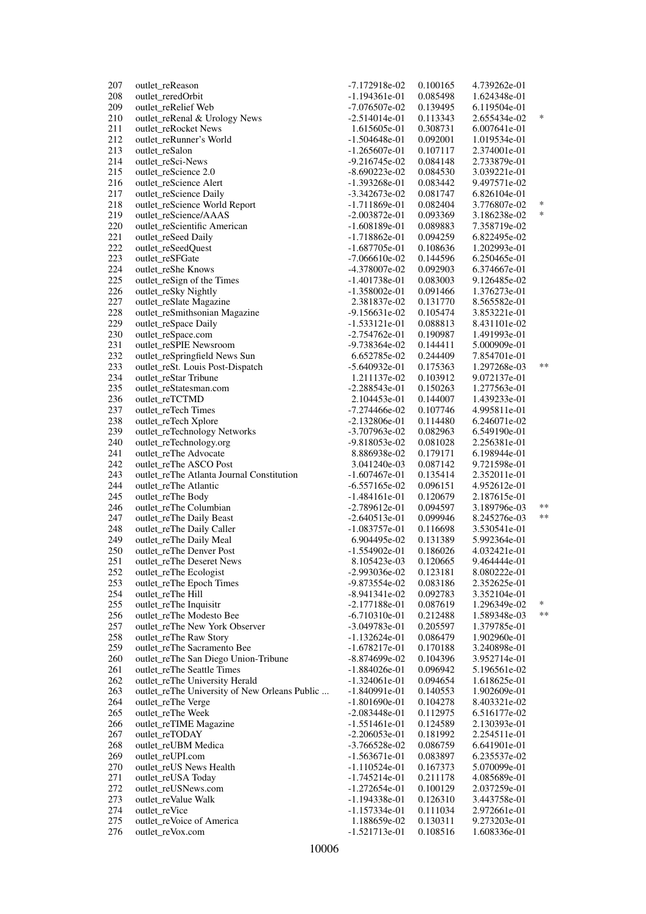| 207 | outlet_reReason                               | $-7.172918e-02$ | 0.100165 | 4.739262e-01 |        |
|-----|-----------------------------------------------|-----------------|----------|--------------|--------|
| 208 | outlet_reredOrbit                             | $-1.194361e-01$ | 0.085498 | 1.624348e-01 |        |
| 209 | outlet_reRelief Web                           | $-7.076507e-02$ | 0.139495 | 6.119504e-01 |        |
| 210 | outlet_reRenal & Urology News                 | $-2.514014e-01$ | 0.113343 | 2.655434e-02 | $\ast$ |
| 211 | outlet_reRocket News                          | 1.615605e-01    | 0.308731 | 6.007641e-01 |        |
| 212 | outlet_reRunner's World                       | $-1.504648e-01$ | 0.092001 | 1.019534e-01 |        |
| 213 | outlet_reSalon                                | $-1.265607e-01$ | 0.107117 | 2.374001e-01 |        |
| 214 | outlet_reSci-News                             | $-9.216745e-02$ | 0.084148 | 2.733879e-01 |        |
| 215 | outlet_reScience 2.0                          | $-8.690223e-02$ | 0.084530 | 3.039221e-01 |        |
| 216 | outlet_reScience Alert                        | $-1.393268e-01$ | 0.083442 | 9.497571e-02 |        |
|     |                                               |                 |          |              |        |
| 217 | outlet_reScience Daily                        | $-3.342673e-02$ | 0.081747 | 6.826104e-01 |        |
| 218 | outlet_reScience World Report                 | $-1.711869e-01$ | 0.082404 | 3.776807e-02 | $\ast$ |
| 219 | outlet_reScience/AAAS                         | $-2.003872e-01$ | 0.093369 | 3.186238e-02 | $\ast$ |
| 220 | outlet_reScientific American                  | $-1.608189e-01$ | 0.089883 | 7.358719e-02 |        |
| 221 | outlet_reSeed Daily                           | $-1.718862e-01$ | 0.094259 | 6.822495e-02 |        |
| 222 | outlet_reSeedQuest                            | $-1.687705e-01$ | 0.108636 | 1.202993e-01 |        |
| 223 | outlet_reSFGate                               | $-7.066610e-02$ | 0.144596 | 6.250465e-01 |        |
| 224 | outlet_reShe Knows                            | -4.378007e-02   | 0.092903 | 6.374667e-01 |        |
| 225 | outlet_reSign of the Times                    | $-1.401738e-01$ | 0.083003 | 9.126485e-02 |        |
| 226 | outlet_reSky Nightly                          | $-1.358002e-01$ | 0.091466 | 1.376273e-01 |        |
| 227 | outlet_reSlate Magazine                       | 2.381837e-02    | 0.131770 | 8.565582e-01 |        |
| 228 | outlet_reSmithsonian Magazine                 | $-9.156631e-02$ | 0.105474 | 3.853221e-01 |        |
| 229 | outlet_reSpace Daily                          | -1.533121e-01   | 0.088813 | 8.431101e-02 |        |
| 230 | outlet_reSpace.com                            | $-2.754762e-01$ | 0.190987 | 1.491993e-01 |        |
| 231 | outlet_reSPIE Newsroom                        | -9.738364e-02   | 0.144411 |              |        |
|     |                                               |                 |          | 5.000909e-01 |        |
| 232 | outlet_reSpringfield News Sun                 | 6.652785e-02    | 0.244409 | 7.854701e-01 | $***$  |
| 233 | outlet_reSt. Louis Post-Dispatch              | $-5.640932e-01$ | 0.175363 | 1.297268e-03 |        |
| 234 | outlet_reStar Tribune                         | 1.211137e-02    | 0.103912 | 9.072137e-01 |        |
| 235 | outlet_reStatesman.com                        | -2.288543e-01   | 0.150263 | 1.277563e-01 |        |
| 236 | outlet_reTCTMD                                | 2.104453e-01    | 0.144007 | 1.439233e-01 |        |
| 237 | outlet_reTech Times                           | $-7.274466e-02$ | 0.107746 | 4.995811e-01 |        |
| 238 | outlet_reTech Xplore                          | $-2.132806e-01$ | 0.114480 | 6.246071e-02 |        |
| 239 | outlet_reTechnology Networks                  | $-3.707963e-02$ | 0.082963 | 6.549190e-01 |        |
| 240 | outlet_reTechnology.org                       | -9.818053e-02   | 0.081028 | 2.256381e-01 |        |
| 241 | outlet_reThe Advocate                         | 8.886938e-02    | 0.179171 | 6.198944e-01 |        |
| 242 | outlet_reThe ASCO Post                        | 3.041240e-03    | 0.087142 | 9.721598e-01 |        |
| 243 | outlet_reThe Atlanta Journal Constitution     | $-1.607467e-01$ | 0.135414 | 2.352011e-01 |        |
| 244 | outlet_reThe Atlantic                         | $-6.557165e-02$ | 0.096151 | 4.952612e-01 |        |
| 245 | outlet_reThe Body                             | $-1.484161e-01$ | 0.120679 | 2.187615e-01 |        |
| 246 | outlet_reThe Columbian                        | $-2.789612e-01$ | 0.094597 | 3.189796e-03 | $***$  |
| 247 | outlet_reThe Daily Beast                      | $-2.640513e-01$ | 0.099946 | 8.245276e-03 | $***$  |
| 248 |                                               | $-1.083757e-01$ |          |              |        |
|     | outlet_reThe Daily Caller                     |                 | 0.116698 | 3.530541e-01 |        |
| 249 | outlet_reThe Daily Meal                       | 6.904495e-02    | 0.131389 | 5.992364e-01 |        |
| 250 | outlet_reThe Denver Post                      | -1.554902e-01   | 0.186026 | 4.032421e-01 |        |
| 251 | outlet_reThe Deseret News                     | 8.105423e-03    | 0.120665 | 9.464444e-01 |        |
| 252 | outlet_reThe Ecologist                        | -2.993036e-02   | 0.123181 | 8.080222e-01 |        |
| 253 | outlet_reThe Epoch Times                      | -9.873554e-02   | 0.083186 | 2.352625e-01 |        |
| 254 | outlet_reThe Hill                             | $-8.941341e-02$ | 0.092783 | 3.352104e-01 |        |
| 255 | outlet_reThe Inquisitr                        | $-2.177188e-01$ | 0.087619 | 1.296349e-02 | ∗      |
| 256 | outlet reThe Modesto Bee                      | $-6.710310e-01$ | 0.212488 | 1.589348e-03 | $***$  |
| 257 | outlet_reThe New York Observer                | $-3.049783e-01$ | 0.205597 | 1.379785e-01 |        |
| 258 | outlet_reThe Raw Story                        | $-1.132624e-01$ | 0.086479 | 1.902960e-01 |        |
| 259 | outlet_reThe Sacramento Bee                   | $-1.678217e-01$ | 0.170188 | 3.240898e-01 |        |
| 260 | outlet_reThe San Diego Union-Tribune          | $-8.874699e-02$ | 0.104396 | 3.952714e-01 |        |
| 261 | outlet_reThe Seattle Times                    | $-1.884026e-01$ | 0.096942 | 5.196561e-02 |        |
| 262 | outlet_reThe University Herald                | $-1.324061e-01$ | 0.094654 | 1.618625e-01 |        |
| 263 | outlet_reThe University of New Orleans Public | $-1.840991e-01$ | 0.140553 | 1.902609e-01 |        |
| 264 | outlet_reThe Verge                            | $-1.801690e-01$ | 0.104278 | 8.403321e-02 |        |
| 265 |                                               |                 |          |              |        |
|     | outlet_reThe Week                             | $-2.083448e-01$ | 0.112975 | 6.516177e-02 |        |
| 266 | outlet_reTIME Magazine                        | $-1.551461e-01$ | 0.124589 | 2.130393e-01 |        |
| 267 | outlet_reTODAY                                | $-2.206053e-01$ | 0.181992 | 2.254511e-01 |        |
| 268 | outlet_reUBM Medica                           | $-3.766528e-02$ | 0.086759 | 6.641901e-01 |        |
| 269 | outlet_reUPI.com                              | $-1.563671e-01$ | 0.083897 | 6.235537e-02 |        |
| 270 | outlet_reUS News Health                       | $-1.110524e-01$ | 0.167373 | 5.070099e-01 |        |
| 271 | outlet_reUSA Today                            | $-1.745214e-01$ | 0.211178 | 4.085689e-01 |        |
| 272 | outlet_reUSNews.com                           | $-1.272654e-01$ | 0.100129 | 2.037259e-01 |        |
| 273 | outlet_reValue Walk                           | $-1.194338e-01$ | 0.126310 | 3.443758e-01 |        |
| 274 | outlet_reVice                                 | $-1.157334e-01$ | 0.111034 | 2.972661e-01 |        |
| 275 | outlet_reVoice of America                     | 1.188659e-02    | 0.130311 | 9.273203e-01 |        |
| 276 | outlet_reVox.com                              | $-1.521713e-01$ | 0.108516 | 1.608336e-01 |        |
|     |                                               |                 |          |              |        |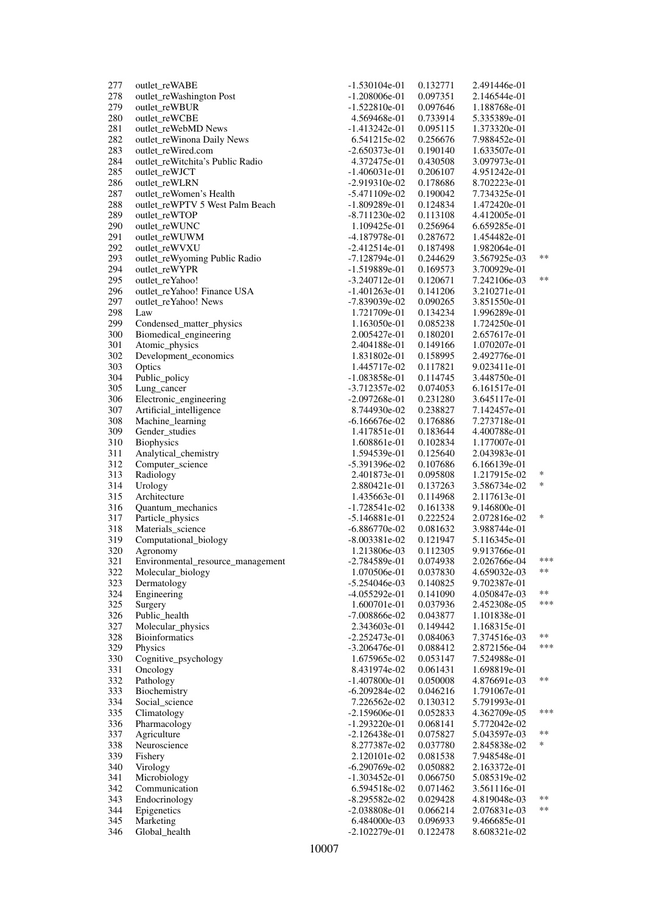| 277        | outlet_reWABE                     | $-1.530104e-01$                    | 0.132771             | 2.491446e-01                 |                   |
|------------|-----------------------------------|------------------------------------|----------------------|------------------------------|-------------------|
| 278        | outlet_reWashington Post          | $-1.208006e-01$                    | 0.097351             | 2.146544e-01                 |                   |
| 279        | outlet_reWBUR                     | -1.522810e-01                      | 0.097646             | 1.188768e-01                 |                   |
| 280        | outlet reWCBE                     | 4.569468e-01                       | 0.733914             | 5.335389e-01                 |                   |
| 281        | outlet_reWebMD News               | -1.413242e-01                      | 0.095115             | 1.373320e-01                 |                   |
| 282        | outlet_reWinona Daily News        | 6.541215e-02                       | 0.256676             | 7.988452e-01                 |                   |
| 283        | outlet_reWired.com                | $-2.650373e-01$                    | 0.190140             | 1.633507e-01                 |                   |
| 284        | outlet_reWitchita's Public Radio  | 4.372475e-01                       | 0.430508             | 3.097973e-01                 |                   |
| 285        | outlet_reWJCT                     | $-1.406031e-01$                    | 0.206107             | 4.951242e-01                 |                   |
| 286        | outlet_reWLRN                     | $-2.919310e-02$                    | 0.178686             | 8.702223e-01                 |                   |
| 287        | outlet reWomen's Health           | $-5.471109e-02$                    | 0.190042             | 7.734325e-01                 |                   |
| 288        | outlet reWPTV 5 West Palm Beach   | $-1.809289e-01$                    | 0.124834             | 1.472420e-01                 |                   |
| 289        | outlet reWTOP                     | $-8.711230e-02$                    | 0.113108             | 4.412005e-01                 |                   |
| 290        | outlet_reWUNC                     | 1.109425e-01                       | 0.256964             | 6.659285e-01                 |                   |
| 291        | outlet_reWUWM                     | -4.187978e-01                      | 0.287672             | 1.454482e-01                 |                   |
| 292        | outlet_reWVXU                     | $-2.412514e-01$                    | 0.187498             | 1.982064e-01                 |                   |
| 293        | outlet_reWyoming Public Radio     | $-7.128794e-01$                    | 0.244629             | 3.567925e-03                 | $***$             |
| 294        | outlet_reWYPR                     | $-1.519889e-01$                    | 0.169573             | 3.700929e-01                 |                   |
| 295        | outlet_reYahoo!                   | $-3.240712e-01$                    | 0.120671             | 7.242106e-03                 | **                |
| 296        | outlet_reYahoo! Finance USA       | -1.401263e-01                      | 0.141206             | 3.210271e-01                 |                   |
| 297        | outlet reYahoo! News              | -7.839039e-02                      | 0.090265             | 3.851550e-01                 |                   |
| 298        | Law                               | 1.721709e-01                       | 0.134234             | 1.996289e-01                 |                   |
| 299        | Condensed_matter_physics          | 1.163050e-01                       | 0.085238             | 1.724250e-01                 |                   |
| 300        | Biomedical_engineering            | 2.005427e-01                       | 0.180201             | 2.657617e-01                 |                   |
| 301        | Atomic_physics                    | 2.404188e-01                       | 0.149166             | 1.070207e-01                 |                   |
| 302        | Development_economics             | 1.831802e-01                       | 0.158995             | 2.492776e-01                 |                   |
| 303        | Optics                            | 1.445717e-02                       | 0.117821             | 9.023411e-01                 |                   |
| 304        | Public_policy                     | -1.083858e-01                      | 0.114745             | 3.448750e-01                 |                   |
| 305        | Lung_cancer                       | $-3.712357e-02$                    | 0.074053             | 6.161517e-01                 |                   |
| 306        | Electronic_engineering            | $-2.097268e-01$                    | 0.231280             | 3.645117e-01                 |                   |
| 307        | Artificial_intelligence           | 8.744930e-02                       | 0.238827             | 7.142457e-01                 |                   |
| 308        | Machine_learning                  | -6.166676e-02                      | 0.176886             | 7.273718e-01                 |                   |
| 309        | Gender_studies                    | 1.417851e-01                       | 0.183644             | 4.400788e-01                 |                   |
| 310        | <b>Biophysics</b>                 | 1.608861e-01                       | 0.102834             | 1.177007e-01                 |                   |
| 311        | Analytical_chemistry              | 1.594539e-01                       | 0.125640             | 2.043983e-01                 |                   |
| 312        | Computer_science                  | -5.391396e-02                      | 0.107686             | 6.166139e-01                 |                   |
| 313        | Radiology                         | 2.401873e-01                       | 0.095808             | 1.217915e-02                 | $\ast$            |
| 314        | Urology                           | 2.880421e-01                       | 0.137263             | 3.586734e-02                 | *                 |
| 315        | Architecture                      | 1.435663e-01                       | 0.114968             | 2.117613e-01                 |                   |
| 316        | Quantum_mechanics                 | $-1.728541e-02$                    | 0.161338             | 9.146800e-01                 |                   |
| 317        | Particle_physics                  | -5.146881e-01                      | 0.222524             | 2.072816e-02                 | *                 |
| 318        | Materials_science                 | $-6.886770e-02$                    | 0.081632             | 3.988744e-01                 |                   |
| 319        | Computational_biology             | $-8.003381e-02$                    | 0.121947             | 5.116345e-01                 |                   |
| 320        | Agronomy                          | 1.213806e-03                       | 0.112305             | 9.913766e-01                 |                   |
| 321        | Environmental_resource_management | -2.784589e-01                      | 0.074938             | 2.026766e-04                 | ***<br>$\ast\ast$ |
| 322        | Molecular_biology                 | 1.070506e-01                       | 0.037830             | 4.659032e-03                 |                   |
| 323        | Dermatology                       | $-5.254046e-03$                    | 0.140825             | 9.702387e-01                 | **                |
| 324        | Engineering                       | $-4.055292e-01$                    | 0.141090             | 4.050847e-03                 | ***               |
| 325        | Surgery                           | 1.600701e-01                       | 0.037936             | 2.452308e-05                 |                   |
| 326        | Public_health                     | -7.008866e-02                      | 0.043877             | 1.101838e-01                 |                   |
| 327        | Molecular_physics                 | 2.343603e-01                       | 0.149442             | 1.168315e-01                 | $***$             |
| 328        | <b>Bioinformatics</b>             | $-2.252473e-01$<br>$-3.206476e-01$ | 0.084063             | 7.374516e-03                 | ***               |
| 329        | Physics                           |                                    | 0.088412             | 2.872156e-04                 |                   |
| 330        | Cognitive_psychology              | 1.675965e-02<br>8.431974e-02       | 0.053147<br>0.061431 | 7.524988e-01                 |                   |
| 331        | Oncology                          |                                    |                      | 1.698819e-01                 | $***$             |
| 332        | Pathology                         | $-1.407800e-01$                    | 0.050008             | 4.876691e-03<br>1.791067e-01 |                   |
| 333<br>334 | Biochemistry<br>Social_science    | $-6.209284e-02$<br>7.226562e-02    | 0.046216<br>0.130312 | 5.791993e-01                 |                   |
|            |                                   |                                    |                      |                              | ***               |
| 335<br>336 | Climatology                       | $-2.159606e-01$<br>$-1.293220e-01$ | 0.052833<br>0.068141 | 4.362709e-05<br>5.772042e-02 |                   |
| 337        | Pharmacology<br>Agriculture       | $-2.126438e-01$                    | 0.075827             | 5.043597e-03                 | $***$             |
| 338        | Neuroscience                      | 8.277387e-02                       | 0.037780             | 2.845838e-02                 | ∗                 |
| 339        | Fishery                           | 2.120101e-02                       | 0.081538             | 7.948548e-01                 |                   |
| 340        | Virology                          | $-6.290769e-02$                    | 0.050882             | 2.163372e-01                 |                   |
| 341        | Microbiology                      | $-1.303452e-01$                    | 0.066750             | 5.085319e-02                 |                   |
| 342        | Communication                     | 6.594518e-02                       | 0.071462             | 3.561116e-01                 |                   |
| 343        | Endocrinology                     | $-8.295582e-02$                    | 0.029428             | 4.819048e-03                 | $***$             |
| 344        | Epigenetics                       | $-2.038808e-01$                    | 0.066214             | 2.076831e-03                 | **                |
| 345        | Marketing                         | 6.484000e-03                       | 0.096933             | 9.466685e-01                 |                   |
| 346        | Global_health                     | $-2.102279e-01$                    | 0.122478             | 8.608321e-02                 |                   |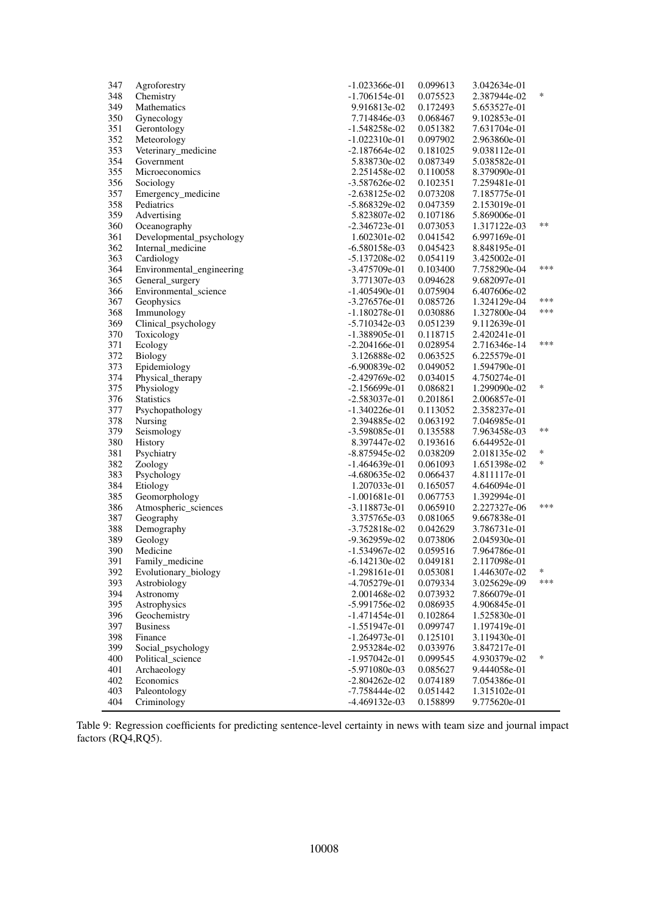| 347 | Agroforestry              | $-1.023366e-01$ | 0.099613 | 3.042634e-01 |        |
|-----|---------------------------|-----------------|----------|--------------|--------|
| 348 | Chemistry                 | $-1.706154e-01$ | 0.075523 | 2.387944e-02 | *      |
| 349 | Mathematics               | 9.916813e-02    | 0.172493 | 5.653527e-01 |        |
| 350 | Gynecology                | 7.714846e-03    | 0.068467 | 9.102853e-01 |        |
| 351 | Gerontology               | $-1.548258e-02$ | 0.051382 | 7.631704e-01 |        |
| 352 | Meteorology               | $-1.022310e-01$ | 0.097902 | 2.963860e-01 |        |
| 353 | Veterinary_medicine       | $-2.187664e-02$ | 0.181025 | 9.038112e-01 |        |
| 354 | Government                | 5.838730e-02    | 0.087349 | 5.038582e-01 |        |
| 355 | Microeconomics            | 2.251458e-02    | 0.110058 | 8.379090e-01 |        |
| 356 | Sociology                 | $-3.587626e-02$ | 0.102351 | 7.259481e-01 |        |
| 357 | Emergency_medicine        | $-2.638125e-02$ | 0.073208 | 7.185775e-01 |        |
| 358 | Pediatrics                | $-5.868329e-02$ | 0.047359 | 2.153019e-01 |        |
| 359 | Advertising               | 5.823807e-02    | 0.107186 | 5.869006e-01 |        |
| 360 | Oceanography              | $-2.346723e-01$ | 0.073053 | 1.317122e-03 | $***$  |
| 361 | Developmental_psychology  | 1.602301e-02    | 0.041542 | 6.997169e-01 |        |
| 362 | Internal_medicine         | $-6.580158e-03$ | 0.045423 | 8.848195e-01 |        |
| 363 | Cardiology                | $-5.137208e-02$ | 0.054119 | 3.425002e-01 |        |
| 364 | Environmental_engineering | $-3.475709e-01$ | 0.103400 | 7.758290e-04 | ***    |
| 365 | General_surgery           | 3.771307e-03    | 0.094628 | 9.682097e-01 |        |
| 366 | Environmental_science     | $-1.405490e-01$ | 0.075904 | 6.407606e-02 |        |
| 367 | Geophysics                | $-3.276576e-01$ | 0.085726 | 1.324129e-04 | ***    |
| 368 | Immunology                | -1.180278e-01   | 0.030886 | 1.327800e-04 | ***    |
| 369 | Clinical_psychology       | $-5.710342e-03$ | 0.051239 | 9.112639e-01 |        |
| 370 | Toxicology                | -1.388905e-01   | 0.118715 | 2.420241e-01 |        |
| 371 | Ecology                   | $-2.204166e-01$ | 0.028954 | 2.716346e-14 | ***    |
| 372 | Biology                   | 3.126888e-02    | 0.063525 | 6.225579e-01 |        |
| 373 | Epidemiology              | $-6.900839e-02$ | 0.049052 | 1.594790e-01 |        |
| 374 | Physical_therapy          | -2.429769e-02   | 0.034015 | 4.750274e-01 |        |
| 375 | Physiology                | $-2.156699e-01$ | 0.086821 | 1.299090e-02 | *      |
| 376 | Statistics                | $-2.583037e-01$ | 0.201861 | 2.006857e-01 |        |
| 377 | Psychopathology           | $-1.340226e-01$ | 0.113052 | 2.358237e-01 |        |
| 378 | Nursing                   | 2.394885e-02    | 0.063192 | 7.046985e-01 |        |
| 379 | Seismology                | -3.598085e-01   | 0.135588 | 7.963458e-03 | **     |
| 380 | History                   | 8.397447e-02    | 0.193616 | 6.644952e-01 |        |
| 381 | Psychiatry                | $-8.875945e-02$ | 0.038209 | 2.018135e-02 | $\ast$ |
| 382 | Zoology                   | $-1.464639e-01$ | 0.061093 | 1.651398e-02 | *      |
| 383 | Psychology                | -4.680635e-02   | 0.066437 | 4.811117e-01 |        |
| 384 | Etiology                  | 1.207033e-01    | 0.165057 | 4.646094e-01 |        |
| 385 | Geomorphology             | $-1.001681e-01$ | 0.067753 | 1.392994e-01 |        |
| 386 | Atmospheric_sciences      | $-3.118873e-01$ | 0.065910 | 2.227327e-06 | ***    |
| 387 | Geography                 | 3.375765e-03    | 0.081065 | 9.667838e-01 |        |
| 388 | Demography                | $-3.752818e-02$ | 0.042629 | 3.786731e-01 |        |
| 389 | Geology                   | -9.362959e-02   | 0.073806 | 2.045930e-01 |        |
| 390 | Medicine                  | $-1.534967e-02$ | 0.059516 | 7.964786e-01 |        |
| 391 | Family_medicine           | $-6.142130e-02$ | 0.049181 | 2.117098e-01 |        |
| 392 | Evolutionary_biology      | $-1.298161e-01$ | 0.053081 | 1.446307e-02 | ∗      |
| 393 | Astrobiology              | -4.705279e-01   | 0.079334 | 3.025629e-09 | ***    |
| 394 | Astronomy                 | 2.001468e-02    | 0.073932 | 7.866079e-01 |        |
| 395 | Astrophysics              | -5.991756e-02   | 0.086935 | 4.906845e-01 |        |
| 396 | Geochemistry              | -1.471454e-01   | 0.102864 | 1.525830e-01 |        |
| 397 | <b>Business</b>           | $-1.551947e-01$ | 0.099747 | 1.197419e-01 |        |
| 398 | Finance                   | $-1.264973e-01$ | 0.125101 | 3.119430e-01 |        |
| 399 | Social_psychology         | 2.953284e-02    | 0.033976 | 3.847217e-01 |        |
| 400 | Political science         | $-1.957042e-01$ | 0.099545 | 4.930379e-02 | ∗      |
| 401 | Archaeology               | -5.971080e-03   | 0.085627 | 9.444058e-01 |        |
| 402 | Economics                 | $-2.804262e-02$ | 0.074189 | 7.054386e-01 |        |
| 403 | Paleontology              | $-7.758444e-02$ | 0.051442 | 1.315102e-01 |        |
| 404 | Criminology               | -4.469132e-03   | 0.158899 | 9.775620e-01 |        |
|     |                           |                 |          |              |        |

Table 9: Regression coefficients for predicting sentence-level certainty in news with team size and journal impact factors (RQ4,RQ5).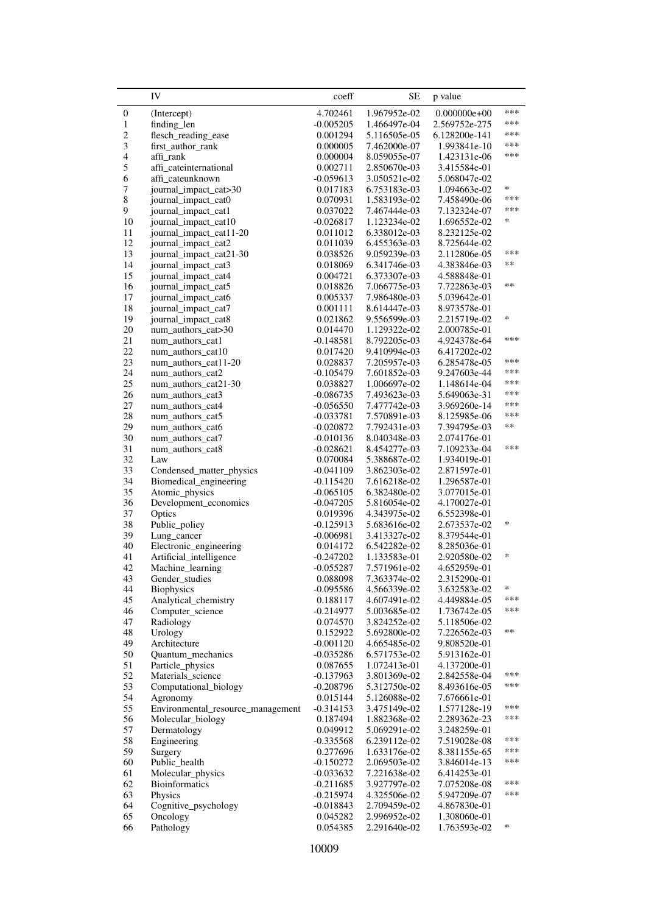<span id="page-50-0"></span>

|                          | IV                                       | coeff                      | SЕ                           | p value                      |        |
|--------------------------|------------------------------------------|----------------------------|------------------------------|------------------------------|--------|
| $\boldsymbol{0}$         | (Intercept)                              | 4.702461                   | 1.967952e-02                 | $0.000000e + 00$             | ***    |
| $\mathbf{1}$             | finding len                              | $-0.005205$                | 1.466497e-04                 | 2.569752e-275                | ***    |
| $\overline{c}$           | flesch_reading_ease                      | 0.001294                   | 5.116505e-05                 | 6.128200e-141                | ***    |
| 3                        | first_author_rank                        | 0.000005                   | 7.462000e-07                 | 1.993841e-10                 | ***    |
| $\overline{\mathcal{L}}$ | affi rank                                | 0.000004                   | 8.059055e-07                 | 1.423131e-06                 | ***    |
| 5                        | affi_cateinternational                   | 0.002711                   | 2.850670e-03                 | 3.415584e-01                 |        |
| 6                        | affi_cateunknown                         | -0.059613                  | 3.050521e-02                 | 5.068047e-02                 |        |
| 7                        | journal_impact_cat>30                    | 0.017183                   | 6.753183e-03                 | 1.094663e-02                 | *      |
| 8                        | journal_impact_cat0                      | 0.070931                   | 1.583193e-02                 | 7.458490e-06                 | ***    |
| 9                        | journal_impact_cat1                      | 0.037022                   | 7.467444e-03                 | 7.132324e-07                 | ***    |
| 10                       | journal_impact_cat10                     | $-0.026817$                | 1.123234e-02                 | 1.696552e-02                 | *      |
| 11                       | journal_impact_cat11-20                  | 0.011012                   | 6.338012e-03                 | 8.232125e-02                 |        |
| 12                       | journal_impact_cat2                      | 0.011039                   | 6.455363e-03                 | 8.725644e-02                 |        |
| 13                       | journal_impact_cat21-30                  | 0.038526                   | 9.059239e-03                 | 2.112806e-05                 | ***    |
| 14                       | journal_impact_cat3                      | 0.018069                   | 6.341746e-03                 | 4.383846e-03                 | $**$   |
| 15                       | journal_impact_cat4                      | 0.004721                   | 6.373307e-03                 | 4.588848e-01                 |        |
| 16                       | journal_impact_cat5                      | 0.018826                   | 7.066775e-03                 | 7.722863e-03                 | $**$   |
| 17                       | journal_impact_cat6                      | 0.005337                   | 7.986480e-03                 | 5.039642e-01                 |        |
| $18\,$                   | journal_impact_cat7                      | 0.001111                   | 8.614447e-03                 | 8.973578e-01                 |        |
| 19                       | journal_impact_cat8                      | 0.021862                   | 9.556599e-03                 | 2.215719e-02                 | *      |
| 20                       | num_authors_cat>30                       | 0.014470                   | 1.129322e-02                 | 2.000785e-01                 |        |
| 21                       | num_authors_cat1                         | $-0.148581$                | 8.792205e-03                 | 4.924378e-64                 | ***    |
| $22\,$                   | num_authors_cat10                        | 0.017420                   | 9.410994e-03                 | 6.417202e-02                 |        |
| 23                       | num_authors_cat11-20                     | 0.028837                   | 7.205957e-03                 | 6.285478e-05                 | ***    |
| 24                       | num_authors_cat2                         | $-0.105479$                | 7.601852e-03                 | 9.247603e-44                 | ***    |
| 25                       | num_authors_cat21-30                     | 0.038827                   | 1.006697e-02                 | 1.148614e-04                 | ***    |
| 26                       | num_authors_cat3                         | $-0.086735$                | 7.493623e-03                 | 5.649063e-31                 | ***    |
| $27\,$                   | num_authors_cat4                         | $-0.056550$                | 7.477742e-03                 | 3.969260e-14                 | ***    |
| 28                       | num_authors_cat5                         | $-0.033781$                | 7.570891e-03                 | 8.125985e-06                 | ***    |
| 29                       | num_authors_cat6                         | $-0.020872$                | 7.792431e-03                 | 7.394795e-03                 | $***$  |
| 30                       | num_authors_cat7                         | $-0.010136$                | 8.040348e-03                 | 2.074176e-01                 | ***    |
| 31                       | num_authors_cat8                         | $-0.028621$                | 8.454277e-03                 | 7.109233e-04                 |        |
| 32<br>33                 | Law                                      | 0.070084                   | 5.388687e-02                 | 1.934019e-01                 |        |
| 34                       | Condensed_matter_physics                 | $-0.041109$                | 3.862303e-02                 | 2.871597e-01                 |        |
| 35                       | Biomedical_engineering<br>Atomic_physics | $-0.115420$<br>$-0.065105$ | 7.616218e-02<br>6.382480e-02 | 1.296587e-01<br>3.077015e-01 |        |
| 36                       | Development_economics                    | $-0.047205$                | 5.816054e-02                 | 4.170027e-01                 |        |
| 37                       | Optics                                   | 0.019396                   | 4.343975e-02                 | 6.552398e-01                 |        |
| 38                       | Public_policy                            | $-0.125913$                | 5.683616e-02                 | 2.673537e-02                 | *      |
| 39                       | Lung_cancer                              | $-0.006981$                | 3.413327e-02                 | 8.379544e-01                 |        |
| 40                       | Electronic_engineering                   | 0.014172                   | 6.542282e-02                 | 8.285036e-01                 |        |
| 41                       | Artificial_intelligence                  | $-0.247202$                | 1.133583e-01                 | 2.920580e-02                 | $\ast$ |
| 42                       | Machine_learning                         | $-0.055287$                | 7.571961e-02                 | 4.652959e-01                 |        |
| 43                       | Gender_studies                           | 0.088098                   | 7.363374e-02                 | 2.315290e-01                 |        |
| 44                       | <b>Biophysics</b>                        | $-0.095586$                | 4.566339e-02                 | 3.632583e-02                 | ∗      |
| 45                       | Analytical_chemistry                     | 0.188117                   | 4.607491e-02                 | 4.449884e-05                 | ***    |
| 46                       | Computer_science                         | $-0.214977$                | 5.003685e-02                 | 1.736742e-05                 | ***    |
| 47                       | Radiology                                | 0.074570                   | 3.824252e-02                 | 5.118506e-02                 |        |
| 48                       | Urology                                  | 0.152922                   | 5.692800e-02                 | 7.226562e-03                 | **     |
| 49                       | Architecture                             | $-0.001120$                | 4.665485e-02                 | 9.808520e-01                 |        |
| 50                       | Quantum_mechanics                        | $-0.035286$                | 6.571753e-02                 | 5.913162e-01                 |        |
| 51                       | Particle_physics                         | 0.087655                   | 1.072413e-01                 | 4.137200e-01                 |        |
| 52                       | Materials_science                        | $-0.137963$                | 3.801369e-02                 | 2.842558e-04                 | ***    |
| 53                       | Computational_biology                    | $-0.208796$                | 5.312750e-02                 | 8.493616e-05                 | ***    |
| 54                       | Agronomy                                 | 0.015144                   | 5.126088e-02                 | 7.676661e-01                 |        |
| 55                       | Environmental_resource_management        | $-0.314153$                | 3.475149e-02                 | 1.577128e-19                 | ***    |
| 56                       | Molecular_biology                        | 0.187494                   | 1.882368e-02                 | 2.289362e-23                 | ***    |
| 57                       | Dermatology                              | 0.049912                   | 5.069291e-02                 | 3.248259e-01                 | ***    |
| 58                       | Engineering                              | $-0.335568$                | 6.239112e-02                 | 7.519028e-08                 | ***    |
| 59                       | Surgery                                  | 0.277696                   | 1.633176e-02                 | 8.381155e-65                 | ***    |
| 60<br>61                 | Public_health<br>Molecular_physics       | $-0.150272$                | 2.069503e-02<br>7.221638e-02 | 3.846014e-13<br>6.414253e-01 |        |
| 62                       | <b>Bioinformatics</b>                    | $-0.033632$<br>$-0.211685$ | 3.927797e-02                 | 7.075208e-08                 | ***    |
| 63                       | Physics                                  | $-0.215974$                | 4.325506e-02                 | 5.947209e-07                 | ***    |
| 64                       | Cognitive_psychology                     | $-0.018843$                | 2.709459e-02                 | 4.867830e-01                 |        |
| 65                       | Oncology                                 | 0.045282                   | 2.996952e-02                 | 1.308060e-01                 |        |
| 66                       | Pathology                                | 0.054385                   | 2.291640e-02                 | 1.763593e-02                 | ∗      |
|                          |                                          |                            |                              |                              |        |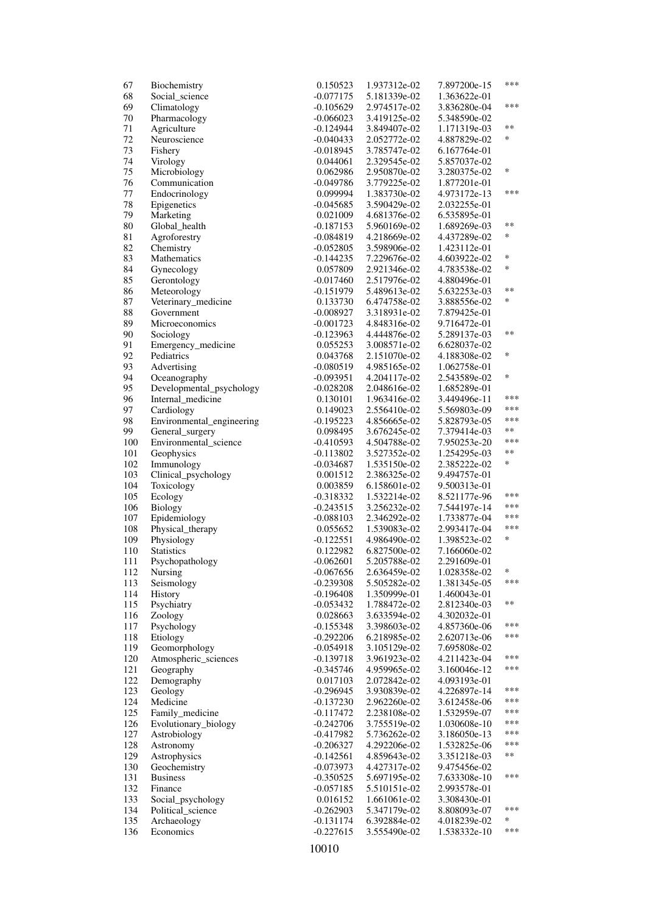| 67  | Biochemistry              | 0.150523    | 1.937312e-02 | 7.897200e-15 | ***    |
|-----|---------------------------|-------------|--------------|--------------|--------|
| 68  | Social_science            | $-0.077175$ | 5.181339e-02 | 1.363622e-01 |        |
| 69  | Climatology               | $-0.105629$ | 2.974517e-02 | 3.836280e-04 | ***    |
| 70  | Pharmacology              | $-0.066023$ | 3.419125e-02 | 5.348590e-02 |        |
| 71  | Agriculture               | $-0.124944$ | 3.849407e-02 | 1.171319e-03 | **     |
| 72  | Neuroscience              | $-0.040433$ | 2.052772e-02 | 4.887829e-02 | *      |
| 73  | Fishery                   | $-0.018945$ | 3.785747e-02 | 6.167764e-01 |        |
| 74  | Virology                  | 0.044061    | 2.329545e-02 | 5.857037e-02 |        |
| 75  | Microbiology              | 0.062986    | 2.950870e-02 | 3.280375e-02 | *      |
| 76  | Communication             | $-0.049786$ | 3.779225e-02 | 1.877201e-01 |        |
| 77  | Endocrinology             | 0.099994    | 1.383730e-02 | 4.973172e-13 | ***    |
|     |                           |             |              |              |        |
| 78  | Epigenetics               | $-0.045685$ | 3.590429e-02 | 2.032255e-01 |        |
| 79  | Marketing                 | 0.021009    | 4.681376e-02 | 6.535895e-01 |        |
| 80  | Global_health             | $-0.187153$ | 5.960169e-02 | 1.689269e-03 | **     |
| 81  | Agroforestry              | $-0.084819$ | 4.218669e-02 | 4.437289e-02 | *      |
| 82  | Chemistry                 | $-0.052805$ | 3.598906e-02 | 1.423112e-01 |        |
| 83  | Mathematics               | $-0.144235$ | 7.229676e-02 | 4.603922e-02 | *      |
| 84  | Gynecology                | 0.057809    | 2.921346e-02 | 4.783538e-02 | *      |
| 85  | Gerontology               | $-0.017460$ | 2.517976e-02 | 4.880496e-01 |        |
| 86  | Meteorology               | $-0.151979$ | 5.489613e-02 | 5.632253e-03 | **     |
| 87  | Veterinary_medicine       | 0.133730    | 6.474758e-02 | 3.888556e-02 | *      |
| 88  | Government                | $-0.008927$ | 3.318931e-02 | 7.879425e-01 |        |
| 89  | Microeconomics            | $-0.001723$ | 4.848316e-02 | 9.716472e-01 |        |
| 90  | Sociology                 | $-0.123963$ | 4.444876e-02 | 5.289137e-03 | **     |
| 91  | Emergency_medicine        | 0.055253    | 3.008571e-02 | 6.628037e-02 |        |
| 92  | Pediatrics                | 0.043768    | 2.151070e-02 | 4.188308e-02 | *      |
| 93  | Advertising               | $-0.080519$ | 4.985165e-02 | 1.062758e-01 |        |
|     |                           | $-0.093951$ |              |              | *      |
| 94  | Oceanography              |             | 4.204117e-02 | 2.543589e-02 |        |
| 95  | Developmental_psychology  | $-0.028208$ | 2.048616e-02 | 1.685289e-01 | ***    |
| 96  | Internal_medicine         | 0.130101    | 1.963416e-02 | 3.449496e-11 | ***    |
| 97  | Cardiology                | 0.149023    | 2.556410e-02 | 5.569803e-09 |        |
| 98  | Environmental_engineering | $-0.195223$ | 4.856665e-02 | 5.828793e-05 | ***    |
| 99  | General_surgery           | 0.098495    | 3.676245e-02 | 7.379414e-03 | **     |
| 100 | Environmental_science     | $-0.410593$ | 4.504788e-02 | 7.950253e-20 | ***    |
| 101 | Geophysics                | $-0.113802$ | 3.527352e-02 | 1.254295e-03 | $***$  |
| 102 | Immunology                | -0.034687   | 1.535150e-02 | 2.385222e-02 | *      |
| 103 | Clinical_psychology       | 0.001512    | 2.386325e-02 | 9.494757e-01 |        |
| 104 | Toxicology                | 0.003859    | 6.158601e-02 | 9.500313e-01 |        |
| 105 | Ecology                   | $-0.318332$ | 1.532214e-02 | 8.521177e-96 | ***    |
| 106 | <b>Biology</b>            | $-0.243515$ | 3.256232e-02 | 7.544197e-14 | ***    |
| 107 | Epidemiology              | $-0.088103$ | 2.346292e-02 | 1.733877e-04 | ***    |
| 108 | Physical_therapy          | 0.055652    | 1.539083e-02 | 2.993417e-04 | ***    |
| 109 | Physiology                | $-0.122551$ | 4.986490e-02 | 1.398523e-02 | $\ast$ |
| 110 | <b>Statistics</b>         | 0.122982    | 6.827500e-02 | 7.166060e-02 |        |
| 111 | Psychopathology           | $-0.062601$ | 5.205788e-02 | 2.291609e-01 |        |
| 112 | Nursing                   | $-0.067656$ | 2.636459e-02 | 1.028358e-02 | ∗      |
| 113 | Seismology                | $-0.239308$ | 5.505282e-02 | 1.381345e-05 | ***    |
| 114 | History                   | $-0.196408$ | 1.350999e-01 | 1.460043e-01 |        |
|     | Psychiatry                |             |              |              | **     |
| 115 |                           | $-0.053432$ | 1.788472e-02 | 2.812340e-03 |        |
| 116 | Zoology                   | 0.028663    | 3.633594e-02 | 4.302032e-01 | ***    |
| 117 | Psychology                | $-0.155348$ | 3.398603e-02 | 4.857360e-06 |        |
| 118 | Etiology                  | $-0.292206$ | 6.218985e-02 | 2.620713e-06 | ***    |
| 119 | Geomorphology             | $-0.054918$ | 3.105129e-02 | 7.695808e-02 |        |
| 120 | Atmospheric_sciences      | $-0.139718$ | 3.961923e-02 | 4.211423e-04 | ***    |
| 121 | Geography                 | $-0.345746$ | 4.959965e-02 | 3.160046e-12 | ***    |
| 122 | Demography                | 0.017103    | 2.072842e-02 | 4.093193e-01 |        |
| 123 | Geology                   | $-0.296945$ | 3.930839e-02 | 4.226897e-14 | ***    |
| 124 | Medicine                  | $-0.137230$ | 2.962260e-02 | 3.612458e-06 | ***    |
| 125 | Family_medicine           | $-0.117472$ | 2.238108e-02 | 1.532959e-07 | ***    |
| 126 | Evolutionary_biology      | $-0.242706$ | 3.755519e-02 | 1.030608e-10 | ***    |
| 127 | Astrobiology              | $-0.417982$ | 5.736262e-02 | 3.186050e-13 | ***    |
| 128 | Astronomy                 | $-0.206327$ | 4.292206e-02 | 1.532825e-06 | ***    |
| 129 | Astrophysics              | $-0.142561$ | 4.859643e-02 | 3.351218e-03 | **     |
| 130 | Geochemistry              | $-0.073973$ | 4.427317e-02 | 9.475456e-02 |        |
| 131 | <b>Business</b>           | $-0.350525$ | 5.697195e-02 | 7.633308e-10 | ***    |
| 132 | Finance                   | $-0.057185$ | 5.510151e-02 | 2.993578e-01 |        |
| 133 | Social_psychology         | 0.016152    | 1.661061e-02 | 3.308430e-01 |        |
| 134 | Political_science         | $-0.262903$ | 5.347179e-02 | 8.808093e-07 | ***    |
| 135 | Archaeology               | $-0.131174$ | 6.392884e-02 | 4.018239e-02 | *      |
| 136 | Economics                 |             |              |              | ***    |
|     |                           | $-0.227615$ | 3.555490e-02 | 1.538332e-10 |        |